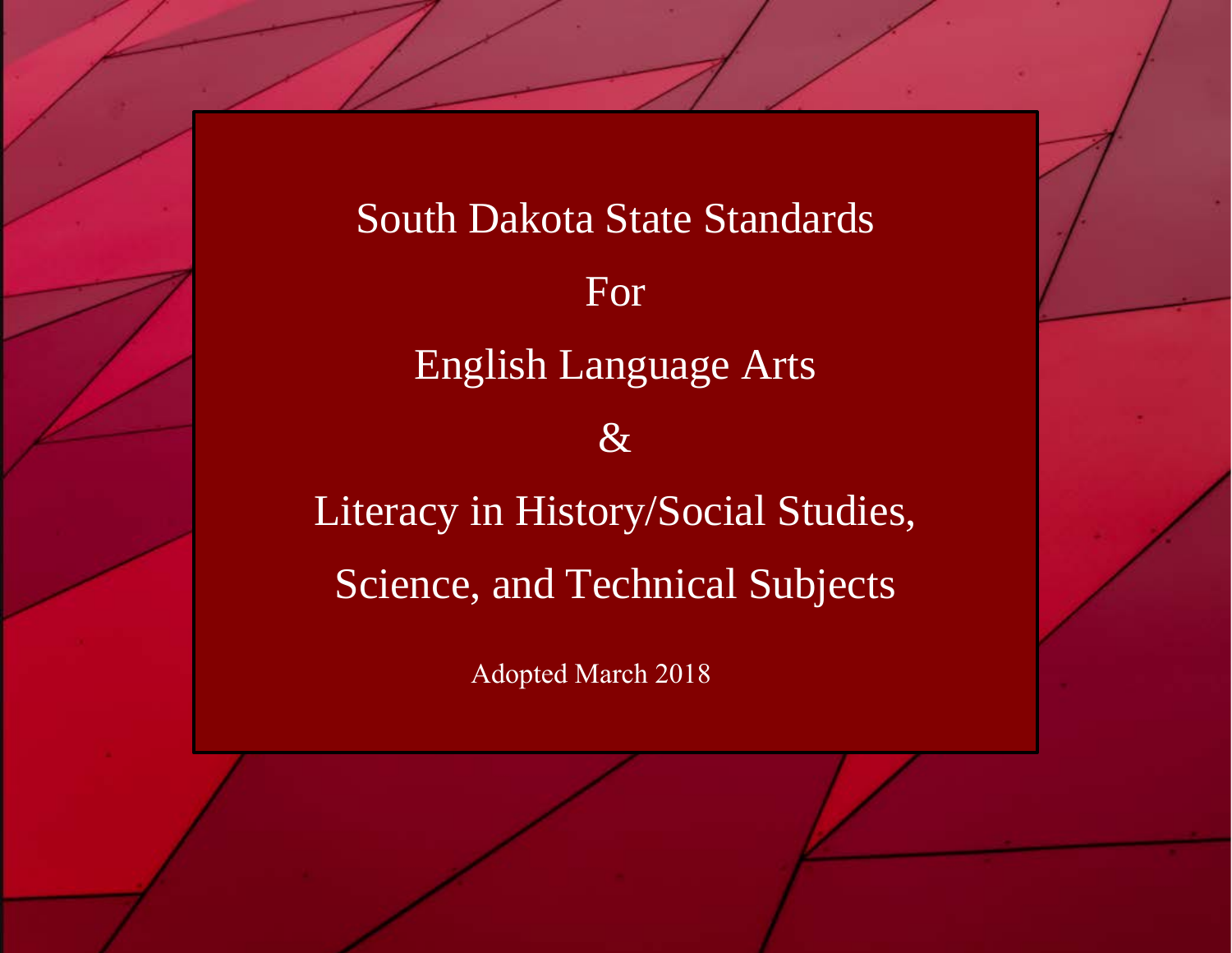South Dakota State Standards For English Language Arts & Literacy in History/Social Studies, Science, and Technical Subjects

Adopted March 2018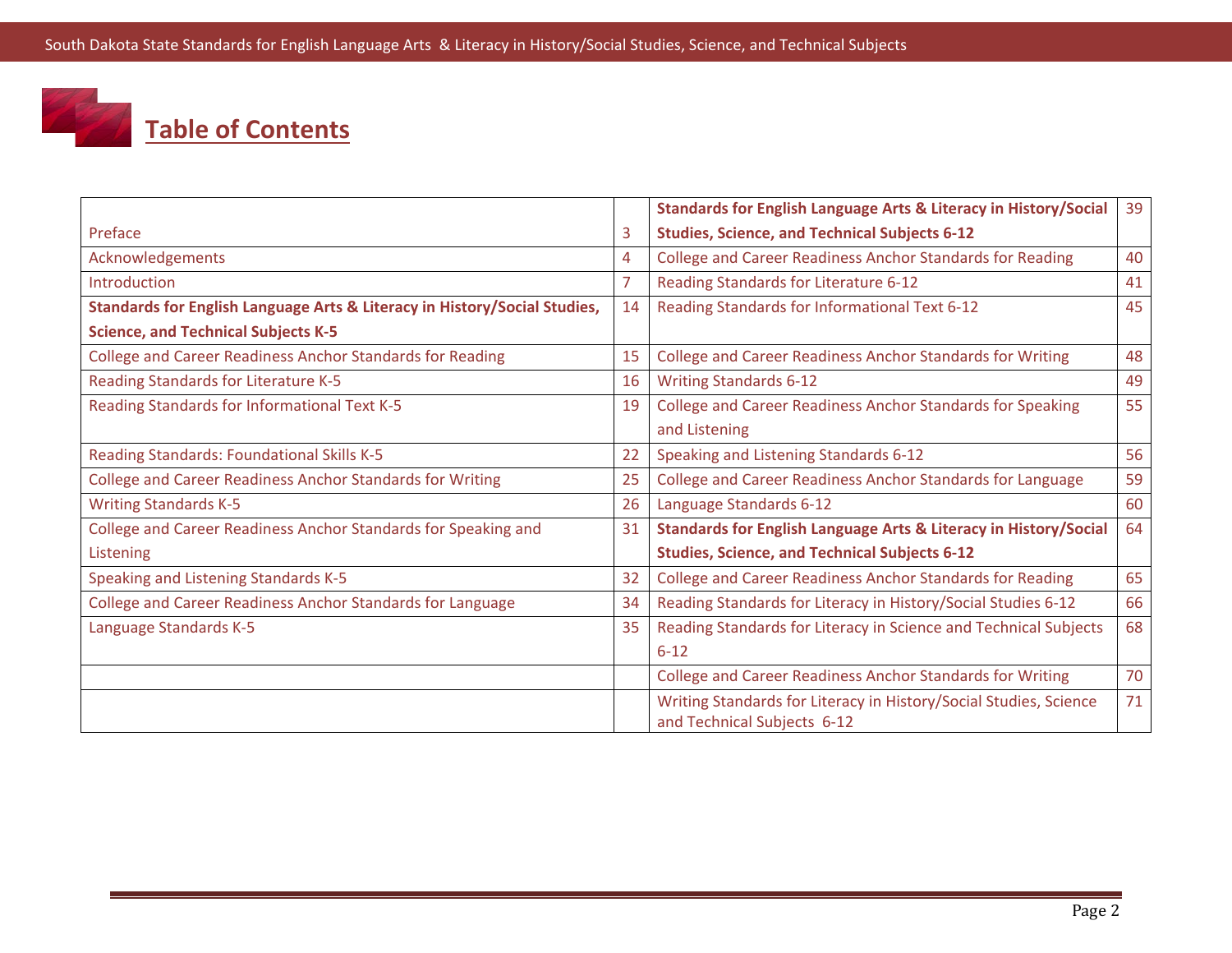

# **Table of Contents**

|                                                                           |    | <b>Standards for English Language Arts &amp; Literacy in History/Social</b> | 39 |
|---------------------------------------------------------------------------|----|-----------------------------------------------------------------------------|----|
| Preface                                                                   | 3  | <b>Studies, Science, and Technical Subjects 6-12</b>                        |    |
| Acknowledgements                                                          | 4  | College and Career Readiness Anchor Standards for Reading                   | 40 |
| Introduction                                                              | 7  | Reading Standards for Literature 6-12                                       | 41 |
| Standards for English Language Arts & Literacy in History/Social Studies, | 14 | Reading Standards for Informational Text 6-12                               | 45 |
| <b>Science, and Technical Subjects K-5</b>                                |    |                                                                             |    |
| College and Career Readiness Anchor Standards for Reading                 | 15 | College and Career Readiness Anchor Standards for Writing                   | 48 |
| Reading Standards for Literature K-5                                      | 16 | <b>Writing Standards 6-12</b>                                               | 49 |
| Reading Standards for Informational Text K-5                              | 19 | College and Career Readiness Anchor Standards for Speaking                  | 55 |
|                                                                           |    | and Listening                                                               |    |
| Reading Standards: Foundational Skills K-5                                | 22 | Speaking and Listening Standards 6-12                                       | 56 |
| College and Career Readiness Anchor Standards for Writing                 | 25 | College and Career Readiness Anchor Standards for Language                  | 59 |
| <b>Writing Standards K-5</b>                                              | 26 | Language Standards 6-12                                                     | 60 |
| College and Career Readiness Anchor Standards for Speaking and            | 31 | <b>Standards for English Language Arts &amp; Literacy in History/Social</b> | 64 |
| Listening                                                                 |    | <b>Studies, Science, and Technical Subjects 6-12</b>                        |    |
| Speaking and Listening Standards K-5                                      | 32 | College and Career Readiness Anchor Standards for Reading                   | 65 |
| College and Career Readiness Anchor Standards for Language                | 34 | Reading Standards for Literacy in History/Social Studies 6-12               | 66 |
| Language Standards K-5                                                    | 35 | Reading Standards for Literacy in Science and Technical Subjects            | 68 |
|                                                                           |    | $6 - 12$                                                                    |    |
|                                                                           |    | College and Career Readiness Anchor Standards for Writing                   | 70 |
|                                                                           |    | Writing Standards for Literacy in History/Social Studies, Science           | 71 |
|                                                                           |    | and Technical Subjects 6-12                                                 |    |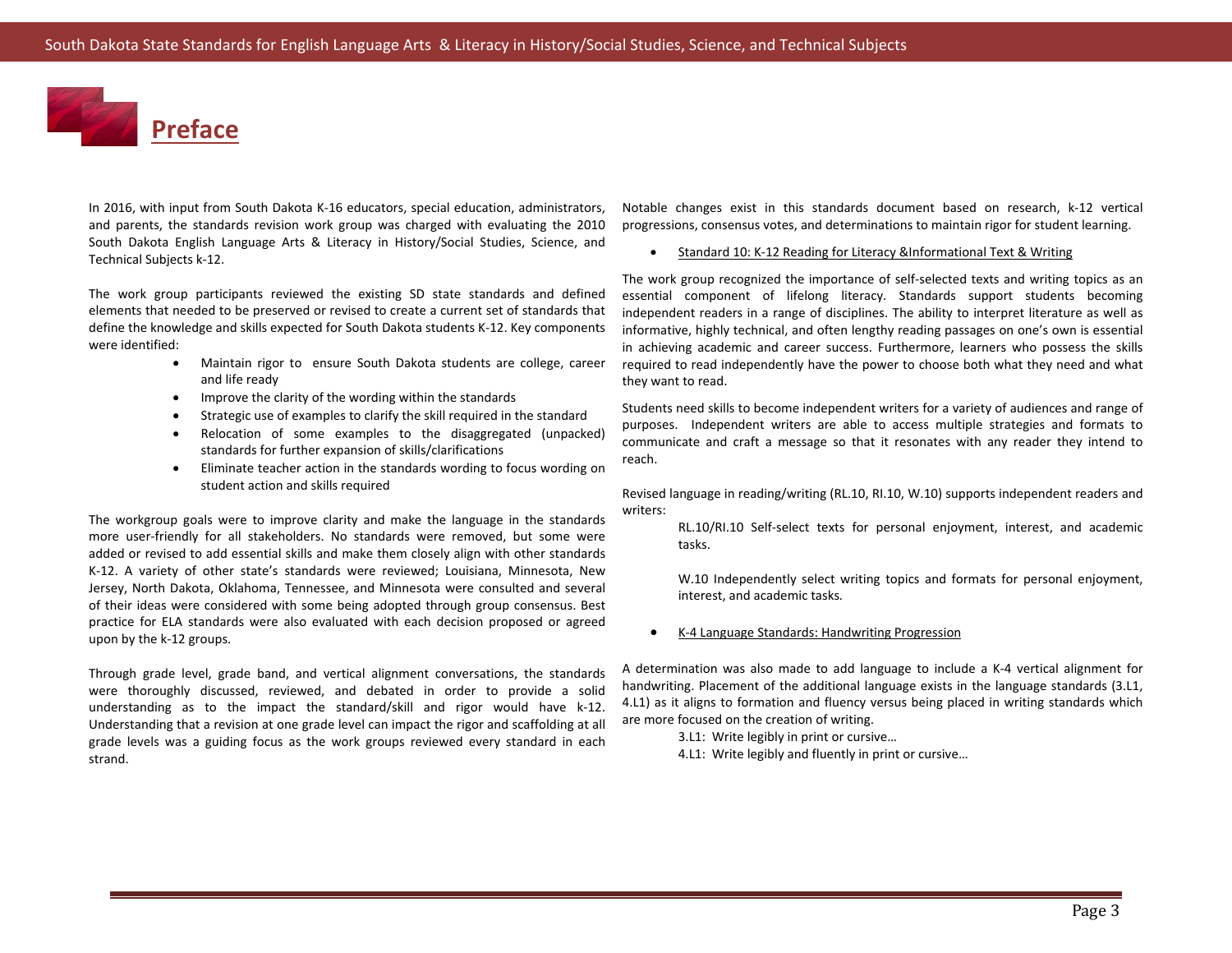

In 2016, with input from South Dakota K-16 educators, special education, administrators, and parents, the standards revision work group was charged with evaluating the 2010 South Dakota English Language Arts & Literacy in History/Social Studies, Science, and Technical Subjects k-12.

The work group participants reviewed the existing SD state standards and defined elements that needed to be preserved or revised to create a current set of standards that define the knowledge and skills expected for South Dakota students K-12. Key components were identified:

- Maintain rigor to ensure South Dakota students are college, career and life ready
- Improve the clarity of the wording within the standards
- Strategic use of examples to clarify the skill required in the standard
- Relocation of some examples to the disaggregated (unpacked) standards for further expansion of skills/clarifications
- Eliminate teacher action in the standards wording to focus wording on student action and skills required

The workgroup goals were to improve clarity and make the language in the standards more user-friendly for all stakeholders. No standards were removed, but some were added or revised to add essential skills and make them closely align with other standards K-12. A variety of other state's standards were reviewed; Louisiana, Minnesota, New Jersey, North Dakota, Oklahoma, Tennessee, and Minnesota were consulted and several of their ideas were considered with some being adopted through group consensus. Best practice for ELA standards were also evaluated with each decision proposed or agreed upon by the k-12 groups.

Through grade level, grade band, and vertical alignment conversations, the standards were thoroughly discussed, reviewed, and debated in order to provide a solid understanding as to the impact the standard/skill and rigor would have k-12. Understanding that a revision at one grade level can impact the rigor and scaffolding at all grade levels was a guiding focus as the work groups reviewed every standard in each strand.

Notable changes exist in this standards document based on research, k-12 vertical progressions, consensus votes, and determinations to maintain rigor for student learning.

• Standard 10: K-12 Reading for Literacy &Informational Text & Writing

The work group recognized the importance of self-selected texts and writing topics as an essential component of lifelong literacy. Standards support students becoming independent readers in a range of disciplines. The ability to interpret literature as well as informative, highly technical, and often lengthy reading passages on one's own is essential in achieving academic and career success. Furthermore, learners who possess the skills required to read independently have the power to choose both what they need and what they want to read.

Students need skills to become independent writers for a variety of audiences and range of purposes. Independent writers are able to access multiple strategies and formats to communicate and craft a message so that it resonates with any reader they intend to reach.

Revised language in reading/writing (RL.10, RI.10, W.10) supports independent readers and writers:

RL.10/RI.10 Self-select texts for personal enjoyment, interest, and academic tasks.

W.10 Independently select writing topics and formats for personal enjoyment, interest, and academic tasks*.*

• K-4 Language Standards: Handwriting Progression

A determination was also made to add language to include a K-4 vertical alignment for handwriting. Placement of the additional language exists in the language standards (3.L1, 4.L1) as it aligns to formation and fluency versus being placed in writing standards which are more focused on the creation of writing.

- 3.L1: Write legibly in print or cursive…
- 4.L1: Write legibly and fluently in print or cursive…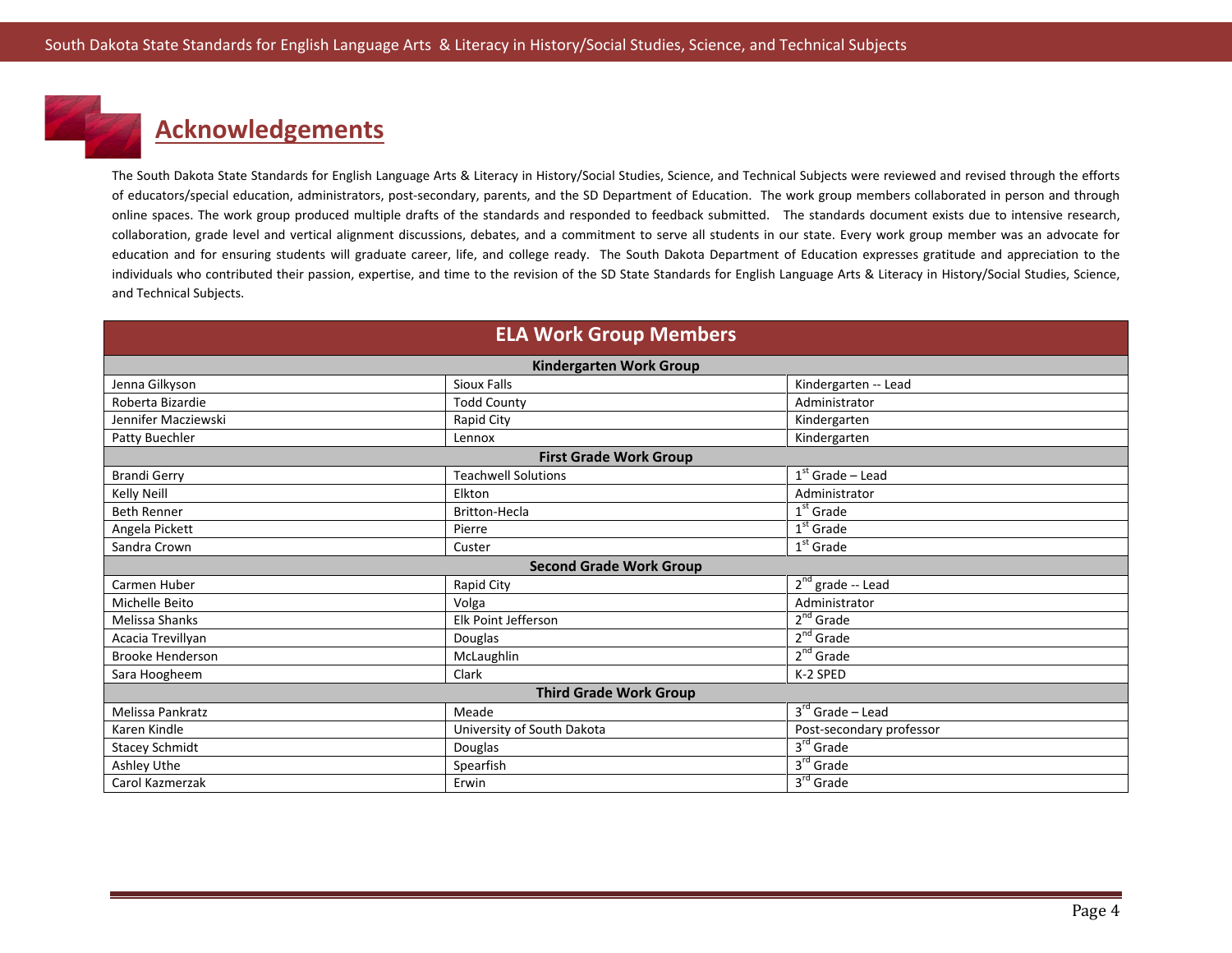

# **Acknowledgements**

The South Dakota State Standards for English Language Arts & Literacy in History/Social Studies, Science, and Technical Subjects were reviewed and revised through the efforts of educators/special education, administrators, post-secondary, parents, and the SD Department of Education. The work group members collaborated in person and through online spaces. The work group produced multiple drafts of the standards and responded to feedback submitted. The standards document exists due to intensive research, collaboration, grade level and vertical alignment discussions, debates, and a commitment to serve all students in our state. Every work group member was an advocate for education and for ensuring students will graduate career, life, and college ready. The South Dakota Department of Education expresses gratitude and appreciation to the individuals who contributed their passion, expertise, and time to the revision of the SD State Standards for English Language Arts & Literacy in History/Social Studies, Science, and Technical Subjects.

| <b>ELA Work Group Members</b> |                                |                                  |  |
|-------------------------------|--------------------------------|----------------------------------|--|
|                               | <b>Kindergarten Work Group</b> |                                  |  |
| Jenna Gilkyson                | <b>Sioux Falls</b>             | Kindergarten -- Lead             |  |
| Roberta Bizardie              | <b>Todd County</b>             | Administrator                    |  |
| Jennifer Macziewski           | Rapid City                     | Kindergarten                     |  |
| Patty Buechler                | Lennox                         | Kindergarten                     |  |
|                               | <b>First Grade Work Group</b>  |                                  |  |
| <b>Brandi Gerry</b>           | <b>Teachwell Solutions</b>     | $1st$ Grade – Lead               |  |
| <b>Kelly Neill</b>            | Elkton                         | Administrator                    |  |
| <b>Beth Renner</b>            | <b>Britton-Hecla</b>           | $1st$ Grade                      |  |
| Angela Pickett                | Pierre                         | $\overline{1}^{\text{st}}$ Grade |  |
| Sandra Crown                  | Custer                         | $1st$ Grade                      |  |
|                               | <b>Second Grade Work Group</b> |                                  |  |
| Carmen Huber                  | Rapid City                     | $2nd$ grade -- Lead              |  |
| Michelle Beito                | Volga                          | Administrator                    |  |
| <b>Melissa Shanks</b>         | Elk Point Jefferson            | $2nd$ Grade                      |  |
| Acacia Trevillyan             | Douglas                        | $2nd$ Grade                      |  |
| <b>Brooke Henderson</b>       | McLaughlin                     | $2nd$ Grade                      |  |
| Sara Hoogheem                 | Clark                          | K-2 SPED                         |  |
| <b>Third Grade Work Group</b> |                                |                                  |  |
| Melissa Pankratz              | Meade                          | $3rd$ Grade – Lead               |  |
| Karen Kindle                  | University of South Dakota     | Post-secondary professor         |  |
| <b>Stacey Schmidt</b>         | Douglas                        | 3rd Grade                        |  |
| Ashley Uthe                   | Spearfish                      | $3rd$ Grade                      |  |
| Carol Kazmerzak               | Erwin                          | 3rd Grade                        |  |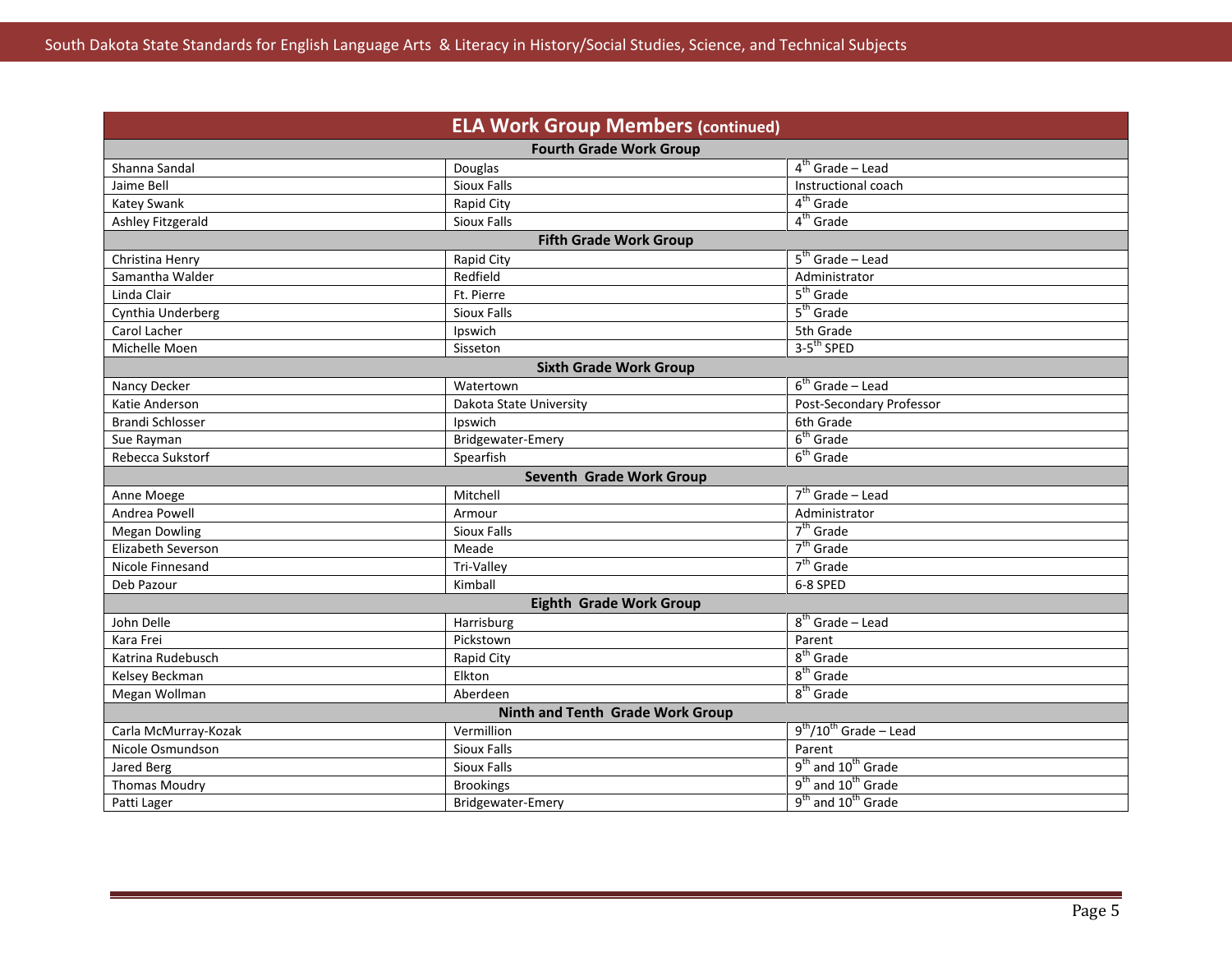| <b>ELA Work Group Members (continued)</b> |                                  |                                            |  |
|-------------------------------------------|----------------------------------|--------------------------------------------|--|
| <b>Fourth Grade Work Group</b>            |                                  |                                            |  |
| Shanna Sandal                             | Douglas                          | $4th$ Grade – Lead                         |  |
| Jaime Bell                                | <b>Sioux Falls</b>               | Instructional coach                        |  |
| Katey Swank                               | Rapid City                       | $4th$ Grade                                |  |
| Ashley Fitzgerald                         | <b>Sioux Falls</b>               | 4 <sup>th</sup> Grade                      |  |
|                                           | <b>Fifth Grade Work Group</b>    |                                            |  |
| Christina Henry                           | Rapid City                       | $5th$ Grade – Lead                         |  |
| Samantha Walder                           | Redfield                         | Administrator                              |  |
| Linda Clair                               | Ft. Pierre                       | 5 <sup>th</sup> Grade                      |  |
| Cynthia Underberg                         | <b>Sioux Falls</b>               | 5 <sup>th</sup> Grade                      |  |
| Carol Lacher                              | Ipswich                          | 5th Grade                                  |  |
| Michelle Moen                             | Sisseton                         | 3-5 <sup>th</sup> SPED                     |  |
|                                           | <b>Sixth Grade Work Group</b>    |                                            |  |
| Nancy Decker                              | Watertown                        | $6th$ Grade – Lead                         |  |
| Katie Anderson                            | Dakota State University          | Post-Secondary Professor                   |  |
| <b>Brandi Schlosser</b>                   | Ipswich                          | 6th Grade                                  |  |
| Sue Rayman                                | Bridgewater-Emery                | $6th$ Grade                                |  |
| Rebecca Sukstorf                          | Spearfish                        | $6th$ Grade                                |  |
|                                           | Seventh Grade Work Group         |                                            |  |
| Anne Moege                                | Mitchell                         | $7th$ Grade – Lead                         |  |
| Andrea Powell                             | Armour                           | Administrator                              |  |
| <b>Megan Dowling</b>                      | <b>Sioux Falls</b>               | $7th$ Grade                                |  |
| Elizabeth Severson                        | Meade                            | $7th$ Grade                                |  |
| Nicole Finnesand                          | Tri-Valley                       | 7 <sup>th</sup> Grade                      |  |
| Deb Pazour                                | Kimball                          | 6-8 SPED                                   |  |
|                                           | <b>Eighth Grade Work Group</b>   |                                            |  |
| John Delle                                | Harrisburg                       | $8th$ Grade – Lead                         |  |
| Kara Frei                                 | Pickstown                        | Parent                                     |  |
| Katrina Rudebusch                         | Rapid City                       | 8 <sup>th</sup> Grade                      |  |
| Kelsey Beckman                            | Elkton                           | 8 <sup>th</sup> Grade                      |  |
| Megan Wollman                             | Aberdeen                         | 8 <sup>th</sup> Grade                      |  |
|                                           | Ninth and Tenth Grade Work Group |                                            |  |
| Carla McMurray-Kozak                      | Vermillion                       | $9th/10th$ Grade – Lead                    |  |
| Nicole Osmundson                          | <b>Sioux Falls</b>               | Parent                                     |  |
| Jared Berg                                | <b>Sioux Falls</b>               | 9 <sup>th</sup> and 10 <sup>th</sup> Grade |  |
| <b>Thomas Moudry</b>                      | <b>Brookings</b>                 | 9 <sup>th</sup> and 10 <sup>th</sup> Grade |  |
| Patti Lager                               | Bridgewater-Emery                | 9 <sup>th</sup> and 10 <sup>th</sup> Grade |  |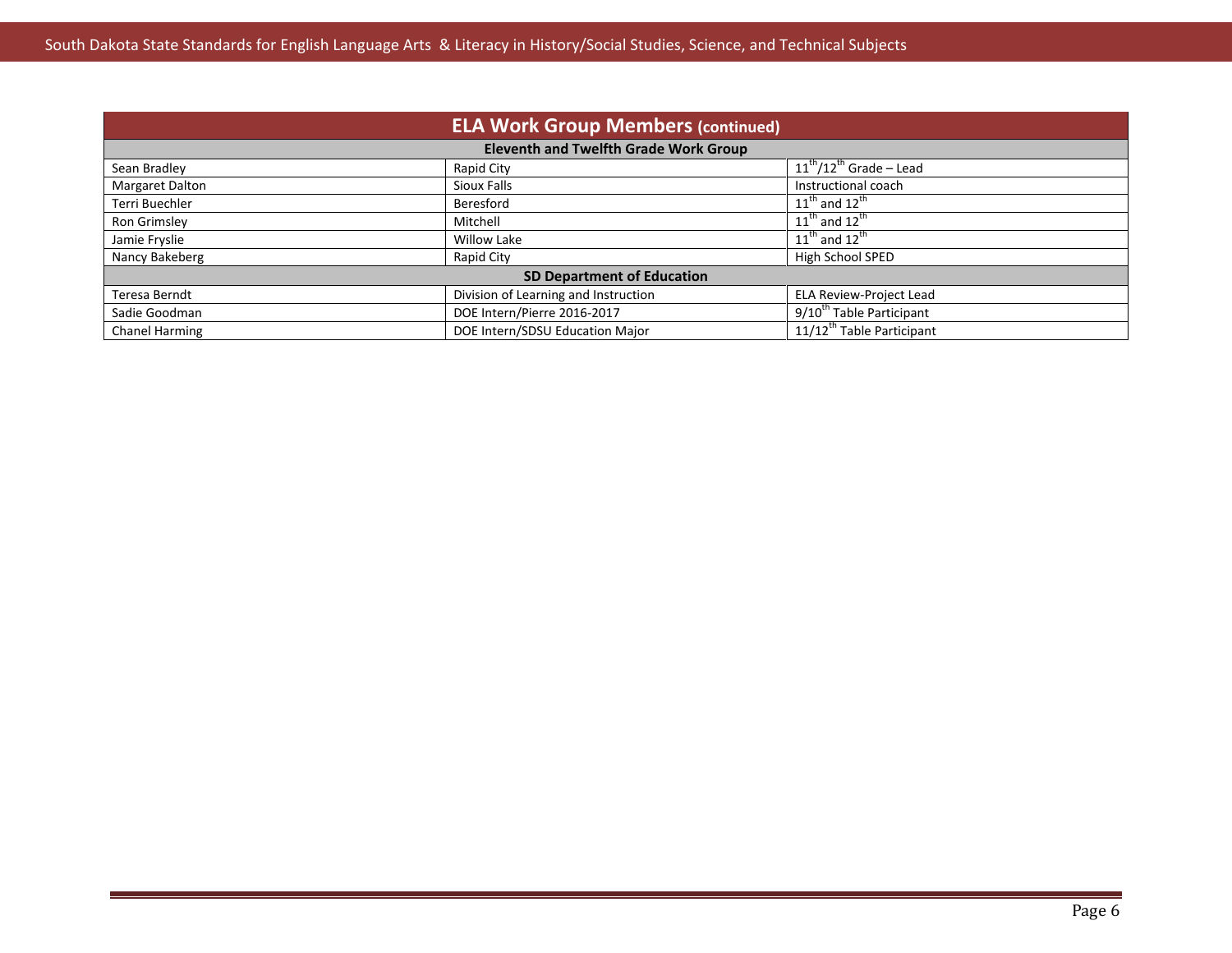| <b>ELA Work Group Members (continued)</b>    |                                      |                                       |  |
|----------------------------------------------|--------------------------------------|---------------------------------------|--|
| <b>Eleventh and Twelfth Grade Work Group</b> |                                      |                                       |  |
| Sean Bradley                                 | Rapid City                           | $11^{th}/12^{th}$ Grade – Lead        |  |
| Margaret Dalton                              | Sioux Falls                          | Instructional coach                   |  |
| Terri Buechler                               | <b>Beresford</b>                     | $11^{\text{th}}$ and $12^{\text{th}}$ |  |
| Ron Grimsley                                 | Mitchell                             | $11th$ and $12th$                     |  |
| Jamie Fryslie                                | <b>Willow Lake</b>                   | $11^{\text{th}}$ and $12^{\text{th}}$ |  |
| Nancy Bakeberg                               | Rapid City                           | High School SPED                      |  |
| <b>SD Department of Education</b>            |                                      |                                       |  |
| Teresa Berndt                                | Division of Learning and Instruction | <b>ELA Review-Project Lead</b>        |  |
| Sadie Goodman                                | DOE Intern/Pierre 2016-2017          | 9/10 <sup>th</sup> Table Participant  |  |
| <b>Chanel Harming</b>                        | DOE Intern/SDSU Education Major      | 11/12 <sup>th</sup> Table Participant |  |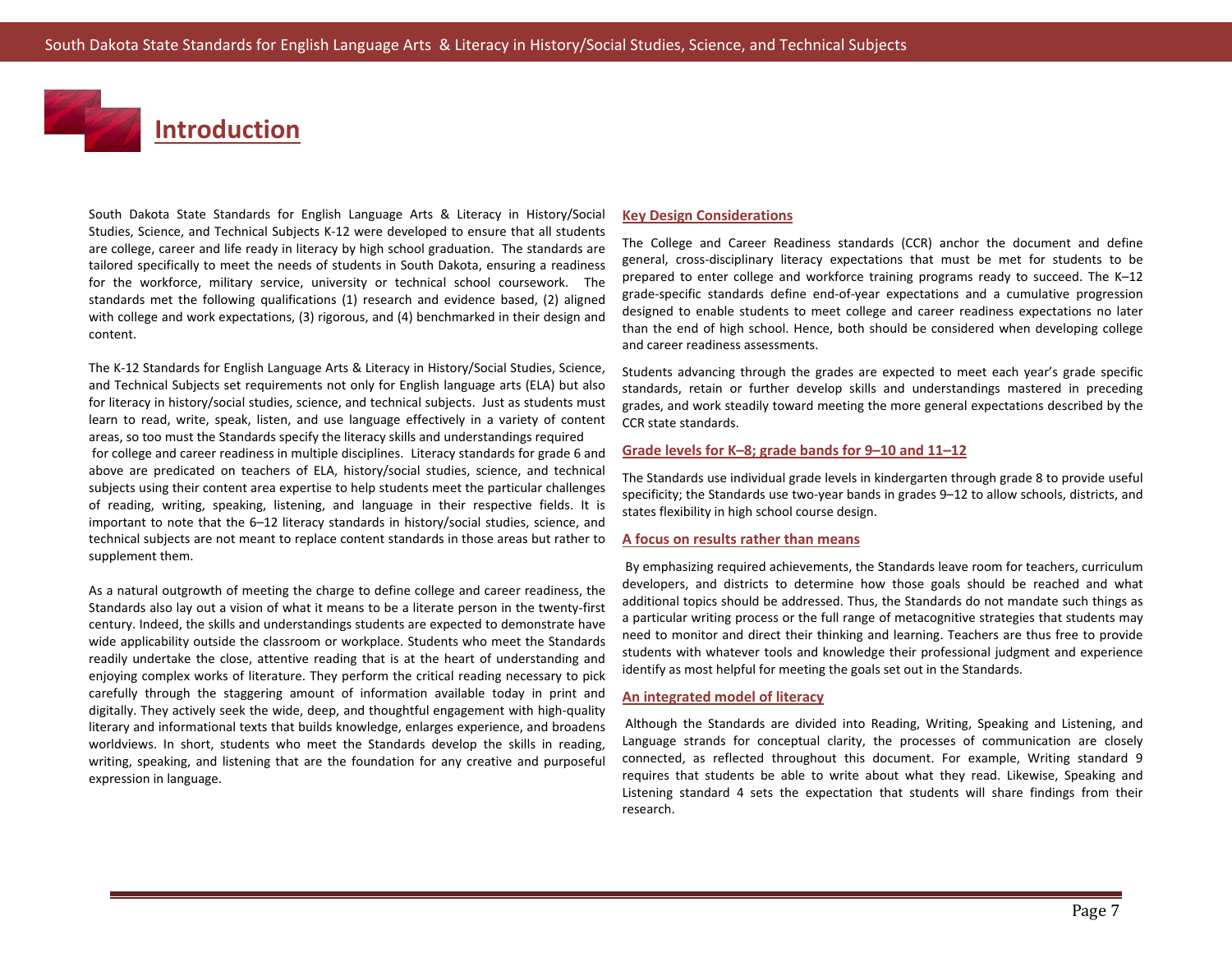

# **Introduction**

South Dakota State Standards for English Language Arts & Literacy in History/Social Studies, Science, and Technical Subjects K-12 were developed to ensure that all students are college, career and life ready in literacy by high school graduation. The standards are tailored specifically to meet the needs of students in South Dakota, ensuring a readiness for the workforce, military service, university or technical school coursework. The standards met the following qualifications (1) research and evidence based, (2) aligned with college and work expectations, (3) rigorous, and (4) benchmarked in their design and content.

The K-12 Standards for English Language Arts & Literacy in History/Social Studies, Science, and Technical Subjects set requirements not only for English language arts (ELA) but also for literacy in history/social studies, science, and technical subjects. Just as students must learn to read, write, speak, listen, and use language effectively in a variety of content areas, so too must the Standards specify the literacy skills and understandings required for college and career readiness in multiple disciplines. Literacy standards for grade 6 and above are predicated on teachers of ELA, history/social studies, science, and technical subjects using their content area expertise to help students meet the particular challenges of reading, writing, speaking, listening, and language in their respective fields. It is important to note that the 6–12 literacy standards in history/social studies, science, and technical subjects are not meant to replace content standards in those areas but rather to supplement them.

As a natural outgrowth of meeting the charge to define college and career readiness, the Standards also lay out a vision of what it means to be a literate person in the twenty-first century. Indeed, the skills and understandings students are expected to demonstrate have wide applicability outside the classroom or workplace. Students who meet the Standards readily undertake the close, attentive reading that is at the heart of understanding and enjoying complex works of literature. They perform the critical reading necessary to pick carefully through the staggering amount of information available today in print and digitally. They actively seek the wide, deep, and thoughtful engagement with high-quality literary and informational texts that builds knowledge, enlarges experience, and broadens worldviews. In short, students who meet the Standards develop the skills in reading, writing, speaking, and listening that are the foundation for any creative and purposeful expression in language.

#### **Key Design Considerations**

The College and Career Readiness standards (CCR) anchor the document and define general, cross-disciplinary literacy expectations that must be met for students to be prepared to enter college and workforce training programs ready to succeed. The K–12 grade-specific standards define end-of-year expectations and a cumulative progression designed to enable students to meet college and career readiness expectations no later than the end of high school. Hence, both should be considered when developing college and career readiness assessments.

Students advancing through the grades are expected to meet each year's grade specific standards, retain or further develop skills and understandings mastered in preceding grades, and work steadily toward meeting the more general expectations described by the CCR state standards.

### **Grade levels for K–8; grade bands for 9–10 and 11–12**

The Standards use individual grade levels in kindergarten through grade 8 to provide useful specificity; the Standards use two-year bands in grades 9–12 to allow schools, districts, and states flexibility in high school course design.

#### **A focus on results rather than means**

By emphasizing required achievements, the Standards leave room for teachers, curriculum developers, and districts to determine how those goals should be reached and what additional topics should be addressed. Thus, the Standards do not mandate such things as a particular writing process or the full range of metacognitive strategies that students may need to monitor and direct their thinking and learning. Teachers are thus free to provide students with whatever tools and knowledge their professional judgment and experience identify as most helpful for meeting the goals set out in the Standards.

#### **An integrated model of literacy**

Although the Standards are divided into Reading, Writing, Speaking and Listening, and Language strands for conceptual clarity, the processes of communication are closely connected, as reflected throughout this document. For example, Writing standard 9 requires that students be able to write about what they read. Likewise, Speaking and Listening standard 4 sets the expectation that students will share findings from their research.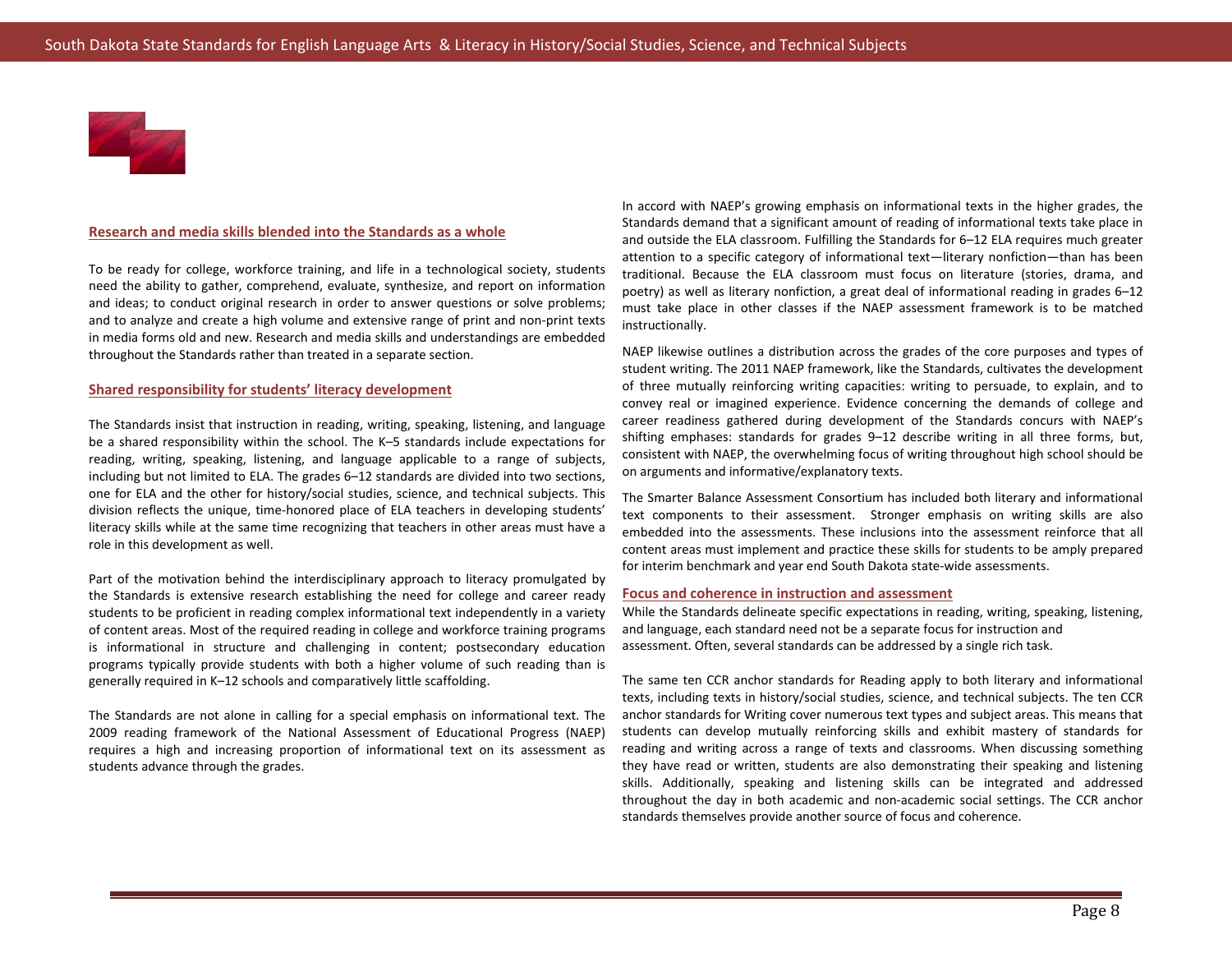

#### **Research and media skills blended into the Standards as a whole**

To be ready for college, workforce training, and life in a technological society, students need the ability to gather, comprehend, evaluate, synthesize, and report on information and ideas; to conduct original research in order to answer questions or solve problems; and to analyze and create a high volume and extensive range of print and non-print texts in media forms old and new. Research and media skills and understandings are embedded throughout the Standards rather than treated in a separate section.

#### **Shared responsibility for students' literacy development**

The Standards insist that instruction in reading, writing, speaking, listening, and language be a shared responsibility within the school. The K–5 standards include expectations for reading, writing, speaking, listening, and language applicable to a range of subjects, including but not limited to ELA. The grades 6–12 standards are divided into two sections, one for ELA and the other for history/social studies, science, and technical subjects. This division reflects the unique, time-honored place of ELA teachers in developing students' literacy skills while at the same time recognizing that teachers in other areas must have a role in this development as well.

Part of the motivation behind the interdisciplinary approach to literacy promulgated by the Standards is extensive research establishing the need for college and career ready students to be proficient in reading complex informational text independently in a variety of content areas. Most of the required reading in college and workforce training programs is informational in structure and challenging in content; postsecondary education programs typically provide students with both a higher volume of such reading than is generally required in K–12 schools and comparatively little scaffolding.

The Standards are not alone in calling for a special emphasis on informational text. The 2009 reading framework of the National Assessment of Educational Progress (NAEP) requires a high and increasing proportion of informational text on its assessment as students advance through the grades.

In accord with NAEP's growing emphasis on informational texts in the higher grades, the Standards demand that a significant amount of reading of informational texts take place in and outside the ELA classroom. Fulfilling the Standards for 6–12 ELA requires much greater attention to a specific category of informational text—literary nonfiction—than has been traditional. Because the ELA classroom must focus on literature (stories, drama, and poetry) as well as literary nonfiction, a great deal of informational reading in grades 6–12 must take place in other classes if the NAEP assessment framework is to be matched instructionally.

NAEP likewise outlines a distribution across the grades of the core purposes and types of student writing. The 2011 NAEP framework, like the Standards, cultivates the development of three mutually reinforcing writing capacities: writing to persuade, to explain, and to convey real or imagined experience. Evidence concerning the demands of college and career readiness gathered during development of the Standards concurs with NAEP's shifting emphases: standards for grades 9–12 describe writing in all three forms, but, consistent with NAEP, the overwhelming focus of writing throughout high school should be on arguments and informative/explanatory texts.

The Smarter Balance Assessment Consortium has included both literary and informational text components to their assessment. Stronger emphasis on writing skills are also embedded into the assessments. These inclusions into the assessment reinforce that all content areas must implement and practice these skills for students to be amply prepared for interim benchmark and year end South Dakota state-wide assessments.

#### **Focus and coherence in instruction and assessment**

While the Standards delineate specific expectations in reading, writing, speaking, listening, and language, each standard need not be a separate focus for instruction and assessment. Often, several standards can be addressed by a single rich task.

The same ten CCR anchor standards for Reading apply to both literary and informational texts, including texts in history/social studies, science, and technical subjects. The ten CCR anchor standards for Writing cover numerous text types and subject areas. This means that students can develop mutually reinforcing skills and exhibit mastery of standards for reading and writing across a range of texts and classrooms. When discussing something they have read or written, students are also demonstrating their speaking and listening skills. Additionally, speaking and listening skills can be integrated and addressed throughout the day in both academic and non-academic social settings. The CCR anchor standards themselves provide another source of focus and coherence.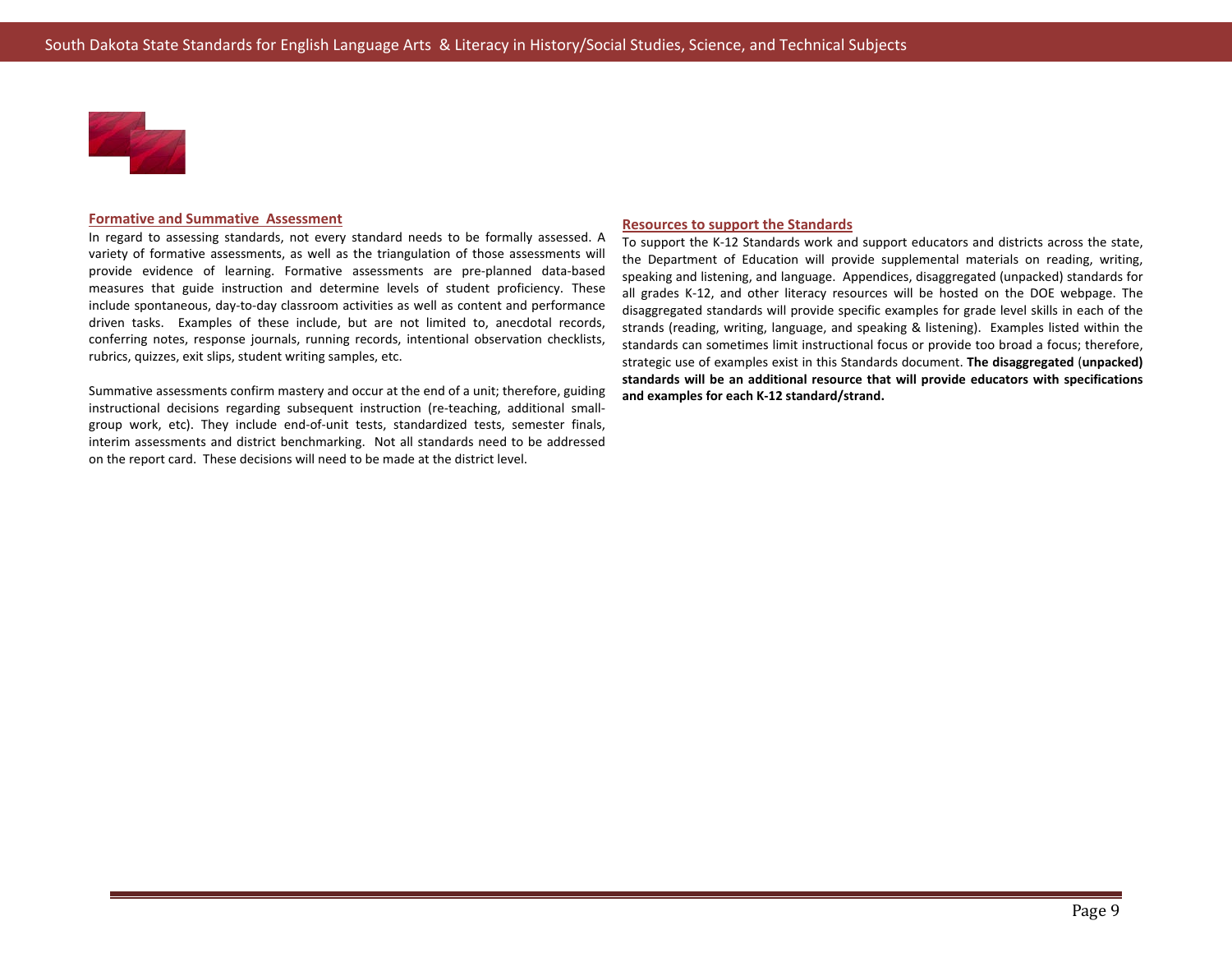

#### **Formative and Summative Assessment**

In regard to assessing standards, not every standard needs to be formally assessed. A variety of formative assessments, as well as the triangulation of those assessments will provide evidence of learning. Formative assessments are pre-planned data-based measures that guide instruction and determine levels of student proficiency. These include spontaneous, day-to-day classroom activities as well as content and performance driven tasks. Examples of these include, but are not limited to, anecdotal records, conferring notes, response journals, running records, intentional observation checklists, rubrics, quizzes, exit slips, student writing samples, etc.

Summative assessments confirm mastery and occur at the end of a unit; therefore, guiding instructional decisions regarding subsequent instruction (re-teaching, additional smallgroup work, etc). They include end-of-unit tests, standardized tests, semester finals, interim assessments and district benchmarking. Not all standards need to be addressed on the report card. These decisions will need to be made at the district level.

#### **Resources to support the Standards**

To support the K-12 Standards work and support educators and districts across the state, the Department of Education will provide supplemental materials on reading, writing, speaking and listening, and language. Appendices, disaggregated (unpacked) standards for all grades K-12, and other literacy resources will be hosted on the DOE webpage. The disaggregated standards will provide specific examples for grade level skills in each of the strands (reading, writing, language, and speaking & listening). Examples listed within the standards can sometimes limit instructional focus or provide too broad a focus; therefore, strategic use of examples exist in this Standards document. **The disaggregated** (**unpacked) standards will be an additional resource that will provide educators with specifications and examples for each K-12 standard/strand.**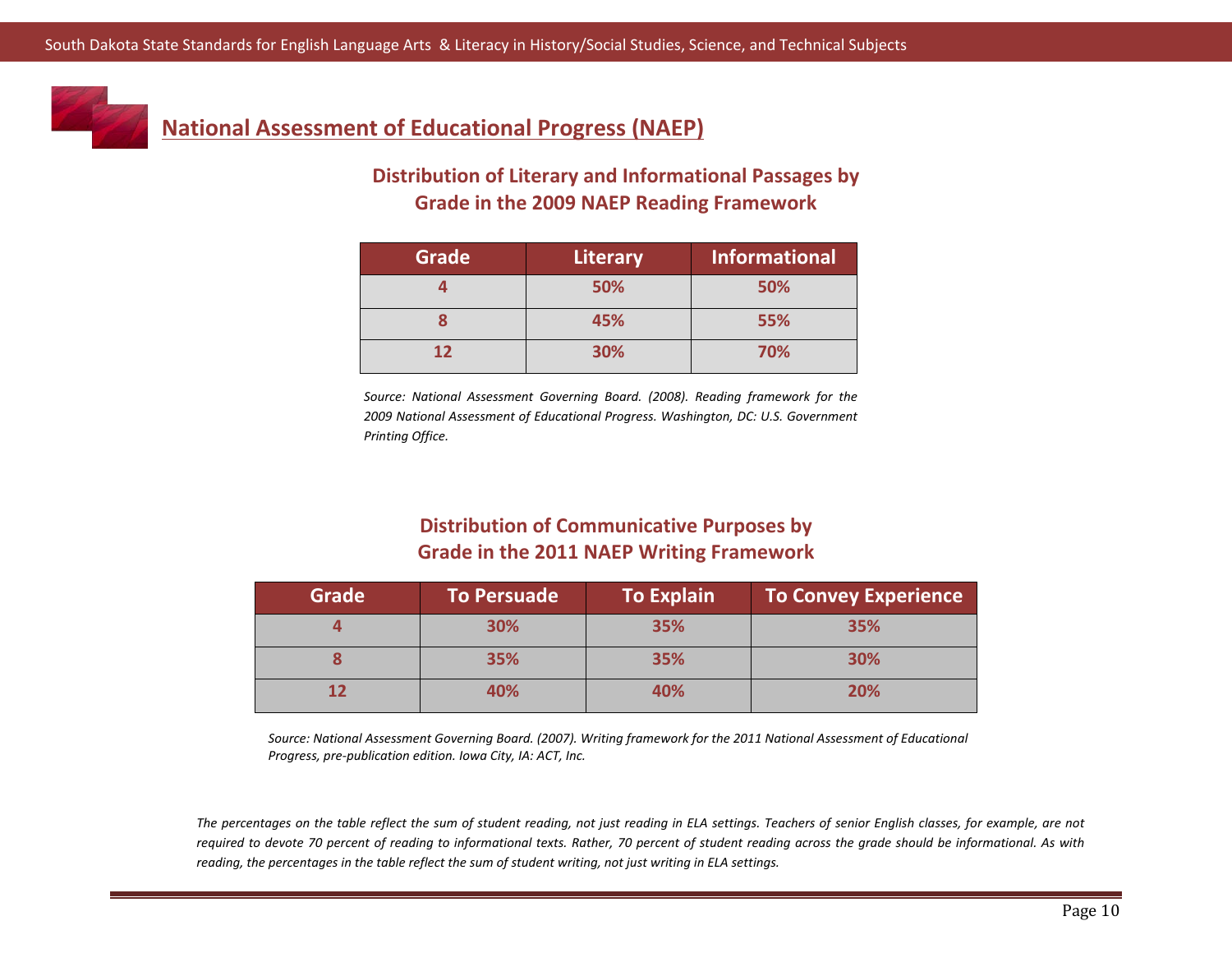

# **National Assessment of Educational Progress (NAEP)**

## **Distribution of Literary and Informational Passages by Grade in the 2009 NAEP Reading Framework**

| <b>Grade</b>      | <b>Literary</b> | Informational |
|-------------------|-----------------|---------------|
|                   | 50%             | 50%           |
|                   | 45%             | 55%           |
| $12 \ \mathrm{ }$ | 30%             | 70%           |

*Source: National Assessment Governing Board. (2008). Reading framework for the 2009 National Assessment of Educational Progress. Washington, DC: U.S. Government Printing Office.*

## **Distribution of Communicative Purposes by Grade in the 2011 NAEP Writing Framework**

| <b>Grade</b> | <b>To Persuade</b> | <b>To Explain</b> | <b>To Convey Experience</b> |
|--------------|--------------------|-------------------|-----------------------------|
|              | 30%                | 35%               | 35%                         |
|              | 35%                | 35%               | 30%                         |
| 12           | 40%                | 40%               | 20%                         |

*Source: National Assessment Governing Board. (2007). Writing framework for the 2011 National Assessment of Educational Progress, pre-publication edition. Iowa City, IA: ACT, Inc.*

*The percentages on the table reflect the sum of student reading, not just reading in ELA settings. Teachers of senior English classes, for example, are not required to devote 70 percent of reading to informational texts. Rather, 70 percent of student reading across the grade should be informational. As with reading, the percentages in the table reflect the sum of student writing, not just writing in ELA settings.*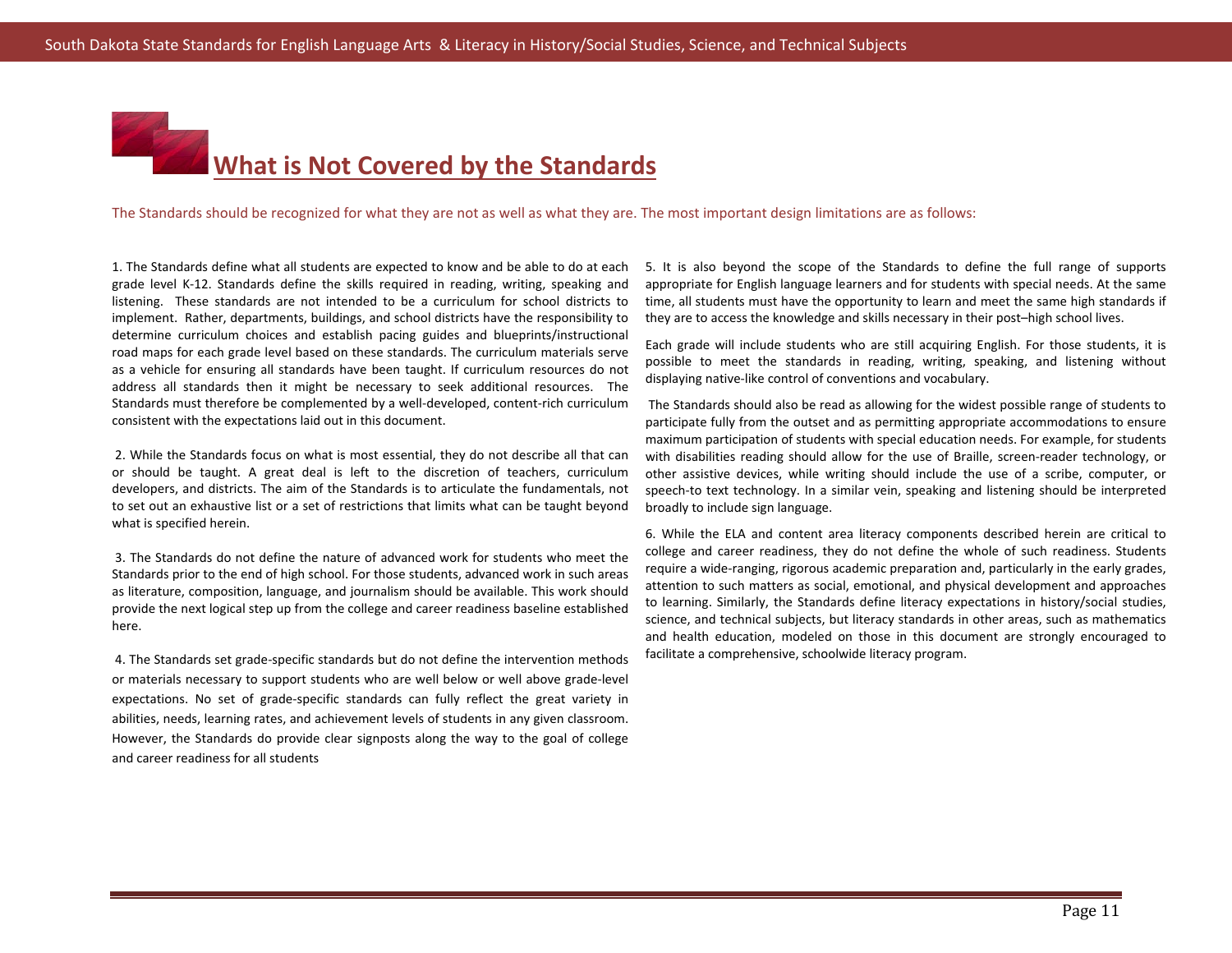# **What is Not Covered by the Standards**

The Standards should be recognized for what they are not as well as what they are. The most important design limitations are as follows:

1. The Standards define what all students are expected to know and be able to do at each grade level K-12. Standards define the skills required in reading, writing, speaking and listening. These standards are not intended to be a curriculum for school districts to implement. Rather, departments, buildings, and school districts have the responsibility to determine curriculum choices and establish pacing guides and blueprints/instructional road maps for each grade level based on these standards. The curriculum materials serve as a vehicle for ensuring all standards have been taught. If curriculum resources do not address all standards then it might be necessary to seek additional resources. The Standards must therefore be complemented by a well-developed, content-rich curriculum consistent with the expectations laid out in this document.

2. While the Standards focus on what is most essential, they do not describe all that can or should be taught. A great deal is left to the discretion of teachers, curriculum developers, and districts. The aim of the Standards is to articulate the fundamentals, not to set out an exhaustive list or a set of restrictions that limits what can be taught beyond what is specified herein.

3. The Standards do not define the nature of advanced work for students who meet the Standards prior to the end of high school. For those students, advanced work in such areas as literature, composition, language, and journalism should be available. This work should provide the next logical step up from the college and career readiness baseline established here.

4. The Standards set grade-specific standards but do not define the intervention methods or materials necessary to support students who are well below or well above grade-level expectations. No set of grade-specific standards can fully reflect the great variety in abilities, needs, learning rates, and achievement levels of students in any given classroom. However, the Standards do provide clear signposts along the way to the goal of college and career readiness for all students

5. It is also beyond the scope of the Standards to define the full range of supports appropriate for English language learners and for students with special needs. At the same time, all students must have the opportunity to learn and meet the same high standards if they are to access the knowledge and skills necessary in their post–high school lives.

Each grade will include students who are still acquiring English. For those students, it is possible to meet the standards in reading, writing, speaking, and listening without displaying native-like control of conventions and vocabulary.

The Standards should also be read as allowing for the widest possible range of students to participate fully from the outset and as permitting appropriate accommodations to ensure maximum participation of students with special education needs. For example, for students with disabilities reading should allow for the use of Braille, screen-reader technology, or other assistive devices, while writing should include the use of a scribe, computer, or speech-to text technology. In a similar vein, speaking and listening should be interpreted broadly to include sign language.

6. While the ELA and content area literacy components described herein are critical to college and career readiness, they do not define the whole of such readiness. Students require a wide-ranging, rigorous academic preparation and, particularly in the early grades, attention to such matters as social, emotional, and physical development and approaches to learning. Similarly, the Standards define literacy expectations in history/social studies, science, and technical subjects, but literacy standards in other areas, such as mathematics and health education, modeled on those in this document are strongly encouraged to facilitate a comprehensive, schoolwide literacy program.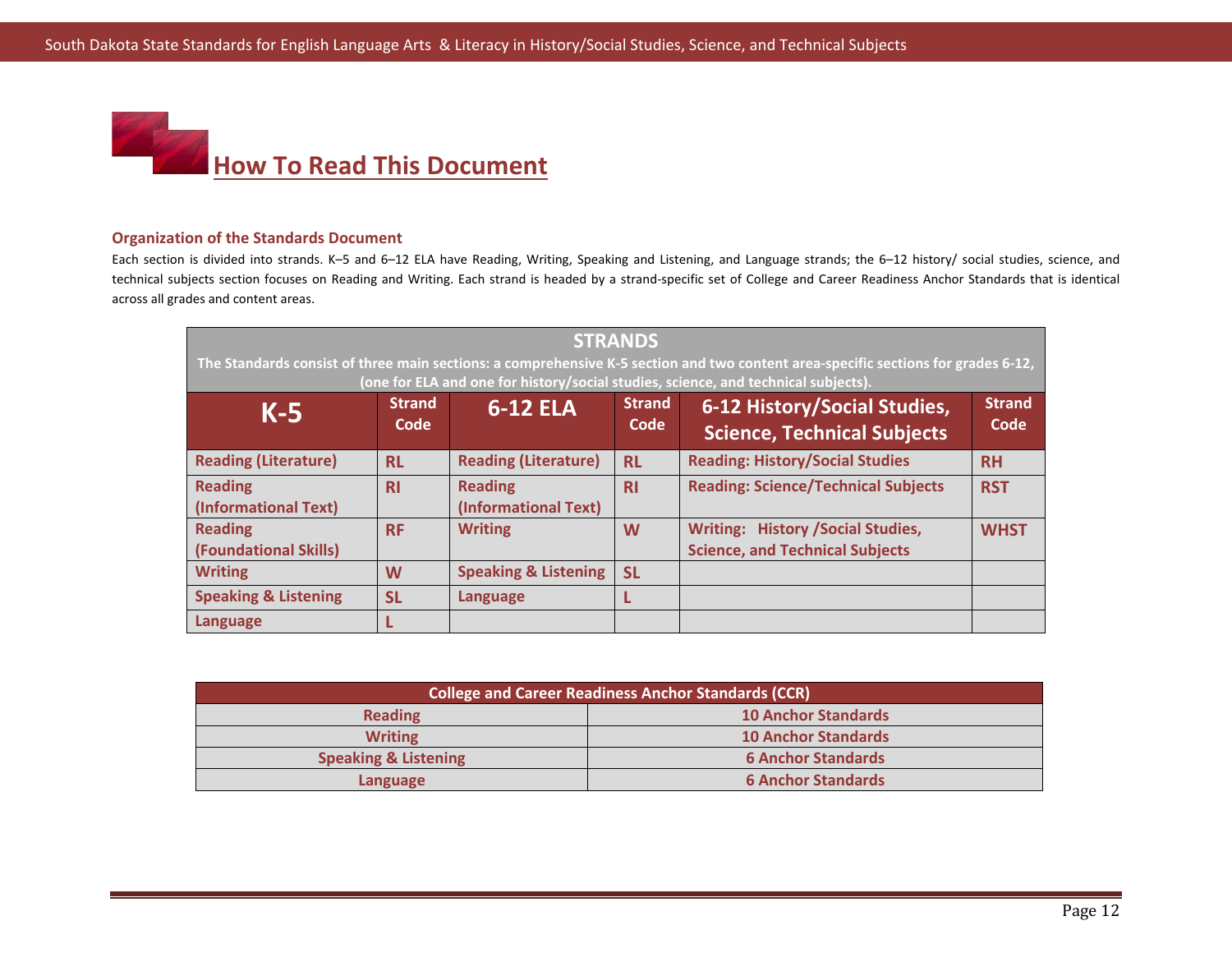

### **Organization of the Standards Document**

Each section is divided into strands. K–5 and 6–12 ELA have Reading, Writing, Speaking and Listening, and Language strands; the 6–12 history/ social studies, science, and technical subjects section focuses on Reading and Writing. Each strand is headed by a strand-specific set of College and Career Readiness Anchor Standards that is identical across all grades and content areas.

| <b>STRANDS</b><br>The Standards consist of three main sections: a comprehensive K-5 section and two content area-specific sections for grades 6-12,<br>(one for ELA and one for history/social studies, science, and technical subjects). |                       |                                        |                       |                                                                                     |                       |
|-------------------------------------------------------------------------------------------------------------------------------------------------------------------------------------------------------------------------------------------|-----------------------|----------------------------------------|-----------------------|-------------------------------------------------------------------------------------|-----------------------|
| $K-5$                                                                                                                                                                                                                                     | <b>Strand</b><br>Code | <b>6-12 ELA</b>                        | <b>Strand</b><br>Code | 6-12 History/Social Studies,<br><b>Science, Technical Subjects</b>                  | <b>Strand</b><br>Code |
| <b>Reading (Literature)</b>                                                                                                                                                                                                               | <b>RL</b>             | <b>Reading (Literature)</b>            | <b>RL</b>             | <b>Reading: History/Social Studies</b>                                              | <b>RH</b>             |
| <b>Reading</b><br>(Informational Text)                                                                                                                                                                                                    | <b>RI</b>             | <b>Reading</b><br>(Informational Text) | <b>RI</b>             | <b>Reading: Science/Technical Subjects</b>                                          | <b>RST</b>            |
| <b>Reading</b><br>(Foundational Skills)                                                                                                                                                                                                   | <b>RF</b>             | <b>Writing</b>                         | W                     | <b>Writing: History / Social Studies,</b><br><b>Science, and Technical Subjects</b> | <b>WHST</b>           |
| <b>Writing</b>                                                                                                                                                                                                                            | W                     | <b>Speaking &amp; Listening</b>        | <b>SL</b>             |                                                                                     |                       |
| <b>Speaking &amp; Listening</b>                                                                                                                                                                                                           | <b>SL</b>             | Language                               | L                     |                                                                                     |                       |
| Language                                                                                                                                                                                                                                  |                       |                                        |                       |                                                                                     |                       |

| <b>College and Career Readiness Anchor Standards (CCR)</b> |                            |  |
|------------------------------------------------------------|----------------------------|--|
| <b>10 Anchor Standards</b><br><b>Reading</b>               |                            |  |
| <b>Writing</b>                                             | <b>10 Anchor Standards</b> |  |
| <b>Speaking &amp; Listening</b>                            | <b>6 Anchor Standards</b>  |  |
| Language                                                   | <b>6 Anchor Standards</b>  |  |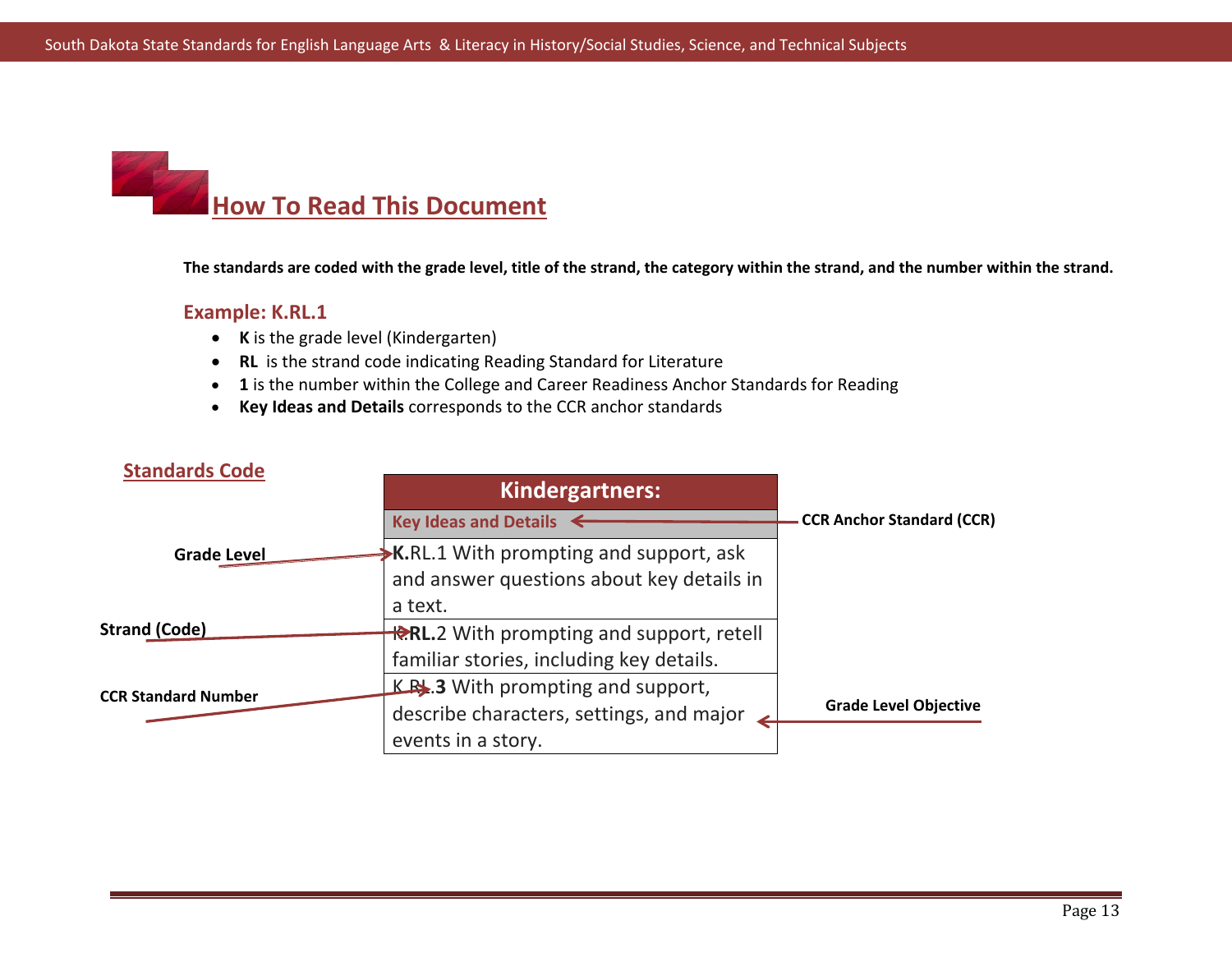# **How To Read This Document**

**The standards are coded with the grade level, title of the strand, the category within the strand, and the number within the strand.**

### **Example: K.RL.1**

- **K** is the grade level (Kindergarten)
- **RL** is the strand code indicating Reading Standard for Literature
- **1** is the number within the College and Career Readiness Anchor Standards for Reading
- **Key Ideas and Details** corresponds to the CCR anchor standards

| ,                          | Kindergartners:                                                                                           |                                  |
|----------------------------|-----------------------------------------------------------------------------------------------------------|----------------------------------|
|                            | Key Ideas and Details $\blacktriangleleft$                                                                | <b>CCR Anchor Standard (CCR)</b> |
| <b>Grade Level</b>         | $\blacktriangleright$ K.RL.1 With prompting and support, ask<br>and answer questions about key details in |                                  |
| <b>Strand (Code)</b>       | a text.<br><b>RL.2</b> With prompting and support, retell                                                 |                                  |
|                            | familiar stories, including key details.                                                                  |                                  |
| <b>CCR Standard Number</b> | <b>KBL3</b> With prompting and support,<br>describe characters, settings, and major                       | <b>Grade Level Objective</b>     |
|                            | events in a story.                                                                                        |                                  |

### **Standards Code**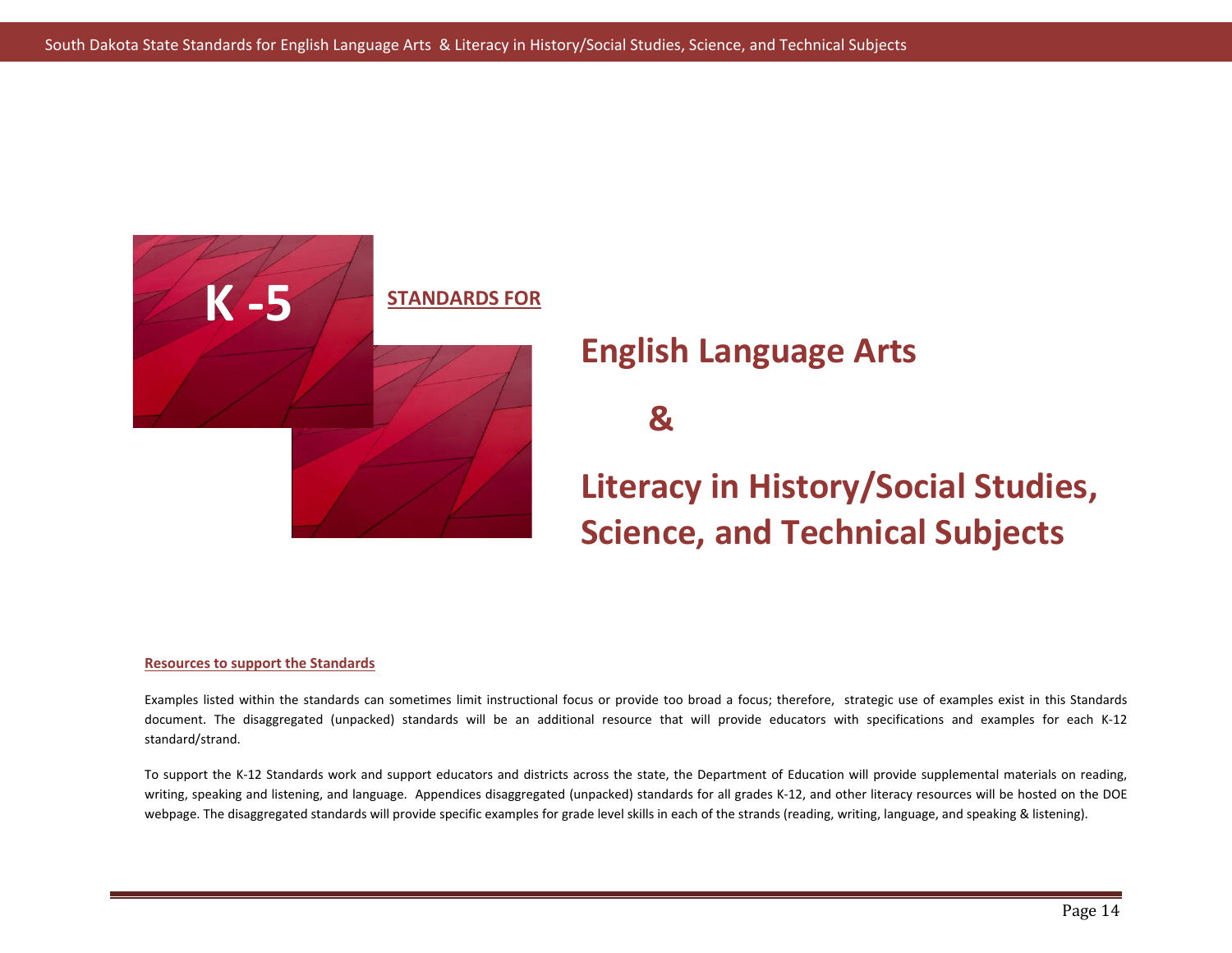

# **English Language Arts**

 **&**

# **Literacy in History/Social Studies, Science, and Technical Subjects**

### **Resources to support the Standards**

Examples listed within the standards can sometimes limit instructional focus or provide too broad a focus; therefore, strategic use of examples exist in this Standards document. The disaggregated (unpacked) standards will be an additional resource that will provide educators with specifications and examples for each K-12 standard/strand.

To support the K-12 Standards work and support educators and districts across the state, the Department of Education will provide supplemental materials on reading, writing, speaking and listening, and language. Appendices disaggregated (unpacked) standards for all grades K-12, and other literacy resources will be hosted on the DOE webpage. The disaggregated standards will provide specific examples for grade level skills in each of the strands (reading, writing, language, and speaking & listening).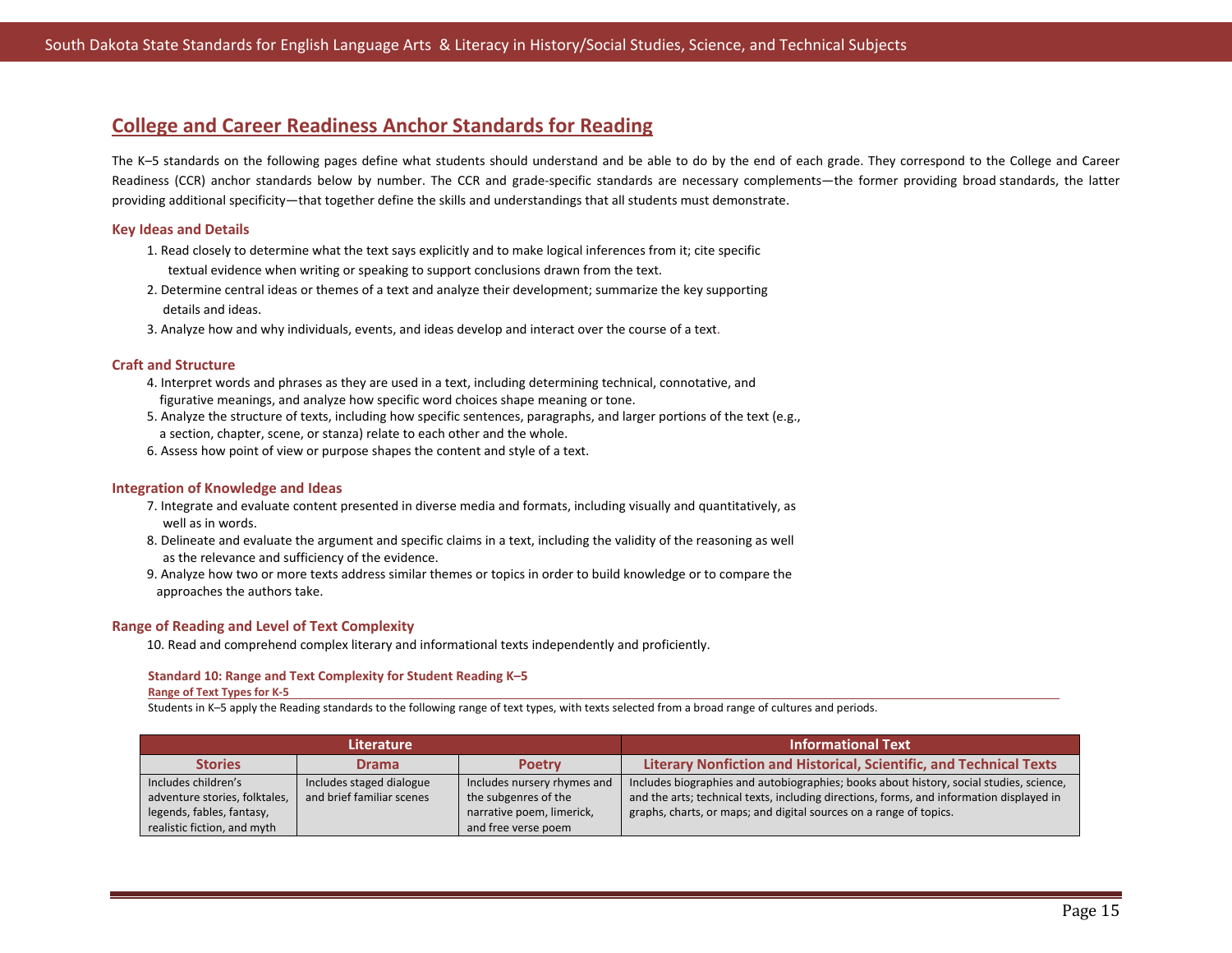### **College and Career Readiness Anchor Standards for Reading**

The K–5 standards on the following pages define what students should understand and be able to do by the end of each grade. They correspond to the College and Career Readiness (CCR) anchor standards below by number. The CCR and grade-specific standards are necessary complements—the former providing broad standards, the latter providing additional specificity—that together define the skills and understandings that all students must demonstrate.

### **Key Ideas and Details**

- 1. Read closely to determine what the text says explicitly and to make logical inferences from it; cite specific textual evidence when writing or speaking to support conclusions drawn from the text.
- 2. Determine central ideas or themes of a text and analyze their development; summarize the key supporting details and ideas.
- 3. Analyze how and why individuals, events, and ideas develop and interact over the course of a text.

#### **Craft and Structure**

- 4. Interpret words and phrases as they are used in a text, including determining technical, connotative, and figurative meanings, and analyze how specific word choices shape meaning or tone.
- 5. Analyze the structure of texts, including how specific sentences, paragraphs, and larger portions of the text (e.g., a section, chapter, scene, or stanza) relate to each other and the whole.
- 6. Assess how point of view or purpose shapes the content and style of a text.

#### **Integration of Knowledge and Ideas**

- 7. Integrate and evaluate content presented in diverse media and formats, including visually and quantitatively, as well as in words.
- 8. Delineate and evaluate the argument and specific claims in a text, including the validity of the reasoning as well as the relevance and sufficiency of the evidence.
- 9. Analyze how two or more texts address similar themes or topics in order to build knowledge or to compare the approaches the authors take.

### **Range of Reading and Level of Text Complexity**

10. Read and comprehend complex literary and informational texts independently and proficiently.

### **Standard 10: Range and Text Complexity for Student Reading K–5**

**Range of Text Types for K-5**

Students in K–5 apply the Reading standards to the following range of text types, with texts selected from a broad range of cultures and periods.

| Literature                    |                           |                             | <b>Informational Text</b>                                                                |
|-------------------------------|---------------------------|-----------------------------|------------------------------------------------------------------------------------------|
| <b>Stories</b>                | <b>Drama</b>              | <b>Poetry</b>               | <b>Literary Nonfiction and Historical, Scientific, and Technical Texts</b>               |
| Includes children's           | Includes staged dialogue  | Includes nursery rhymes and | Includes biographies and autobiographies; books about history, social studies, science,  |
| adventure stories, folktales, | and brief familiar scenes | the subgenres of the        | and the arts; technical texts, including directions, forms, and information displayed in |
| legends, fables, fantasy,     |                           | narrative poem, limerick,   | graphs, charts, or maps; and digital sources on a range of topics.                       |
| realistic fiction, and myth   |                           | and free verse poem         |                                                                                          |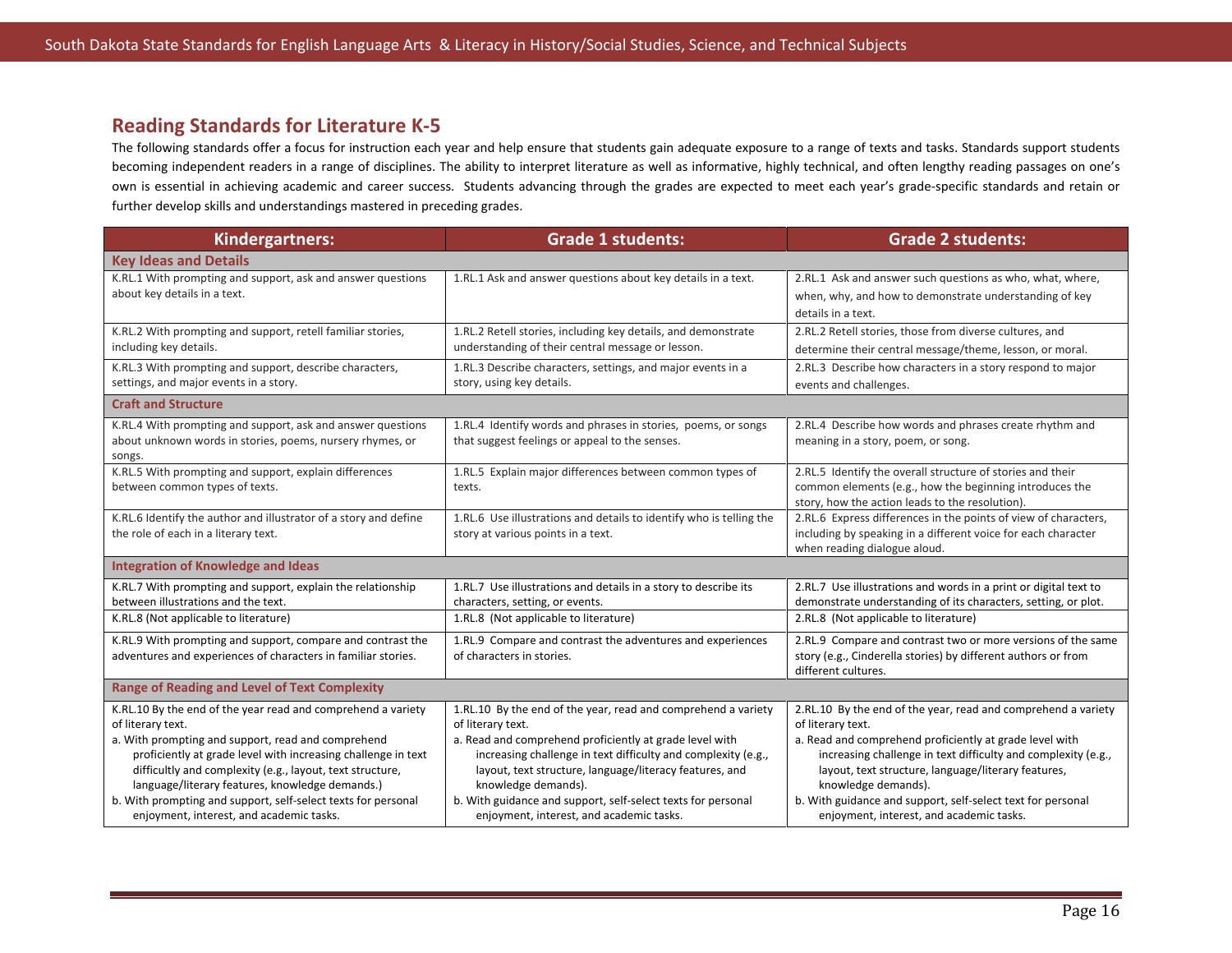### **Reading Standards for Literature K-5**

The following standards offer a focus for instruction each year and help ensure that students gain adequate exposure to a range of texts and tasks. Standards support students becoming independent readers in a range of disciplines. The ability to interpret literature as well as informative, highly technical, and often lengthy reading passages on one's own is essential in achieving academic and career success. Students advancing through the grades are expected to meet each year's grade-specific standards and retain or further develop skills and understandings mastered in preceding grades.

| Kindergartners:                                                                                                                                                                                                                                                                                                                                                                           | <b>Grade 1 students:</b>                                                                                                                                                                                                                                                                                                                                         | <b>Grade 2 students:</b>                                                                                                                                                                                                                                                                                                                                    |  |  |  |
|-------------------------------------------------------------------------------------------------------------------------------------------------------------------------------------------------------------------------------------------------------------------------------------------------------------------------------------------------------------------------------------------|------------------------------------------------------------------------------------------------------------------------------------------------------------------------------------------------------------------------------------------------------------------------------------------------------------------------------------------------------------------|-------------------------------------------------------------------------------------------------------------------------------------------------------------------------------------------------------------------------------------------------------------------------------------------------------------------------------------------------------------|--|--|--|
| <b>Key Ideas and Details</b>                                                                                                                                                                                                                                                                                                                                                              |                                                                                                                                                                                                                                                                                                                                                                  |                                                                                                                                                                                                                                                                                                                                                             |  |  |  |
| K.RL.1 With prompting and support, ask and answer questions<br>about key details in a text.                                                                                                                                                                                                                                                                                               | 1.RL.1 Ask and answer questions about key details in a text.                                                                                                                                                                                                                                                                                                     | 2.RL.1 Ask and answer such questions as who, what, where,<br>when, why, and how to demonstrate understanding of key<br>details in a text.                                                                                                                                                                                                                   |  |  |  |
| K.RL.2 With prompting and support, retell familiar stories,<br>including key details.                                                                                                                                                                                                                                                                                                     | 1.RL.2 Retell stories, including key details, and demonstrate<br>understanding of their central message or lesson.                                                                                                                                                                                                                                               | 2.RL.2 Retell stories, those from diverse cultures, and<br>determine their central message/theme, lesson, or moral.                                                                                                                                                                                                                                         |  |  |  |
| K.RL.3 With prompting and support, describe characters,<br>settings, and major events in a story.                                                                                                                                                                                                                                                                                         | 1.RL.3 Describe characters, settings, and major events in a<br>story, using key details.                                                                                                                                                                                                                                                                         | 2.RL.3 Describe how characters in a story respond to major<br>events and challenges.                                                                                                                                                                                                                                                                        |  |  |  |
| <b>Craft and Structure</b>                                                                                                                                                                                                                                                                                                                                                                |                                                                                                                                                                                                                                                                                                                                                                  |                                                                                                                                                                                                                                                                                                                                                             |  |  |  |
| K.RL.4 With prompting and support, ask and answer questions<br>about unknown words in stories, poems, nursery rhymes, or<br>songs.                                                                                                                                                                                                                                                        | 1.RL.4 Identify words and phrases in stories, poems, or songs<br>that suggest feelings or appeal to the senses.                                                                                                                                                                                                                                                  | 2.RL.4 Describe how words and phrases create rhythm and<br>meaning in a story, poem, or song.                                                                                                                                                                                                                                                               |  |  |  |
| K.RL.5 With prompting and support, explain differences<br>between common types of texts.                                                                                                                                                                                                                                                                                                  | 1.RL.5 Explain major differences between common types of<br>texts.                                                                                                                                                                                                                                                                                               | 2.RL.5 Identify the overall structure of stories and their<br>common elements (e.g., how the beginning introduces the<br>story, how the action leads to the resolution).                                                                                                                                                                                    |  |  |  |
| K.RL.6 Identify the author and illustrator of a story and define<br>the role of each in a literary text.                                                                                                                                                                                                                                                                                  | 1.RL.6 Use illustrations and details to identify who is telling the<br>story at various points in a text.                                                                                                                                                                                                                                                        | 2.RL.6 Express differences in the points of view of characters,<br>including by speaking in a different voice for each character<br>when reading dialogue aloud.                                                                                                                                                                                            |  |  |  |
| Integration of Knowledge and Ideas                                                                                                                                                                                                                                                                                                                                                        |                                                                                                                                                                                                                                                                                                                                                                  |                                                                                                                                                                                                                                                                                                                                                             |  |  |  |
| K.RL.7 With prompting and support, explain the relationship<br>between illustrations and the text.                                                                                                                                                                                                                                                                                        | 1.RL.7 Use illustrations and details in a story to describe its<br>characters, setting, or events.                                                                                                                                                                                                                                                               | 2.RL.7 Use illustrations and words in a print or digital text to<br>demonstrate understanding of its characters, setting, or plot.                                                                                                                                                                                                                          |  |  |  |
| K.RL.8 (Not applicable to literature)                                                                                                                                                                                                                                                                                                                                                     | 1.RL.8 (Not applicable to literature)                                                                                                                                                                                                                                                                                                                            | 2.RL.8 (Not applicable to literature)                                                                                                                                                                                                                                                                                                                       |  |  |  |
| K.RL.9 With prompting and support, compare and contrast the<br>adventures and experiences of characters in familiar stories.                                                                                                                                                                                                                                                              | 1.RL.9 Compare and contrast the adventures and experiences<br>of characters in stories.                                                                                                                                                                                                                                                                          | 2.RL.9 Compare and contrast two or more versions of the same<br>story (e.g., Cinderella stories) by different authors or from<br>different cultures.                                                                                                                                                                                                        |  |  |  |
| <b>Range of Reading and Level of Text Complexity</b>                                                                                                                                                                                                                                                                                                                                      |                                                                                                                                                                                                                                                                                                                                                                  |                                                                                                                                                                                                                                                                                                                                                             |  |  |  |
| K.RL.10 By the end of the year read and comprehend a variety<br>of literary text.<br>a. With prompting and support, read and comprehend<br>proficiently at grade level with increasing challenge in text<br>difficultly and complexity (e.g., layout, text structure,<br>language/literary features, knowledge demands.)<br>b. With prompting and support, self-select texts for personal | 1.RL.10 By the end of the year, read and comprehend a variety<br>of literary text.<br>a. Read and comprehend proficiently at grade level with<br>increasing challenge in text difficulty and complexity (e.g.,<br>layout, text structure, language/literacy features, and<br>knowledge demands).<br>b. With guidance and support, self-select texts for personal | 2.RL.10 By the end of the year, read and comprehend a variety<br>of literary text.<br>a. Read and comprehend proficiently at grade level with<br>increasing challenge in text difficulty and complexity (e.g.,<br>layout, text structure, language/literary features,<br>knowledge demands).<br>b. With guidance and support, self-select text for personal |  |  |  |
| enjoyment, interest, and academic tasks.                                                                                                                                                                                                                                                                                                                                                  | enjoyment, interest, and academic tasks.                                                                                                                                                                                                                                                                                                                         | enjoyment, interest, and academic tasks.                                                                                                                                                                                                                                                                                                                    |  |  |  |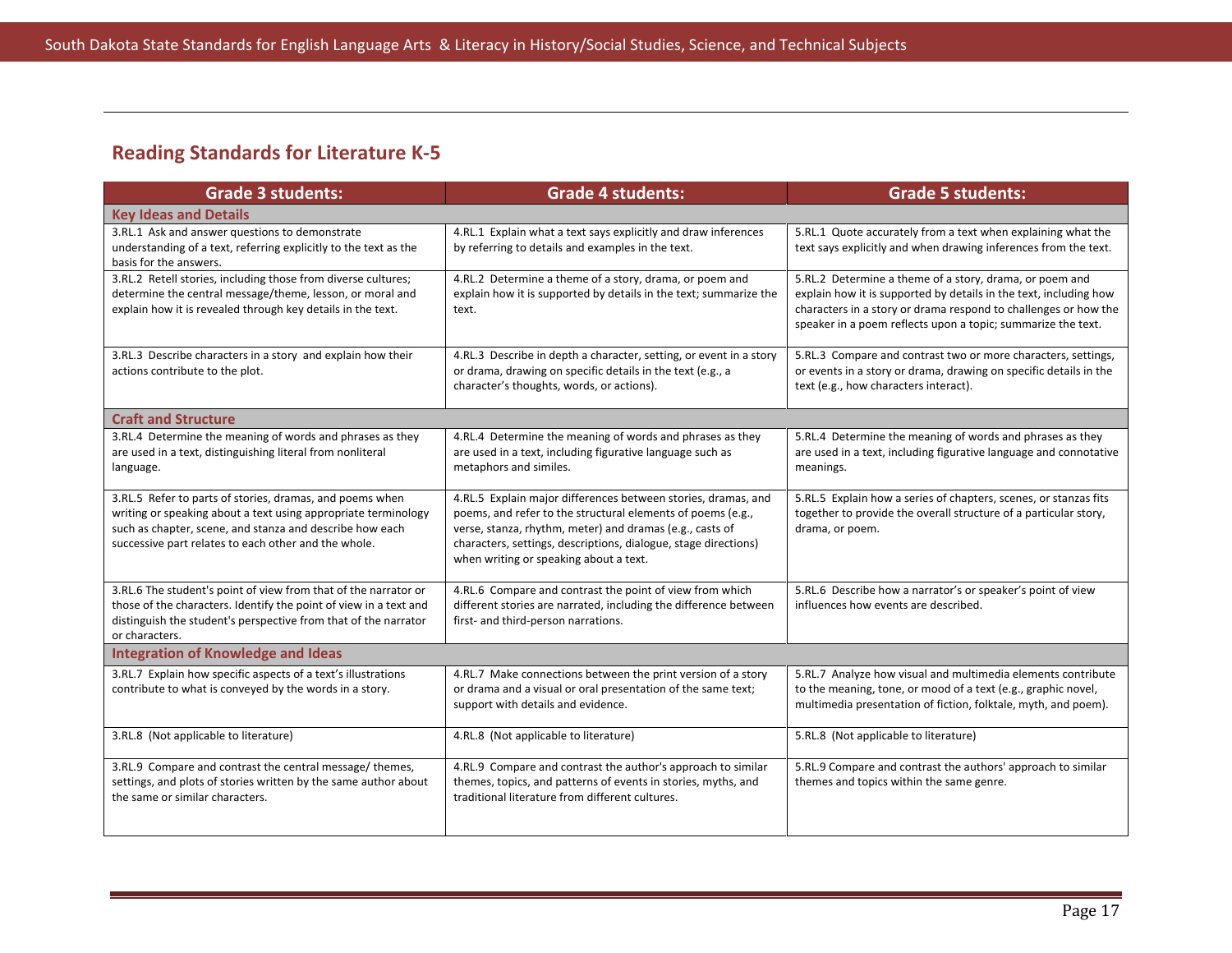# **Reading Standards for Literature K-5**

| <b>Grade 3 students:</b>                                                                                                                                                                                                                       | <b>Grade 4 students:</b>                                                                                                                                                                                                                                                                              | <b>Grade 5 students:</b>                                                                                                                                                                                                                                        |  |  |
|------------------------------------------------------------------------------------------------------------------------------------------------------------------------------------------------------------------------------------------------|-------------------------------------------------------------------------------------------------------------------------------------------------------------------------------------------------------------------------------------------------------------------------------------------------------|-----------------------------------------------------------------------------------------------------------------------------------------------------------------------------------------------------------------------------------------------------------------|--|--|
| <b>Key Ideas and Details</b>                                                                                                                                                                                                                   |                                                                                                                                                                                                                                                                                                       |                                                                                                                                                                                                                                                                 |  |  |
| 3.RL.1 Ask and answer questions to demonstrate<br>understanding of a text, referring explicitly to the text as the<br>basis for the answers.                                                                                                   | 4.RL.1 Explain what a text says explicitly and draw inferences<br>by referring to details and examples in the text.                                                                                                                                                                                   | 5.RL.1 Quote accurately from a text when explaining what the<br>text says explicitly and when drawing inferences from the text.                                                                                                                                 |  |  |
| 3.RL.2 Retell stories, including those from diverse cultures;<br>determine the central message/theme, lesson, or moral and<br>explain how it is revealed through key details in the text.                                                      | 4.RL.2 Determine a theme of a story, drama, or poem and<br>explain how it is supported by details in the text; summarize the<br>text.                                                                                                                                                                 | 5.RL.2 Determine a theme of a story, drama, or poem and<br>explain how it is supported by details in the text, including how<br>characters in a story or drama respond to challenges or how the<br>speaker in a poem reflects upon a topic; summarize the text. |  |  |
| 3.RL.3 Describe characters in a story and explain how their<br>actions contribute to the plot.                                                                                                                                                 | 4.RL.3 Describe in depth a character, setting, or event in a story<br>or drama, drawing on specific details in the text (e.g., a<br>character's thoughts, words, or actions).                                                                                                                         | 5.RL.3 Compare and contrast two or more characters, settings,<br>or events in a story or drama, drawing on specific details in the<br>text (e.g., how characters interact).                                                                                     |  |  |
| <b>Craft and Structure</b>                                                                                                                                                                                                                     |                                                                                                                                                                                                                                                                                                       |                                                                                                                                                                                                                                                                 |  |  |
| 3.RL.4 Determine the meaning of words and phrases as they<br>are used in a text, distinguishing literal from nonliteral<br>language.                                                                                                           | 4.RL.4 Determine the meaning of words and phrases as they<br>are used in a text, including figurative language such as<br>metaphors and similes.                                                                                                                                                      | 5.RL.4 Determine the meaning of words and phrases as they<br>are used in a text, including figurative language and connotative<br>meanings.                                                                                                                     |  |  |
| 3.RL.5 Refer to parts of stories, dramas, and poems when<br>writing or speaking about a text using appropriate terminology<br>such as chapter, scene, and stanza and describe how each<br>successive part relates to each other and the whole. | 4.RL.5 Explain major differences between stories, dramas, and<br>poems, and refer to the structural elements of poems (e.g.,<br>verse, stanza, rhythm, meter) and dramas (e.g., casts of<br>characters, settings, descriptions, dialogue, stage directions)<br>when writing or speaking about a text. | 5.RL.5 Explain how a series of chapters, scenes, or stanzas fits<br>together to provide the overall structure of a particular story,<br>drama, or poem.                                                                                                         |  |  |
| 3.RL.6 The student's point of view from that of the narrator or<br>those of the characters. Identify the point of view in a text and<br>distinguish the student's perspective from that of the narrator<br>or characters.                      | 4.RL.6 Compare and contrast the point of view from which<br>different stories are narrated, including the difference between<br>first- and third-person narrations.                                                                                                                                   | 5.RL.6 Describe how a narrator's or speaker's point of view<br>influences how events are described.                                                                                                                                                             |  |  |
| <b>Integration of Knowledge and Ideas</b>                                                                                                                                                                                                      |                                                                                                                                                                                                                                                                                                       |                                                                                                                                                                                                                                                                 |  |  |
| 3.RL.7 Explain how specific aspects of a text's illustrations<br>contribute to what is conveyed by the words in a story.                                                                                                                       | 4.RL.7 Make connections between the print version of a story<br>or drama and a visual or oral presentation of the same text;<br>support with details and evidence.                                                                                                                                    | 5.RL.7 Analyze how visual and multimedia elements contribute<br>to the meaning, tone, or mood of a text (e.g., graphic novel,<br>multimedia presentation of fiction, folktale, myth, and poem).                                                                 |  |  |
| 3.RL.8 (Not applicable to literature)                                                                                                                                                                                                          | 4.RL.8 (Not applicable to literature)                                                                                                                                                                                                                                                                 | 5.RL.8 (Not applicable to literature)                                                                                                                                                                                                                           |  |  |
| 3.RL.9 Compare and contrast the central message/ themes,<br>settings, and plots of stories written by the same author about<br>the same or similar characters.                                                                                 | 4.RL.9 Compare and contrast the author's approach to similar<br>themes, topics, and patterns of events in stories, myths, and<br>traditional literature from different cultures.                                                                                                                      | 5.RL.9 Compare and contrast the authors' approach to similar<br>themes and topics within the same genre.                                                                                                                                                        |  |  |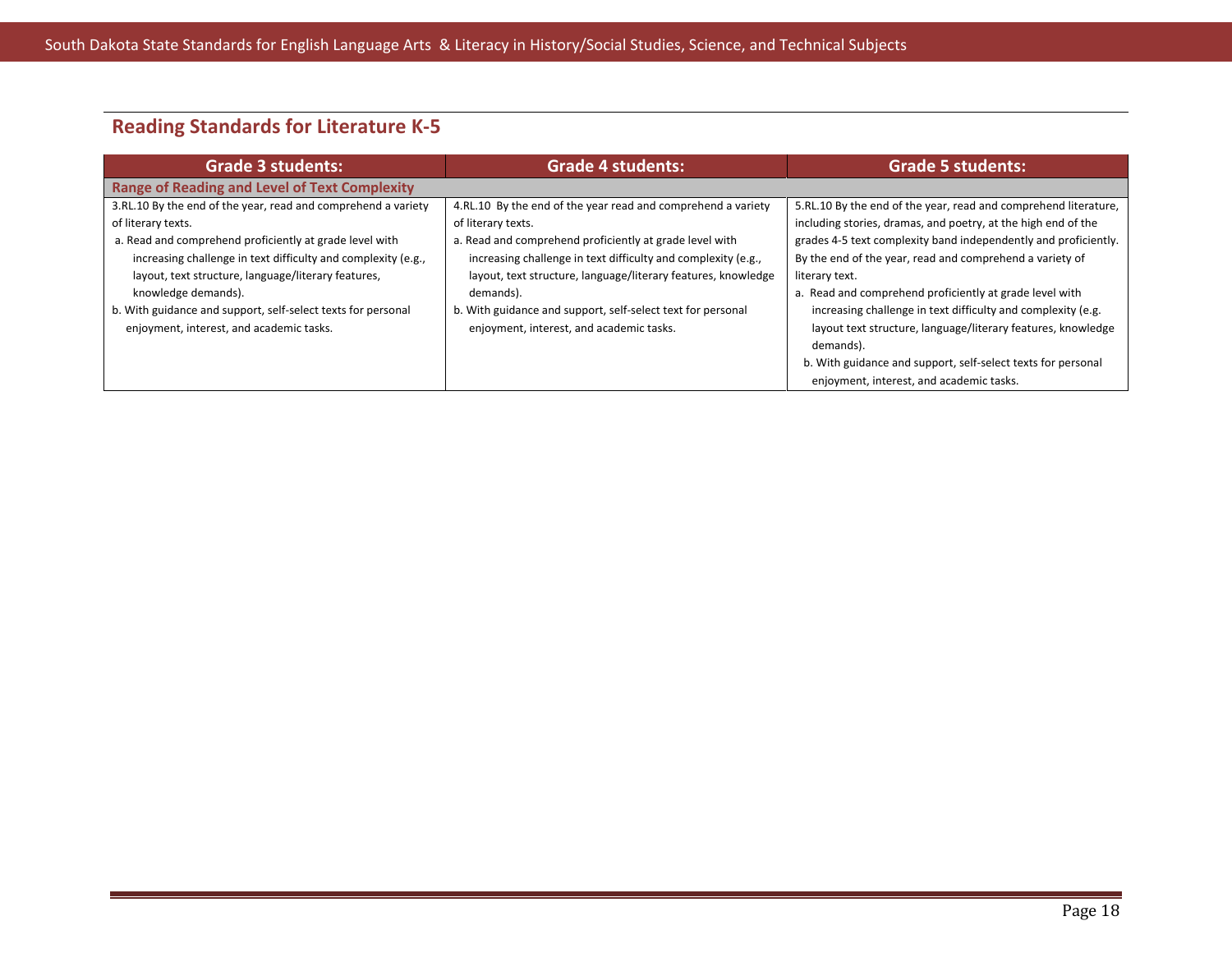# **Reading Standards for Literature K-5**

| Grade 3 students:                                             | <b>Grade 4 students:</b>                                      | <b>Grade 5 students:</b>                                        |
|---------------------------------------------------------------|---------------------------------------------------------------|-----------------------------------------------------------------|
| <b>Range of Reading and Level of Text Complexity</b>          |                                                               |                                                                 |
| 3.RL.10 By the end of the year, read and comprehend a variety | 4.RL.10 By the end of the year read and comprehend a variety  | 5.RL.10 By the end of the year, read and comprehend literature, |
| of literary texts.                                            | of literary texts.                                            | including stories, dramas, and poetry, at the high end of the   |
| a. Read and comprehend proficiently at grade level with       | a. Read and comprehend proficiently at grade level with       | grades 4-5 text complexity band independently and proficiently. |
| increasing challenge in text difficulty and complexity (e.g., | increasing challenge in text difficulty and complexity (e.g., | By the end of the year, read and comprehend a variety of        |
| layout, text structure, language/literary features,           | layout, text structure, language/literary features, knowledge | literary text.                                                  |
| knowledge demands).                                           | demands).                                                     | a. Read and comprehend proficiently at grade level with         |
| b. With guidance and support, self-select texts for personal  | b. With guidance and support, self-select text for personal   | increasing challenge in text difficulty and complexity (e.g.    |
| enjoyment, interest, and academic tasks.                      | enjoyment, interest, and academic tasks.                      | layout text structure, language/literary features, knowledge    |
|                                                               |                                                               | demands).                                                       |
|                                                               |                                                               | b. With guidance and support, self-select texts for personal    |
|                                                               |                                                               | enjoyment, interest, and academic tasks.                        |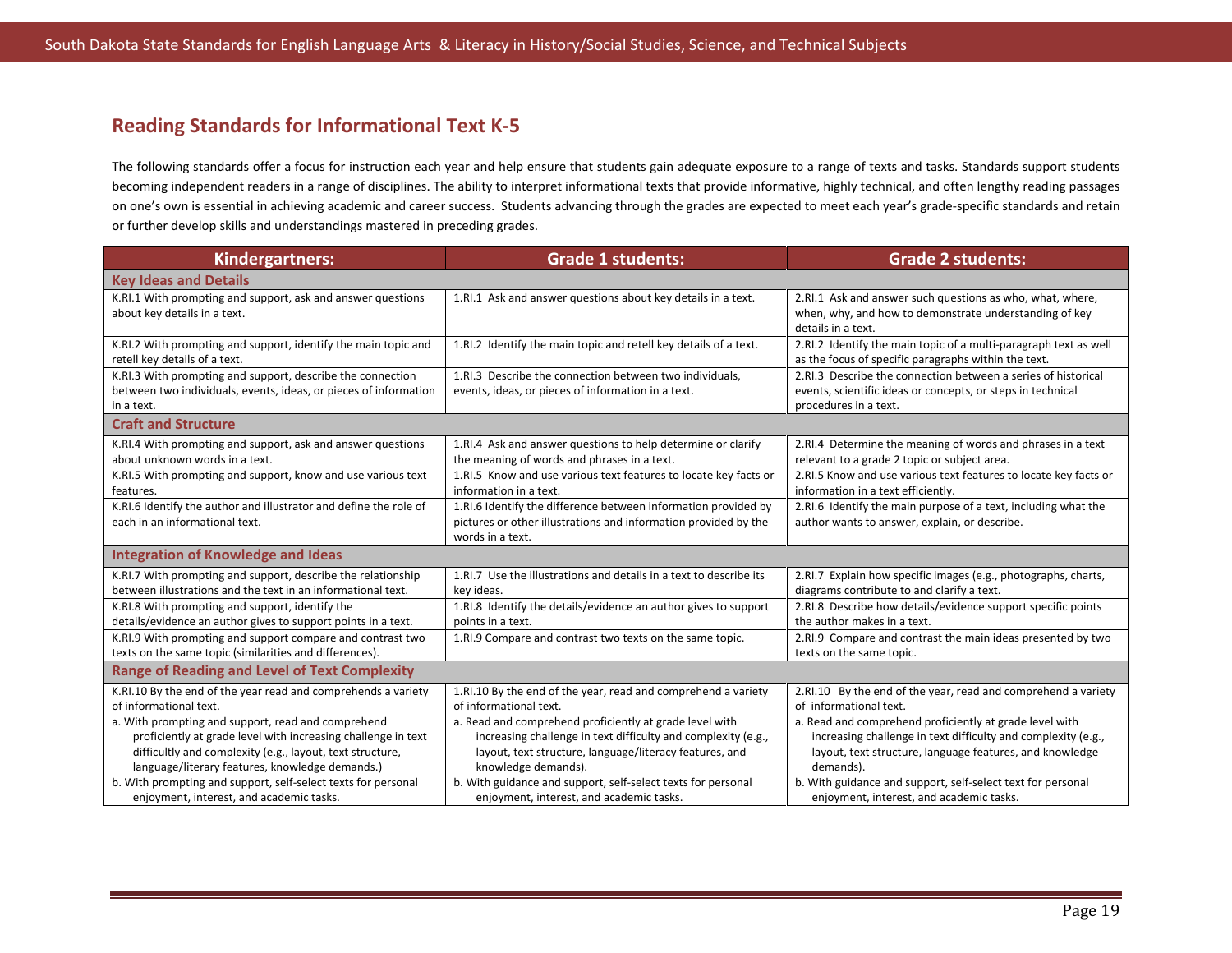### **Reading Standards for Informational Text K-5**

The following standards offer a focus for instruction each year and help ensure that students gain adequate exposure to a range of texts and tasks. Standards support students becoming independent readers in a range of disciplines. The ability to interpret informational texts that provide informative, highly technical, and often lengthy reading passages on one's own is essential in achieving academic and career success. Students advancing through the grades are expected to meet each year's grade-specific standards and retain or further develop skills and understandings mastered in preceding grades.

| Kindergartners:                                                                                                                                                                                                                                                             | <b>Grade 1 students:</b>                                                                                                                                                                                                                                                       | <b>Grade 2 students:</b>                                                                                                                                                                                                                                                        |
|-----------------------------------------------------------------------------------------------------------------------------------------------------------------------------------------------------------------------------------------------------------------------------|--------------------------------------------------------------------------------------------------------------------------------------------------------------------------------------------------------------------------------------------------------------------------------|---------------------------------------------------------------------------------------------------------------------------------------------------------------------------------------------------------------------------------------------------------------------------------|
| <b>Key Ideas and Details</b>                                                                                                                                                                                                                                                |                                                                                                                                                                                                                                                                                |                                                                                                                                                                                                                                                                                 |
| K.RI.1 With prompting and support, ask and answer questions<br>about key details in a text.                                                                                                                                                                                 | 1.RI.1 Ask and answer questions about key details in a text.                                                                                                                                                                                                                   | 2.RI.1 Ask and answer such questions as who, what, where,<br>when, why, and how to demonstrate understanding of key<br>details in a text.                                                                                                                                       |
| K.RI.2 With prompting and support, identify the main topic and<br>retell key details of a text.                                                                                                                                                                             | 1.RI.2 Identify the main topic and retell key details of a text.                                                                                                                                                                                                               | 2.RI.2 Identify the main topic of a multi-paragraph text as well<br>as the focus of specific paragraphs within the text.                                                                                                                                                        |
| K.RI.3 With prompting and support, describe the connection<br>between two individuals, events, ideas, or pieces of information<br>in a text.                                                                                                                                | 1.RI.3 Describe the connection between two individuals,<br>events, ideas, or pieces of information in a text.                                                                                                                                                                  | 2.RI.3 Describe the connection between a series of historical<br>events, scientific ideas or concepts, or steps in technical<br>procedures in a text.                                                                                                                           |
| <b>Craft and Structure</b>                                                                                                                                                                                                                                                  |                                                                                                                                                                                                                                                                                |                                                                                                                                                                                                                                                                                 |
| K.RI.4 With prompting and support, ask and answer questions<br>about unknown words in a text.                                                                                                                                                                               | 1.RI.4 Ask and answer questions to help determine or clarify<br>the meaning of words and phrases in a text.                                                                                                                                                                    | 2.RI.4 Determine the meaning of words and phrases in a text<br>relevant to a grade 2 topic or subject area.                                                                                                                                                                     |
| K.RI.5 With prompting and support, know and use various text<br>features.                                                                                                                                                                                                   | 1.RI.5 Know and use various text features to locate key facts or<br>information in a text.                                                                                                                                                                                     | 2.RI.5 Know and use various text features to locate key facts or<br>information in a text efficiently.                                                                                                                                                                          |
| K.RI.6 Identify the author and illustrator and define the role of<br>each in an informational text.                                                                                                                                                                         | 1.RI.6 Identify the difference between information provided by<br>pictures or other illustrations and information provided by the<br>words in a text.                                                                                                                          | 2.RI.6 Identify the main purpose of a text, including what the<br>author wants to answer, explain, or describe.                                                                                                                                                                 |
| Integration of Knowledge and Ideas                                                                                                                                                                                                                                          |                                                                                                                                                                                                                                                                                |                                                                                                                                                                                                                                                                                 |
| K.RI.7 With prompting and support, describe the relationship<br>between illustrations and the text in an informational text.                                                                                                                                                | 1.RI.7 Use the illustrations and details in a text to describe its<br>key ideas.                                                                                                                                                                                               | 2.RI.7 Explain how specific images (e.g., photographs, charts,<br>diagrams contribute to and clarify a text.                                                                                                                                                                    |
| K.RI.8 With prompting and support, identify the<br>details/evidence an author gives to support points in a text.                                                                                                                                                            | 1.RI.8 Identify the details/evidence an author gives to support<br>points in a text.                                                                                                                                                                                           | 2.RI.8 Describe how details/evidence support specific points<br>the author makes in a text.                                                                                                                                                                                     |
| K.RI.9 With prompting and support compare and contrast two<br>texts on the same topic (similarities and differences).                                                                                                                                                       | 1.RI.9 Compare and contrast two texts on the same topic.                                                                                                                                                                                                                       | 2.RI.9 Compare and contrast the main ideas presented by two<br>texts on the same topic.                                                                                                                                                                                         |
| <b>Range of Reading and Level of Text Complexity</b>                                                                                                                                                                                                                        |                                                                                                                                                                                                                                                                                |                                                                                                                                                                                                                                                                                 |
| K.RI.10 By the end of the year read and comprehends a variety<br>of informational text.<br>a. With prompting and support, read and comprehend<br>proficiently at grade level with increasing challenge in text<br>difficultly and complexity (e.g., layout, text structure, | 1.RI.10 By the end of the year, read and comprehend a variety<br>of informational text.<br>a. Read and comprehend proficiently at grade level with<br>increasing challenge in text difficulty and complexity (e.g.,<br>layout, text structure, language/literacy features, and | 2.RI.10 By the end of the year, read and comprehend a variety<br>of informational text.<br>a. Read and comprehend proficiently at grade level with<br>increasing challenge in text difficulty and complexity (e.g.,<br>layout, text structure, language features, and knowledge |
| language/literary features, knowledge demands.)<br>b. With prompting and support, self-select texts for personal<br>enjoyment, interest, and academic tasks.                                                                                                                | knowledge demands).<br>b. With guidance and support, self-select texts for personal<br>enjoyment, interest, and academic tasks.                                                                                                                                                | demands).<br>b. With guidance and support, self-select text for personal<br>enjoyment, interest, and academic tasks.                                                                                                                                                            |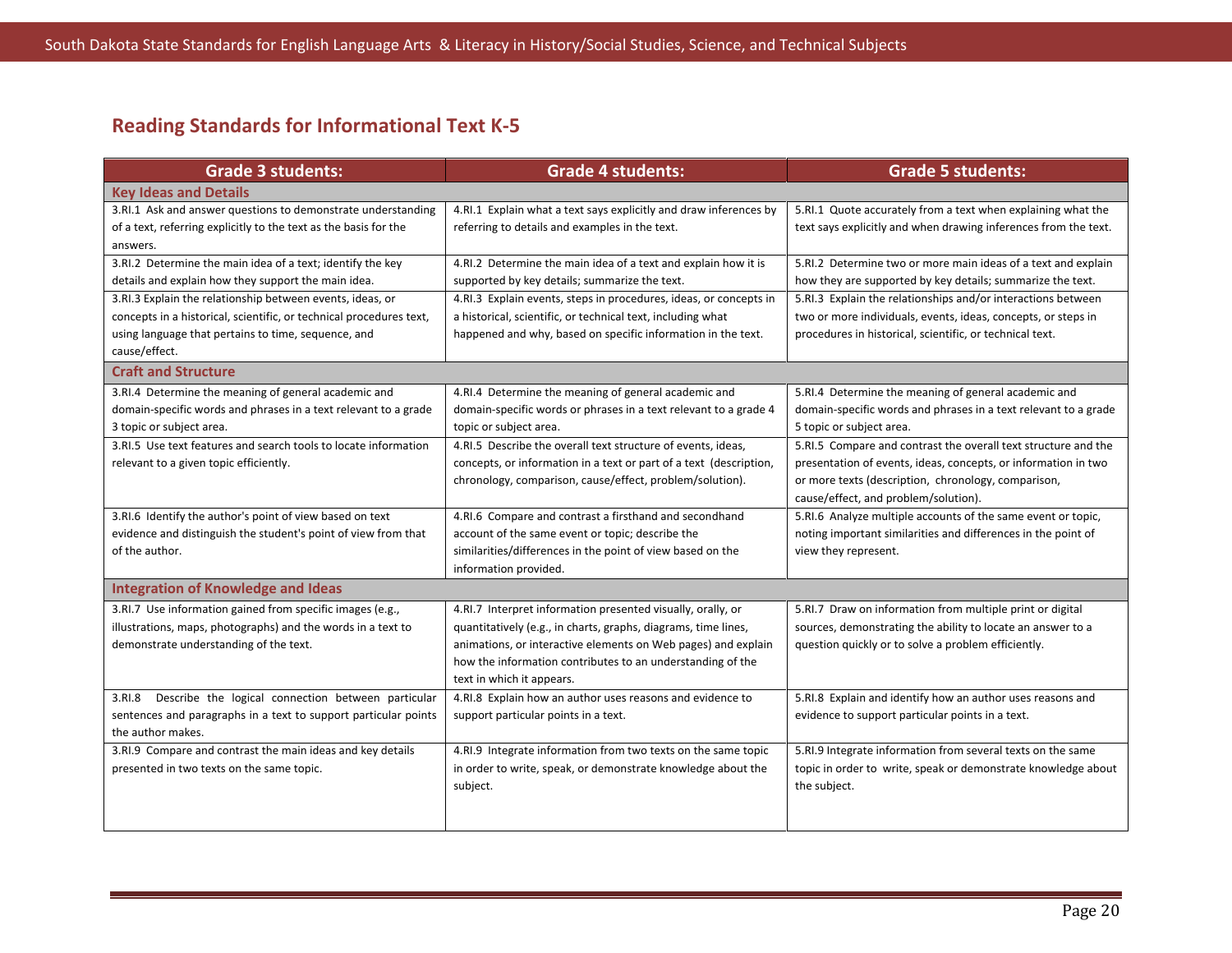## **Reading Standards for Informational Text K-5**

| <b>Grade 3 students:</b>                                            | <b>Grade 4 students:</b>                                           | <b>Grade 5 students:</b>                                        |
|---------------------------------------------------------------------|--------------------------------------------------------------------|-----------------------------------------------------------------|
| <b>Key Ideas and Details</b>                                        |                                                                    |                                                                 |
| 3.RI.1 Ask and answer questions to demonstrate understanding        | 4.RI.1 Explain what a text says explicitly and draw inferences by  | 5.RI.1 Quote accurately from a text when explaining what the    |
| of a text, referring explicitly to the text as the basis for the    | referring to details and examples in the text.                     | text says explicitly and when drawing inferences from the text. |
| answers.                                                            |                                                                    |                                                                 |
| 3.RI.2 Determine the main idea of a text; identify the key          | 4.RI.2 Determine the main idea of a text and explain how it is     | 5.RI.2 Determine two or more main ideas of a text and explain   |
| details and explain how they support the main idea.                 | supported by key details; summarize the text.                      | how they are supported by key details; summarize the text.      |
| 3.RI.3 Explain the relationship between events, ideas, or           | 4.RI.3 Explain events, steps in procedures, ideas, or concepts in  | 5.RI.3 Explain the relationships and/or interactions between    |
| concepts in a historical, scientific, or technical procedures text, | a historical, scientific, or technical text, including what        | two or more individuals, events, ideas, concepts, or steps in   |
| using language that pertains to time, sequence, and                 | happened and why, based on specific information in the text.       | procedures in historical, scientific, or technical text.        |
| cause/effect.                                                       |                                                                    |                                                                 |
| <b>Craft and Structure</b>                                          |                                                                    |                                                                 |
| 3.RI.4 Determine the meaning of general academic and                | 4.RI.4 Determine the meaning of general academic and               | 5.RI.4 Determine the meaning of general academic and            |
| domain-specific words and phrases in a text relevant to a grade     | domain-specific words or phrases in a text relevant to a grade 4   | domain-specific words and phrases in a text relevant to a grade |
| 3 topic or subject area.                                            | topic or subject area.                                             | 5 topic or subject area.                                        |
| 3.RI.5 Use text features and search tools to locate information     | 4.RI.5 Describe the overall text structure of events, ideas,       | 5.RI.5 Compare and contrast the overall text structure and the  |
| relevant to a given topic efficiently.                              | concepts, or information in a text or part of a text (description, | presentation of events, ideas, concepts, or information in two  |
|                                                                     | chronology, comparison, cause/effect, problem/solution).           | or more texts (description, chronology, comparison,             |
|                                                                     |                                                                    | cause/effect, and problem/solution).                            |
| 3.RI.6 Identify the author's point of view based on text            | 4.RI.6 Compare and contrast a firsthand and secondhand             | 5.RI.6 Analyze multiple accounts of the same event or topic,    |
| evidence and distinguish the student's point of view from that      | account of the same event or topic; describe the                   | noting important similarities and differences in the point of   |
| of the author.                                                      | similarities/differences in the point of view based on the         | view they represent.                                            |
|                                                                     | information provided.                                              |                                                                 |
| <b>Integration of Knowledge and Ideas</b>                           |                                                                    |                                                                 |
| 3.RI.7 Use information gained from specific images (e.g.,           | 4.RI.7 Interpret information presented visually, orally, or        | 5.RI.7 Draw on information from multiple print or digital       |
| illustrations, maps, photographs) and the words in a text to        | quantitatively (e.g., in charts, graphs, diagrams, time lines,     | sources, demonstrating the ability to locate an answer to a     |
| demonstrate understanding of the text.                              | animations, or interactive elements on Web pages) and explain      | question quickly or to solve a problem efficiently.             |
|                                                                     | how the information contributes to an understanding of the         |                                                                 |
|                                                                     | text in which it appears.                                          |                                                                 |
| Describe the logical connection between particular<br>3.RI.8        | 4.RI.8 Explain how an author uses reasons and evidence to          | 5.RI.8 Explain and identify how an author uses reasons and      |
| sentences and paragraphs in a text to support particular points     | support particular points in a text.                               | evidence to support particular points in a text.                |
| the author makes.                                                   |                                                                    |                                                                 |
| 3.RI.9 Compare and contrast the main ideas and key details          | 4.RI.9 Integrate information from two texts on the same topic      | 5.RI.9 Integrate information from several texts on the same     |
| presented in two texts on the same topic.                           | in order to write, speak, or demonstrate knowledge about the       | topic in order to write, speak or demonstrate knowledge about   |
|                                                                     | subject.                                                           | the subject.                                                    |
|                                                                     |                                                                    |                                                                 |
|                                                                     |                                                                    |                                                                 |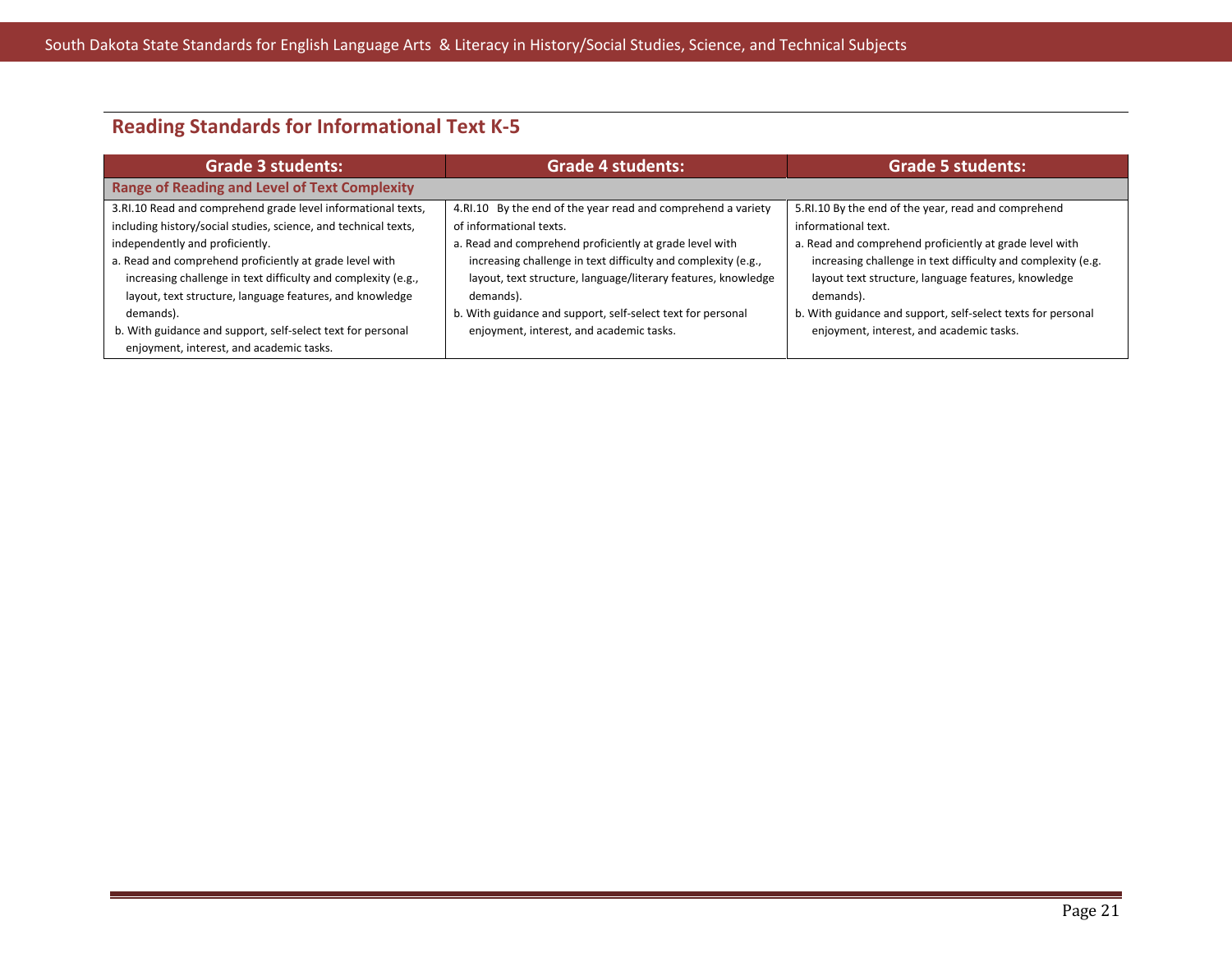# **Reading Standards for Informational Text K-5**

| Grade 3 students:                                               | <b>Grade 4 students:</b>                                      | <b>Grade 5 students:</b>                                     |
|-----------------------------------------------------------------|---------------------------------------------------------------|--------------------------------------------------------------|
| <b>Range of Reading and Level of Text Complexity</b>            |                                                               |                                                              |
| 3.RI.10 Read and comprehend grade level informational texts,    | 4.RI.10 By the end of the year read and comprehend a variety  | 5.RI.10 By the end of the year, read and comprehend          |
| including history/social studies, science, and technical texts, | of informational texts.                                       | informational text.                                          |
| independently and proficiently.                                 | a. Read and comprehend proficiently at grade level with       | a. Read and comprehend proficiently at grade level with      |
| a. Read and comprehend proficiently at grade level with         | increasing challenge in text difficulty and complexity (e.g., | increasing challenge in text difficulty and complexity (e.g. |
| increasing challenge in text difficulty and complexity (e.g.,   | layout, text structure, language/literary features, knowledge | layout text structure, language features, knowledge          |
| layout, text structure, language features, and knowledge        | demands).                                                     | demands).                                                    |
| demands).                                                       | b. With guidance and support, self-select text for personal   | b. With guidance and support, self-select texts for personal |
| b. With guidance and support, self-select text for personal     | enjoyment, interest, and academic tasks.                      | enjoyment, interest, and academic tasks.                     |
| enjoyment, interest, and academic tasks.                        |                                                               |                                                              |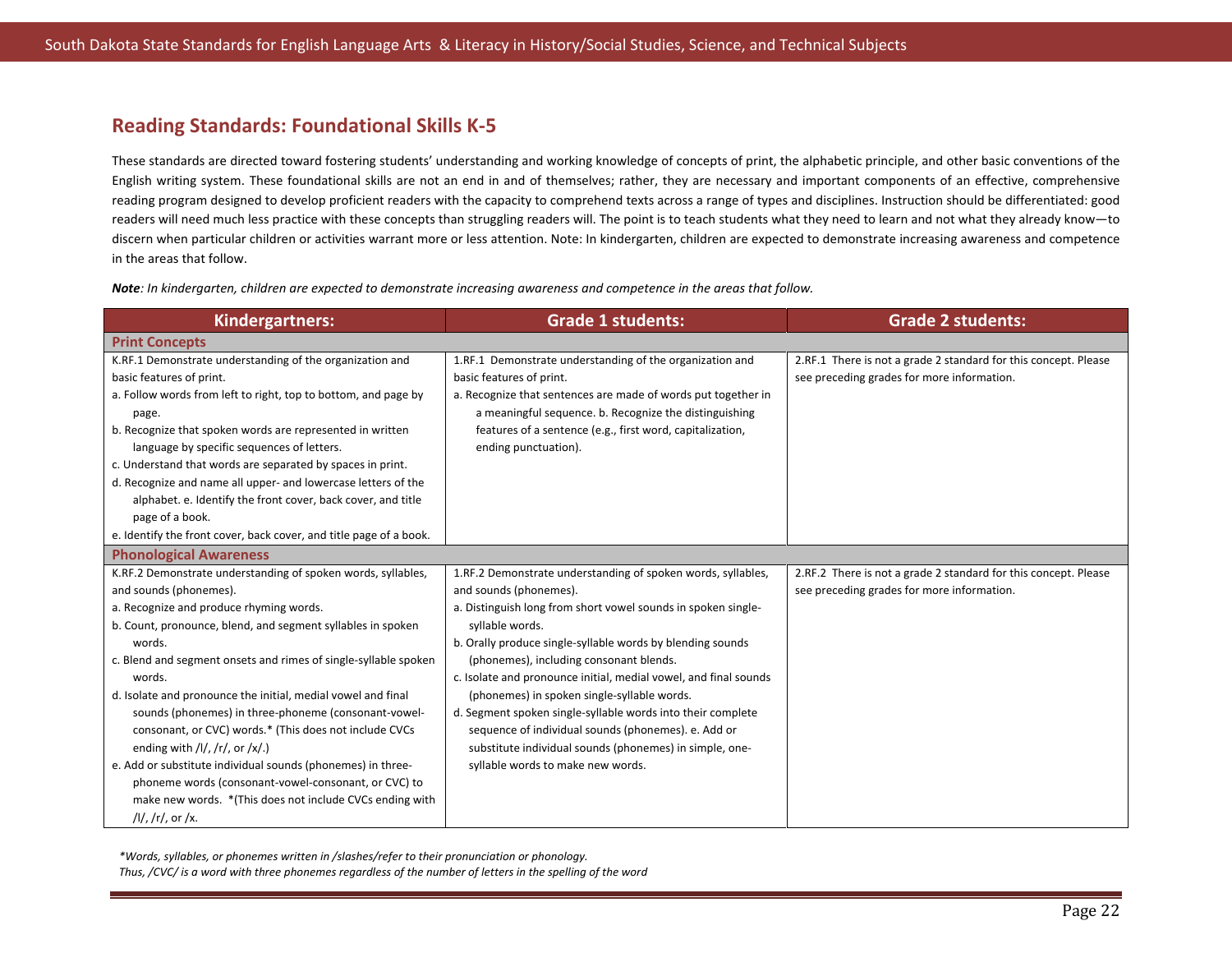### **Reading Standards: Foundational Skills K-5**

These standards are directed toward fostering students' understanding and working knowledge of concepts of print, the alphabetic principle, and other basic conventions of the English writing system. These foundational skills are not an end in and of themselves; rather, they are necessary and important components of an effective, comprehensive reading program designed to develop proficient readers with the capacity to comprehend texts across a range of types and disciplines. Instruction should be differentiated: good readers will need much less practice with these concepts than struggling readers will. The point is to teach students what they need to learn and not what they already know-to discern when particular children or activities warrant more or less attention. Note: In kindergarten, children are expected to demonstrate increasing awareness and competence in the areas that follow.

*Note: In kindergarten, children are expected to demonstrate increasing awareness and competence in the areas that follow.*

| Kindergartners:                                                    | <b>Grade 1 students:</b>                                         | <b>Grade 2 students:</b>                                        |
|--------------------------------------------------------------------|------------------------------------------------------------------|-----------------------------------------------------------------|
| <b>Print Concepts</b>                                              |                                                                  |                                                                 |
| K.RF.1 Demonstrate understanding of the organization and           | 1.RF.1 Demonstrate understanding of the organization and         | 2.RF.1 There is not a grade 2 standard for this concept. Please |
| basic features of print.                                           | basic features of print.                                         | see preceding grades for more information.                      |
| a. Follow words from left to right, top to bottom, and page by     | a. Recognize that sentences are made of words put together in    |                                                                 |
| page.                                                              | a meaningful sequence. b. Recognize the distinguishing           |                                                                 |
| b. Recognize that spoken words are represented in written          | features of a sentence (e.g., first word, capitalization,        |                                                                 |
| language by specific sequences of letters.                         | ending punctuation).                                             |                                                                 |
| c. Understand that words are separated by spaces in print.         |                                                                  |                                                                 |
| d. Recognize and name all upper- and lowercase letters of the      |                                                                  |                                                                 |
| alphabet. e. Identify the front cover, back cover, and title       |                                                                  |                                                                 |
| page of a book.                                                    |                                                                  |                                                                 |
| e. Identify the front cover, back cover, and title page of a book. |                                                                  |                                                                 |
| <b>Phonological Awareness</b>                                      |                                                                  |                                                                 |
| K.RF.2 Demonstrate understanding of spoken words, syllables,       | 1.RF.2 Demonstrate understanding of spoken words, syllables,     | 2.RF.2 There is not a grade 2 standard for this concept. Please |
| and sounds (phonemes).                                             | and sounds (phonemes).                                           | see preceding grades for more information.                      |
| a. Recognize and produce rhyming words.                            | a. Distinguish long from short vowel sounds in spoken single-    |                                                                 |
| b. Count, pronounce, blend, and segment syllables in spoken        | syllable words.                                                  |                                                                 |
| words.                                                             | b. Orally produce single-syllable words by blending sounds       |                                                                 |
| c. Blend and segment onsets and rimes of single-syllable spoken    | (phonemes), including consonant blends.                          |                                                                 |
| words.                                                             | c. Isolate and pronounce initial, medial vowel, and final sounds |                                                                 |
| d. Isolate and pronounce the initial, medial vowel and final       | (phonemes) in spoken single-syllable words.                      |                                                                 |
| sounds (phonemes) in three-phoneme (consonant-vowel-               | d. Segment spoken single-syllable words into their complete      |                                                                 |
| consonant, or CVC) words.* (This does not include CVCs             | sequence of individual sounds (phonemes). e. Add or              |                                                                 |
| ending with $/$ , $/$ r $/$ , or $/$ x $/$ .)                      | substitute individual sounds (phonemes) in simple, one-          |                                                                 |
| e. Add or substitute individual sounds (phonemes) in three-        | syllable words to make new words.                                |                                                                 |
| phoneme words (consonant-vowel-consonant, or CVC) to               |                                                                  |                                                                 |
| make new words. * (This does not include CVCs ending with          |                                                                  |                                                                 |
| $/$ l/, /r/, or /x.                                                |                                                                  |                                                                 |

*\*Words, syllables, or phonemes written in /slashes/refer to their pronunciation or phonology. Thus, /CVC/ is a word with three phonemes regardless of the number of letters in the spelling of the word*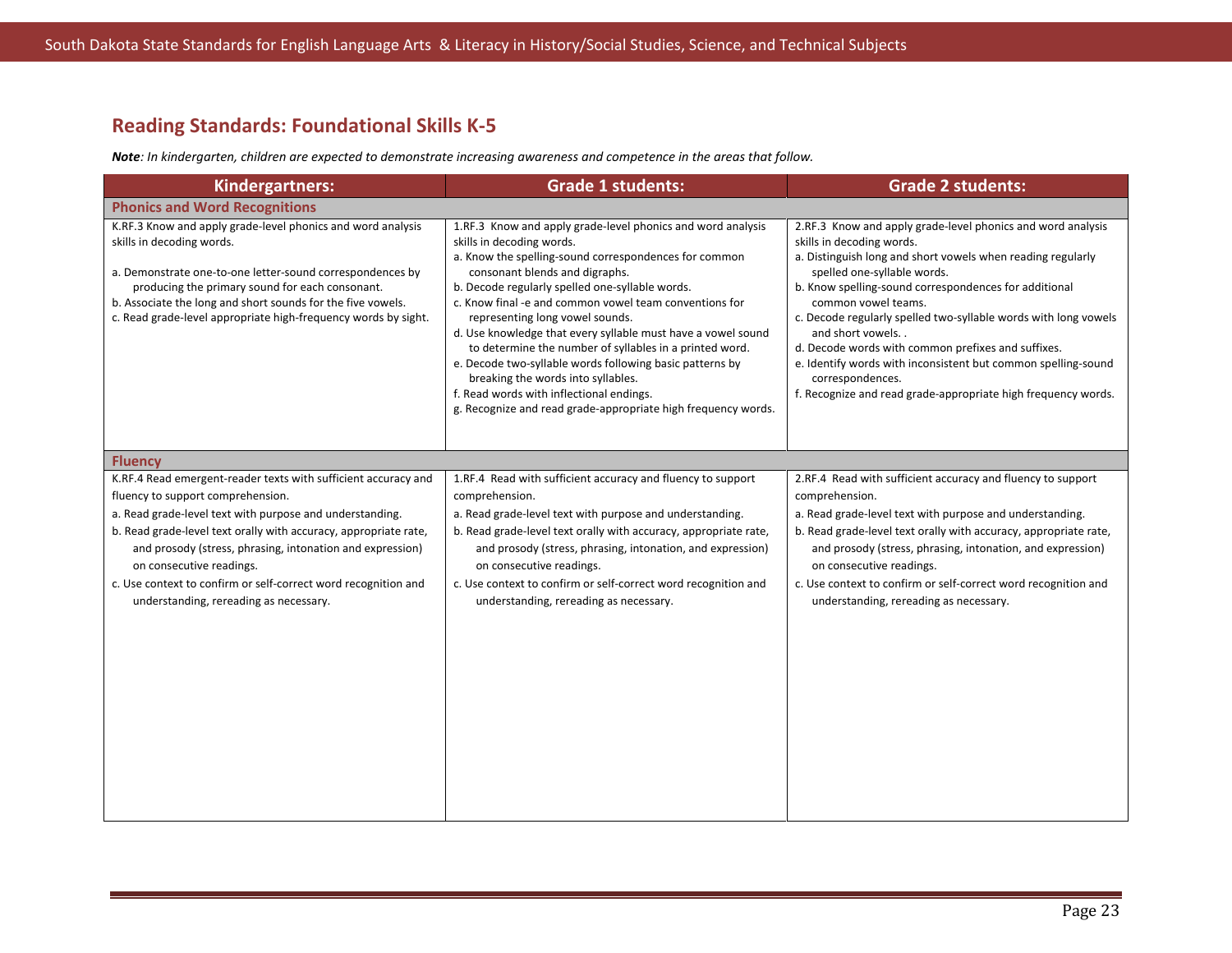### **Reading Standards: Foundational Skills K-5**

*Note: In kindergarten, children are expected to demonstrate increasing awareness and competence in the areas that follow.*

| <b>Kindergartners:</b>                                                                                                                                                                                                                                                                                                                                                                                                                   | <b>Grade 1 students:</b>                                                                                                                                                                                                                                                                                                                                                                                                                                                                                                                                                                                                                                                      | <b>Grade 2 students:</b>                                                                                                                                                                                                                                                                                                                                                                                                                                                                                                                                                  |
|------------------------------------------------------------------------------------------------------------------------------------------------------------------------------------------------------------------------------------------------------------------------------------------------------------------------------------------------------------------------------------------------------------------------------------------|-------------------------------------------------------------------------------------------------------------------------------------------------------------------------------------------------------------------------------------------------------------------------------------------------------------------------------------------------------------------------------------------------------------------------------------------------------------------------------------------------------------------------------------------------------------------------------------------------------------------------------------------------------------------------------|---------------------------------------------------------------------------------------------------------------------------------------------------------------------------------------------------------------------------------------------------------------------------------------------------------------------------------------------------------------------------------------------------------------------------------------------------------------------------------------------------------------------------------------------------------------------------|
| <b>Phonics and Word Recognitions</b>                                                                                                                                                                                                                                                                                                                                                                                                     |                                                                                                                                                                                                                                                                                                                                                                                                                                                                                                                                                                                                                                                                               |                                                                                                                                                                                                                                                                                                                                                                                                                                                                                                                                                                           |
| K.RF.3 Know and apply grade-level phonics and word analysis<br>skills in decoding words.<br>a. Demonstrate one-to-one letter-sound correspondences by<br>producing the primary sound for each consonant.<br>b. Associate the long and short sounds for the five vowels.<br>c. Read grade-level appropriate high-frequency words by sight.                                                                                                | 1.RF.3 Know and apply grade-level phonics and word analysis<br>skills in decoding words.<br>a. Know the spelling-sound correspondences for common<br>consonant blends and digraphs.<br>b. Decode regularly spelled one-syllable words.<br>c. Know final -e and common vowel team conventions for<br>representing long vowel sounds.<br>d. Use knowledge that every syllable must have a vowel sound<br>to determine the number of syllables in a printed word.<br>e. Decode two-syllable words following basic patterns by<br>breaking the words into syllables.<br>f. Read words with inflectional endings.<br>g. Recognize and read grade-appropriate high frequency words. | 2.RF.3 Know and apply grade-level phonics and word analysis<br>skills in decoding words.<br>a. Distinguish long and short vowels when reading regularly<br>spelled one-syllable words.<br>b. Know spelling-sound correspondences for additional<br>common vowel teams.<br>c. Decode regularly spelled two-syllable words with long vowels<br>and short vowels<br>d. Decode words with common prefixes and suffixes.<br>e. Identify words with inconsistent but common spelling-sound<br>correspondences.<br>f. Recognize and read grade-appropriate high frequency words. |
| <b>Fluency</b>                                                                                                                                                                                                                                                                                                                                                                                                                           |                                                                                                                                                                                                                                                                                                                                                                                                                                                                                                                                                                                                                                                                               |                                                                                                                                                                                                                                                                                                                                                                                                                                                                                                                                                                           |
| K.RF.4 Read emergent-reader texts with sufficient accuracy and<br>fluency to support comprehension.<br>a. Read grade-level text with purpose and understanding.<br>b. Read grade-level text orally with accuracy, appropriate rate,<br>and prosody (stress, phrasing, intonation and expression)<br>on consecutive readings.<br>c. Use context to confirm or self-correct word recognition and<br>understanding, rereading as necessary. | 1.RF.4 Read with sufficient accuracy and fluency to support<br>comprehension.<br>a. Read grade-level text with purpose and understanding.<br>b. Read grade-level text orally with accuracy, appropriate rate,<br>and prosody (stress, phrasing, intonation, and expression)<br>on consecutive readings.<br>c. Use context to confirm or self-correct word recognition and<br>understanding, rereading as necessary.                                                                                                                                                                                                                                                           | 2.RF.4 Read with sufficient accuracy and fluency to support<br>comprehension.<br>a. Read grade-level text with purpose and understanding.<br>b. Read grade-level text orally with accuracy, appropriate rate,<br>and prosody (stress, phrasing, intonation, and expression)<br>on consecutive readings.<br>c. Use context to confirm or self-correct word recognition and<br>understanding, rereading as necessary.                                                                                                                                                       |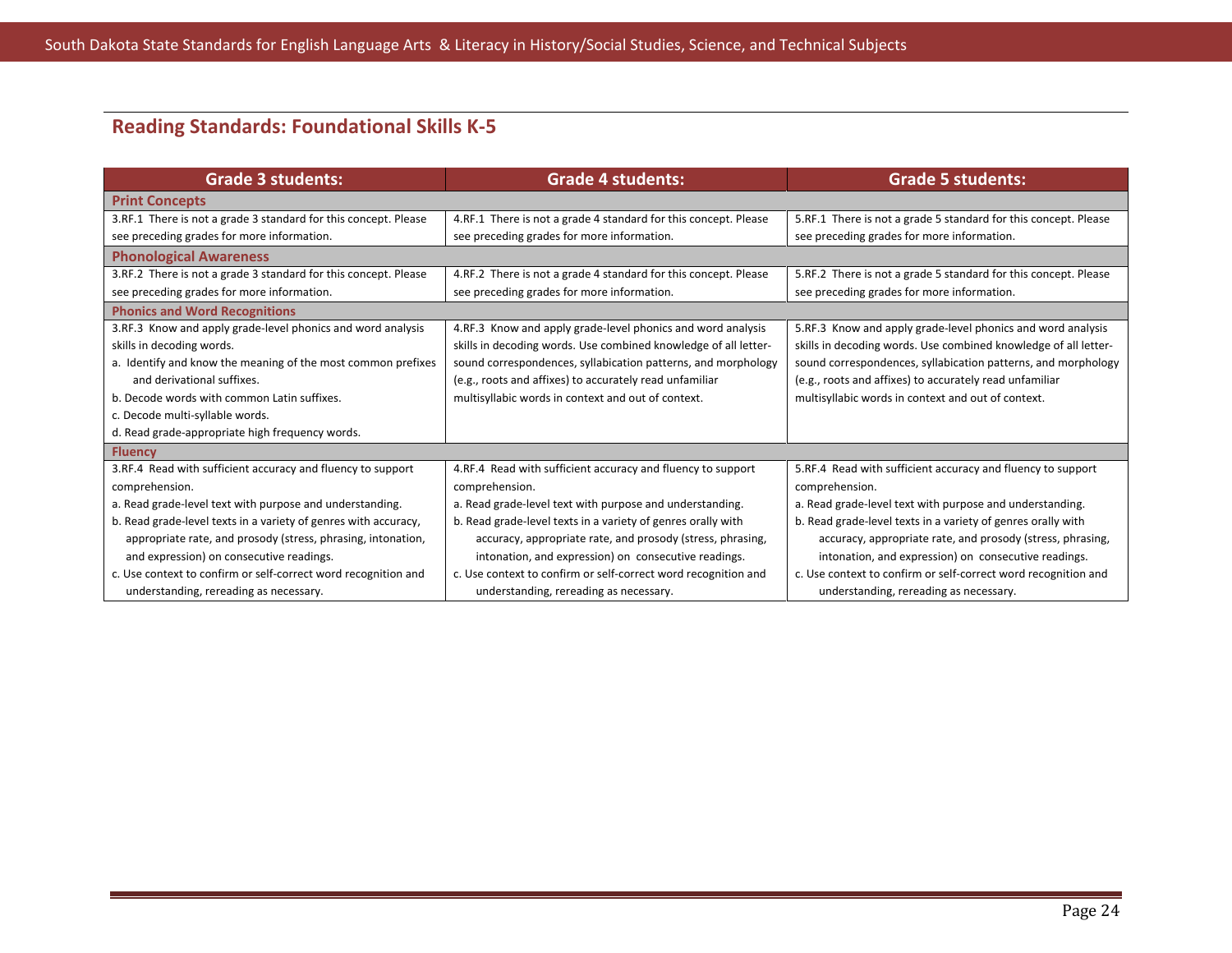# **Reading Standards: Foundational Skills K-5**

| <b>Grade 3 students:</b>                                        | <b>Grade 4 students:</b>                                        | <b>Grade 5 students:</b>                                        |
|-----------------------------------------------------------------|-----------------------------------------------------------------|-----------------------------------------------------------------|
| <b>Print Concepts</b>                                           |                                                                 |                                                                 |
| 3.RF.1 There is not a grade 3 standard for this concept. Please | 4.RF.1 There is not a grade 4 standard for this concept. Please | 5.RF.1 There is not a grade 5 standard for this concept. Please |
| see preceding grades for more information.                      | see preceding grades for more information.                      | see preceding grades for more information.                      |
| <b>Phonological Awareness</b>                                   |                                                                 |                                                                 |
| 3.RF.2 There is not a grade 3 standard for this concept. Please | 4.RF.2 There is not a grade 4 standard for this concept. Please | 5.RF.2 There is not a grade 5 standard for this concept. Please |
| see preceding grades for more information.                      | see preceding grades for more information.                      | see preceding grades for more information.                      |
| <b>Phonics and Word Recognitions</b>                            |                                                                 |                                                                 |
| 3.RF.3 Know and apply grade-level phonics and word analysis     | 4.RF.3 Know and apply grade-level phonics and word analysis     | 5.RF.3 Know and apply grade-level phonics and word analysis     |
| skills in decoding words.                                       | skills in decoding words. Use combined knowledge of all letter- | skills in decoding words. Use combined knowledge of all letter- |
| a. Identify and know the meaning of the most common prefixes    | sound correspondences, syllabication patterns, and morphology   | sound correspondences, syllabication patterns, and morphology   |
| and derivational suffixes.                                      | (e.g., roots and affixes) to accurately read unfamiliar         | (e.g., roots and affixes) to accurately read unfamiliar         |
| b. Decode words with common Latin suffixes.                     | multisyllabic words in context and out of context.              | multisyllabic words in context and out of context.              |
| c. Decode multi-syllable words.                                 |                                                                 |                                                                 |
| d. Read grade-appropriate high frequency words.                 |                                                                 |                                                                 |
| <b>Fluency</b>                                                  |                                                                 |                                                                 |
| 3.RF.4 Read with sufficient accuracy and fluency to support     | 4.RF.4 Read with sufficient accuracy and fluency to support     | 5.RF.4 Read with sufficient accuracy and fluency to support     |
| comprehension.                                                  | comprehension.                                                  | comprehension.                                                  |
| a. Read grade-level text with purpose and understanding.        | a. Read grade-level text with purpose and understanding.        | a. Read grade-level text with purpose and understanding.        |
| b. Read grade-level texts in a variety of genres with accuracy, | b. Read grade-level texts in a variety of genres orally with    | b. Read grade-level texts in a variety of genres orally with    |
| appropriate rate, and prosody (stress, phrasing, intonation,    | accuracy, appropriate rate, and prosody (stress, phrasing,      | accuracy, appropriate rate, and prosody (stress, phrasing,      |
| and expression) on consecutive readings.                        | intonation, and expression) on consecutive readings.            | intonation, and expression) on consecutive readings.            |
| c. Use context to confirm or self-correct word recognition and  | c. Use context to confirm or self-correct word recognition and  | c. Use context to confirm or self-correct word recognition and  |
| understanding, rereading as necessary.                          | understanding, rereading as necessary.                          | understanding, rereading as necessary.                          |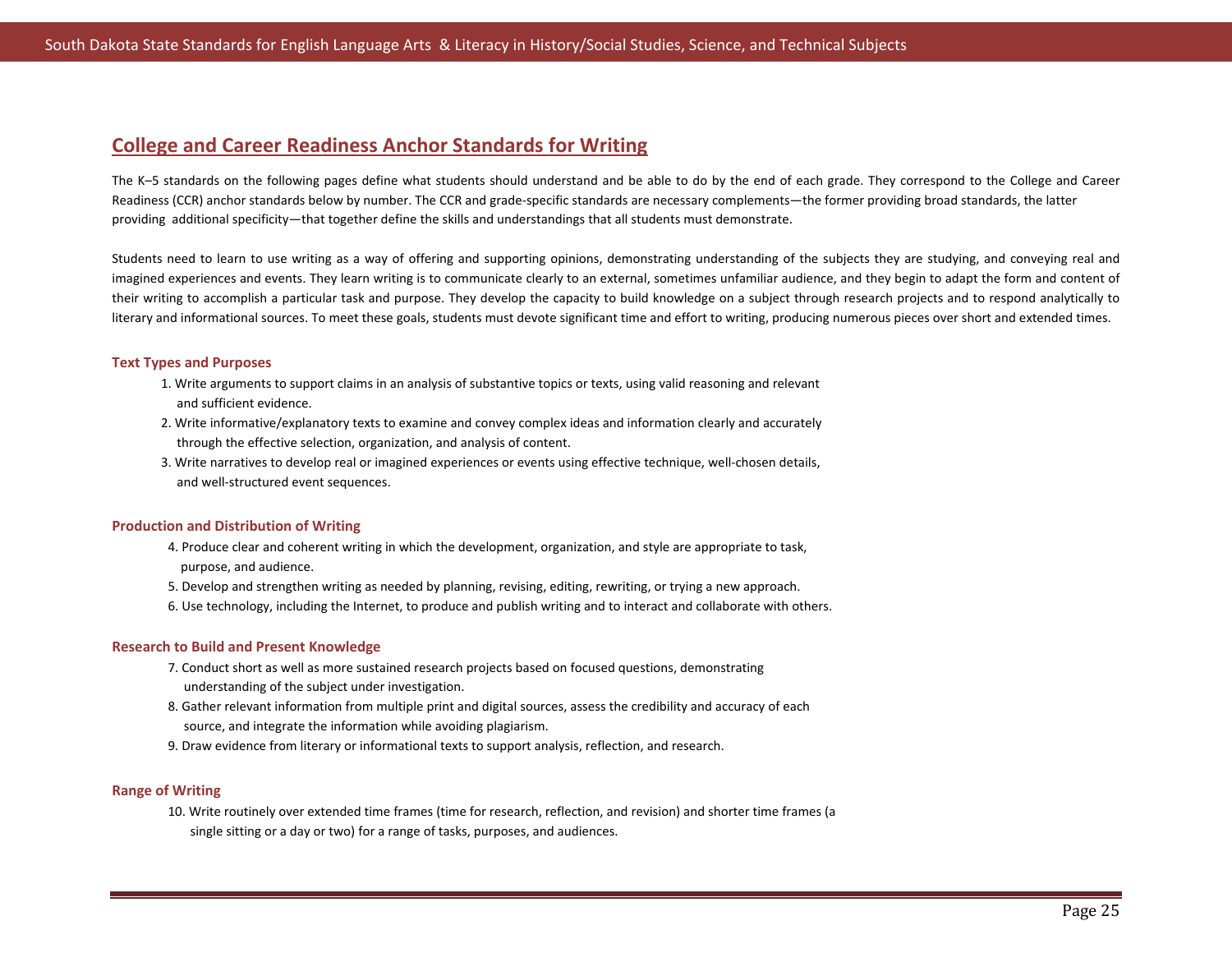### **College and Career Readiness Anchor Standards for Writing**

The K–5 standards on the following pages define what students should understand and be able to do by the end of each grade. They correspond to the College and Career Readiness (CCR) anchor standards below by number. The CCR and grade-specific standards are necessary complements—the former providing broad standards, the latter providing additional specificity—that together define the skills and understandings that all students must demonstrate.

Students need to learn to use writing as a way of offering and supporting opinions, demonstrating understanding of the subjects they are studying, and conveying real and imagined experiences and events. They learn writing is to communicate clearly to an external, sometimes unfamiliar audience, and they begin to adapt the form and content of their writing to accomplish a particular task and purpose. They develop the capacity to build knowledge on a subject through research projects and to respond analytically to literary and informational sources. To meet these goals, students must devote significant time and effort to writing, producing numerous pieces over short and extended times.

### **Text Types and Purposes**

- 1. Write arguments to support claims in an analysis of substantive topics or texts, using valid reasoning and relevant and sufficient evidence.
- 2. Write informative/explanatory texts to examine and convey complex ideas and information clearly and accurately through the effective selection, organization, and analysis of content.
- 3. Write narratives to develop real or imagined experiences or events using effective technique, well-chosen details, and well-structured event sequences.

### **Production and Distribution of Writing**

- 4. Produce clear and coherent writing in which the development, organization, and style are appropriate to task, purpose, and audience.
- 5. Develop and strengthen writing as needed by planning, revising, editing, rewriting, or trying a new approach.
- 6. Use technology, including the Internet, to produce and publish writing and to interact and collaborate with others.

#### **Research to Build and Present Knowledge**

- 7. Conduct short as well as more sustained research projects based on focused questions, demonstrating understanding of the subject under investigation.
- 8. Gather relevant information from multiple print and digital sources, assess the credibility and accuracy of each source, and integrate the information while avoiding plagiarism.
- 9. Draw evidence from literary or informational texts to support analysis, reflection, and research.

#### **Range of Writing**

10. Write routinely over extended time frames (time for research, reflection, and revision) and shorter time frames (a single sitting or a day or two) for a range of tasks, purposes, and audiences.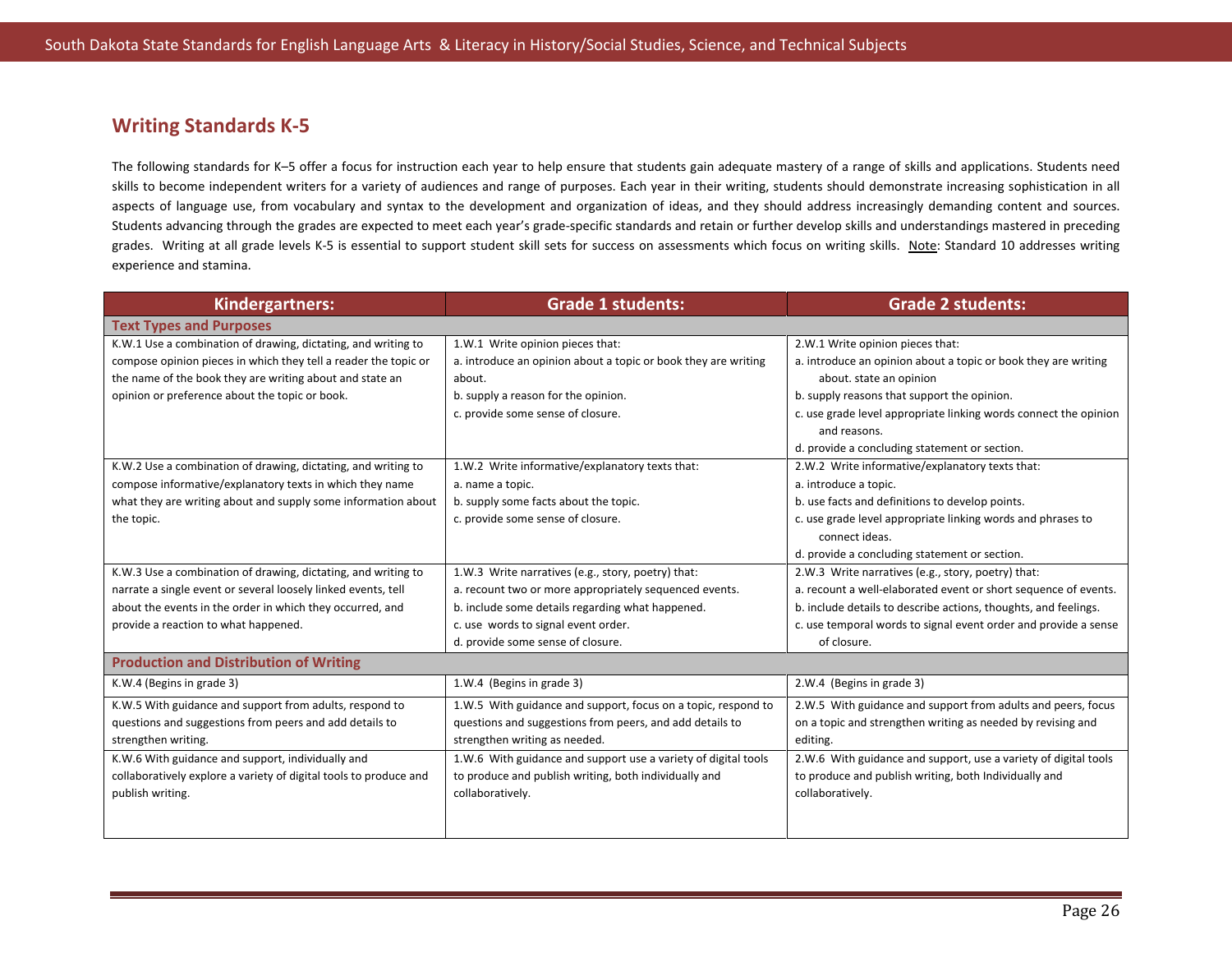The following standards for K–5 offer a focus for instruction each year to help ensure that students gain adequate mastery of a range of skills and applications. Students need skills to become independent writers for a variety of audiences and range of purposes. Each year in their writing, students should demonstrate increasing sophistication in all aspects of language use, from vocabulary and syntax to the development and organization of ideas, and they should address increasingly demanding content and sources. Students advancing through the grades are expected to meet each year's grade-specific standards and retain or further develop skills and understandings mastered in preceding grades. Writing at all grade levels K-5 is essential to support student skill sets for success on assessments which focus on writing skills. Note: Standard 10 addresses writing experience and stamina.

| Kindergartners:                                                   | <b>Grade 1 students:</b>                                       | <b>Grade 2 students:</b>                                         |
|-------------------------------------------------------------------|----------------------------------------------------------------|------------------------------------------------------------------|
| <b>Text Types and Purposes</b>                                    |                                                                |                                                                  |
| K.W.1 Use a combination of drawing, dictating, and writing to     | 1.W.1 Write opinion pieces that:                               | 2.W.1 Write opinion pieces that:                                 |
| compose opinion pieces in which they tell a reader the topic or   | a. introduce an opinion about a topic or book they are writing | a. introduce an opinion about a topic or book they are writing   |
| the name of the book they are writing about and state an          | about.                                                         | about. state an opinion                                          |
| opinion or preference about the topic or book.                    | b. supply a reason for the opinion.                            | b. supply reasons that support the opinion.                      |
|                                                                   | c. provide some sense of closure.                              | c. use grade level appropriate linking words connect the opinion |
|                                                                   |                                                                | and reasons.                                                     |
|                                                                   |                                                                | d. provide a concluding statement or section.                    |
| K.W.2 Use a combination of drawing, dictating, and writing to     | 1.W.2 Write informative/explanatory texts that:                | 2.W.2 Write informative/explanatory texts that:                  |
| compose informative/explanatory texts in which they name          | a. name a topic.                                               | a. introduce a topic.                                            |
| what they are writing about and supply some information about     | b. supply some facts about the topic.                          | b. use facts and definitions to develop points.                  |
| the topic.                                                        | c. provide some sense of closure.                              | c. use grade level appropriate linking words and phrases to      |
|                                                                   |                                                                | connect ideas.                                                   |
|                                                                   |                                                                | d. provide a concluding statement or section.                    |
| K.W.3 Use a combination of drawing, dictating, and writing to     | 1.W.3 Write narratives (e.g., story, poetry) that:             | 2.W.3 Write narratives (e.g., story, poetry) that:               |
| narrate a single event or several loosely linked events, tell     | a. recount two or more appropriately sequenced events.         | a. recount a well-elaborated event or short sequence of events.  |
| about the events in the order in which they occurred, and         | b. include some details regarding what happened.               | b. include details to describe actions, thoughts, and feelings.  |
| provide a reaction to what happened.                              | c. use words to signal event order.                            | c. use temporal words to signal event order and provide a sense  |
|                                                                   | d. provide some sense of closure.                              | of closure.                                                      |
| <b>Production and Distribution of Writing</b>                     |                                                                |                                                                  |
| K.W.4 (Begins in grade 3)                                         | 1.W.4 (Begins in grade 3)                                      | 2.W.4 (Begins in grade 3)                                        |
| K.W.5 With guidance and support from adults, respond to           | 1.W.5 With guidance and support, focus on a topic, respond to  | 2.W.5 With guidance and support from adults and peers, focus     |
| questions and suggestions from peers and add details to           | questions and suggestions from peers, and add details to       | on a topic and strengthen writing as needed by revising and      |
| strengthen writing.                                               | strengthen writing as needed.                                  | editing.                                                         |
| K.W.6 With guidance and support, individually and                 | 1.W.6 With guidance and support use a variety of digital tools | 2.W.6 With guidance and support, use a variety of digital tools  |
| collaboratively explore a variety of digital tools to produce and | to produce and publish writing, both individually and          | to produce and publish writing, both Individually and            |
| publish writing.                                                  | collaboratively.                                               | collaboratively.                                                 |
|                                                                   |                                                                |                                                                  |
|                                                                   |                                                                |                                                                  |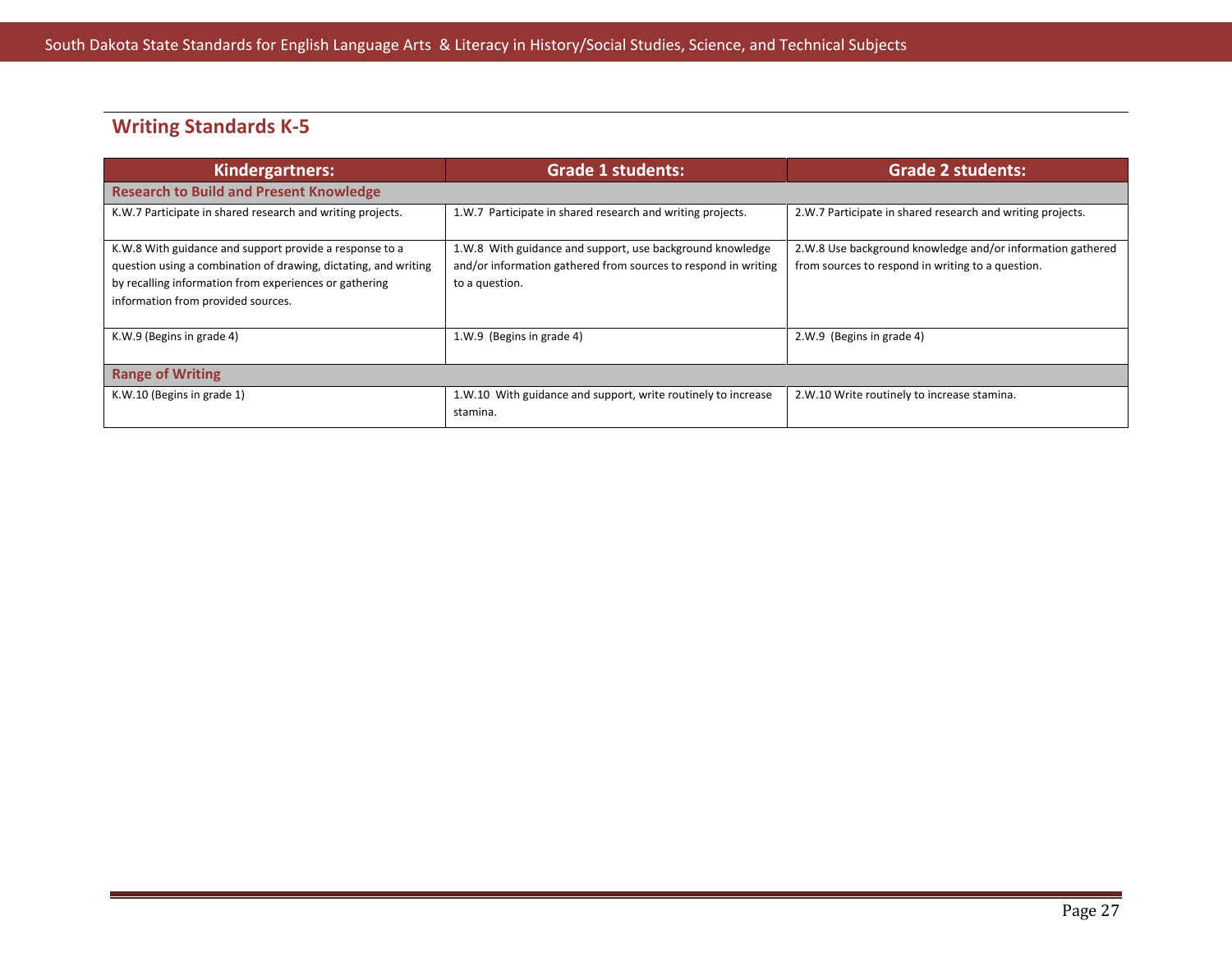| Kindergartners:                                                                                                                                                                                                            | <b>Grade 1 students:</b>                                                                                                                      | <b>Grade 2 students:</b>                                                                                        |
|----------------------------------------------------------------------------------------------------------------------------------------------------------------------------------------------------------------------------|-----------------------------------------------------------------------------------------------------------------------------------------------|-----------------------------------------------------------------------------------------------------------------|
| <b>Research to Build and Present Knowledge</b>                                                                                                                                                                             |                                                                                                                                               |                                                                                                                 |
| K.W.7 Participate in shared research and writing projects.                                                                                                                                                                 | Participate in shared research and writing projects.<br>1.W.7                                                                                 | 2.W.7 Participate in shared research and writing projects.                                                      |
| K.W.8 With guidance and support provide a response to a<br>question using a combination of drawing, dictating, and writing<br>by recalling information from experiences or gathering<br>information from provided sources. | 1.W.8 With guidance and support, use background knowledge<br>and/or information gathered from sources to respond in writing<br>to a question. | 2.W.8 Use background knowledge and/or information gathered<br>from sources to respond in writing to a question. |
| K.W.9 (Begins in grade 4)                                                                                                                                                                                                  | 1.W.9 (Begins in grade 4)                                                                                                                     | 2.W.9 (Begins in grade 4)                                                                                       |
| <b>Range of Writing</b>                                                                                                                                                                                                    |                                                                                                                                               |                                                                                                                 |
| K.W.10 (Begins in grade 1)                                                                                                                                                                                                 | 1.W.10 With guidance and support, write routinely to increase<br>stamina.                                                                     | 2.W.10 Write routinely to increase stamina.                                                                     |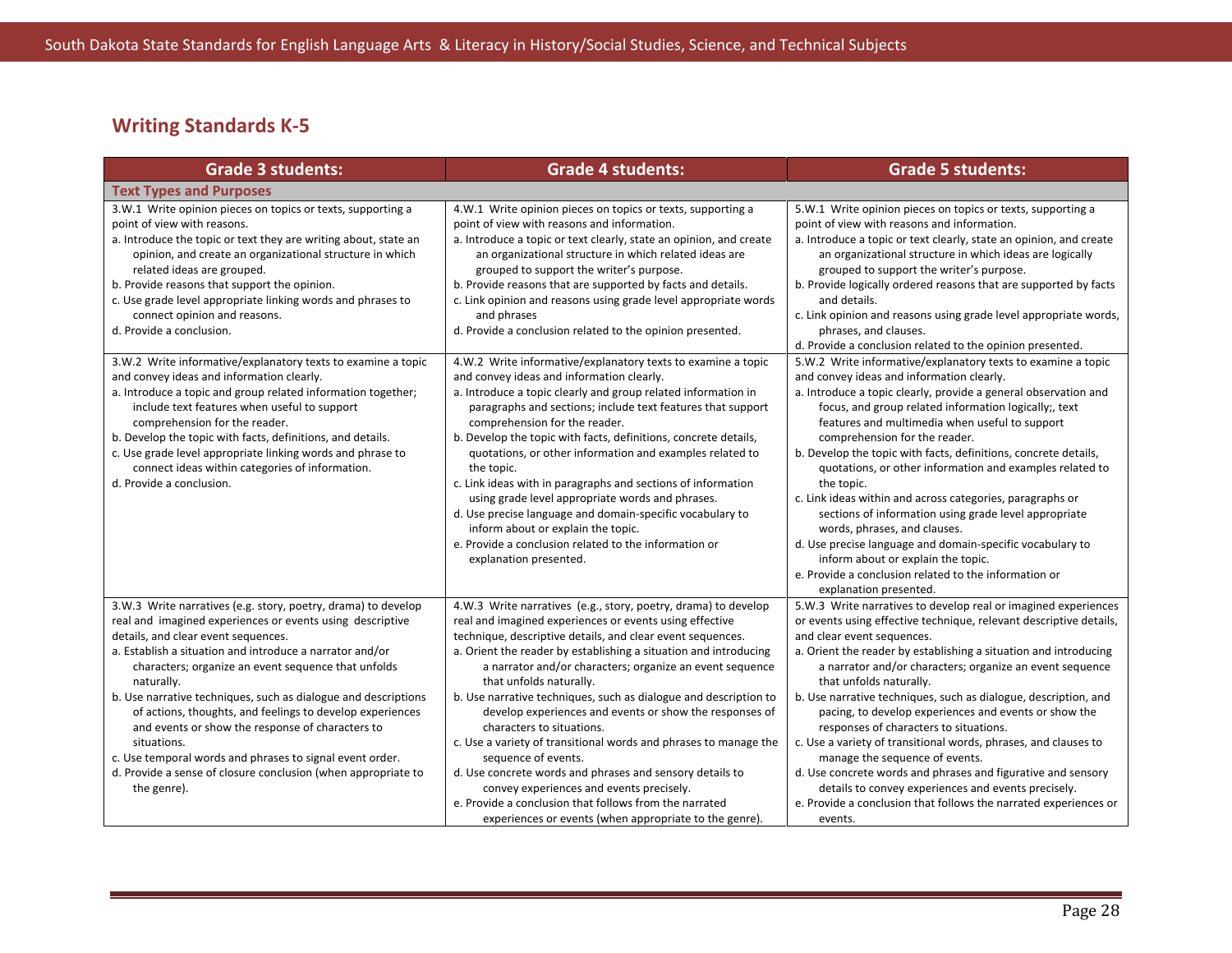| <b>Grade 3 students:</b>                                                                                                                                                                                                                                                                                                                                                                                                                                                                                                                                                                                                                         | <b>Grade 4 students:</b>                                                                                                                                                                                                                                                                                                                                                                                                                                                                                                                                                                                                                                                                                                                                                                                                              | <b>Grade 5 students:</b>                                                                                                                                                                                                                                                                                                                                                                                                                                                                                                                                                                                                                                                                                                                                                                                          |
|--------------------------------------------------------------------------------------------------------------------------------------------------------------------------------------------------------------------------------------------------------------------------------------------------------------------------------------------------------------------------------------------------------------------------------------------------------------------------------------------------------------------------------------------------------------------------------------------------------------------------------------------------|---------------------------------------------------------------------------------------------------------------------------------------------------------------------------------------------------------------------------------------------------------------------------------------------------------------------------------------------------------------------------------------------------------------------------------------------------------------------------------------------------------------------------------------------------------------------------------------------------------------------------------------------------------------------------------------------------------------------------------------------------------------------------------------------------------------------------------------|-------------------------------------------------------------------------------------------------------------------------------------------------------------------------------------------------------------------------------------------------------------------------------------------------------------------------------------------------------------------------------------------------------------------------------------------------------------------------------------------------------------------------------------------------------------------------------------------------------------------------------------------------------------------------------------------------------------------------------------------------------------------------------------------------------------------|
| <b>Text Types and Purposes</b>                                                                                                                                                                                                                                                                                                                                                                                                                                                                                                                                                                                                                   |                                                                                                                                                                                                                                                                                                                                                                                                                                                                                                                                                                                                                                                                                                                                                                                                                                       |                                                                                                                                                                                                                                                                                                                                                                                                                                                                                                                                                                                                                                                                                                                                                                                                                   |
| 3.W.1 Write opinion pieces on topics or texts, supporting a<br>point of view with reasons.<br>a. Introduce the topic or text they are writing about, state an<br>opinion, and create an organizational structure in which<br>related ideas are grouped.<br>b. Provide reasons that support the opinion.<br>c. Use grade level appropriate linking words and phrases to<br>connect opinion and reasons.<br>d. Provide a conclusion.                                                                                                                                                                                                               | 4.W.1 Write opinion pieces on topics or texts, supporting a<br>point of view with reasons and information.<br>a. Introduce a topic or text clearly, state an opinion, and create<br>an organizational structure in which related ideas are<br>grouped to support the writer's purpose.<br>b. Provide reasons that are supported by facts and details.<br>c. Link opinion and reasons using grade level appropriate words<br>and phrases<br>d. Provide a conclusion related to the opinion presented.                                                                                                                                                                                                                                                                                                                                  | 5.W.1 Write opinion pieces on topics or texts, supporting a<br>point of view with reasons and information.<br>a. Introduce a topic or text clearly, state an opinion, and create<br>an organizational structure in which ideas are logically<br>grouped to support the writer's purpose.<br>b. Provide logically ordered reasons that are supported by facts<br>and details.<br>c. Link opinion and reasons using grade level appropriate words,<br>phrases, and clauses.<br>d. Provide a conclusion related to the opinion presented.                                                                                                                                                                                                                                                                            |
| 3.W.2 Write informative/explanatory texts to examine a topic<br>and convey ideas and information clearly.<br>a. Introduce a topic and group related information together;<br>include text features when useful to support<br>comprehension for the reader.<br>b. Develop the topic with facts, definitions, and details.<br>c. Use grade level appropriate linking words and phrase to<br>connect ideas within categories of information.<br>d. Provide a conclusion.                                                                                                                                                                            | 4.W.2 Write informative/explanatory texts to examine a topic<br>and convey ideas and information clearly.<br>a. Introduce a topic clearly and group related information in<br>paragraphs and sections; include text features that support<br>comprehension for the reader.<br>b. Develop the topic with facts, definitions, concrete details,<br>quotations, or other information and examples related to<br>the topic.<br>c. Link ideas with in paragraphs and sections of information<br>using grade level appropriate words and phrases.<br>d. Use precise language and domain-specific vocabulary to<br>inform about or explain the topic.<br>e. Provide a conclusion related to the information or<br>explanation presented.                                                                                                     | 5.W.2 Write informative/explanatory texts to examine a topic<br>and convey ideas and information clearly.<br>a. Introduce a topic clearly, provide a general observation and<br>focus, and group related information logically;, text<br>features and multimedia when useful to support<br>comprehension for the reader.<br>b. Develop the topic with facts, definitions, concrete details,<br>quotations, or other information and examples related to<br>the topic.<br>c. Link ideas within and across categories, paragraphs or<br>sections of information using grade level appropriate<br>words, phrases, and clauses.<br>d. Use precise language and domain-specific vocabulary to<br>inform about or explain the topic.<br>e. Provide a conclusion related to the information or<br>explanation presented. |
| 3.W.3 Write narratives (e.g. story, poetry, drama) to develop<br>real and imagined experiences or events using descriptive<br>details, and clear event sequences.<br>a. Establish a situation and introduce a narrator and/or<br>characters; organize an event sequence that unfolds<br>naturally.<br>b. Use narrative techniques, such as dialogue and descriptions<br>of actions, thoughts, and feelings to develop experiences<br>and events or show the response of characters to<br>situations.<br>c. Use temporal words and phrases to signal event order.<br>d. Provide a sense of closure conclusion (when appropriate to<br>the genre). | 4.W.3 Write narratives (e.g., story, poetry, drama) to develop<br>real and imagined experiences or events using effective<br>technique, descriptive details, and clear event sequences.<br>a. Orient the reader by establishing a situation and introducing<br>a narrator and/or characters; organize an event sequence<br>that unfolds naturally.<br>b. Use narrative techniques, such as dialogue and description to<br>develop experiences and events or show the responses of<br>characters to situations.<br>c. Use a variety of transitional words and phrases to manage the<br>sequence of events.<br>d. Use concrete words and phrases and sensory details to<br>convey experiences and events precisely.<br>e. Provide a conclusion that follows from the narrated<br>experiences or events (when appropriate to the genre). | 5.W.3 Write narratives to develop real or imagined experiences<br>or events using effective technique, relevant descriptive details,<br>and clear event sequences.<br>a. Orient the reader by establishing a situation and introducing<br>a narrator and/or characters; organize an event sequence<br>that unfolds naturally.<br>b. Use narrative techniques, such as dialogue, description, and<br>pacing, to develop experiences and events or show the<br>responses of characters to situations.<br>c. Use a variety of transitional words, phrases, and clauses to<br>manage the sequence of events.<br>d. Use concrete words and phrases and figurative and sensory<br>details to convey experiences and events precisely.<br>e. Provide a conclusion that follows the narrated experiences or<br>events.    |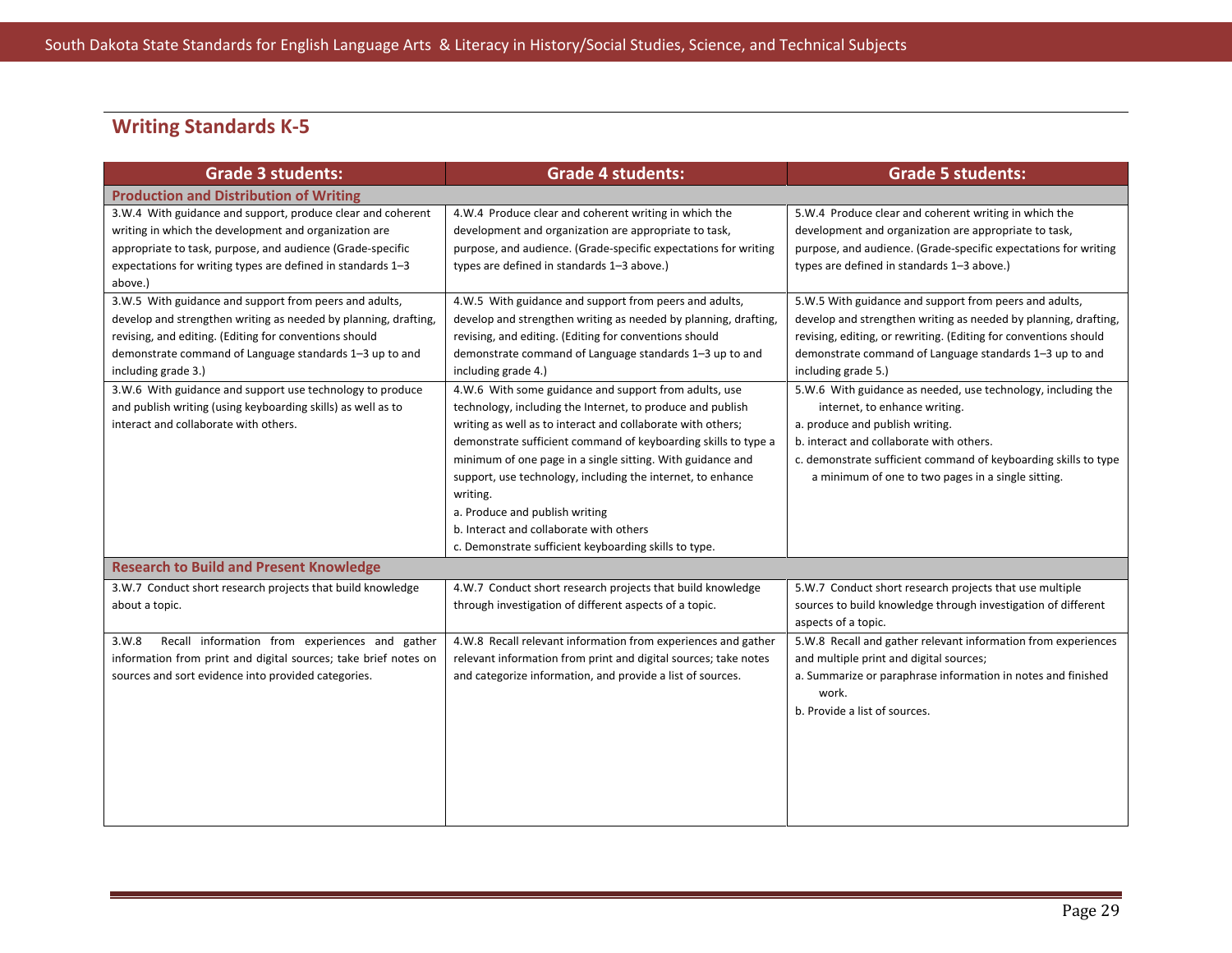| <b>Grade 3 students:</b>                                                                                                                                                                                                                                              | Grade 4 students:                                                                                                                                                                                                                                                                                                                                                                                                                                                                                                                   | <b>Grade 5 students:</b>                                                                                                                                                                                                                                                                              |
|-----------------------------------------------------------------------------------------------------------------------------------------------------------------------------------------------------------------------------------------------------------------------|-------------------------------------------------------------------------------------------------------------------------------------------------------------------------------------------------------------------------------------------------------------------------------------------------------------------------------------------------------------------------------------------------------------------------------------------------------------------------------------------------------------------------------------|-------------------------------------------------------------------------------------------------------------------------------------------------------------------------------------------------------------------------------------------------------------------------------------------------------|
| <b>Production and Distribution of Writing</b>                                                                                                                                                                                                                         |                                                                                                                                                                                                                                                                                                                                                                                                                                                                                                                                     |                                                                                                                                                                                                                                                                                                       |
| 3.W.4 With guidance and support, produce clear and coherent<br>writing in which the development and organization are<br>appropriate to task, purpose, and audience (Grade-specific<br>expectations for writing types are defined in standards 1-3<br>above.)          | 4.W.4 Produce clear and coherent writing in which the<br>development and organization are appropriate to task,<br>purpose, and audience. (Grade-specific expectations for writing<br>types are defined in standards 1-3 above.)                                                                                                                                                                                                                                                                                                     | 5.W.4 Produce clear and coherent writing in which the<br>development and organization are appropriate to task,<br>purpose, and audience. (Grade-specific expectations for writing<br>types are defined in standards 1-3 above.)                                                                       |
| 3.W.5 With guidance and support from peers and adults,<br>develop and strengthen writing as needed by planning, drafting,<br>revising, and editing. (Editing for conventions should<br>demonstrate command of Language standards 1-3 up to and<br>including grade 3.) | 4.W.5 With guidance and support from peers and adults,<br>develop and strengthen writing as needed by planning, drafting,<br>revising, and editing. (Editing for conventions should<br>demonstrate command of Language standards 1-3 up to and<br>including grade 4.)                                                                                                                                                                                                                                                               | 5.W.5 With guidance and support from peers and adults,<br>develop and strengthen writing as needed by planning, drafting,<br>revising, editing, or rewriting. (Editing for conventions should<br>demonstrate command of Language standards 1-3 up to and<br>including grade 5.)                       |
| 3.W.6 With guidance and support use technology to produce<br>and publish writing (using keyboarding skills) as well as to<br>interact and collaborate with others.                                                                                                    | 4.W.6 With some guidance and support from adults, use<br>technology, including the Internet, to produce and publish<br>writing as well as to interact and collaborate with others;<br>demonstrate sufficient command of keyboarding skills to type a<br>minimum of one page in a single sitting. With guidance and<br>support, use technology, including the internet, to enhance<br>writing.<br>a. Produce and publish writing<br>b. Interact and collaborate with others<br>c. Demonstrate sufficient keyboarding skills to type. | 5.W.6 With guidance as needed, use technology, including the<br>internet, to enhance writing.<br>a. produce and publish writing.<br>b. interact and collaborate with others.<br>c. demonstrate sufficient command of keyboarding skills to type<br>a minimum of one to two pages in a single sitting. |
| <b>Research to Build and Present Knowledge</b>                                                                                                                                                                                                                        |                                                                                                                                                                                                                                                                                                                                                                                                                                                                                                                                     |                                                                                                                                                                                                                                                                                                       |
| 3.W.7 Conduct short research projects that build knowledge<br>about a topic.                                                                                                                                                                                          | 4.W.7 Conduct short research projects that build knowledge<br>through investigation of different aspects of a topic.                                                                                                                                                                                                                                                                                                                                                                                                                | 5.W.7 Conduct short research projects that use multiple<br>sources to build knowledge through investigation of different<br>aspects of a topic.                                                                                                                                                       |
| 3.W.8<br>Recall information from experiences and gather<br>information from print and digital sources; take brief notes on<br>sources and sort evidence into provided categories.                                                                                     | 4.W.8 Recall relevant information from experiences and gather<br>relevant information from print and digital sources; take notes<br>and categorize information, and provide a list of sources.                                                                                                                                                                                                                                                                                                                                      | 5.W.8 Recall and gather relevant information from experiences<br>and multiple print and digital sources;<br>a. Summarize or paraphrase information in notes and finished<br>work.<br>b. Provide a list of sources.                                                                                    |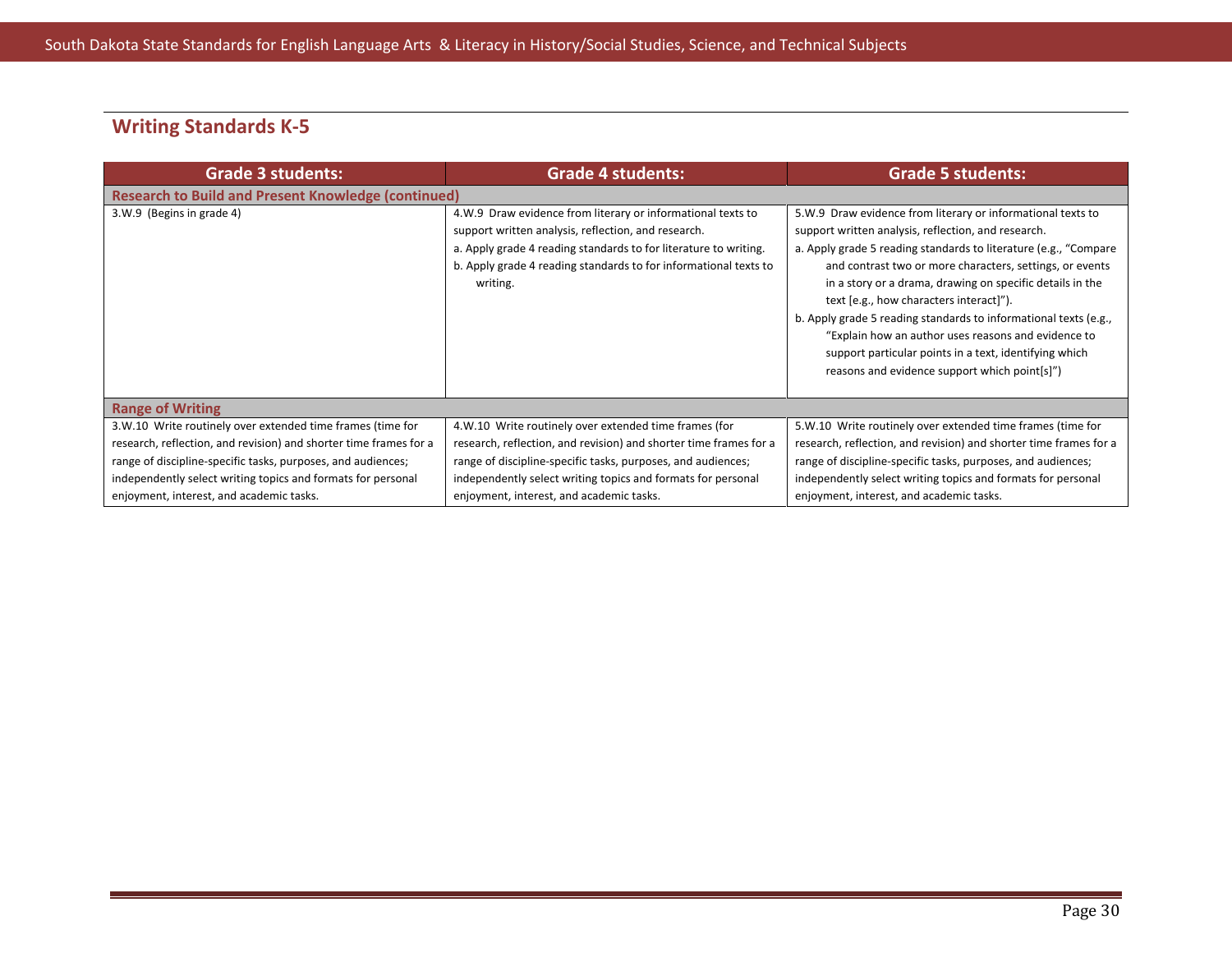| <b>Grade 3 students:</b>                                          | <b>Grade 4 students:</b>                                                                                                                                                                                                                                               | <b>Grade 5 students:</b>                                                                                                                                                                                                                                                                                                                                                                                                                                                                                                                                                                         |
|-------------------------------------------------------------------|------------------------------------------------------------------------------------------------------------------------------------------------------------------------------------------------------------------------------------------------------------------------|--------------------------------------------------------------------------------------------------------------------------------------------------------------------------------------------------------------------------------------------------------------------------------------------------------------------------------------------------------------------------------------------------------------------------------------------------------------------------------------------------------------------------------------------------------------------------------------------------|
| <b>Research to Build and Present Knowledge (continued)</b>        |                                                                                                                                                                                                                                                                        |                                                                                                                                                                                                                                                                                                                                                                                                                                                                                                                                                                                                  |
| 3.W.9 (Begins in grade 4)                                         | 4.W.9 Draw evidence from literary or informational texts to<br>support written analysis, reflection, and research.<br>a. Apply grade 4 reading standards to for literature to writing.<br>b. Apply grade 4 reading standards to for informational texts to<br>writing. | 5.W.9 Draw evidence from literary or informational texts to<br>support written analysis, reflection, and research.<br>a. Apply grade 5 reading standards to literature (e.g., "Compare<br>and contrast two or more characters, settings, or events<br>in a story or a drama, drawing on specific details in the<br>text [e.g., how characters interact]").<br>b. Apply grade 5 reading standards to informational texts (e.g.,<br>"Explain how an author uses reasons and evidence to<br>support particular points in a text, identifying which<br>reasons and evidence support which point[s]") |
| <b>Range of Writing</b>                                           |                                                                                                                                                                                                                                                                        |                                                                                                                                                                                                                                                                                                                                                                                                                                                                                                                                                                                                  |
| 3.W.10 Write routinely over extended time frames (time for        | 4.W.10 Write routinely over extended time frames (for                                                                                                                                                                                                                  | 5.W.10 Write routinely over extended time frames (time for                                                                                                                                                                                                                                                                                                                                                                                                                                                                                                                                       |
| research, reflection, and revision) and shorter time frames for a | research, reflection, and revision) and shorter time frames for a                                                                                                                                                                                                      | research, reflection, and revision) and shorter time frames for a                                                                                                                                                                                                                                                                                                                                                                                                                                                                                                                                |
| range of discipline-specific tasks, purposes, and audiences;      | range of discipline-specific tasks, purposes, and audiences;                                                                                                                                                                                                           | range of discipline-specific tasks, purposes, and audiences;                                                                                                                                                                                                                                                                                                                                                                                                                                                                                                                                     |
| independently select writing topics and formats for personal      | independently select writing topics and formats for personal                                                                                                                                                                                                           | independently select writing topics and formats for personal                                                                                                                                                                                                                                                                                                                                                                                                                                                                                                                                     |
| enjoyment, interest, and academic tasks.                          | enjoyment, interest, and academic tasks.                                                                                                                                                                                                                               | enjoyment, interest, and academic tasks.                                                                                                                                                                                                                                                                                                                                                                                                                                                                                                                                                         |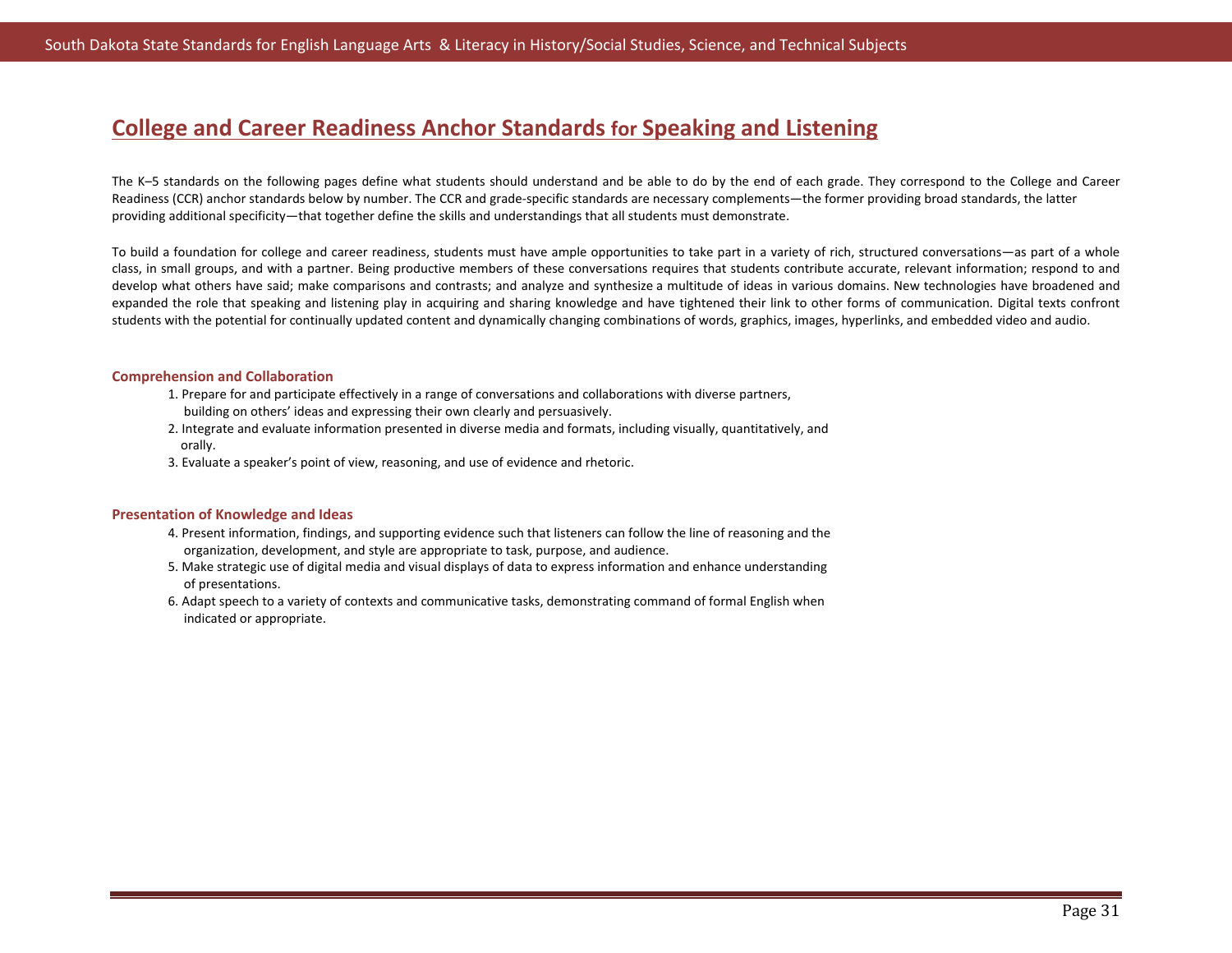## **College and Career Readiness Anchor Standards for Speaking and Listening**

The K–5 standards on the following pages define what students should understand and be able to do by the end of each grade. They correspond to the College and Career Readiness (CCR) anchor standards below by number. The CCR and grade-specific standards are necessary complements—the former providing broad standards, the latter providing additional specificity—that together define the skills and understandings that all students must demonstrate.

To build a foundation for college and career readiness, students must have ample opportunities to take part in a variety of rich, structured conversations—as part of a whole class, in small groups, and with a partner. Being productive members of these conversations requires that students contribute accurate, relevant information; respond to and develop what others have said; make comparisons and contrasts; and analyze and synthesize a multitude of ideas in various domains. New technologies have broadened and expanded the role that speaking and listening play in acquiring and sharing knowledge and have tightened their link to other forms of communication. Digital texts confront students with the potential for continually updated content and dynamically changing combinations of words, graphics, images, hyperlinks, and embedded video and audio.

#### **Comprehension and Collaboration**

- 1. Prepare for and participate effectively in a range of conversations and collaborations with diverse partners, building on others' ideas and expressing their own clearly and persuasively.
- 2. Integrate and evaluate information presented in diverse media and formats, including visually, quantitatively, and orally.
- 3. Evaluate a speaker's point of view, reasoning, and use of evidence and rhetoric.

### **Presentation of Knowledge and Ideas**

- 4. Present information, findings, and supporting evidence such that listeners can follow the line of reasoning and the organization, development, and style are appropriate to task, purpose, and audience.
- 5. Make strategic use of digital media and visual displays of data to express information and enhance understanding of presentations.
- 6. Adapt speech to a variety of contexts and communicative tasks, demonstrating command of formal English when indicated or appropriate.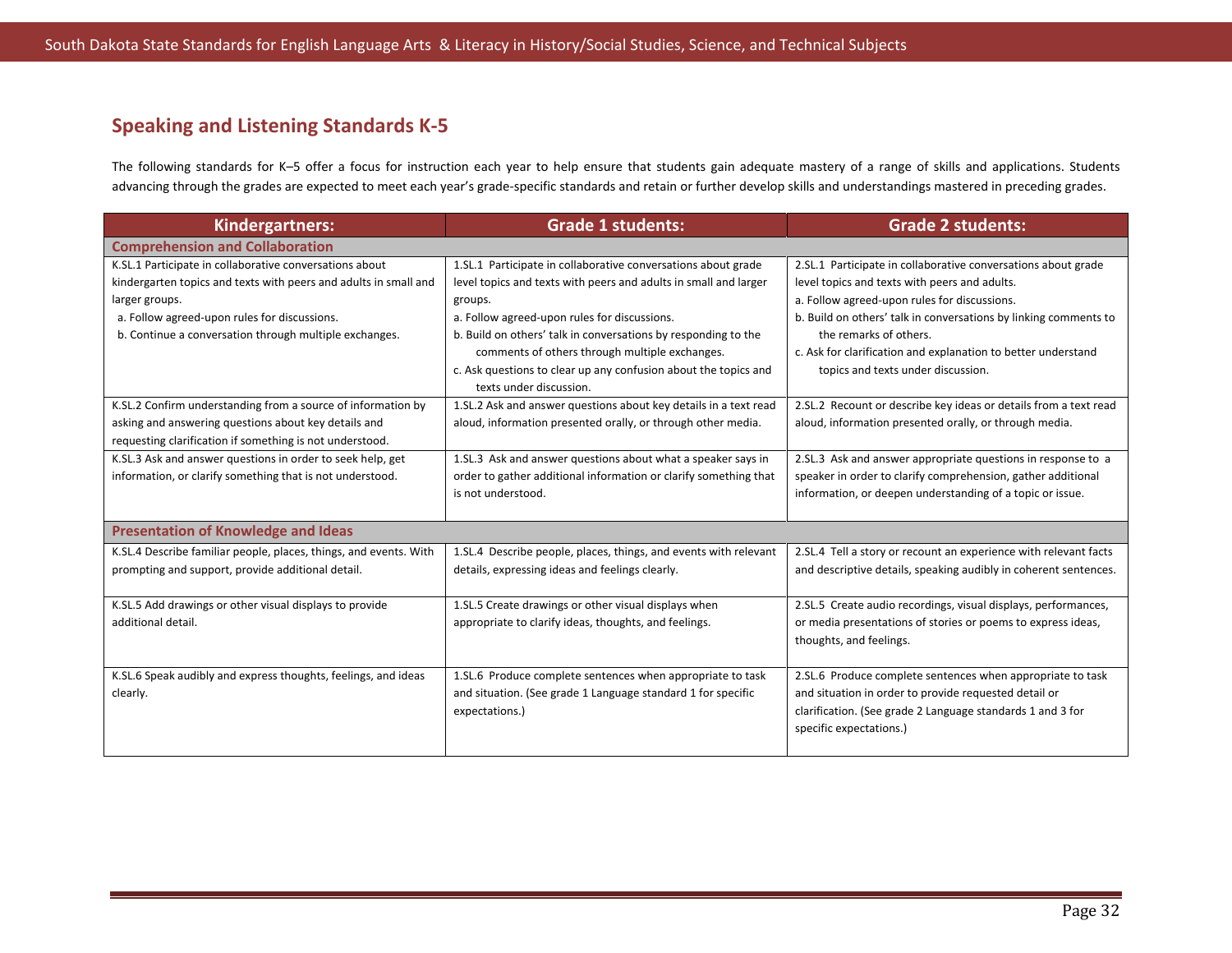### **Speaking and Listening Standards K-5**

The following standards for K–5 offer a focus for instruction each year to help ensure that students gain adequate mastery of a range of skills and applications. Students advancing through the grades are expected to meet each year's grade-specific standards and retain or further develop skills and understandings mastered in preceding grades.

| <b>Kindergartners:</b>                                            | <b>Grade 1 students:</b>                                           | <b>Grade 2 students:</b>                                         |  |  |
|-------------------------------------------------------------------|--------------------------------------------------------------------|------------------------------------------------------------------|--|--|
| <b>Comprehension and Collaboration</b>                            |                                                                    |                                                                  |  |  |
| K.SL.1 Participate in collaborative conversations about           | 1.SL.1 Participate in collaborative conversations about grade      | 2.SL.1 Participate in collaborative conversations about grade    |  |  |
| kindergarten topics and texts with peers and adults in small and  | level topics and texts with peers and adults in small and larger   | level topics and texts with peers and adults.                    |  |  |
| larger groups.                                                    | groups.                                                            | a. Follow agreed-upon rules for discussions.                     |  |  |
| a. Follow agreed-upon rules for discussions.                      | a. Follow agreed-upon rules for discussions.                       | b. Build on others' talk in conversations by linking comments to |  |  |
| b. Continue a conversation through multiple exchanges.            | b. Build on others' talk in conversations by responding to the     | the remarks of others.                                           |  |  |
|                                                                   | comments of others through multiple exchanges.                     | c. Ask for clarification and explanation to better understand    |  |  |
|                                                                   | c. Ask questions to clear up any confusion about the topics and    | topics and texts under discussion.                               |  |  |
|                                                                   | texts under discussion.                                            |                                                                  |  |  |
| K.SL.2 Confirm understanding from a source of information by      | 1.SL.2 Ask and answer questions about key details in a text read   | 2.SL.2 Recount or describe key ideas or details from a text read |  |  |
| asking and answering questions about key details and              | aloud, information presented orally, or through other media.       | aloud, information presented orally, or through media.           |  |  |
| requesting clarification if something is not understood.          |                                                                    |                                                                  |  |  |
| K.SL.3 Ask and answer questions in order to seek help, get        | 1.SL.3 Ask and answer questions about what a speaker says in       | 2.SL.3 Ask and answer appropriate questions in response to a     |  |  |
| information, or clarify something that is not understood.         | order to gather additional information or clarify something that   | speaker in order to clarify comprehension, gather additional     |  |  |
|                                                                   | is not understood.                                                 | information, or deepen understanding of a topic or issue.        |  |  |
|                                                                   |                                                                    |                                                                  |  |  |
| <b>Presentation of Knowledge and Ideas</b>                        |                                                                    |                                                                  |  |  |
| K.SL.4 Describe familiar people, places, things, and events. With | 1. SL. 4 Describe people, places, things, and events with relevant | 2.SL.4 Tell a story or recount an experience with relevant facts |  |  |
| prompting and support, provide additional detail.                 | details, expressing ideas and feelings clearly.                    | and descriptive details, speaking audibly in coherent sentences. |  |  |
|                                                                   |                                                                    |                                                                  |  |  |
| K.SL.5 Add drawings or other visual displays to provide           | 1.SL.5 Create drawings or other visual displays when               | 2.SL.5 Create audio recordings, visual displays, performances,   |  |  |
| additional detail.                                                | appropriate to clarify ideas, thoughts, and feelings.              | or media presentations of stories or poems to express ideas,     |  |  |
|                                                                   |                                                                    | thoughts, and feelings.                                          |  |  |
|                                                                   |                                                                    |                                                                  |  |  |
| K.SL.6 Speak audibly and express thoughts, feelings, and ideas    | 1.SL.6 Produce complete sentences when appropriate to task         | 2.SL.6 Produce complete sentences when appropriate to task       |  |  |
| clearly.                                                          | and situation. (See grade 1 Language standard 1 for specific       | and situation in order to provide requested detail or            |  |  |
|                                                                   | expectations.)                                                     | clarification. (See grade 2 Language standards 1 and 3 for       |  |  |
|                                                                   |                                                                    | specific expectations.)                                          |  |  |
|                                                                   |                                                                    |                                                                  |  |  |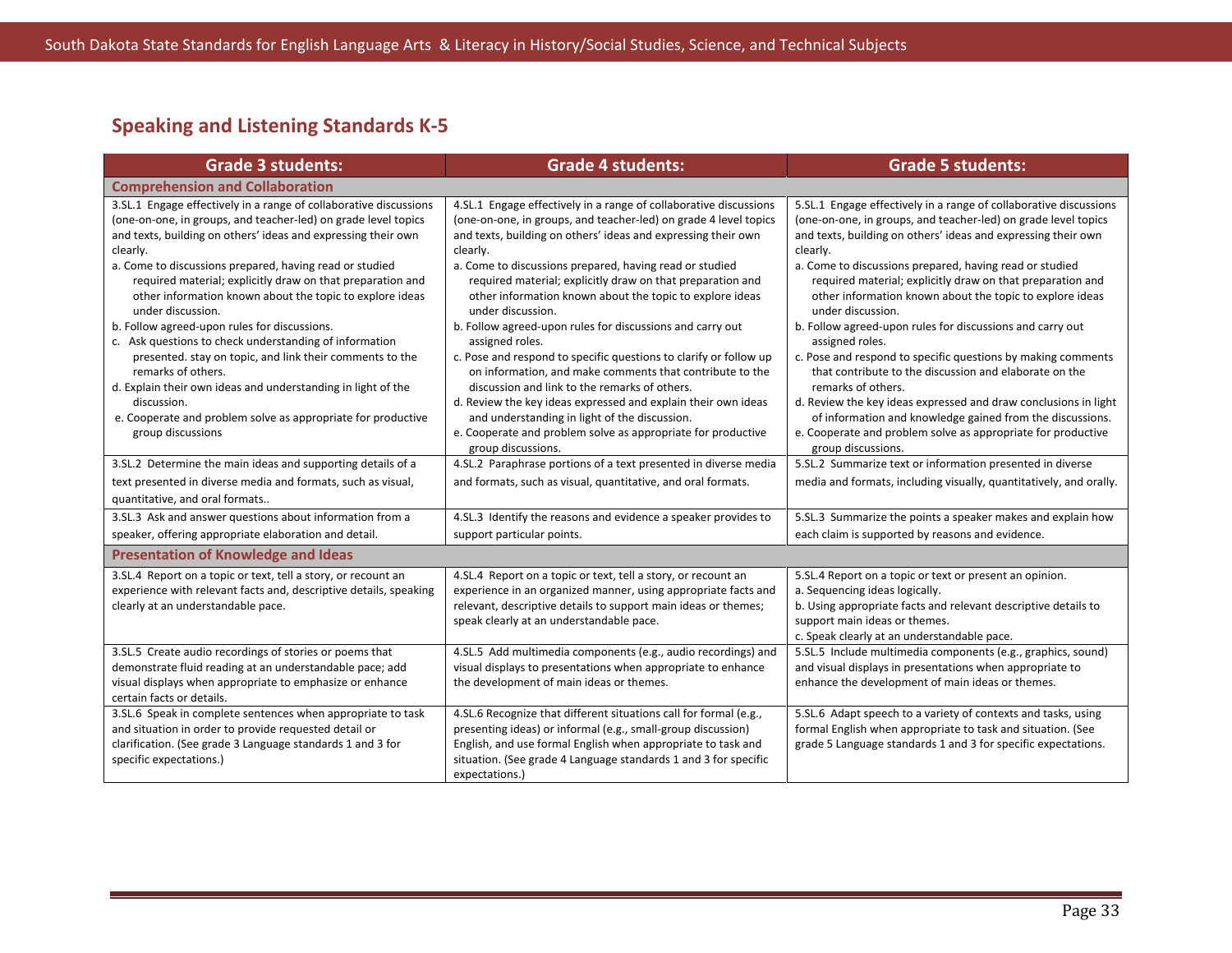# **Speaking and Listening Standards K-5**

| <b>Grade 3 students:</b>                                                                                                                                                                                                                                                                                                                                                                                                                                                                                                                                                                                                                                                                                                                                                                   | <b>Grade 4 students:</b>                                                                                                                                                                                                                                                                                                                                                                                                                                                                                                                                                                                                                                                                                                                                                                                                                                                                               | <b>Grade 5 students:</b>                                                                                                                                                                                                                                                                                                                                                                                                                                                                                                                                                                                                                                                                                                                                                                                                                                                         |  |  |
|--------------------------------------------------------------------------------------------------------------------------------------------------------------------------------------------------------------------------------------------------------------------------------------------------------------------------------------------------------------------------------------------------------------------------------------------------------------------------------------------------------------------------------------------------------------------------------------------------------------------------------------------------------------------------------------------------------------------------------------------------------------------------------------------|--------------------------------------------------------------------------------------------------------------------------------------------------------------------------------------------------------------------------------------------------------------------------------------------------------------------------------------------------------------------------------------------------------------------------------------------------------------------------------------------------------------------------------------------------------------------------------------------------------------------------------------------------------------------------------------------------------------------------------------------------------------------------------------------------------------------------------------------------------------------------------------------------------|----------------------------------------------------------------------------------------------------------------------------------------------------------------------------------------------------------------------------------------------------------------------------------------------------------------------------------------------------------------------------------------------------------------------------------------------------------------------------------------------------------------------------------------------------------------------------------------------------------------------------------------------------------------------------------------------------------------------------------------------------------------------------------------------------------------------------------------------------------------------------------|--|--|
| <b>Comprehension and Collaboration</b>                                                                                                                                                                                                                                                                                                                                                                                                                                                                                                                                                                                                                                                                                                                                                     |                                                                                                                                                                                                                                                                                                                                                                                                                                                                                                                                                                                                                                                                                                                                                                                                                                                                                                        |                                                                                                                                                                                                                                                                                                                                                                                                                                                                                                                                                                                                                                                                                                                                                                                                                                                                                  |  |  |
| 3.SL.1 Engage effectively in a range of collaborative discussions<br>(one-on-one, in groups, and teacher-led) on grade level topics<br>and texts, building on others' ideas and expressing their own<br>clearly.<br>a. Come to discussions prepared, having read or studied<br>required material; explicitly draw on that preparation and<br>other information known about the topic to explore ideas<br>under discussion.<br>b. Follow agreed-upon rules for discussions.<br>c. Ask questions to check understanding of information<br>presented. stay on topic, and link their comments to the<br>remarks of others.<br>d. Explain their own ideas and understanding in light of the<br>discussion.<br>e. Cooperate and problem solve as appropriate for productive<br>group discussions | 4.SL.1 Engage effectively in a range of collaborative discussions<br>(one-on-one, in groups, and teacher-led) on grade 4 level topics<br>and texts, building on others' ideas and expressing their own<br>clearly.<br>a. Come to discussions prepared, having read or studied<br>required material; explicitly draw on that preparation and<br>other information known about the topic to explore ideas<br>under discussion.<br>b. Follow agreed-upon rules for discussions and carry out<br>assigned roles.<br>c. Pose and respond to specific questions to clarify or follow up<br>on information, and make comments that contribute to the<br>discussion and link to the remarks of others.<br>d. Review the key ideas expressed and explain their own ideas<br>and understanding in light of the discussion.<br>e. Cooperate and problem solve as appropriate for productive<br>group discussions. | 5.SL.1 Engage effectively in a range of collaborative discussions<br>(one-on-one, in groups, and teacher-led) on grade level topics<br>and texts, building on others' ideas and expressing their own<br>clearly.<br>a. Come to discussions prepared, having read or studied<br>required material; explicitly draw on that preparation and<br>other information known about the topic to explore ideas<br>under discussion.<br>b. Follow agreed-upon rules for discussions and carry out<br>assigned roles.<br>c. Pose and respond to specific questions by making comments<br>that contribute to the discussion and elaborate on the<br>remarks of others.<br>d. Review the key ideas expressed and draw conclusions in light<br>of information and knowledge gained from the discussions.<br>e. Cooperate and problem solve as appropriate for productive<br>group discussions. |  |  |
| 3.SL.2 Determine the main ideas and supporting details of a                                                                                                                                                                                                                                                                                                                                                                                                                                                                                                                                                                                                                                                                                                                                | 4.SL.2 Paraphrase portions of a text presented in diverse media                                                                                                                                                                                                                                                                                                                                                                                                                                                                                                                                                                                                                                                                                                                                                                                                                                        | 5.SL.2 Summarize text or information presented in diverse                                                                                                                                                                                                                                                                                                                                                                                                                                                                                                                                                                                                                                                                                                                                                                                                                        |  |  |
| text presented in diverse media and formats, such as visual,<br>quantitative, and oral formats                                                                                                                                                                                                                                                                                                                                                                                                                                                                                                                                                                                                                                                                                             | and formats, such as visual, quantitative, and oral formats.                                                                                                                                                                                                                                                                                                                                                                                                                                                                                                                                                                                                                                                                                                                                                                                                                                           | media and formats, including visually, quantitatively, and orally.                                                                                                                                                                                                                                                                                                                                                                                                                                                                                                                                                                                                                                                                                                                                                                                                               |  |  |
| 3.SL.3 Ask and answer questions about information from a                                                                                                                                                                                                                                                                                                                                                                                                                                                                                                                                                                                                                                                                                                                                   | 4.SL.3 Identify the reasons and evidence a speaker provides to                                                                                                                                                                                                                                                                                                                                                                                                                                                                                                                                                                                                                                                                                                                                                                                                                                         | 5.SL.3 Summarize the points a speaker makes and explain how                                                                                                                                                                                                                                                                                                                                                                                                                                                                                                                                                                                                                                                                                                                                                                                                                      |  |  |
| speaker, offering appropriate elaboration and detail.                                                                                                                                                                                                                                                                                                                                                                                                                                                                                                                                                                                                                                                                                                                                      | support particular points.                                                                                                                                                                                                                                                                                                                                                                                                                                                                                                                                                                                                                                                                                                                                                                                                                                                                             | each claim is supported by reasons and evidence.                                                                                                                                                                                                                                                                                                                                                                                                                                                                                                                                                                                                                                                                                                                                                                                                                                 |  |  |
| <b>Presentation of Knowledge and Ideas</b>                                                                                                                                                                                                                                                                                                                                                                                                                                                                                                                                                                                                                                                                                                                                                 |                                                                                                                                                                                                                                                                                                                                                                                                                                                                                                                                                                                                                                                                                                                                                                                                                                                                                                        |                                                                                                                                                                                                                                                                                                                                                                                                                                                                                                                                                                                                                                                                                                                                                                                                                                                                                  |  |  |
| 3.SL.4 Report on a topic or text, tell a story, or recount an<br>experience with relevant facts and, descriptive details, speaking<br>clearly at an understandable pace.                                                                                                                                                                                                                                                                                                                                                                                                                                                                                                                                                                                                                   | 4.SL.4 Report on a topic or text, tell a story, or recount an<br>experience in an organized manner, using appropriate facts and<br>relevant, descriptive details to support main ideas or themes;<br>speak clearly at an understandable pace.                                                                                                                                                                                                                                                                                                                                                                                                                                                                                                                                                                                                                                                          | 5.SL.4 Report on a topic or text or present an opinion.<br>a. Sequencing ideas logically.<br>b. Using appropriate facts and relevant descriptive details to<br>support main ideas or themes.<br>c. Speak clearly at an understandable pace.                                                                                                                                                                                                                                                                                                                                                                                                                                                                                                                                                                                                                                      |  |  |
| 3.SL.5 Create audio recordings of stories or poems that<br>demonstrate fluid reading at an understandable pace; add<br>visual displays when appropriate to emphasize or enhance<br>certain facts or details.                                                                                                                                                                                                                                                                                                                                                                                                                                                                                                                                                                               | 4.SL.5 Add multimedia components (e.g., audio recordings) and<br>visual displays to presentations when appropriate to enhance<br>the development of main ideas or themes.                                                                                                                                                                                                                                                                                                                                                                                                                                                                                                                                                                                                                                                                                                                              | 5.SL.5 Include multimedia components (e.g., graphics, sound)<br>and visual displays in presentations when appropriate to<br>enhance the development of main ideas or themes.                                                                                                                                                                                                                                                                                                                                                                                                                                                                                                                                                                                                                                                                                                     |  |  |
| 3.SL.6 Speak in complete sentences when appropriate to task<br>and situation in order to provide requested detail or<br>clarification. (See grade 3 Language standards 1 and 3 for<br>specific expectations.)                                                                                                                                                                                                                                                                                                                                                                                                                                                                                                                                                                              | 4.SL.6 Recognize that different situations call for formal (e.g.,<br>presenting ideas) or informal (e.g., small-group discussion)<br>English, and use formal English when appropriate to task and<br>situation. (See grade 4 Language standards 1 and 3 for specific<br>expectations.)                                                                                                                                                                                                                                                                                                                                                                                                                                                                                                                                                                                                                 | 5.SL.6 Adapt speech to a variety of contexts and tasks, using<br>formal English when appropriate to task and situation. (See<br>grade 5 Language standards 1 and 3 for specific expectations.                                                                                                                                                                                                                                                                                                                                                                                                                                                                                                                                                                                                                                                                                    |  |  |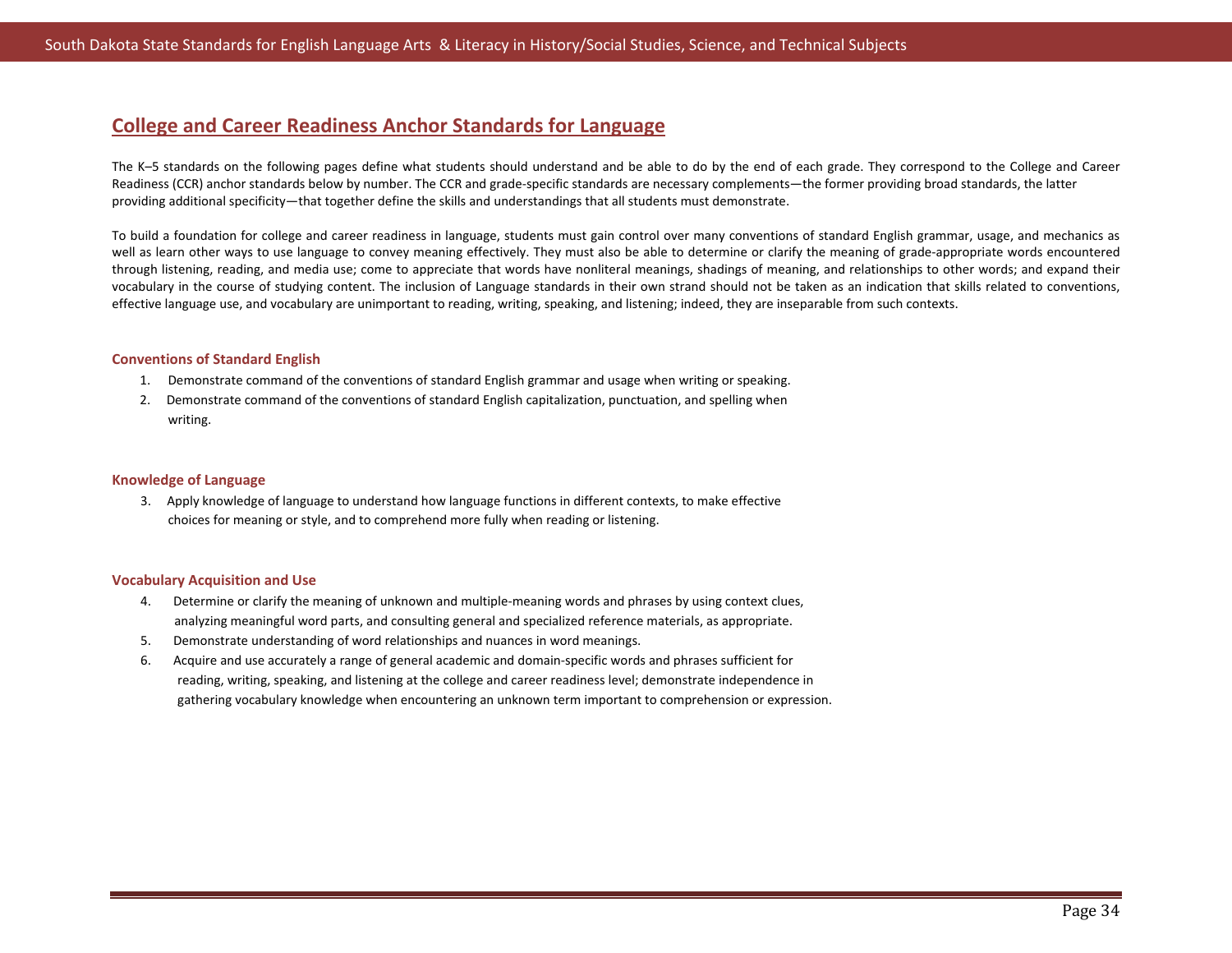### **College and Career Readiness Anchor Standards for Language**

The K–5 standards on the following pages define what students should understand and be able to do by the end of each grade. They correspond to the College and Career Readiness (CCR) anchor standards below by number. The CCR and grade-specific standards are necessary complements—the former providing broad standards, the latter providing additional specificity—that together define the skills and understandings that all students must demonstrate.

To build a foundation for college and career readiness in language, students must gain control over many conventions of standard English grammar, usage, and mechanics as well as learn other ways to use language to convey meaning effectively. They must also be able to determine or clarify the meaning of grade-appropriate words encountered through listening, reading, and media use; come to appreciate that words have nonliteral meanings, shadings of meaning, and relationships to other words; and expand their vocabulary in the course of studying content. The inclusion of Language standards in their own strand should not be taken as an indication that skills related to conventions, effective language use, and vocabulary are unimportant to reading, writing, speaking, and listening; indeed, they are inseparable from such contexts.

### **Conventions of Standard English**

- 1. Demonstrate command of the conventions of standard English grammar and usage when writing or speaking.
- 2. Demonstrate command of the conventions of standard English capitalization, punctuation, and spelling when writing.

### **Knowledge of Language**

 3. Apply knowledge of language to understand how language functions in different contexts, to make effective choices for meaning or style, and to comprehend more fully when reading or listening.

#### **Vocabulary Acquisition and Use**

- 4. Determine or clarify the meaning of unknown and multiple-meaning words and phrases by using context clues, analyzing meaningful word parts, and consulting general and specialized reference materials, as appropriate.
- 5. Demonstrate understanding of word relationships and nuances in word meanings.
- 6. Acquire and use accurately a range of general academic and domain-specific words and phrases sufficient for reading, writing, speaking, and listening at the college and career readiness level; demonstrate independence in gathering vocabulary knowledge when encountering an unknown term important to comprehension or expression.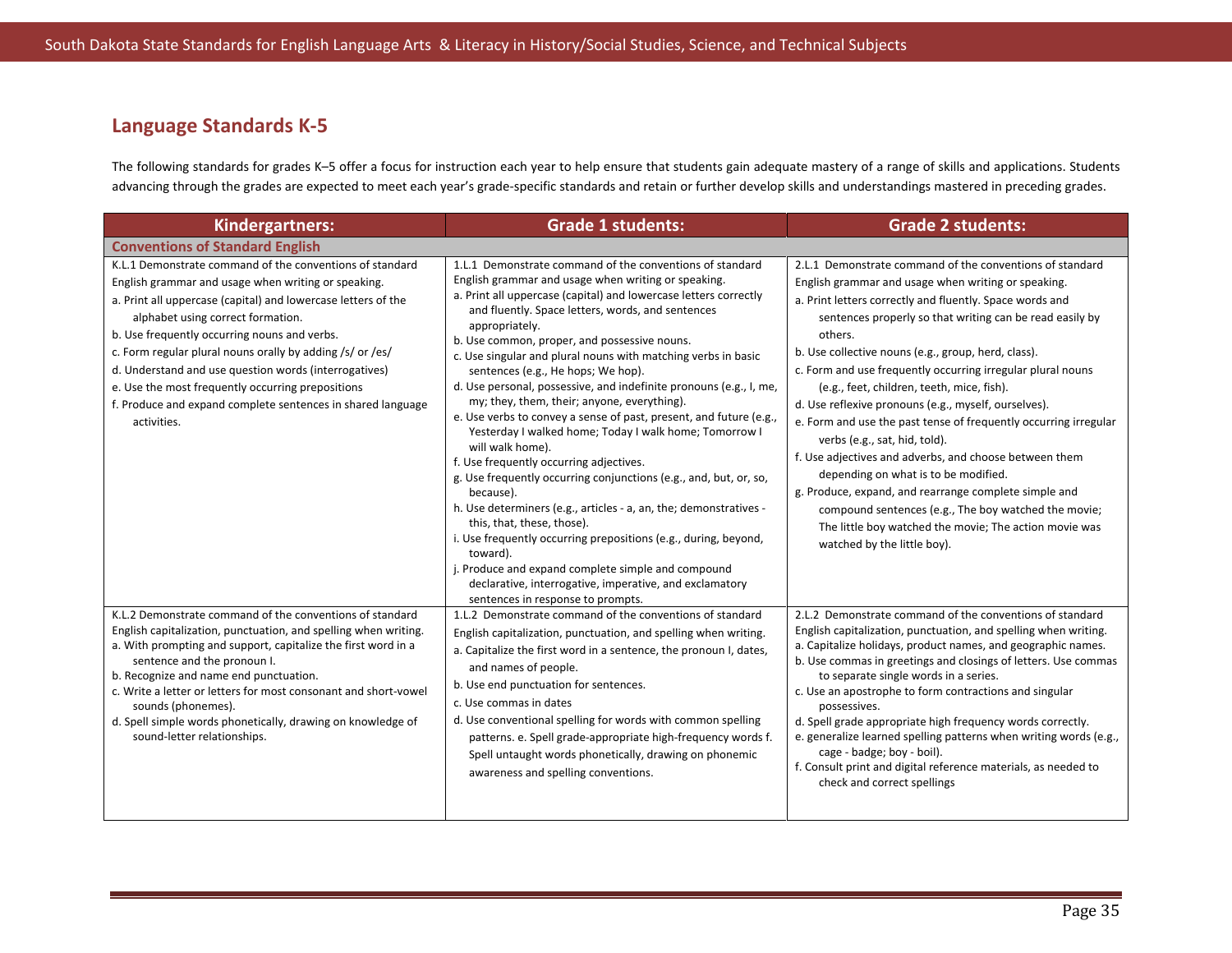### **Language Standards K-5**

The following standards for grades K–5 offer a focus for instruction each year to help ensure that students gain adequate mastery of a range of skills and applications. Students advancing through the grades are expected to meet each year's grade-specific standards and retain or further develop skills and understandings mastered in preceding grades.

| Kindergartners:                                                                                                                                                                                                                                                                                                                                                                                                                                                                                                                | <b>Grade 1 students:</b>                                                                                                                                                                                                                                                                                                                                                                                                                                                                                                                                                                                                                                                                                                                                                                                                                                                                                                                                                                                                                                                                                                                                        | <b>Grade 2 students:</b>                                                                                                                                                                                                                                                                                                                                                                                                                                                                                                                                                                                                                                                                                                                                                                                                                                                                        |
|--------------------------------------------------------------------------------------------------------------------------------------------------------------------------------------------------------------------------------------------------------------------------------------------------------------------------------------------------------------------------------------------------------------------------------------------------------------------------------------------------------------------------------|-----------------------------------------------------------------------------------------------------------------------------------------------------------------------------------------------------------------------------------------------------------------------------------------------------------------------------------------------------------------------------------------------------------------------------------------------------------------------------------------------------------------------------------------------------------------------------------------------------------------------------------------------------------------------------------------------------------------------------------------------------------------------------------------------------------------------------------------------------------------------------------------------------------------------------------------------------------------------------------------------------------------------------------------------------------------------------------------------------------------------------------------------------------------|-------------------------------------------------------------------------------------------------------------------------------------------------------------------------------------------------------------------------------------------------------------------------------------------------------------------------------------------------------------------------------------------------------------------------------------------------------------------------------------------------------------------------------------------------------------------------------------------------------------------------------------------------------------------------------------------------------------------------------------------------------------------------------------------------------------------------------------------------------------------------------------------------|
| <b>Conventions of Standard English</b>                                                                                                                                                                                                                                                                                                                                                                                                                                                                                         |                                                                                                                                                                                                                                                                                                                                                                                                                                                                                                                                                                                                                                                                                                                                                                                                                                                                                                                                                                                                                                                                                                                                                                 |                                                                                                                                                                                                                                                                                                                                                                                                                                                                                                                                                                                                                                                                                                                                                                                                                                                                                                 |
| K.L.1 Demonstrate command of the conventions of standard<br>English grammar and usage when writing or speaking.<br>a. Print all uppercase (capital) and lowercase letters of the<br>alphabet using correct formation.<br>b. Use frequently occurring nouns and verbs.<br>c. Form regular plural nouns orally by adding /s/ or /es/<br>d. Understand and use question words (interrogatives)<br>e. Use the most frequently occurring prepositions<br>f. Produce and expand complete sentences in shared language<br>activities. | 1.L.1 Demonstrate command of the conventions of standard<br>English grammar and usage when writing or speaking.<br>a. Print all uppercase (capital) and lowercase letters correctly<br>and fluently. Space letters, words, and sentences<br>appropriately.<br>b. Use common, proper, and possessive nouns.<br>c. Use singular and plural nouns with matching verbs in basic<br>sentences (e.g., He hops; We hop).<br>d. Use personal, possessive, and indefinite pronouns (e.g., I, me,<br>my; they, them, their; anyone, everything).<br>e. Use verbs to convey a sense of past, present, and future (e.g.,<br>Yesterday I walked home; Today I walk home; Tomorrow I<br>will walk home).<br>f. Use frequently occurring adjectives.<br>g. Use frequently occurring conjunctions (e.g., and, but, or, so,<br>because).<br>h. Use determiners (e.g., articles - a, an, the; demonstratives -<br>this, that, these, those).<br>i. Use frequently occurring prepositions (e.g., during, beyond,<br>toward).<br>j. Produce and expand complete simple and compound<br>declarative, interrogative, imperative, and exclamatory<br>sentences in response to prompts. | 2.L.1 Demonstrate command of the conventions of standard<br>English grammar and usage when writing or speaking.<br>a. Print letters correctly and fluently. Space words and<br>sentences properly so that writing can be read easily by<br>others.<br>b. Use collective nouns (e.g., group, herd, class).<br>c. Form and use frequently occurring irregular plural nouns<br>(e.g., feet, children, teeth, mice, fish).<br>d. Use reflexive pronouns (e.g., myself, ourselves).<br>e. Form and use the past tense of frequently occurring irregular<br>verbs (e.g., sat, hid, told).<br>f. Use adjectives and adverbs, and choose between them<br>depending on what is to be modified.<br>g. Produce, expand, and rearrange complete simple and<br>compound sentences (e.g., The boy watched the movie;<br>The little boy watched the movie; The action movie was<br>watched by the little boy). |
| K.L.2 Demonstrate command of the conventions of standard<br>English capitalization, punctuation, and spelling when writing.<br>a. With prompting and support, capitalize the first word in a<br>sentence and the pronoun I.<br>b. Recognize and name end punctuation.<br>c. Write a letter or letters for most consonant and short-vowel<br>sounds (phonemes).<br>d. Spell simple words phonetically, drawing on knowledge of<br>sound-letter relationships.                                                                   | 1.L.2 Demonstrate command of the conventions of standard<br>English capitalization, punctuation, and spelling when writing.<br>a. Capitalize the first word in a sentence, the pronoun I, dates,<br>and names of people.<br>b. Use end punctuation for sentences.<br>c. Use commas in dates<br>d. Use conventional spelling for words with common spelling<br>patterns. e. Spell grade-appropriate high-frequency words f.<br>Spell untaught words phonetically, drawing on phonemic<br>awareness and spelling conventions.                                                                                                                                                                                                                                                                                                                                                                                                                                                                                                                                                                                                                                     | 2.L.2 Demonstrate command of the conventions of standard<br>English capitalization, punctuation, and spelling when writing.<br>a. Capitalize holidays, product names, and geographic names.<br>b. Use commas in greetings and closings of letters. Use commas<br>to separate single words in a series.<br>c. Use an apostrophe to form contractions and singular<br>possessives.<br>d. Spell grade appropriate high frequency words correctly.<br>e. generalize learned spelling patterns when writing words (e.g.,<br>cage - badge; boy - boil).<br>f. Consult print and digital reference materials, as needed to<br>check and correct spellings                                                                                                                                                                                                                                              |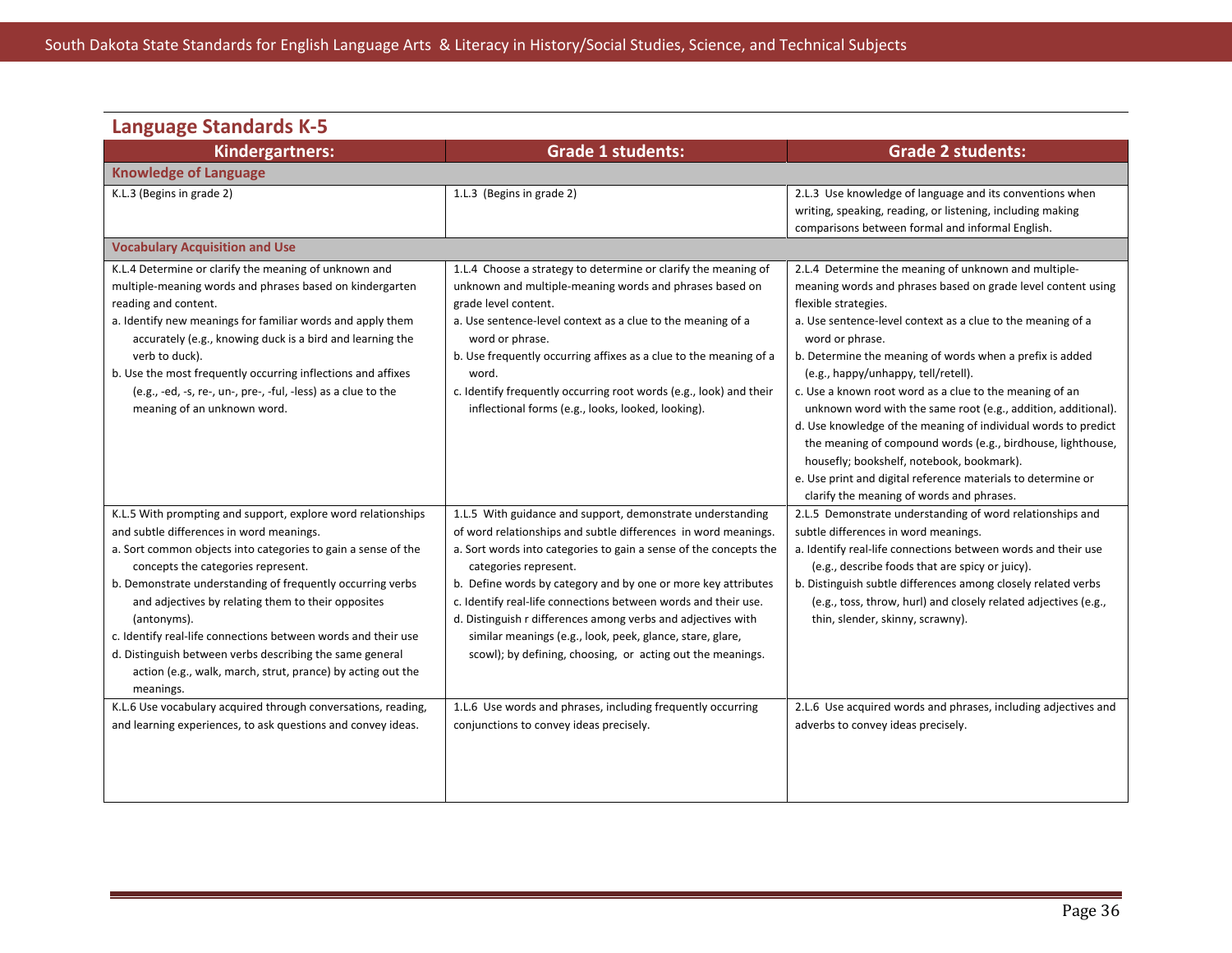| <b>Language Standards K-5</b>                                                                                                                                                                                                                                                                                                                                                                                                                                                                                                                               |                                                                                                                                                                                                                                                                                                                                                                                                                                                                                                                                                          |                                                                                                                                                                                                                                                                                                                                                                                                                                                                                                                                                                                                                                                                                                                                                          |  |  |
|-------------------------------------------------------------------------------------------------------------------------------------------------------------------------------------------------------------------------------------------------------------------------------------------------------------------------------------------------------------------------------------------------------------------------------------------------------------------------------------------------------------------------------------------------------------|----------------------------------------------------------------------------------------------------------------------------------------------------------------------------------------------------------------------------------------------------------------------------------------------------------------------------------------------------------------------------------------------------------------------------------------------------------------------------------------------------------------------------------------------------------|----------------------------------------------------------------------------------------------------------------------------------------------------------------------------------------------------------------------------------------------------------------------------------------------------------------------------------------------------------------------------------------------------------------------------------------------------------------------------------------------------------------------------------------------------------------------------------------------------------------------------------------------------------------------------------------------------------------------------------------------------------|--|--|
| Kindergartners:                                                                                                                                                                                                                                                                                                                                                                                                                                                                                                                                             | <b>Grade 1 students:</b>                                                                                                                                                                                                                                                                                                                                                                                                                                                                                                                                 | <b>Grade 2 students:</b>                                                                                                                                                                                                                                                                                                                                                                                                                                                                                                                                                                                                                                                                                                                                 |  |  |
| <b>Knowledge of Language</b>                                                                                                                                                                                                                                                                                                                                                                                                                                                                                                                                |                                                                                                                                                                                                                                                                                                                                                                                                                                                                                                                                                          |                                                                                                                                                                                                                                                                                                                                                                                                                                                                                                                                                                                                                                                                                                                                                          |  |  |
| K.L.3 (Begins in grade 2)                                                                                                                                                                                                                                                                                                                                                                                                                                                                                                                                   | 1.L.3 (Begins in grade 2)                                                                                                                                                                                                                                                                                                                                                                                                                                                                                                                                | 2.L.3 Use knowledge of language and its conventions when<br>writing, speaking, reading, or listening, including making<br>comparisons between formal and informal English.                                                                                                                                                                                                                                                                                                                                                                                                                                                                                                                                                                               |  |  |
| <b>Vocabulary Acquisition and Use</b>                                                                                                                                                                                                                                                                                                                                                                                                                                                                                                                       |                                                                                                                                                                                                                                                                                                                                                                                                                                                                                                                                                          |                                                                                                                                                                                                                                                                                                                                                                                                                                                                                                                                                                                                                                                                                                                                                          |  |  |
| K.L.4 Determine or clarify the meaning of unknown and<br>multiple-meaning words and phrases based on kindergarten<br>reading and content.<br>a. Identify new meanings for familiar words and apply them<br>accurately (e.g., knowing duck is a bird and learning the<br>verb to duck).<br>b. Use the most frequently occurring inflections and affixes<br>(e.g., -ed, -s, re-, un-, pre-, -ful, -less) as a clue to the<br>meaning of an unknown word.                                                                                                      | 1.L.4 Choose a strategy to determine or clarify the meaning of<br>unknown and multiple-meaning words and phrases based on<br>grade level content.<br>a. Use sentence-level context as a clue to the meaning of a<br>word or phrase.<br>b. Use frequently occurring affixes as a clue to the meaning of a<br>word.<br>c. Identify frequently occurring root words (e.g., look) and their<br>inflectional forms (e.g., looks, looked, looking).                                                                                                            | 2.L.4 Determine the meaning of unknown and multiple-<br>meaning words and phrases based on grade level content using<br>flexible strategies.<br>a. Use sentence-level context as a clue to the meaning of a<br>word or phrase.<br>b. Determine the meaning of words when a prefix is added<br>(e.g., happy/unhappy, tell/retell).<br>c. Use a known root word as a clue to the meaning of an<br>unknown word with the same root (e.g., addition, additional).<br>d. Use knowledge of the meaning of individual words to predict<br>the meaning of compound words (e.g., birdhouse, lighthouse,<br>housefly; bookshelf, notebook, bookmark).<br>e. Use print and digital reference materials to determine or<br>clarify the meaning of words and phrases. |  |  |
| K.L.5 With prompting and support, explore word relationships<br>and subtle differences in word meanings.<br>a. Sort common objects into categories to gain a sense of the<br>concepts the categories represent.<br>b. Demonstrate understanding of frequently occurring verbs<br>and adjectives by relating them to their opposites<br>(antonyms).<br>c. Identify real-life connections between words and their use<br>d. Distinguish between verbs describing the same general<br>action (e.g., walk, march, strut, prance) by acting out the<br>meanings. | 1.L.5 With guidance and support, demonstrate understanding<br>of word relationships and subtle differences in word meanings.<br>a. Sort words into categories to gain a sense of the concepts the<br>categories represent.<br>b. Define words by category and by one or more key attributes<br>c. Identify real-life connections between words and their use.<br>d. Distinguish r differences among verbs and adjectives with<br>similar meanings (e.g., look, peek, glance, stare, glare,<br>scowl); by defining, choosing, or acting out the meanings. | 2.L.5 Demonstrate understanding of word relationships and<br>subtle differences in word meanings.<br>a. Identify real-life connections between words and their use<br>(e.g., describe foods that are spicy or juicy).<br>b. Distinguish subtle differences among closely related verbs<br>(e.g., toss, throw, hurl) and closely related adjectives (e.g.,<br>thin, slender, skinny, scrawny).                                                                                                                                                                                                                                                                                                                                                            |  |  |
| K.L.6 Use vocabulary acquired through conversations, reading,<br>and learning experiences, to ask questions and convey ideas.                                                                                                                                                                                                                                                                                                                                                                                                                               | 1.L.6 Use words and phrases, including frequently occurring<br>conjunctions to convey ideas precisely.                                                                                                                                                                                                                                                                                                                                                                                                                                                   | 2.L.6 Use acquired words and phrases, including adjectives and<br>adverbs to convey ideas precisely.                                                                                                                                                                                                                                                                                                                                                                                                                                                                                                                                                                                                                                                     |  |  |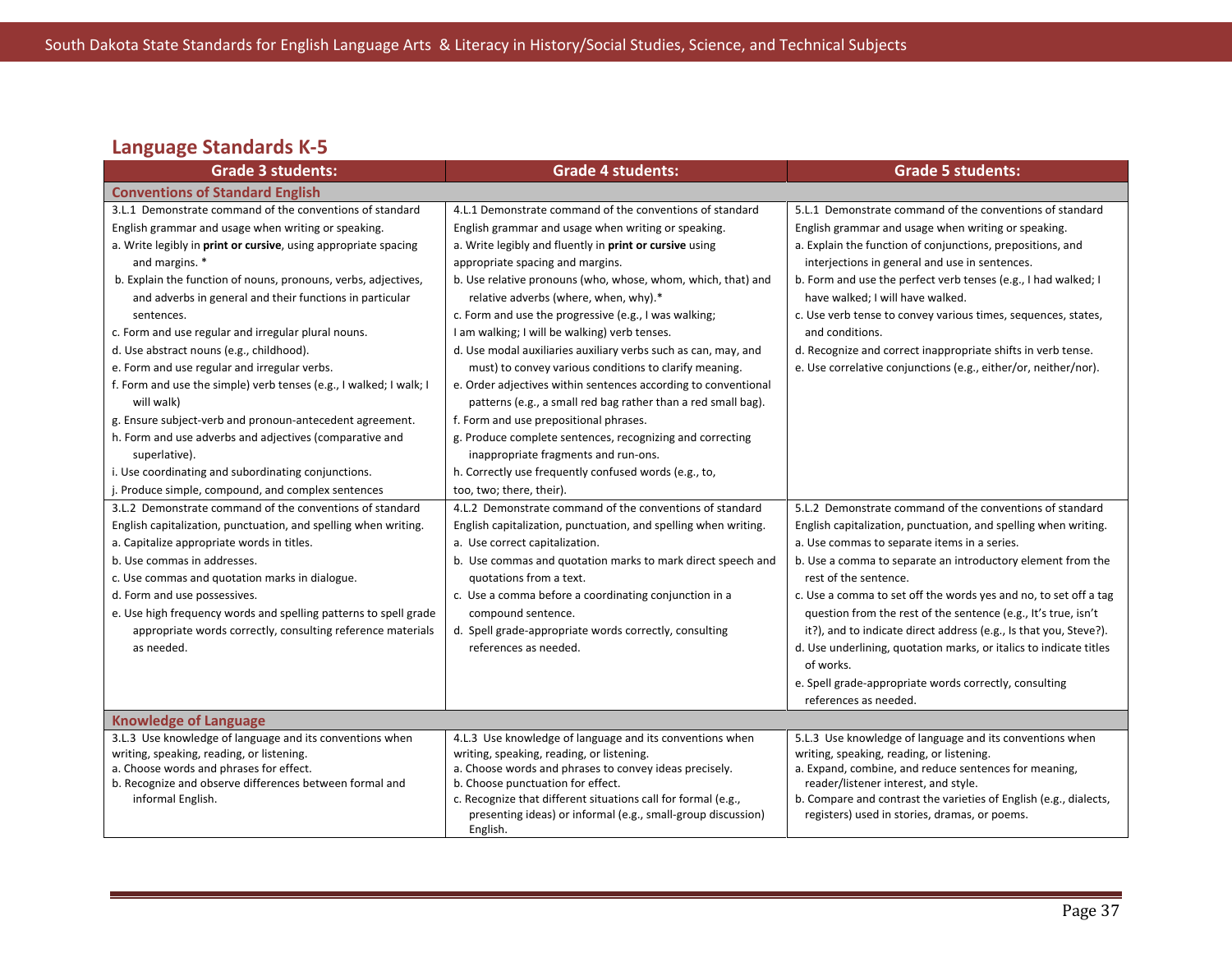# **Language Standards K-5**

| <b>Grade 3 students:</b>                                                                                                                                                                                                                                                                                                                                                                                                                                                                                                                                                                                                                                                                                                        | <b>Grade 4 students:</b>                                                                                                                                                                                                                                                                                                                                                                                                                                                                                                                                                                                                                                                                                                                                                                                                                        | <b>Grade 5 students:</b>                                                                                                                                                                                                                                                                                                                                                                                                                                                                                                                                                                                                                             |
|---------------------------------------------------------------------------------------------------------------------------------------------------------------------------------------------------------------------------------------------------------------------------------------------------------------------------------------------------------------------------------------------------------------------------------------------------------------------------------------------------------------------------------------------------------------------------------------------------------------------------------------------------------------------------------------------------------------------------------|-------------------------------------------------------------------------------------------------------------------------------------------------------------------------------------------------------------------------------------------------------------------------------------------------------------------------------------------------------------------------------------------------------------------------------------------------------------------------------------------------------------------------------------------------------------------------------------------------------------------------------------------------------------------------------------------------------------------------------------------------------------------------------------------------------------------------------------------------|------------------------------------------------------------------------------------------------------------------------------------------------------------------------------------------------------------------------------------------------------------------------------------------------------------------------------------------------------------------------------------------------------------------------------------------------------------------------------------------------------------------------------------------------------------------------------------------------------------------------------------------------------|
| <b>Conventions of Standard English</b>                                                                                                                                                                                                                                                                                                                                                                                                                                                                                                                                                                                                                                                                                          |                                                                                                                                                                                                                                                                                                                                                                                                                                                                                                                                                                                                                                                                                                                                                                                                                                                 |                                                                                                                                                                                                                                                                                                                                                                                                                                                                                                                                                                                                                                                      |
| 3.L.1 Demonstrate command of the conventions of standard<br>English grammar and usage when writing or speaking.<br>a. Write legibly in print or cursive, using appropriate spacing<br>and margins. *<br>b. Explain the function of nouns, pronouns, verbs, adjectives,<br>and adverbs in general and their functions in particular<br>sentences.<br>c. Form and use regular and irregular plural nouns.<br>d. Use abstract nouns (e.g., childhood).<br>e. Form and use regular and irregular verbs.<br>f. Form and use the simple) verb tenses (e.g., I walked; I walk; I<br>will walk)<br>g. Ensure subject-verb and pronoun-antecedent agreement.<br>h. Form and use adverbs and adjectives (comparative and<br>superlative). | 4.L.1 Demonstrate command of the conventions of standard<br>English grammar and usage when writing or speaking.<br>a. Write legibly and fluently in print or cursive using<br>appropriate spacing and margins.<br>b. Use relative pronouns (who, whose, whom, which, that) and<br>relative adverbs (where, when, why).*<br>c. Form and use the progressive (e.g., I was walking;<br>I am walking; I will be walking) verb tenses.<br>d. Use modal auxiliaries auxiliary verbs such as can, may, and<br>must) to convey various conditions to clarify meaning.<br>e. Order adjectives within sentences according to conventional<br>patterns (e.g., a small red bag rather than a red small bag).<br>f. Form and use prepositional phrases.<br>g. Produce complete sentences, recognizing and correcting<br>inappropriate fragments and run-ons. | 5.L.1 Demonstrate command of the conventions of standard<br>English grammar and usage when writing or speaking.<br>a. Explain the function of conjunctions, prepositions, and<br>interjections in general and use in sentences.<br>b. Form and use the perfect verb tenses (e.g., I had walked; I<br>have walked; I will have walked.<br>c. Use verb tense to convey various times, sequences, states,<br>and conditions.<br>d. Recognize and correct inappropriate shifts in verb tense.<br>e. Use correlative conjunctions (e.g., either/or, neither/nor).                                                                                         |
| i. Use coordinating and subordinating conjunctions.<br>j. Produce simple, compound, and complex sentences                                                                                                                                                                                                                                                                                                                                                                                                                                                                                                                                                                                                                       | h. Correctly use frequently confused words (e.g., to,<br>too, two; there, their).                                                                                                                                                                                                                                                                                                                                                                                                                                                                                                                                                                                                                                                                                                                                                               |                                                                                                                                                                                                                                                                                                                                                                                                                                                                                                                                                                                                                                                      |
| 3.L.2 Demonstrate command of the conventions of standard<br>English capitalization, punctuation, and spelling when writing.<br>a. Capitalize appropriate words in titles.<br>b. Use commas in addresses.<br>c. Use commas and quotation marks in dialogue.<br>d. Form and use possessives.<br>e. Use high frequency words and spelling patterns to spell grade<br>appropriate words correctly, consulting reference materials<br>as needed.                                                                                                                                                                                                                                                                                     | 4.L.2 Demonstrate command of the conventions of standard<br>English capitalization, punctuation, and spelling when writing.<br>a. Use correct capitalization.<br>b. Use commas and quotation marks to mark direct speech and<br>quotations from a text.<br>c. Use a comma before a coordinating conjunction in a<br>compound sentence.<br>d. Spell grade-appropriate words correctly, consulting<br>references as needed.                                                                                                                                                                                                                                                                                                                                                                                                                       | 5.L.2 Demonstrate command of the conventions of standard<br>English capitalization, punctuation, and spelling when writing.<br>a. Use commas to separate items in a series.<br>b. Use a comma to separate an introductory element from the<br>rest of the sentence.<br>c. Use a comma to set off the words yes and no, to set off a tag<br>question from the rest of the sentence (e.g., It's true, isn't<br>it?), and to indicate direct address (e.g., Is that you, Steve?).<br>d. Use underlining, quotation marks, or italics to indicate titles<br>of works.<br>e. Spell grade-appropriate words correctly, consulting<br>references as needed. |
| <b>Knowledge of Language</b>                                                                                                                                                                                                                                                                                                                                                                                                                                                                                                                                                                                                                                                                                                    |                                                                                                                                                                                                                                                                                                                                                                                                                                                                                                                                                                                                                                                                                                                                                                                                                                                 |                                                                                                                                                                                                                                                                                                                                                                                                                                                                                                                                                                                                                                                      |
| 3.L.3 Use knowledge of language and its conventions when<br>writing, speaking, reading, or listening.<br>a. Choose words and phrases for effect.<br>b. Recognize and observe differences between formal and<br>informal English.                                                                                                                                                                                                                                                                                                                                                                                                                                                                                                | 4.L.3 Use knowledge of language and its conventions when<br>writing, speaking, reading, or listening.<br>a. Choose words and phrases to convey ideas precisely.<br>b. Choose punctuation for effect.<br>c. Recognize that different situations call for formal (e.g.,<br>presenting ideas) or informal (e.g., small-group discussion)<br>English.                                                                                                                                                                                                                                                                                                                                                                                                                                                                                               | 5.L.3 Use knowledge of language and its conventions when<br>writing, speaking, reading, or listening.<br>a. Expand, combine, and reduce sentences for meaning,<br>reader/listener interest, and style.<br>b. Compare and contrast the varieties of English (e.g., dialects,<br>registers) used in stories, dramas, or poems.                                                                                                                                                                                                                                                                                                                         |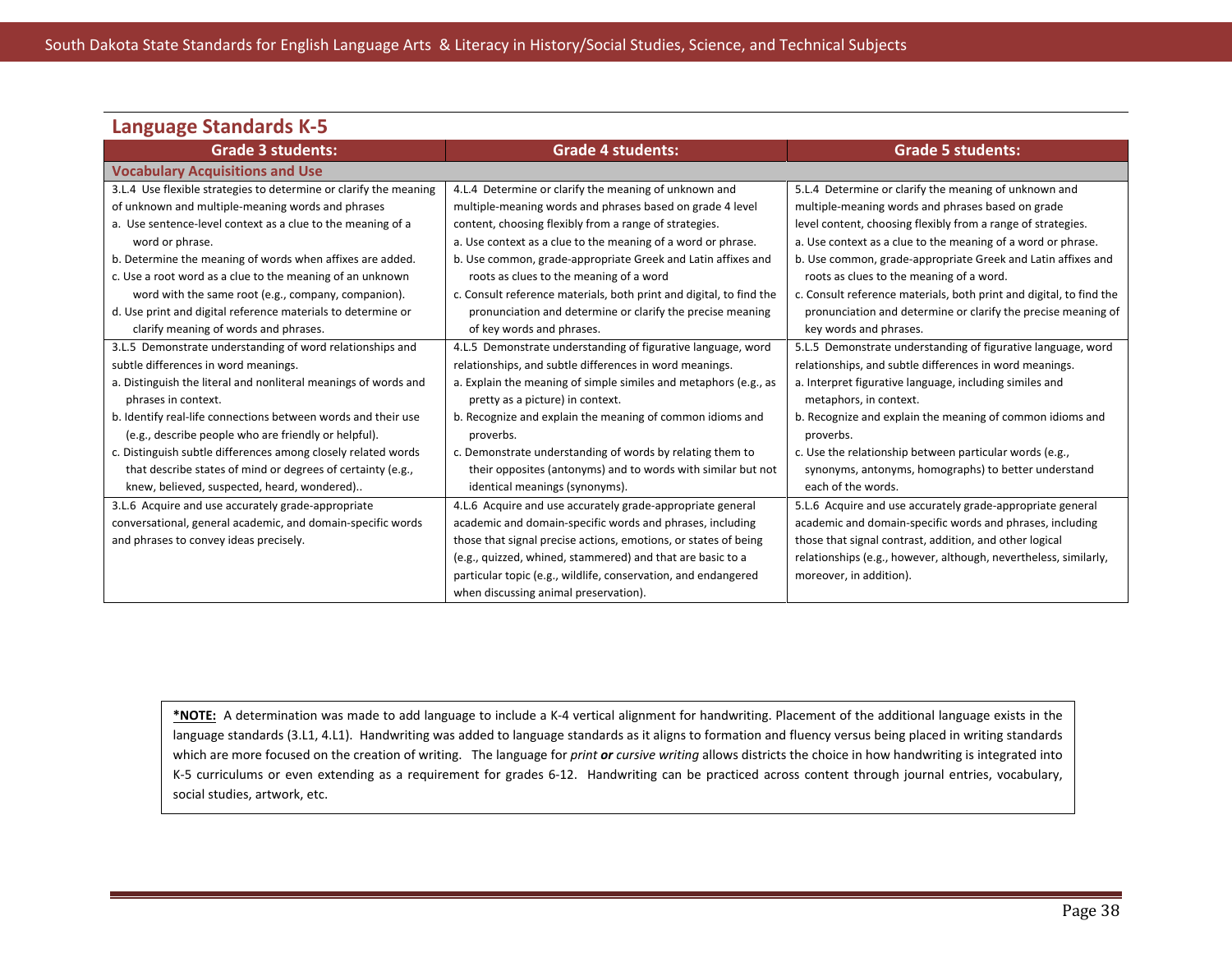| <b>Language Standards K-5</b>                                     |                                                                     |                                                                     |
|-------------------------------------------------------------------|---------------------------------------------------------------------|---------------------------------------------------------------------|
| <b>Grade 3 students:</b>                                          | <b>Grade 4 students:</b>                                            | <b>Grade 5 students:</b>                                            |
| <b>Vocabulary Acquisitions and Use</b>                            |                                                                     |                                                                     |
| 3.L.4 Use flexible strategies to determine or clarify the meaning | 4.L.4 Determine or clarify the meaning of unknown and               | 5.L.4 Determine or clarify the meaning of unknown and               |
| of unknown and multiple-meaning words and phrases                 | multiple-meaning words and phrases based on grade 4 level           | multiple-meaning words and phrases based on grade                   |
| a. Use sentence-level context as a clue to the meaning of a       | content, choosing flexibly from a range of strategies.              | level content, choosing flexibly from a range of strategies.        |
| word or phrase.                                                   | a. Use context as a clue to the meaning of a word or phrase.        | a. Use context as a clue to the meaning of a word or phrase.        |
| b. Determine the meaning of words when affixes are added.         | b. Use common, grade-appropriate Greek and Latin affixes and        | b. Use common, grade-appropriate Greek and Latin affixes and        |
| c. Use a root word as a clue to the meaning of an unknown         | roots as clues to the meaning of a word                             | roots as clues to the meaning of a word.                            |
| word with the same root (e.g., company, companion).               | c. Consult reference materials, both print and digital, to find the | c. Consult reference materials, both print and digital, to find the |
| d. Use print and digital reference materials to determine or      | pronunciation and determine or clarify the precise meaning          | pronunciation and determine or clarify the precise meaning of       |
| clarify meaning of words and phrases.                             | of key words and phrases.                                           | key words and phrases.                                              |
| 3.L.5 Demonstrate understanding of word relationships and         | 4.L.5 Demonstrate understanding of figurative language, word        | 5.L.5 Demonstrate understanding of figurative language, word        |
| subtle differences in word meanings.                              | relationships, and subtle differences in word meanings.             | relationships, and subtle differences in word meanings.             |
| a. Distinguish the literal and nonliteral meanings of words and   | a. Explain the meaning of simple similes and metaphors (e.g., as    | a. Interpret figurative language, including similes and             |
| phrases in context.                                               | pretty as a picture) in context.                                    | metaphors, in context.                                              |
| b. Identify real-life connections between words and their use     | b. Recognize and explain the meaning of common idioms and           | b. Recognize and explain the meaning of common idioms and           |
| (e.g., describe people who are friendly or helpful).              | proverbs.                                                           | proverbs.                                                           |
| c. Distinguish subtle differences among closely related words     | c. Demonstrate understanding of words by relating them to           | c. Use the relationship between particular words (e.g.,             |
| that describe states of mind or degrees of certainty (e.g.,       | their opposites (antonyms) and to words with similar but not        | synonyms, antonyms, homographs) to better understand                |
| knew, believed, suspected, heard, wondered)                       | identical meanings (synonyms).                                      | each of the words.                                                  |
| 3.L.6 Acquire and use accurately grade-appropriate                | 4.L.6 Acquire and use accurately grade-appropriate general          | 5.L.6 Acquire and use accurately grade-appropriate general          |
| conversational, general academic, and domain-specific words       | academic and domain-specific words and phrases, including           | academic and domain-specific words and phrases, including           |
| and phrases to convey ideas precisely.                            | those that signal precise actions, emotions, or states of being     | those that signal contrast, addition, and other logical             |
|                                                                   | (e.g., quizzed, whined, stammered) and that are basic to a          | relationships (e.g., however, although, nevertheless, similarly,    |
|                                                                   | particular topic (e.g., wildlife, conservation, and endangered      | moreover, in addition).                                             |
|                                                                   | when discussing animal preservation).                               |                                                                     |

**\*NOTE:** A determination was made to add language to include a K-4 vertical alignment for handwriting. Placement of the additional language exists in the language standards (3.L1, 4.L1). Handwriting was added to language standards as it aligns to formation and fluency versus being placed in writing standards which are more focused on the creation of writing. The language for *print or cursive writing* allows districts the choice in how handwriting is integrated into K-5 curriculums or even extending as a requirement for grades 6-12. Handwriting can be practiced across content through journal entries, vocabulary, social studies, artwork, etc.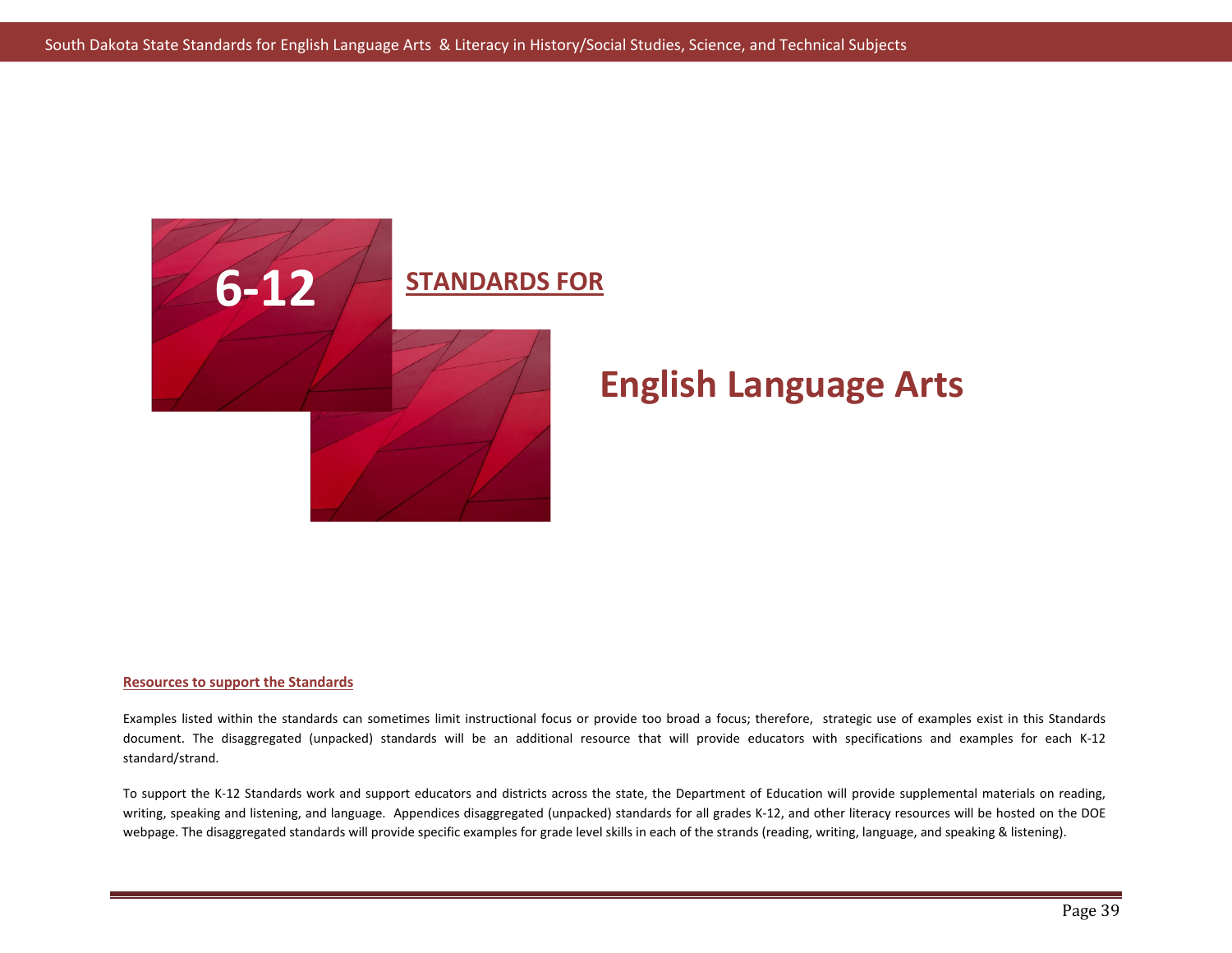

# **English Language Arts**

#### **Resources to support the Standards**

Examples listed within the standards can sometimes limit instructional focus or provide too broad a focus; therefore, strategic use of examples exist in this Standards document. The disaggregated (unpacked) standards will be an additional resource that will provide educators with specifications and examples for each K-12 standard/strand.

To support the K-12 Standards work and support educators and districts across the state, the Department of Education will provide supplemental materials on reading, writing, speaking and listening, and language. Appendices disaggregated (unpacked) standards for all grades K-12, and other literacy resources will be hosted on the DOE webpage. The disaggregated standards will provide specific examples for grade level skills in each of the strands (reading, writing, language, and speaking & listening).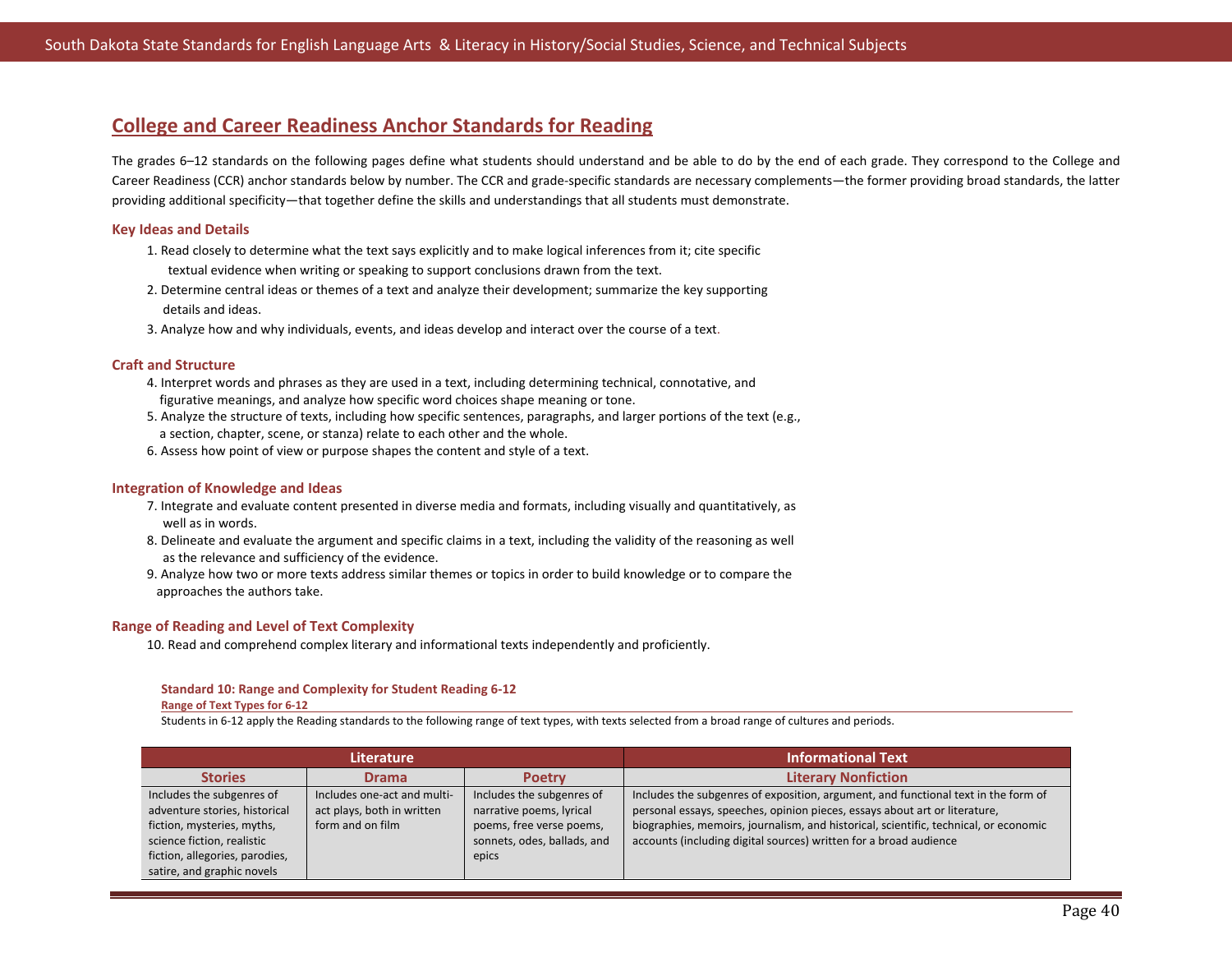## **College and Career Readiness Anchor Standards for Reading**

The grades 6–12 standards on the following pages define what students should understand and be able to do by the end of each grade. They correspond to the College and Career Readiness (CCR) anchor standards below by number. The CCR and grade-specific standards are necessary complements—the former providing broad standards, the latter providing additional specificity—that together define the skills and understandings that all students must demonstrate.

#### **Key Ideas and Details**

- 1. Read closely to determine what the text says explicitly and to make logical inferences from it; cite specific textual evidence when writing or speaking to support conclusions drawn from the text.
- 2. Determine central ideas or themes of a text and analyze their development; summarize the key supporting details and ideas.
- 3. Analyze how and why individuals, events, and ideas develop and interact over the course of a text.

#### **Craft and Structure**

- 4. Interpret words and phrases as they are used in a text, including determining technical, connotative, and figurative meanings, and analyze how specific word choices shape meaning or tone.
- 5. Analyze the structure of texts, including how specific sentences, paragraphs, and larger portions of the text (e.g., a section, chapter, scene, or stanza) relate to each other and the whole.
- 6. Assess how point of view or purpose shapes the content and style of a text.

#### **Integration of Knowledge and Ideas**

- 7. Integrate and evaluate content presented in diverse media and formats, including visually and quantitatively, as well as in words.
- 8. Delineate and evaluate the argument and specific claims in a text, including the validity of the reasoning as well as the relevance and sufficiency of the evidence.
- 9. Analyze how two or more texts address similar themes or topics in order to build knowledge or to compare the approaches the authors take.

## **Range of Reading and Level of Text Complexity**

10. Read and comprehend complex literary and informational texts independently and proficiently.

#### **Standard 10: Range and Complexity for Student Reading 6-12**

**Range of Text Types for 6-12**

Students in 6-12 apply the Reading standards to the following range of text types, with texts selected from a broad range of cultures and periods.

| <b>Literature</b>                                                                                                                                                                      |                                                                               |                                                                                                                           | Informational Text                                                                                                                                                                                                                                                                                                            |
|----------------------------------------------------------------------------------------------------------------------------------------------------------------------------------------|-------------------------------------------------------------------------------|---------------------------------------------------------------------------------------------------------------------------|-------------------------------------------------------------------------------------------------------------------------------------------------------------------------------------------------------------------------------------------------------------------------------------------------------------------------------|
| <b>Stories</b>                                                                                                                                                                         | <b>Drama</b>                                                                  | <b>Poetry</b>                                                                                                             | <b>Literary Nonfiction</b>                                                                                                                                                                                                                                                                                                    |
| Includes the subgenres of<br>adventure stories, historical<br>fiction, mysteries, myths,<br>science fiction, realistic<br>fiction, allegories, parodies,<br>satire, and graphic novels | Includes one-act and multi-<br>act plays, both in written<br>form and on film | Includes the subgenres of<br>narrative poems, lyrical<br>poems, free verse poems,<br>sonnets, odes, ballads, and<br>epics | Includes the subgenres of exposition, argument, and functional text in the form of<br>personal essays, speeches, opinion pieces, essays about art or literature,<br>biographies, memoirs, journalism, and historical, scientific, technical, or economic<br>accounts (including digital sources) written for a broad audience |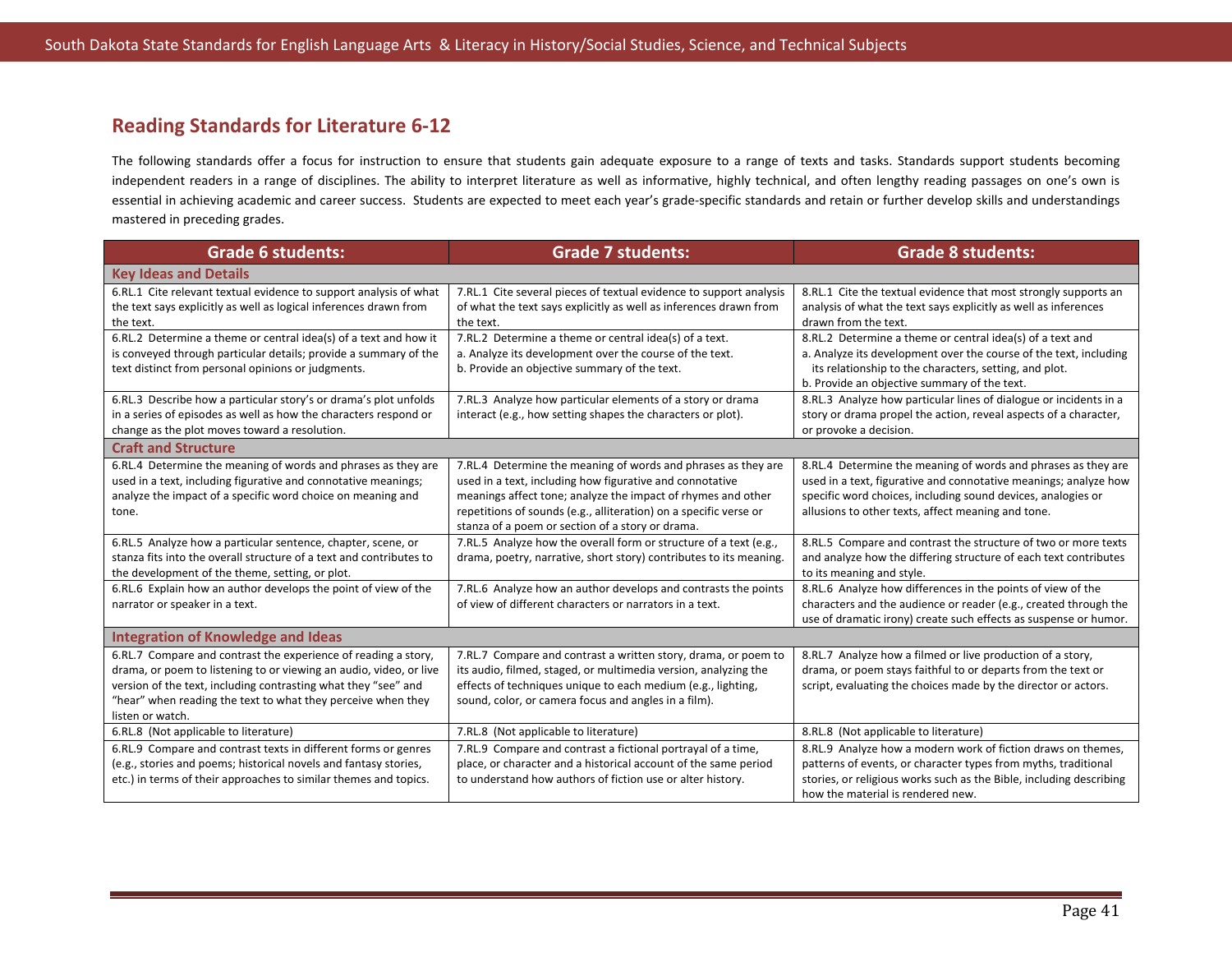The following standards offer a focus for instruction to ensure that students gain adequate exposure to a range of texts and tasks. Standards support students becoming independent readers in a range of disciplines. The ability to interpret literature as well as informative, highly technical, and often lengthy reading passages on one's own is essential in achieving academic and career success. Students are expected to meet each year's grade-specific standards and retain or further develop skills and understandings mastered in preceding grades.

| <b>Grade 6 students:</b>                                                                                                                                                                                                                                                                   | <b>Grade 7 students:</b>                                                                                                                                                                                                                                                                                           | <b>Grade 8 students:</b>                                                                                                                                                                                                                                |
|--------------------------------------------------------------------------------------------------------------------------------------------------------------------------------------------------------------------------------------------------------------------------------------------|--------------------------------------------------------------------------------------------------------------------------------------------------------------------------------------------------------------------------------------------------------------------------------------------------------------------|---------------------------------------------------------------------------------------------------------------------------------------------------------------------------------------------------------------------------------------------------------|
| <b>Key Ideas and Details</b>                                                                                                                                                                                                                                                               |                                                                                                                                                                                                                                                                                                                    |                                                                                                                                                                                                                                                         |
| 6.RL.1 Cite relevant textual evidence to support analysis of what<br>the text says explicitly as well as logical inferences drawn from<br>the text.                                                                                                                                        | 7.RL.1 Cite several pieces of textual evidence to support analysis<br>of what the text says explicitly as well as inferences drawn from<br>the text.                                                                                                                                                               | 8.RL.1 Cite the textual evidence that most strongly supports an<br>analysis of what the text says explicitly as well as inferences<br>drawn from the text.                                                                                              |
| 6.RL.2 Determine a theme or central idea(s) of a text and how it<br>is conveyed through particular details; provide a summary of the<br>text distinct from personal opinions or judgments.                                                                                                 | 7.RL.2 Determine a theme or central idea(s) of a text.<br>a. Analyze its development over the course of the text.<br>b. Provide an objective summary of the text.                                                                                                                                                  | 8.RL.2 Determine a theme or central idea(s) of a text and<br>a. Analyze its development over the course of the text, including<br>its relationship to the characters, setting, and plot.<br>b. Provide an objective summary of the text.                |
| 6.RL.3 Describe how a particular story's or drama's plot unfolds<br>in a series of episodes as well as how the characters respond or<br>change as the plot moves toward a resolution.                                                                                                      | 7.RL.3 Analyze how particular elements of a story or drama<br>interact (e.g., how setting shapes the characters or plot).                                                                                                                                                                                          | 8.RL.3 Analyze how particular lines of dialogue or incidents in a<br>story or drama propel the action, reveal aspects of a character,<br>or provoke a decision.                                                                                         |
| <b>Craft and Structure</b>                                                                                                                                                                                                                                                                 |                                                                                                                                                                                                                                                                                                                    |                                                                                                                                                                                                                                                         |
| 6.RL.4 Determine the meaning of words and phrases as they are<br>used in a text, including figurative and connotative meanings;<br>analyze the impact of a specific word choice on meaning and<br>tone.                                                                                    | 7.RL.4 Determine the meaning of words and phrases as they are<br>used in a text, including how figurative and connotative<br>meanings affect tone; analyze the impact of rhymes and other<br>repetitions of sounds (e.g., alliteration) on a specific verse or<br>stanza of a poem or section of a story or drama. | 8.RL.4 Determine the meaning of words and phrases as they are<br>used in a text, figurative and connotative meanings; analyze how<br>specific word choices, including sound devices, analogies or<br>allusions to other texts, affect meaning and tone. |
| 6.RL.5 Analyze how a particular sentence, chapter, scene, or<br>stanza fits into the overall structure of a text and contributes to<br>the development of the theme, setting, or plot.                                                                                                     | 7.RL.5 Analyze how the overall form or structure of a text (e.g.,<br>drama, poetry, narrative, short story) contributes to its meaning.                                                                                                                                                                            | 8.RL.5 Compare and contrast the structure of two or more texts<br>and analyze how the differing structure of each text contributes<br>to its meaning and style.                                                                                         |
| 6.RL.6 Explain how an author develops the point of view of the<br>narrator or speaker in a text.                                                                                                                                                                                           | 7.RL.6 Analyze how an author develops and contrasts the points<br>of view of different characters or narrators in a text.                                                                                                                                                                                          | 8.RL.6 Analyze how differences in the points of view of the<br>characters and the audience or reader (e.g., created through the<br>use of dramatic irony) create such effects as suspense or humor.                                                     |
| Integration of Knowledge and Ideas                                                                                                                                                                                                                                                         |                                                                                                                                                                                                                                                                                                                    |                                                                                                                                                                                                                                                         |
| 6.RL.7 Compare and contrast the experience of reading a story,<br>drama, or poem to listening to or viewing an audio, video, or live<br>version of the text, including contrasting what they "see" and<br>"hear" when reading the text to what they perceive when they<br>listen or watch. | 7.RL.7 Compare and contrast a written story, drama, or poem to<br>its audio, filmed, staged, or multimedia version, analyzing the<br>effects of techniques unique to each medium (e.g., lighting,<br>sound, color, or camera focus and angles in a film).                                                          | 8.RL.7 Analyze how a filmed or live production of a story,<br>drama, or poem stays faithful to or departs from the text or<br>script, evaluating the choices made by the director or actors.                                                            |
| 6.RL.8 (Not applicable to literature)                                                                                                                                                                                                                                                      | 7.RL.8 (Not applicable to literature)                                                                                                                                                                                                                                                                              | 8.RL.8 (Not applicable to literature)                                                                                                                                                                                                                   |
| 6.RL.9 Compare and contrast texts in different forms or genres<br>(e.g., stories and poems; historical novels and fantasy stories,<br>etc.) in terms of their approaches to similar themes and topics.                                                                                     | 7.RL.9 Compare and contrast a fictional portrayal of a time,<br>place, or character and a historical account of the same period<br>to understand how authors of fiction use or alter history.                                                                                                                      | 8.RL.9 Analyze how a modern work of fiction draws on themes,<br>patterns of events, or character types from myths, traditional<br>stories, or religious works such as the Bible, including describing<br>how the material is rendered new.              |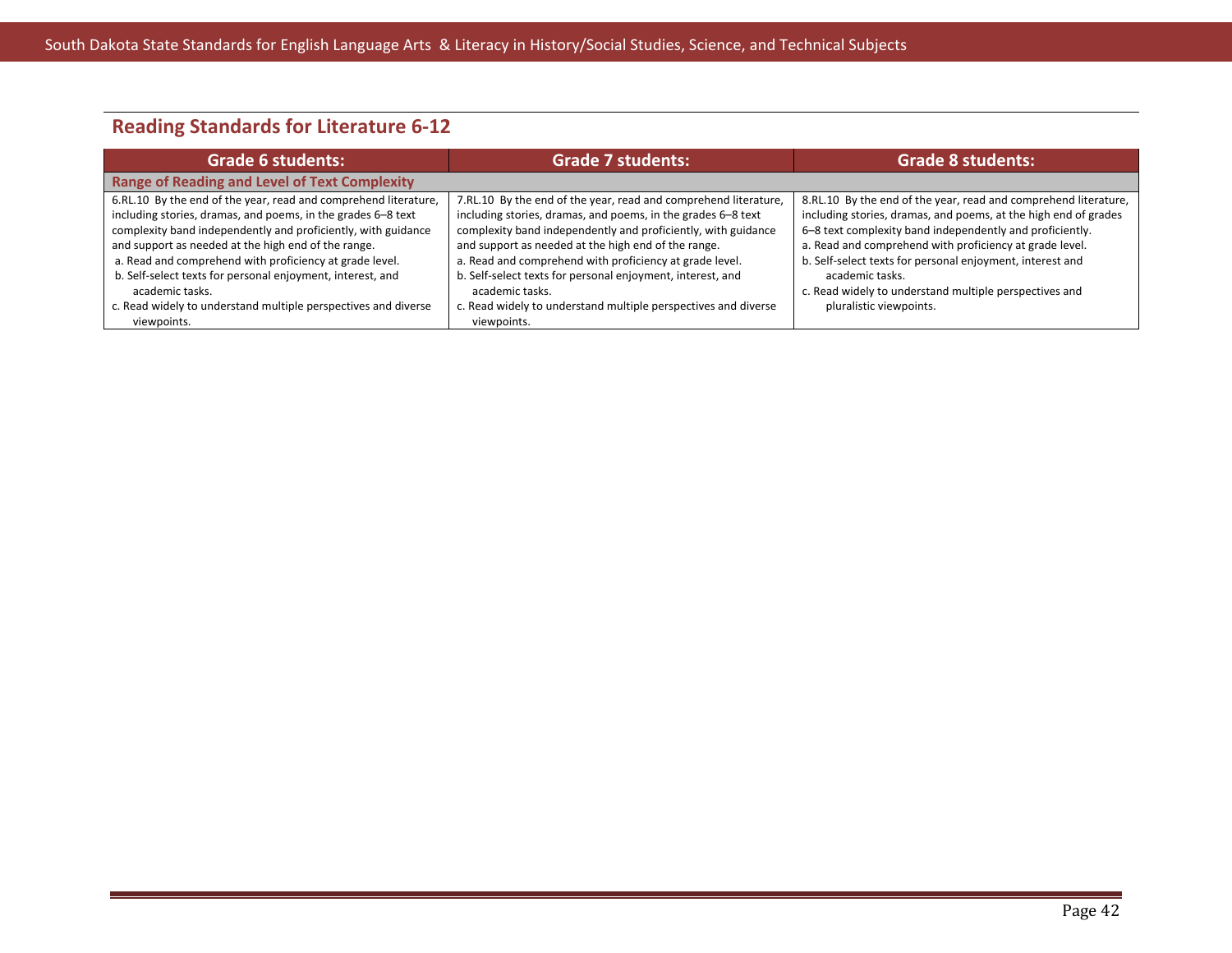| <b>Grade 6 students:</b>                                        | <b>Grade 7 students:</b>                                        | <b>Grade 8 students:</b>                                        |
|-----------------------------------------------------------------|-----------------------------------------------------------------|-----------------------------------------------------------------|
| <b>Range of Reading and Level of Text Complexity</b>            |                                                                 |                                                                 |
| 6.RL.10 By the end of the year, read and comprehend literature, | 7.RL.10 By the end of the year, read and comprehend literature, | 8.RL.10 By the end of the year, read and comprehend literature, |
| including stories, dramas, and poems, in the grades 6-8 text    | including stories, dramas, and poems, in the grades 6-8 text    | including stories, dramas, and poems, at the high end of grades |
| complexity band independently and proficiently, with guidance   | complexity band independently and proficiently, with guidance   | 6-8 text complexity band independently and proficiently.        |
| and support as needed at the high end of the range.             | and support as needed at the high end of the range.             | a. Read and comprehend with proficiency at grade level.         |
| a. Read and comprehend with proficiency at grade level.         | a. Read and comprehend with proficiency at grade level.         | b. Self-select texts for personal enjoyment, interest and       |
| b. Self-select texts for personal enjoyment, interest, and      | b. Self-select texts for personal enjoyment, interest, and      | academic tasks.                                                 |
| academic tasks.                                                 | academic tasks.                                                 | c. Read widely to understand multiple perspectives and          |
| c. Read widely to understand multiple perspectives and diverse  | c. Read widely to understand multiple perspectives and diverse  | pluralistic viewpoints.                                         |
| viewpoints.                                                     | viewpoints.                                                     |                                                                 |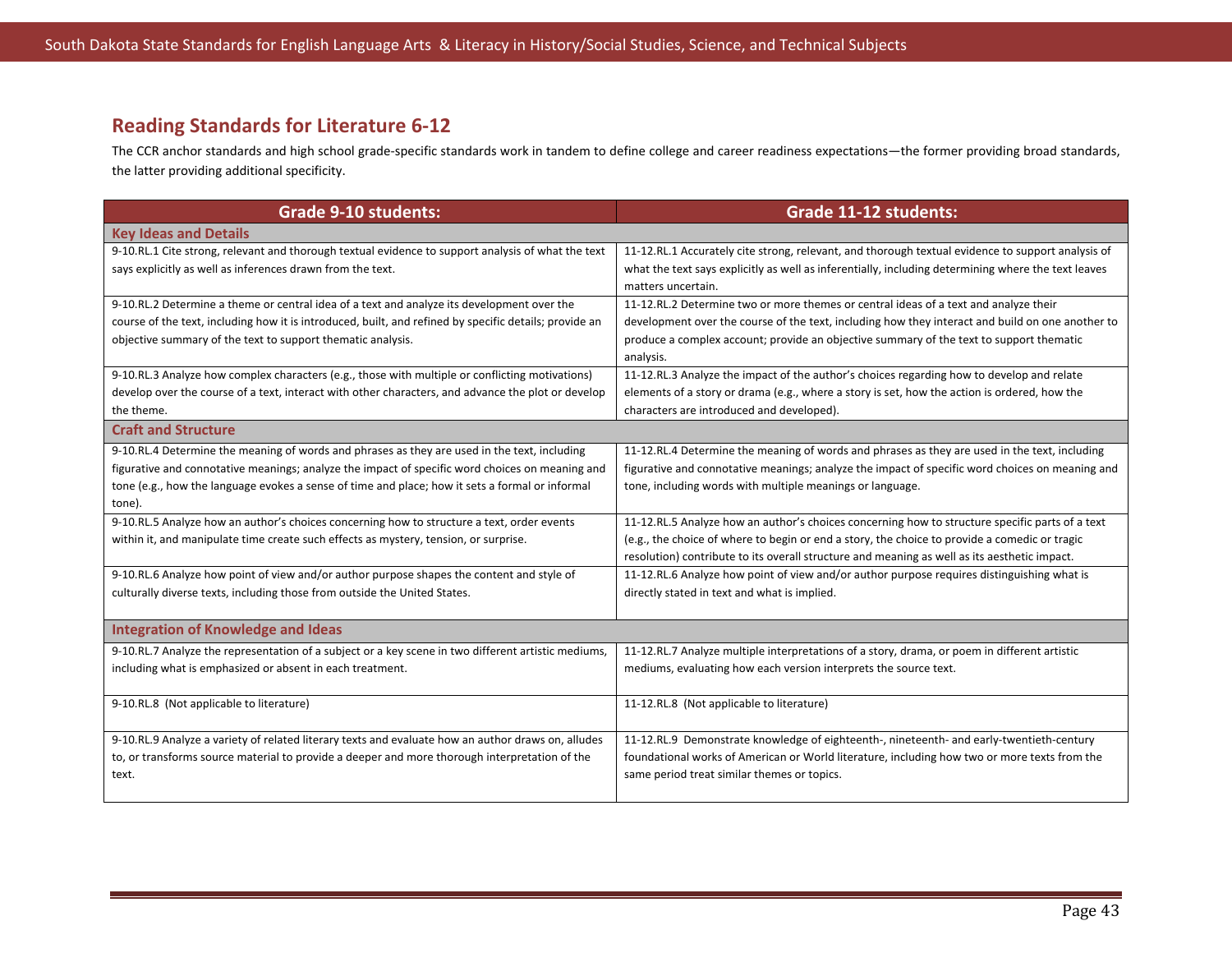The CCR anchor standards and high school grade-specific standards work in tandem to define college and career readiness expectations—the former providing broad standards, the latter providing additional specificity.

| <b>Grade 9-10 students:</b>                                                                                                                                                                                                                                                                                  | <b>Grade 11-12 students:</b>                                                                                                                                                                                                                                                                     |
|--------------------------------------------------------------------------------------------------------------------------------------------------------------------------------------------------------------------------------------------------------------------------------------------------------------|--------------------------------------------------------------------------------------------------------------------------------------------------------------------------------------------------------------------------------------------------------------------------------------------------|
| <b>Key Ideas and Details</b>                                                                                                                                                                                                                                                                                 |                                                                                                                                                                                                                                                                                                  |
| 9-10.RL.1 Cite strong, relevant and thorough textual evidence to support analysis of what the text<br>says explicitly as well as inferences drawn from the text.                                                                                                                                             | 11-12.RL.1 Accurately cite strong, relevant, and thorough textual evidence to support analysis of<br>what the text says explicitly as well as inferentially, including determining where the text leaves<br>matters uncertain.                                                                   |
| 9-10.RL.2 Determine a theme or central idea of a text and analyze its development over the<br>course of the text, including how it is introduced, built, and refined by specific details; provide an<br>objective summary of the text to support thematic analysis.                                          | 11-12.RL.2 Determine two or more themes or central ideas of a text and analyze their<br>development over the course of the text, including how they interact and build on one another to<br>produce a complex account; provide an objective summary of the text to support thematic<br>analysis. |
| 9-10.RL.3 Analyze how complex characters (e.g., those with multiple or conflicting motivations)<br>develop over the course of a text, interact with other characters, and advance the plot or develop<br>the theme.                                                                                          | 11-12.RL.3 Analyze the impact of the author's choices regarding how to develop and relate<br>elements of a story or drama (e.g., where a story is set, how the action is ordered, how the<br>characters are introduced and developed).                                                           |
| <b>Craft and Structure</b>                                                                                                                                                                                                                                                                                   |                                                                                                                                                                                                                                                                                                  |
| 9-10.RL.4 Determine the meaning of words and phrases as they are used in the text, including<br>figurative and connotative meanings; analyze the impact of specific word choices on meaning and<br>tone (e.g., how the language evokes a sense of time and place; how it sets a formal or informal<br>tone). | 11-12.RL.4 Determine the meaning of words and phrases as they are used in the text, including<br>figurative and connotative meanings; analyze the impact of specific word choices on meaning and<br>tone, including words with multiple meanings or language.                                    |
| 9-10.RL.5 Analyze how an author's choices concerning how to structure a text, order events<br>within it, and manipulate time create such effects as mystery, tension, or surprise.                                                                                                                           | 11-12.RL.5 Analyze how an author's choices concerning how to structure specific parts of a text<br>(e.g., the choice of where to begin or end a story, the choice to provide a comedic or tragic<br>resolution) contribute to its overall structure and meaning as well as its aesthetic impact. |
| 9-10.RL.6 Analyze how point of view and/or author purpose shapes the content and style of<br>culturally diverse texts, including those from outside the United States.                                                                                                                                       | 11-12.RL.6 Analyze how point of view and/or author purpose requires distinguishing what is<br>directly stated in text and what is implied.                                                                                                                                                       |
| <b>Integration of Knowledge and Ideas</b>                                                                                                                                                                                                                                                                    |                                                                                                                                                                                                                                                                                                  |
| 9-10.RL.7 Analyze the representation of a subject or a key scene in two different artistic mediums,<br>including what is emphasized or absent in each treatment.                                                                                                                                             | 11-12.RL.7 Analyze multiple interpretations of a story, drama, or poem in different artistic<br>mediums, evaluating how each version interprets the source text.                                                                                                                                 |
| 9-10.RL.8 (Not applicable to literature)                                                                                                                                                                                                                                                                     | 11-12.RL.8 (Not applicable to literature)                                                                                                                                                                                                                                                        |
| 9-10.RL.9 Analyze a variety of related literary texts and evaluate how an author draws on, alludes<br>to, or transforms source material to provide a deeper and more thorough interpretation of the<br>text.                                                                                                 | 11-12.RL.9 Demonstrate knowledge of eighteenth-, nineteenth- and early-twentieth-century<br>foundational works of American or World literature, including how two or more texts from the<br>same period treat similar themes or topics.                                                          |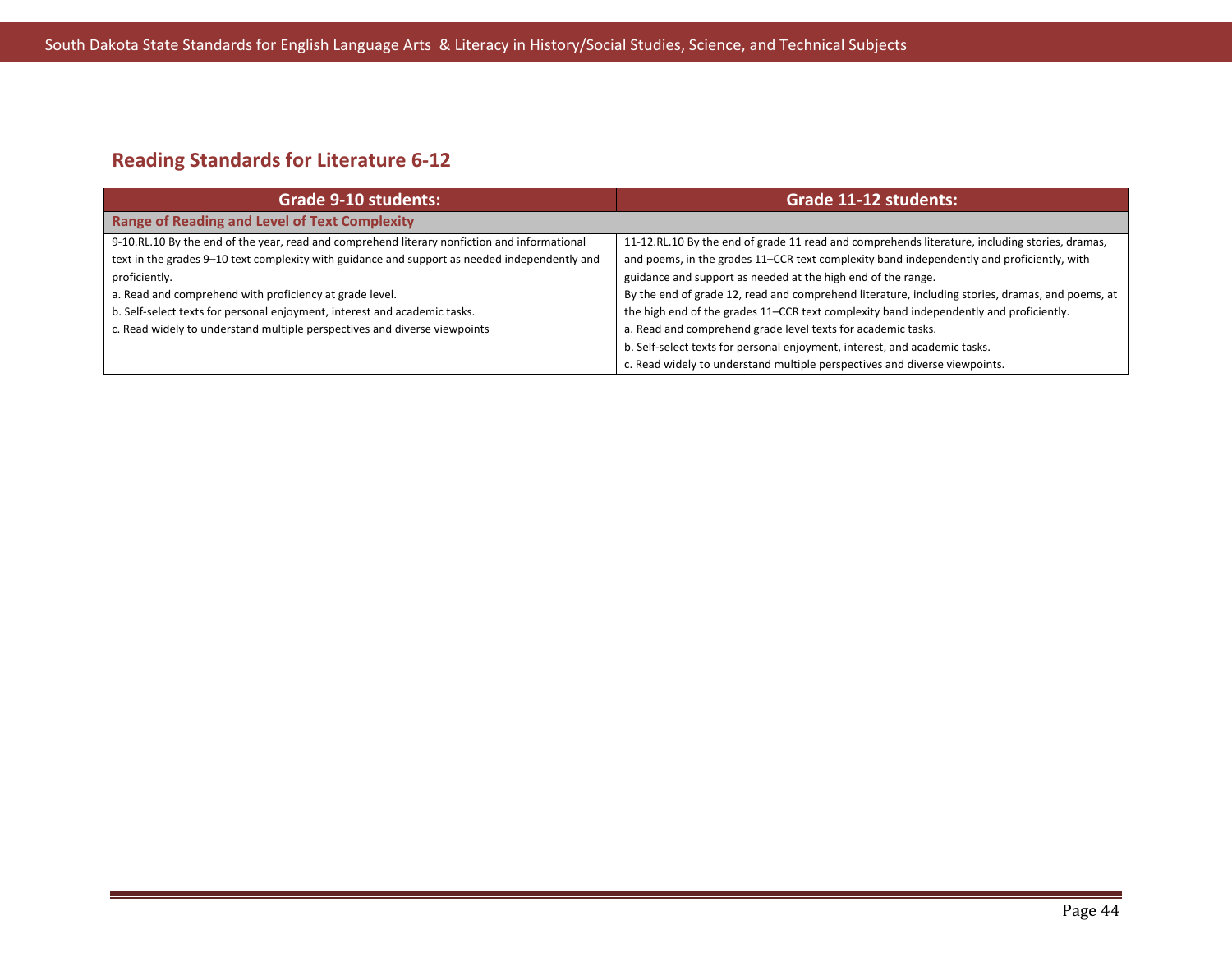| Grade 9-10 students:                                                                          | Grade 11-12 students:                                                                            |
|-----------------------------------------------------------------------------------------------|--------------------------------------------------------------------------------------------------|
| <b>Range of Reading and Level of Text Complexity</b>                                          |                                                                                                  |
| 9-10.RL.10 By the end of the year, read and comprehend literary nonfiction and informational  | 11-12.RL.10 By the end of grade 11 read and comprehends literature, including stories, dramas,   |
| text in the grades 9-10 text complexity with guidance and support as needed independently and | and poems, in the grades 11-CCR text complexity band independently and proficiently, with        |
| proficiently.                                                                                 | guidance and support as needed at the high end of the range.                                     |
| a. Read and comprehend with proficiency at grade level.                                       | By the end of grade 12, read and comprehend literature, including stories, dramas, and poems, at |
| b. Self-select texts for personal enjoyment, interest and academic tasks.                     | the high end of the grades 11–CCR text complexity band independently and proficiently.           |
| c. Read widely to understand multiple perspectives and diverse viewpoints                     | a. Read and comprehend grade level texts for academic tasks.                                     |
|                                                                                               | b. Self-select texts for personal enjoyment, interest, and academic tasks.                       |
|                                                                                               | c. Read widely to understand multiple perspectives and diverse viewpoints.                       |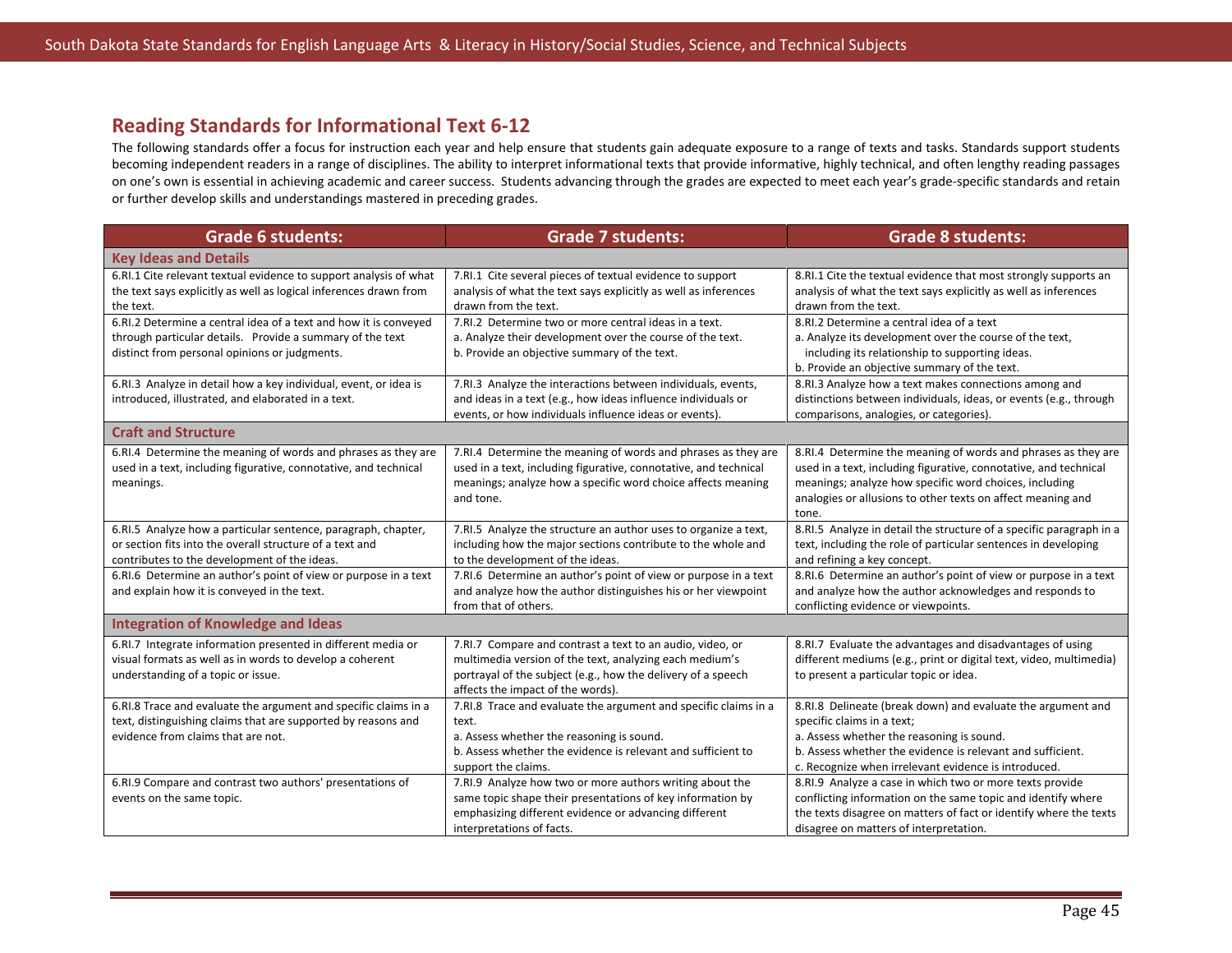## **Reading Standards for Informational Text 6-12**

The following standards offer a focus for instruction each year and help ensure that students gain adequate exposure to a range of texts and tasks. Standards support students becoming independent readers in a range of disciplines. The ability to interpret informational texts that provide informative, highly technical, and often lengthy reading passages on one's own is essential in achieving academic and career success. Students advancing through the grades are expected to meet each year's grade-specific standards and retain or further develop skills and understandings mastered in preceding grades.

| <b>Grade 6 students:</b>                                                                                                                                                       | <b>Grade 7 students:</b>                                                                                                                                                                                                  | <b>Grade 8 students:</b>                                                                                                                                                                                                                                            |
|--------------------------------------------------------------------------------------------------------------------------------------------------------------------------------|---------------------------------------------------------------------------------------------------------------------------------------------------------------------------------------------------------------------------|---------------------------------------------------------------------------------------------------------------------------------------------------------------------------------------------------------------------------------------------------------------------|
| <b>Key Ideas and Details</b>                                                                                                                                                   |                                                                                                                                                                                                                           |                                                                                                                                                                                                                                                                     |
| 6.RI.1 Cite relevant textual evidence to support analysis of what<br>the text says explicitly as well as logical inferences drawn from<br>the text.                            | 7.RI.1 Cite several pieces of textual evidence to support<br>analysis of what the text says explicitly as well as inferences<br>drawn from the text.                                                                      | 8.RI.1 Cite the textual evidence that most strongly supports an<br>analysis of what the text says explicitly as well as inferences<br>drawn from the text.                                                                                                          |
| 6.RI.2 Determine a central idea of a text and how it is conveyed<br>through particular details. Provide a summary of the text<br>distinct from personal opinions or judgments. | 7.RI.2 Determine two or more central ideas in a text.<br>a. Analyze their development over the course of the text.<br>b. Provide an objective summary of the text.                                                        | 8.RI.2 Determine a central idea of a text<br>a. Analyze its development over the course of the text,<br>including its relationship to supporting ideas.<br>b. Provide an objective summary of the text.                                                             |
| 6.RI.3 Analyze in detail how a key individual, event, or idea is<br>introduced, illustrated, and elaborated in a text.                                                         | 7.RI.3 Analyze the interactions between individuals, events,<br>and ideas in a text (e.g., how ideas influence individuals or<br>events, or how individuals influence ideas or events).                                   | 8.RI.3 Analyze how a text makes connections among and<br>distinctions between individuals, ideas, or events (e.g., through<br>comparisons, analogies, or categories).                                                                                               |
| <b>Craft and Structure</b>                                                                                                                                                     |                                                                                                                                                                                                                           |                                                                                                                                                                                                                                                                     |
| 6.RI.4 Determine the meaning of words and phrases as they are<br>used in a text, including figurative, connotative, and technical<br>meanings.                                 | 7.RI.4 Determine the meaning of words and phrases as they are<br>used in a text, including figurative, connotative, and technical<br>meanings; analyze how a specific word choice affects meaning<br>and tone.            | 8.RI.4 Determine the meaning of words and phrases as they are<br>used in a text, including figurative, connotative, and technical<br>meanings; analyze how specific word choices, including<br>analogies or allusions to other texts on affect meaning and<br>tone. |
| 6.RI.5 Analyze how a particular sentence, paragraph, chapter,<br>or section fits into the overall structure of a text and<br>contributes to the development of the ideas.      | 7.RI.5 Analyze the structure an author uses to organize a text,<br>including how the major sections contribute to the whole and<br>to the development of the ideas.                                                       | 8.RI.5 Analyze in detail the structure of a specific paragraph in a<br>text, including the role of particular sentences in developing<br>and refining a key concept.                                                                                                |
| 6.RI.6 Determine an author's point of view or purpose in a text<br>and explain how it is conveyed in the text.                                                                 | 7.RI.6 Determine an author's point of view or purpose in a text<br>and analyze how the author distinguishes his or her viewpoint<br>from that of others.                                                                  | 8.RI.6 Determine an author's point of view or purpose in a text<br>and analyze how the author acknowledges and responds to<br>conflicting evidence or viewpoints.                                                                                                   |
| <b>Integration of Knowledge and Ideas</b>                                                                                                                                      |                                                                                                                                                                                                                           |                                                                                                                                                                                                                                                                     |
| 6.RI.7 Integrate information presented in different media or<br>visual formats as well as in words to develop a coherent<br>understanding of a topic or issue.                 | 7.RI.7 Compare and contrast a text to an audio, video, or<br>multimedia version of the text, analyzing each medium's<br>portrayal of the subject (e.g., how the delivery of a speech<br>affects the impact of the words). | 8.RI.7 Evaluate the advantages and disadvantages of using<br>different mediums (e.g., print or digital text, video, multimedia)<br>to present a particular topic or idea.                                                                                           |
| 6.RI.8 Trace and evaluate the argument and specific claims in a<br>text, distinguishing claims that are supported by reasons and<br>evidence from claims that are not.         | 7.RI.8 Trace and evaluate the argument and specific claims in a<br>text.<br>a. Assess whether the reasoning is sound.<br>b. Assess whether the evidence is relevant and sufficient to<br>support the claims.              | 8.RI.8 Delineate (break down) and evaluate the argument and<br>specific claims in a text;<br>a. Assess whether the reasoning is sound.<br>b. Assess whether the evidence is relevant and sufficient.<br>c. Recognize when irrelevant evidence is introduced.        |
| 6.RI.9 Compare and contrast two authors' presentations of<br>events on the same topic.                                                                                         | 7.RI.9 Analyze how two or more authors writing about the<br>same topic shape their presentations of key information by<br>emphasizing different evidence or advancing different<br>interpretations of facts.              | 8.RI.9 Analyze a case in which two or more texts provide<br>conflicting information on the same topic and identify where<br>the texts disagree on matters of fact or identify where the texts<br>disagree on matters of interpretation.                             |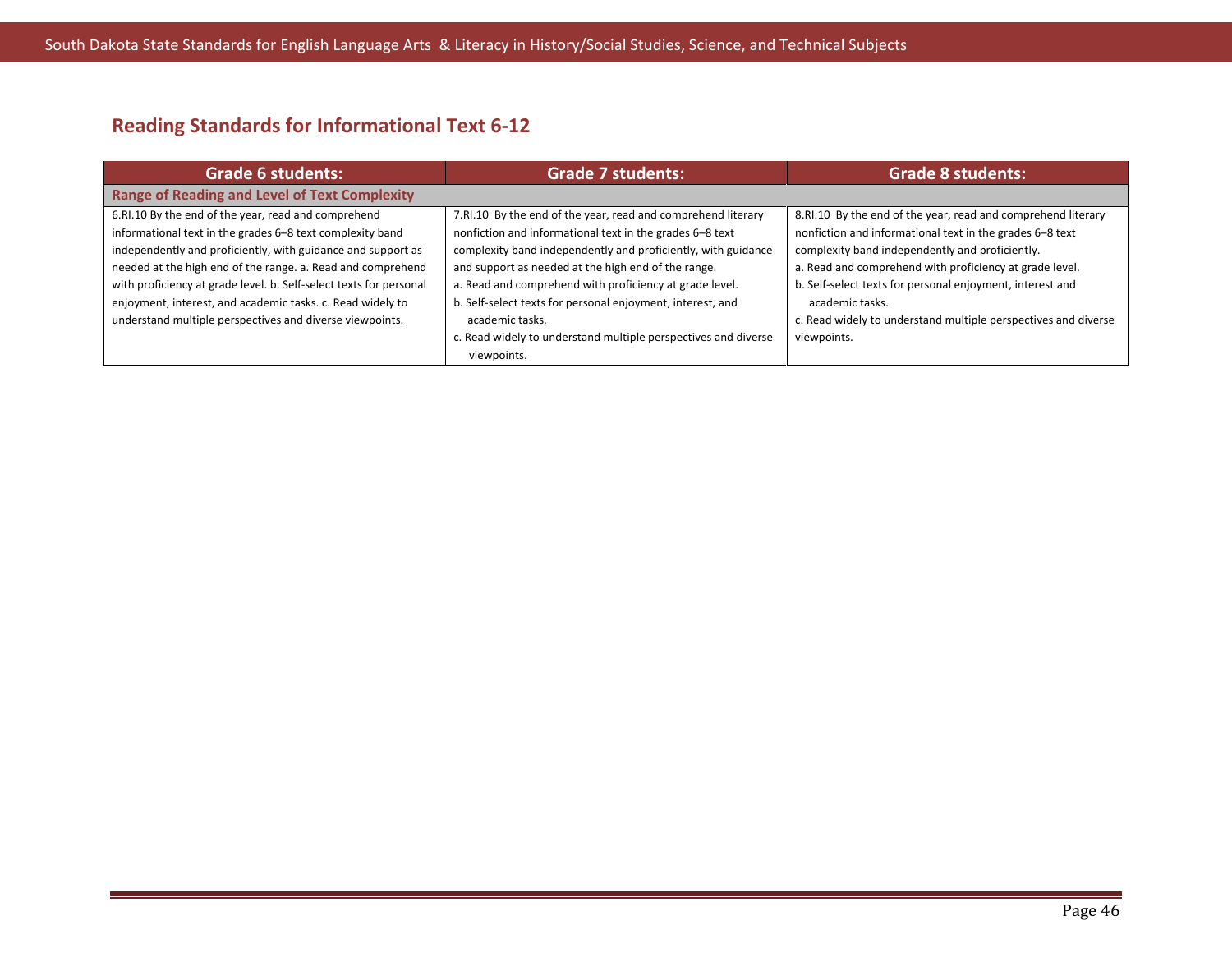# **Reading Standards for Informational Text 6-12**

| Grade 6 students:                                                  | <b>Grade 7 students:</b>                                       | <b>Grade 8 students:</b>                                       |
|--------------------------------------------------------------------|----------------------------------------------------------------|----------------------------------------------------------------|
| <b>Range of Reading and Level of Text Complexity</b>               |                                                                |                                                                |
| 6.RI.10 By the end of the year, read and comprehend                | 7.RI.10 By the end of the year, read and comprehend literary   | 8.RI.10 By the end of the year, read and comprehend literary   |
| informational text in the grades 6-8 text complexity band          | nonfiction and informational text in the grades 6-8 text       | nonfiction and informational text in the grades 6-8 text       |
| independently and proficiently, with guidance and support as       | complexity band independently and proficiently, with guidance  | complexity band independently and proficiently.                |
| needed at the high end of the range. a. Read and comprehend        | and support as needed at the high end of the range.            | a. Read and comprehend with proficiency at grade level.        |
| with proficiency at grade level. b. Self-select texts for personal | a. Read and comprehend with proficiency at grade level.        | b. Self-select texts for personal enjoyment, interest and      |
| enjoyment, interest, and academic tasks. c. Read widely to         | b. Self-select texts for personal enjoyment, interest, and     | academic tasks.                                                |
| understand multiple perspectives and diverse viewpoints.           | academic tasks.                                                | c. Read widely to understand multiple perspectives and diverse |
|                                                                    | c. Read widely to understand multiple perspectives and diverse | viewpoints.                                                    |
|                                                                    | viewpoints.                                                    |                                                                |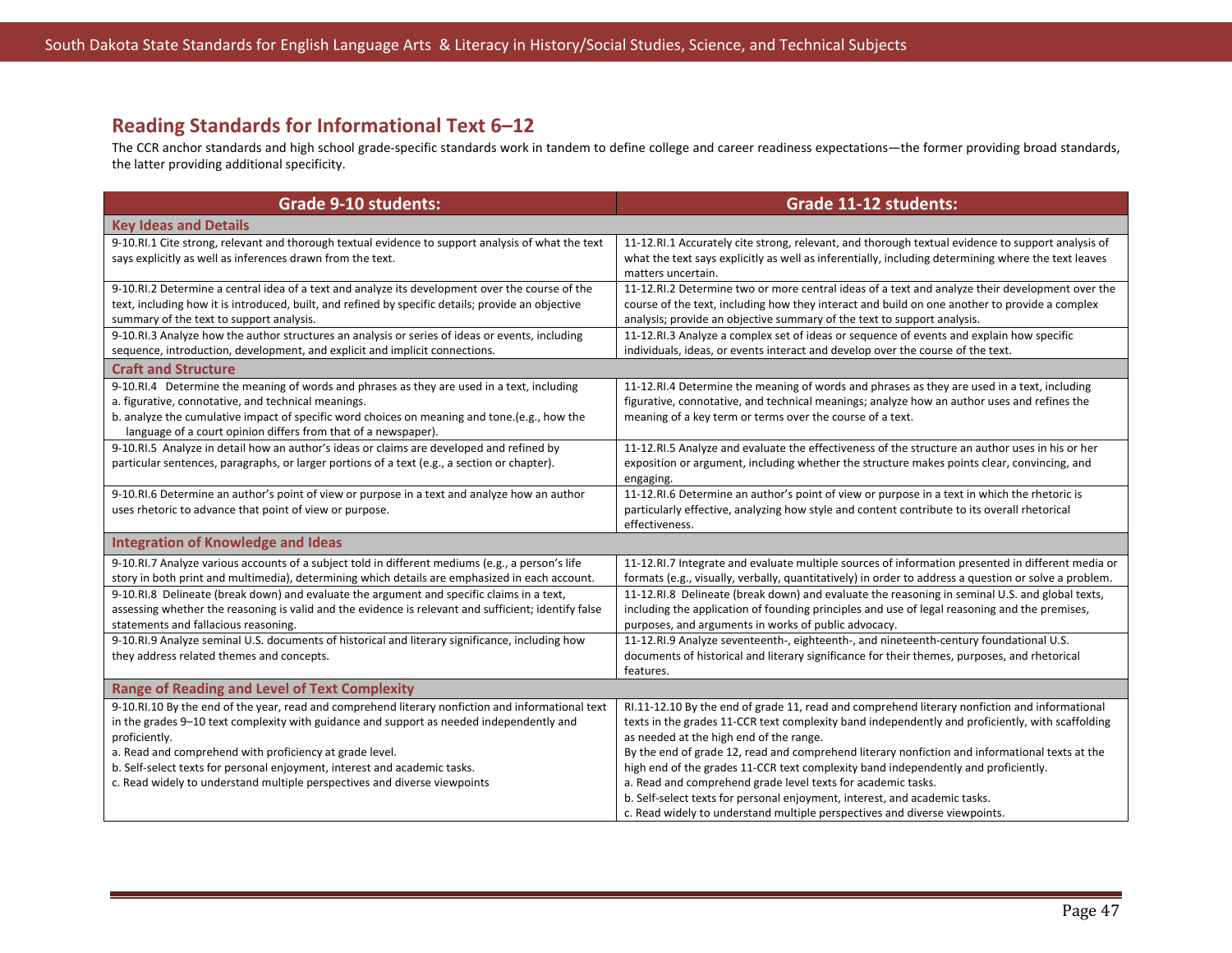## **Reading Standards for Informational Text 6–12**

The CCR anchor standards and high school grade-specific standards work in tandem to define college and career readiness expectations—the former providing broad standards, the latter providing additional specificity.

| <b>Grade 9-10 students:</b>                                                                                                                                                                                                                                                                                                                            | <b>Grade 11-12 students:</b>                                                                                                                                                                                                                                                                                                                                                                                                         |
|--------------------------------------------------------------------------------------------------------------------------------------------------------------------------------------------------------------------------------------------------------------------------------------------------------------------------------------------------------|--------------------------------------------------------------------------------------------------------------------------------------------------------------------------------------------------------------------------------------------------------------------------------------------------------------------------------------------------------------------------------------------------------------------------------------|
| <b>Key Ideas and Details</b>                                                                                                                                                                                                                                                                                                                           |                                                                                                                                                                                                                                                                                                                                                                                                                                      |
| 9-10.RI.1 Cite strong, relevant and thorough textual evidence to support analysis of what the text<br>says explicitly as well as inferences drawn from the text.                                                                                                                                                                                       | 11-12.RI.1 Accurately cite strong, relevant, and thorough textual evidence to support analysis of<br>what the text says explicitly as well as inferentially, including determining where the text leaves<br>matters uncertain.                                                                                                                                                                                                       |
| 9-10.RI.2 Determine a central idea of a text and analyze its development over the course of the<br>text, including how it is introduced, built, and refined by specific details; provide an objective<br>summary of the text to support analysis.                                                                                                      | 11-12.RI.2 Determine two or more central ideas of a text and analyze their development over the<br>course of the text, including how they interact and build on one another to provide a complex<br>analysis; provide an objective summary of the text to support analysis.                                                                                                                                                          |
| 9-10.RI.3 Analyze how the author structures an analysis or series of ideas or events, including<br>sequence, introduction, development, and explicit and implicit connections.                                                                                                                                                                         | 11-12.RI.3 Analyze a complex set of ideas or sequence of events and explain how specific<br>individuals, ideas, or events interact and develop over the course of the text.                                                                                                                                                                                                                                                          |
| <b>Craft and Structure</b>                                                                                                                                                                                                                                                                                                                             |                                                                                                                                                                                                                                                                                                                                                                                                                                      |
| 9-10.RI.4 Determine the meaning of words and phrases as they are used in a text, including<br>a. figurative, connotative, and technical meanings.<br>b. analyze the cumulative impact of specific word choices on meaning and tone. (e.g., how the<br>language of a court opinion differs from that of a newspaper).                                   | 11-12.RI.4 Determine the meaning of words and phrases as they are used in a text, including<br>figurative, connotative, and technical meanings; analyze how an author uses and refines the<br>meaning of a key term or terms over the course of a text.                                                                                                                                                                              |
| 9-10.RI.5 Analyze in detail how an author's ideas or claims are developed and refined by<br>particular sentences, paragraphs, or larger portions of a text (e.g., a section or chapter).                                                                                                                                                               | 11-12.RI.5 Analyze and evaluate the effectiveness of the structure an author uses in his or her<br>exposition or argument, including whether the structure makes points clear, convincing, and<br>engaging.                                                                                                                                                                                                                          |
| 9-10.RI.6 Determine an author's point of view or purpose in a text and analyze how an author<br>uses rhetoric to advance that point of view or purpose.                                                                                                                                                                                                | 11-12.RI.6 Determine an author's point of view or purpose in a text in which the rhetoric is<br>particularly effective, analyzing how style and content contribute to its overall rhetorical<br>effectiveness.                                                                                                                                                                                                                       |
| <b>Integration of Knowledge and Ideas</b>                                                                                                                                                                                                                                                                                                              |                                                                                                                                                                                                                                                                                                                                                                                                                                      |
| 9-10.RI.7 Analyze various accounts of a subject told in different mediums (e.g., a person's life<br>story in both print and multimedia), determining which details are emphasized in each account.                                                                                                                                                     | 11-12.RI.7 Integrate and evaluate multiple sources of information presented in different media or<br>formats (e.g., visually, verbally, quantitatively) in order to address a question or solve a problem.                                                                                                                                                                                                                           |
| 9-10.RI.8 Delineate (break down) and evaluate the argument and specific claims in a text,<br>assessing whether the reasoning is valid and the evidence is relevant and sufficient; identify false<br>statements and fallacious reasoning.                                                                                                              | 11-12.RI.8 Delineate (break down) and evaluate the reasoning in seminal U.S. and global texts,<br>including the application of founding principles and use of legal reasoning and the premises,<br>purposes, and arguments in works of public advocacy.                                                                                                                                                                              |
| 9-10.RI.9 Analyze seminal U.S. documents of historical and literary significance, including how<br>they address related themes and concepts.                                                                                                                                                                                                           | 11-12.RI.9 Analyze seventeenth-, eighteenth-, and nineteenth-century foundational U.S.<br>documents of historical and literary significance for their themes, purposes, and rhetorical<br>features.                                                                                                                                                                                                                                  |
| <b>Range of Reading and Level of Text Complexity</b>                                                                                                                                                                                                                                                                                                   |                                                                                                                                                                                                                                                                                                                                                                                                                                      |
| 9-10.RI.10 By the end of the year, read and comprehend literary nonfiction and informational text<br>in the grades 9-10 text complexity with guidance and support as needed independently and<br>proficiently.<br>a. Read and comprehend with proficiency at grade level.<br>b. Self-select texts for personal enjoyment, interest and academic tasks. | RI.11-12.10 By the end of grade 11, read and comprehend literary nonfiction and informational<br>texts in the grades 11-CCR text complexity band independently and proficiently, with scaffolding<br>as needed at the high end of the range.<br>By the end of grade 12, read and comprehend literary nonfiction and informational texts at the<br>high end of the grades 11-CCR text complexity band independently and proficiently. |
| c. Read widely to understand multiple perspectives and diverse viewpoints                                                                                                                                                                                                                                                                              | a. Read and comprehend grade level texts for academic tasks.<br>b. Self-select texts for personal enjoyment, interest, and academic tasks.<br>c. Read widely to understand multiple perspectives and diverse viewpoints.                                                                                                                                                                                                             |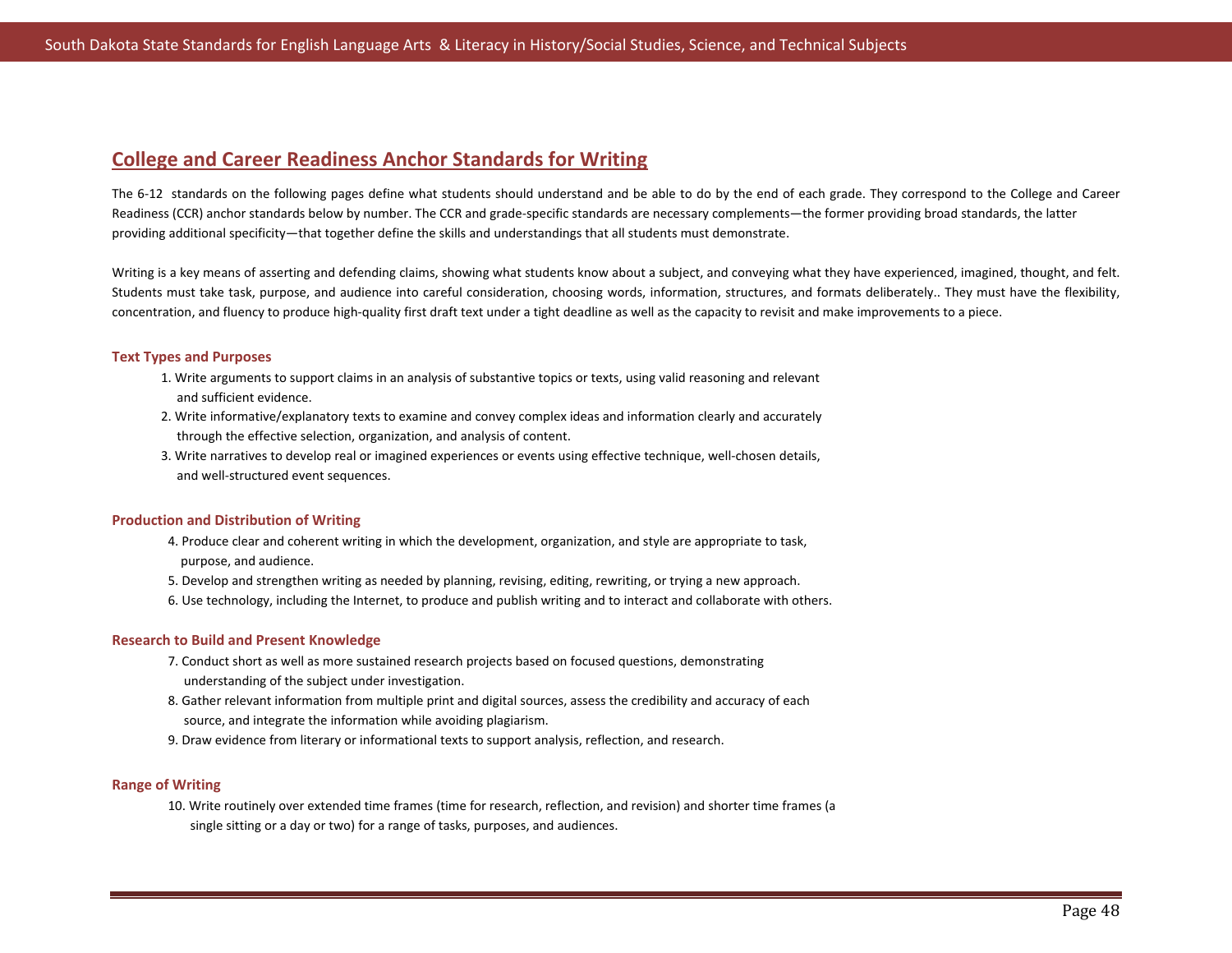## **College and Career Readiness Anchor Standards for Writing**

The 6-12 standards on the following pages define what students should understand and be able to do by the end of each grade. They correspond to the College and Career Readiness (CCR) anchor standards below by number. The CCR and grade-specific standards are necessary complements—the former providing broad standards, the latter providing additional specificity—that together define the skills and understandings that all students must demonstrate.

Writing is a key means of asserting and defending claims, showing what students know about a subject, and conveying what they have experienced, imagined, thought, and felt. Students must take task, purpose, and audience into careful consideration, choosing words, information, structures, and formats deliberately.. They must have the flexibility, concentration, and fluency to produce high-quality first draft text under a tight deadline as well as the capacity to revisit and make improvements to a piece.

#### **Text Types and Purposes**

- 1. Write arguments to support claims in an analysis of substantive topics or texts, using valid reasoning and relevant and sufficient evidence.
- 2. Write informative/explanatory texts to examine and convey complex ideas and information clearly and accurately through the effective selection, organization, and analysis of content.
- 3. Write narratives to develop real or imagined experiences or events using effective technique, well-chosen details, and well-structured event sequences.

## **Production and Distribution of Writing**

- 4. Produce clear and coherent writing in which the development, organization, and style are appropriate to task, purpose, and audience.
- 5. Develop and strengthen writing as needed by planning, revising, editing, rewriting, or trying a new approach.
- 6. Use technology, including the Internet, to produce and publish writing and to interact and collaborate with others.

## **Research to Build and Present Knowledge**

- 7. Conduct short as well as more sustained research projects based on focused questions, demonstrating understanding of the subject under investigation.
- 8. Gather relevant information from multiple print and digital sources, assess the credibility and accuracy of each source, and integrate the information while avoiding plagiarism.
- 9. Draw evidence from literary or informational texts to support analysis, reflection, and research.

#### **Range of Writing**

10. Write routinely over extended time frames (time for research, reflection, and revision) and shorter time frames (a single sitting or a day or two) for a range of tasks, purposes, and audiences.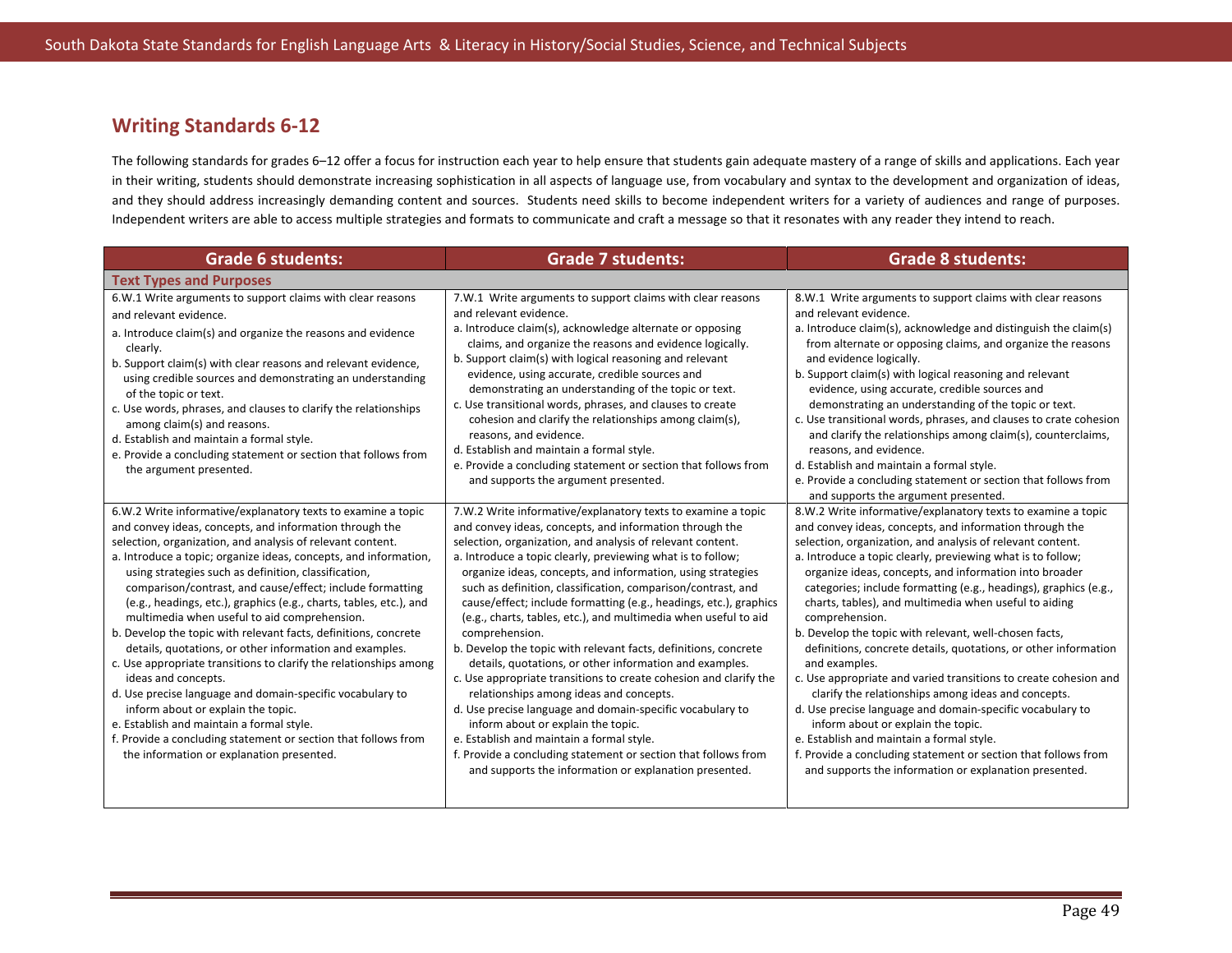## **Writing Standards 6-12**

The following standards for grades 6–12 offer a focus for instruction each year to help ensure that students gain adequate mastery of a range of skills and applications. Each year in their writing, students should demonstrate increasing sophistication in all aspects of language use, from vocabulary and syntax to the development and organization of ideas, and they should address increasingly demanding content and sources. Students need skills to become independent writers for a variety of audiences and range of purposes. Independent writers are able to access multiple strategies and formats to communicate and craft a message so that it resonates with any reader they intend to reach.

| <b>Grade 6 students:</b>                                                                                                                                                                                                                                                                                                                                                                                                                                                                                                                                                                                                                                                                                                                                                                                                                                                                                                                                                                      | <b>Grade 7 students:</b>                                                                                                                                                                                                                                                                                                                                                                                                                                                                                                                                                                                                                                                                                                                                                                                                                                                                                                                                                                                                                                                | <b>Grade 8 students:</b>                                                                                                                                                                                                                                                                                                                                                                                                                                                                                                                                                                                                                                                                                                                                                                                                                                                                                                                                                                                           |
|-----------------------------------------------------------------------------------------------------------------------------------------------------------------------------------------------------------------------------------------------------------------------------------------------------------------------------------------------------------------------------------------------------------------------------------------------------------------------------------------------------------------------------------------------------------------------------------------------------------------------------------------------------------------------------------------------------------------------------------------------------------------------------------------------------------------------------------------------------------------------------------------------------------------------------------------------------------------------------------------------|-------------------------------------------------------------------------------------------------------------------------------------------------------------------------------------------------------------------------------------------------------------------------------------------------------------------------------------------------------------------------------------------------------------------------------------------------------------------------------------------------------------------------------------------------------------------------------------------------------------------------------------------------------------------------------------------------------------------------------------------------------------------------------------------------------------------------------------------------------------------------------------------------------------------------------------------------------------------------------------------------------------------------------------------------------------------------|--------------------------------------------------------------------------------------------------------------------------------------------------------------------------------------------------------------------------------------------------------------------------------------------------------------------------------------------------------------------------------------------------------------------------------------------------------------------------------------------------------------------------------------------------------------------------------------------------------------------------------------------------------------------------------------------------------------------------------------------------------------------------------------------------------------------------------------------------------------------------------------------------------------------------------------------------------------------------------------------------------------------|
| <b>Text Types and Purposes</b>                                                                                                                                                                                                                                                                                                                                                                                                                                                                                                                                                                                                                                                                                                                                                                                                                                                                                                                                                                |                                                                                                                                                                                                                                                                                                                                                                                                                                                                                                                                                                                                                                                                                                                                                                                                                                                                                                                                                                                                                                                                         |                                                                                                                                                                                                                                                                                                                                                                                                                                                                                                                                                                                                                                                                                                                                                                                                                                                                                                                                                                                                                    |
| 6.W.1 Write arguments to support claims with clear reasons<br>and relevant evidence.<br>a. Introduce claim(s) and organize the reasons and evidence<br>clearly.<br>b. Support claim(s) with clear reasons and relevant evidence,<br>using credible sources and demonstrating an understanding<br>of the topic or text.<br>c. Use words, phrases, and clauses to clarify the relationships<br>among claim(s) and reasons.<br>d. Establish and maintain a formal style.<br>e. Provide a concluding statement or section that follows from<br>the argument presented.                                                                                                                                                                                                                                                                                                                                                                                                                            | 7.W.1 Write arguments to support claims with clear reasons<br>and relevant evidence.<br>a. Introduce claim(s), acknowledge alternate or opposing<br>claims, and organize the reasons and evidence logically.<br>b. Support claim(s) with logical reasoning and relevant<br>evidence, using accurate, credible sources and<br>demonstrating an understanding of the topic or text.<br>c. Use transitional words, phrases, and clauses to create<br>cohesion and clarify the relationships among claim(s),<br>reasons, and evidence.<br>d. Establish and maintain a formal style.<br>e. Provide a concluding statement or section that follows from<br>and supports the argument presented.                                                                                                                                                                                                                                                                                                                                                                               | 8.W.1 Write arguments to support claims with clear reasons<br>and relevant evidence.<br>a. Introduce claim(s), acknowledge and distinguish the claim(s)<br>from alternate or opposing claims, and organize the reasons<br>and evidence logically.<br>b. Support claim(s) with logical reasoning and relevant<br>evidence, using accurate, credible sources and<br>demonstrating an understanding of the topic or text.<br>c. Use transitional words, phrases, and clauses to crate cohesion<br>and clarify the relationships among claim(s), counterclaims,<br>reasons, and evidence.<br>d. Establish and maintain a formal style.<br>e. Provide a concluding statement or section that follows from<br>and supports the argument presented.                                                                                                                                                                                                                                                                       |
| 6.W.2 Write informative/explanatory texts to examine a topic<br>and convey ideas, concepts, and information through the<br>selection, organization, and analysis of relevant content.<br>a. Introduce a topic; organize ideas, concepts, and information,<br>using strategies such as definition, classification,<br>comparison/contrast, and cause/effect; include formatting<br>(e.g., headings, etc.), graphics (e.g., charts, tables, etc.), and<br>multimedia when useful to aid comprehension.<br>b. Develop the topic with relevant facts, definitions, concrete<br>details, quotations, or other information and examples.<br>c. Use appropriate transitions to clarify the relationships among<br>ideas and concepts.<br>d. Use precise language and domain-specific vocabulary to<br>inform about or explain the topic.<br>e. Establish and maintain a formal style.<br>f. Provide a concluding statement or section that follows from<br>the information or explanation presented. | 7.W.2 Write informative/explanatory texts to examine a topic<br>and convey ideas, concepts, and information through the<br>selection, organization, and analysis of relevant content.<br>a. Introduce a topic clearly, previewing what is to follow;<br>organize ideas, concepts, and information, using strategies<br>such as definition, classification, comparison/contrast, and<br>cause/effect; include formatting (e.g., headings, etc.), graphics<br>(e.g., charts, tables, etc.), and multimedia when useful to aid<br>comprehension.<br>b. Develop the topic with relevant facts, definitions, concrete<br>details, quotations, or other information and examples.<br>c. Use appropriate transitions to create cohesion and clarify the<br>relationships among ideas and concepts.<br>d. Use precise language and domain-specific vocabulary to<br>inform about or explain the topic.<br>e. Establish and maintain a formal style.<br>f. Provide a concluding statement or section that follows from<br>and supports the information or explanation presented. | 8.W.2 Write informative/explanatory texts to examine a topic<br>and convey ideas, concepts, and information through the<br>selection, organization, and analysis of relevant content.<br>a. Introduce a topic clearly, previewing what is to follow;<br>organize ideas, concepts, and information into broader<br>categories; include formatting (e.g., headings), graphics (e.g.,<br>charts, tables), and multimedia when useful to aiding<br>comprehension.<br>b. Develop the topic with relevant, well-chosen facts,<br>definitions, concrete details, quotations, or other information<br>and examples.<br>c. Use appropriate and varied transitions to create cohesion and<br>clarify the relationships among ideas and concepts.<br>d. Use precise language and domain-specific vocabulary to<br>inform about or explain the topic.<br>e. Establish and maintain a formal style.<br>f. Provide a concluding statement or section that follows from<br>and supports the information or explanation presented. |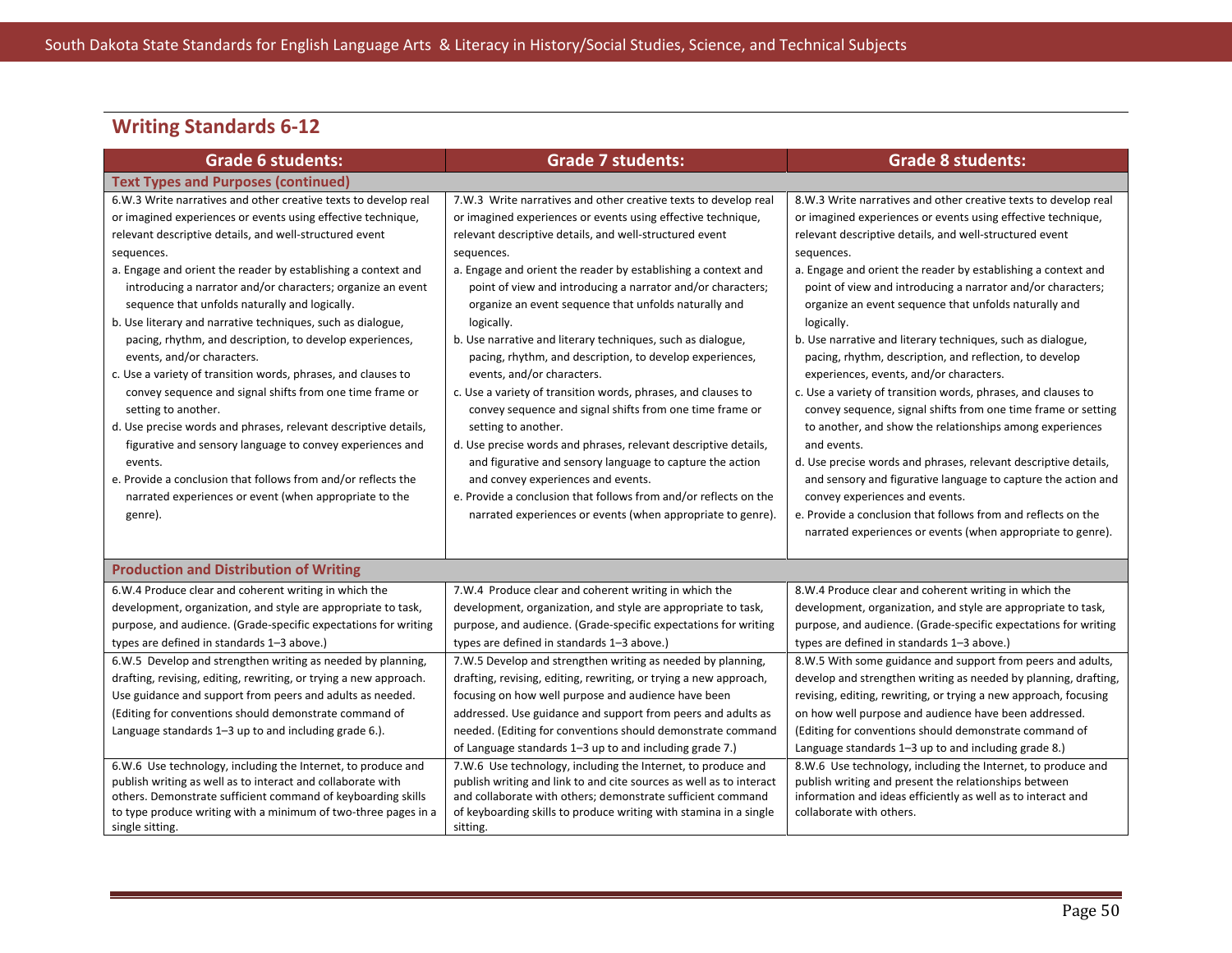# **Writing Standards 6-12**

| <b>Grade 6 students:</b>                                                                                                                                                                                                                                                                                                                                                                                                                                                                                                                                                                                                                                                                                                                                                                                                                                                                                                                                                                 | <b>Grade 7 students:</b>                                                                                                                                                                                                                                                                                                                                                                                                                                                                                                                                                                                                                                                                                                                                                                                                                                                                                                                                                                                                              | <b>Grade 8 students:</b>                                                                                                                                                                                                                                                                                                                                                                                                                                                                                                                                                                                                                                                                                                                                                                                                                                                                                                                                                                                                                                                                                |
|------------------------------------------------------------------------------------------------------------------------------------------------------------------------------------------------------------------------------------------------------------------------------------------------------------------------------------------------------------------------------------------------------------------------------------------------------------------------------------------------------------------------------------------------------------------------------------------------------------------------------------------------------------------------------------------------------------------------------------------------------------------------------------------------------------------------------------------------------------------------------------------------------------------------------------------------------------------------------------------|---------------------------------------------------------------------------------------------------------------------------------------------------------------------------------------------------------------------------------------------------------------------------------------------------------------------------------------------------------------------------------------------------------------------------------------------------------------------------------------------------------------------------------------------------------------------------------------------------------------------------------------------------------------------------------------------------------------------------------------------------------------------------------------------------------------------------------------------------------------------------------------------------------------------------------------------------------------------------------------------------------------------------------------|---------------------------------------------------------------------------------------------------------------------------------------------------------------------------------------------------------------------------------------------------------------------------------------------------------------------------------------------------------------------------------------------------------------------------------------------------------------------------------------------------------------------------------------------------------------------------------------------------------------------------------------------------------------------------------------------------------------------------------------------------------------------------------------------------------------------------------------------------------------------------------------------------------------------------------------------------------------------------------------------------------------------------------------------------------------------------------------------------------|
| <b>Text Types and Purposes (continued)</b>                                                                                                                                                                                                                                                                                                                                                                                                                                                                                                                                                                                                                                                                                                                                                                                                                                                                                                                                               |                                                                                                                                                                                                                                                                                                                                                                                                                                                                                                                                                                                                                                                                                                                                                                                                                                                                                                                                                                                                                                       |                                                                                                                                                                                                                                                                                                                                                                                                                                                                                                                                                                                                                                                                                                                                                                                                                                                                                                                                                                                                                                                                                                         |
| 6.W.3 Write narratives and other creative texts to develop real<br>or imagined experiences or events using effective technique,<br>relevant descriptive details, and well-structured event<br>sequences.<br>a. Engage and orient the reader by establishing a context and<br>introducing a narrator and/or characters; organize an event<br>sequence that unfolds naturally and logically.<br>b. Use literary and narrative techniques, such as dialogue,<br>pacing, rhythm, and description, to develop experiences,<br>events, and/or characters.<br>c. Use a variety of transition words, phrases, and clauses to<br>convey sequence and signal shifts from one time frame or<br>setting to another.<br>d. Use precise words and phrases, relevant descriptive details,<br>figurative and sensory language to convey experiences and<br>events.<br>e. Provide a conclusion that follows from and/or reflects the<br>narrated experiences or event (when appropriate to the<br>genre). | 7.W.3 Write narratives and other creative texts to develop real<br>or imagined experiences or events using effective technique,<br>relevant descriptive details, and well-structured event<br>sequences.<br>a. Engage and orient the reader by establishing a context and<br>point of view and introducing a narrator and/or characters;<br>organize an event sequence that unfolds naturally and<br>logically.<br>b. Use narrative and literary techniques, such as dialogue,<br>pacing, rhythm, and description, to develop experiences,<br>events, and/or characters.<br>c. Use a variety of transition words, phrases, and clauses to<br>convey sequence and signal shifts from one time frame or<br>setting to another.<br>d. Use precise words and phrases, relevant descriptive details,<br>and figurative and sensory language to capture the action<br>and convey experiences and events.<br>e. Provide a conclusion that follows from and/or reflects on the<br>narrated experiences or events (when appropriate to genre). | 8.W.3 Write narratives and other creative texts to develop real<br>or imagined experiences or events using effective technique,<br>relevant descriptive details, and well-structured event<br>sequences.<br>a. Engage and orient the reader by establishing a context and<br>point of view and introducing a narrator and/or characters;<br>organize an event sequence that unfolds naturally and<br>logically.<br>b. Use narrative and literary techniques, such as dialogue,<br>pacing, rhythm, description, and reflection, to develop<br>experiences, events, and/or characters.<br>c. Use a variety of transition words, phrases, and clauses to<br>convey sequence, signal shifts from one time frame or setting<br>to another, and show the relationships among experiences<br>and events.<br>d. Use precise words and phrases, relevant descriptive details,<br>and sensory and figurative language to capture the action and<br>convey experiences and events.<br>e. Provide a conclusion that follows from and reflects on the<br>narrated experiences or events (when appropriate to genre). |
| <b>Production and Distribution of Writing</b>                                                                                                                                                                                                                                                                                                                                                                                                                                                                                                                                                                                                                                                                                                                                                                                                                                                                                                                                            |                                                                                                                                                                                                                                                                                                                                                                                                                                                                                                                                                                                                                                                                                                                                                                                                                                                                                                                                                                                                                                       |                                                                                                                                                                                                                                                                                                                                                                                                                                                                                                                                                                                                                                                                                                                                                                                                                                                                                                                                                                                                                                                                                                         |
| 6.W.4 Produce clear and coherent writing in which the<br>development, organization, and style are appropriate to task,<br>purpose, and audience. (Grade-specific expectations for writing<br>types are defined in standards 1-3 above.)<br>6.W.5 Develop and strengthen writing as needed by planning,<br>drafting, revising, editing, rewriting, or trying a new approach.<br>Use guidance and support from peers and adults as needed.<br>(Editing for conventions should demonstrate command of<br>Language standards 1-3 up to and including grade 6.).                                                                                                                                                                                                                                                                                                                                                                                                                              | 7.W.4 Produce clear and coherent writing in which the<br>development, organization, and style are appropriate to task,<br>purpose, and audience. (Grade-specific expectations for writing<br>types are defined in standards 1–3 above.)<br>7.W.5 Develop and strengthen writing as needed by planning,<br>drafting, revising, editing, rewriting, or trying a new approach,<br>focusing on how well purpose and audience have been<br>addressed. Use guidance and support from peers and adults as<br>needed. (Editing for conventions should demonstrate command<br>of Language standards 1-3 up to and including grade 7.)                                                                                                                                                                                                                                                                                                                                                                                                          | 8.W.4 Produce clear and coherent writing in which the<br>development, organization, and style are appropriate to task,<br>purpose, and audience. (Grade-specific expectations for writing<br>types are defined in standards 1-3 above.)<br>8.W.5 With some guidance and support from peers and adults,<br>develop and strengthen writing as needed by planning, drafting,<br>revising, editing, rewriting, or trying a new approach, focusing<br>on how well purpose and audience have been addressed.<br>(Editing for conventions should demonstrate command of<br>Language standards 1-3 up to and including grade 8.)                                                                                                                                                                                                                                                                                                                                                                                                                                                                                |
| 6.W.6 Use technology, including the Internet, to produce and<br>publish writing as well as to interact and collaborate with<br>others. Demonstrate sufficient command of keyboarding skills<br>to type produce writing with a minimum of two-three pages in a<br>single sitting.                                                                                                                                                                                                                                                                                                                                                                                                                                                                                                                                                                                                                                                                                                         | 7.W.6 Use technology, including the Internet, to produce and<br>publish writing and link to and cite sources as well as to interact<br>and collaborate with others; demonstrate sufficient command<br>of keyboarding skills to produce writing with stamina in a single<br>sitting.                                                                                                                                                                                                                                                                                                                                                                                                                                                                                                                                                                                                                                                                                                                                                   | 8.W.6 Use technology, including the Internet, to produce and<br>publish writing and present the relationships between<br>information and ideas efficiently as well as to interact and<br>collaborate with others.                                                                                                                                                                                                                                                                                                                                                                                                                                                                                                                                                                                                                                                                                                                                                                                                                                                                                       |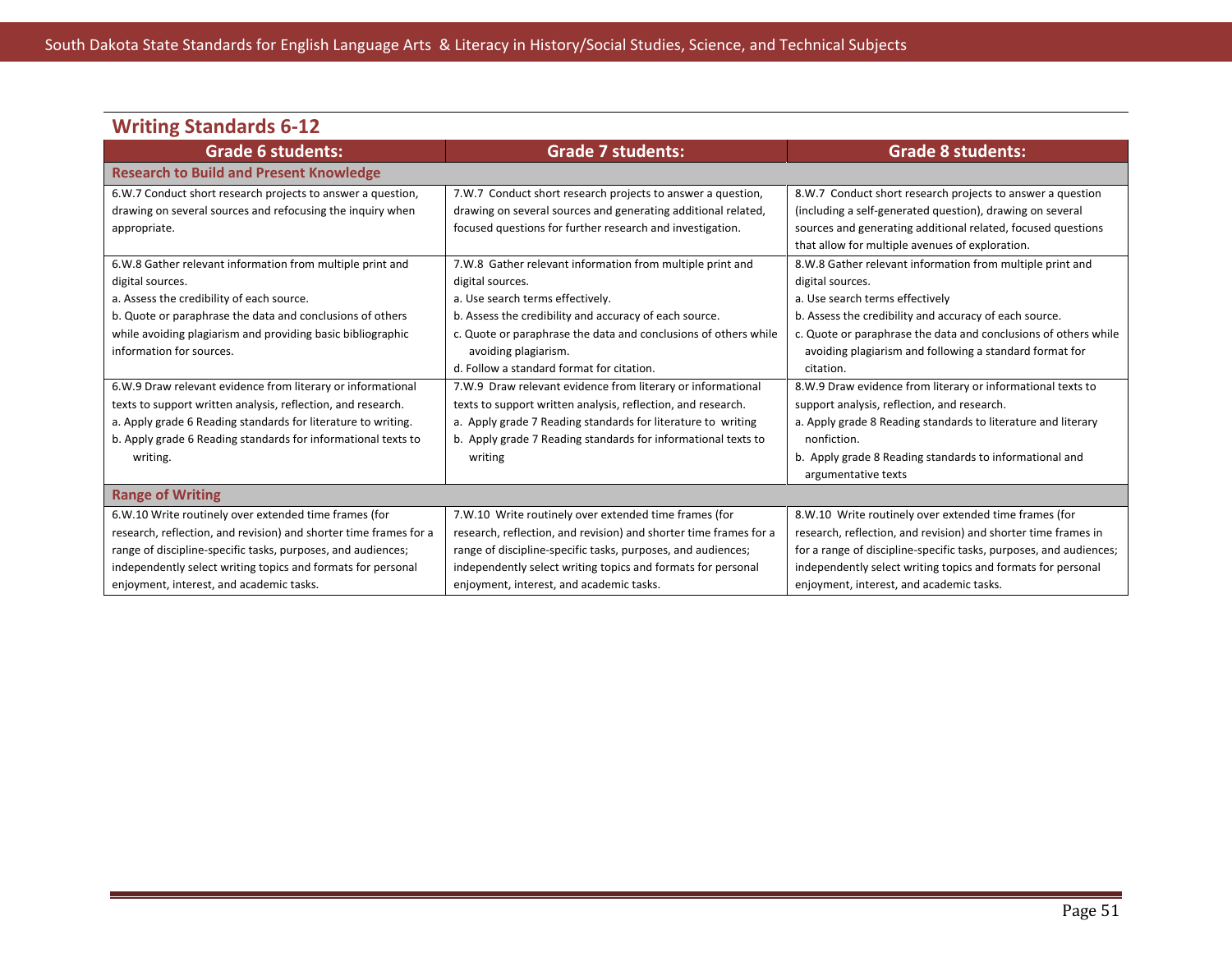| <b>Writing Standards 6-12</b>                                     |                                                                   |                                                                    |
|-------------------------------------------------------------------|-------------------------------------------------------------------|--------------------------------------------------------------------|
| <b>Grade 6 students:</b>                                          | <b>Grade 7 students:</b>                                          | <b>Grade 8 students:</b>                                           |
| <b>Research to Build and Present Knowledge</b>                    |                                                                   |                                                                    |
| 6.W.7 Conduct short research projects to answer a question,       | 7.W.7 Conduct short research projects to answer a question,       | 8.W.7 Conduct short research projects to answer a question         |
| drawing on several sources and refocusing the inquiry when        | drawing on several sources and generating additional related,     | (including a self-generated question), drawing on several          |
| appropriate.                                                      | focused questions for further research and investigation.         | sources and generating additional related, focused questions       |
|                                                                   |                                                                   | that allow for multiple avenues of exploration.                    |
| 6.W.8 Gather relevant information from multiple print and         | 7.W.8 Gather relevant information from multiple print and         | 8.W.8 Gather relevant information from multiple print and          |
| digital sources.                                                  | digital sources.                                                  | digital sources.                                                   |
| a. Assess the credibility of each source.                         | a. Use search terms effectively.                                  | a. Use search terms effectively                                    |
| b. Quote or paraphrase the data and conclusions of others         | b. Assess the credibility and accuracy of each source.            | b. Assess the credibility and accuracy of each source.             |
| while avoiding plagiarism and providing basic bibliographic       | c. Quote or paraphrase the data and conclusions of others while   | c. Quote or paraphrase the data and conclusions of others while    |
| information for sources.                                          | avoiding plagiarism.                                              | avoiding plagiarism and following a standard format for            |
|                                                                   | d. Follow a standard format for citation.                         | citation.                                                          |
| 6.W.9 Draw relevant evidence from literary or informational       | 7.W.9 Draw relevant evidence from literary or informational       | 8.W.9 Draw evidence from literary or informational texts to        |
| texts to support written analysis, reflection, and research.      | texts to support written analysis, reflection, and research.      | support analysis, reflection, and research.                        |
| a. Apply grade 6 Reading standards for literature to writing.     | a. Apply grade 7 Reading standards for literature to writing      | a. Apply grade 8 Reading standards to literature and literary      |
| b. Apply grade 6 Reading standards for informational texts to     | b. Apply grade 7 Reading standards for informational texts to     | nonfiction.                                                        |
| writing.                                                          | writing                                                           | b. Apply grade 8 Reading standards to informational and            |
|                                                                   |                                                                   | argumentative texts                                                |
| <b>Range of Writing</b>                                           |                                                                   |                                                                    |
| 6.W.10 Write routinely over extended time frames (for             | 7.W.10 Write routinely over extended time frames (for             | 8.W.10 Write routinely over extended time frames (for              |
| research, reflection, and revision) and shorter time frames for a | research, reflection, and revision) and shorter time frames for a | research, reflection, and revision) and shorter time frames in     |
| range of discipline-specific tasks, purposes, and audiences;      | range of discipline-specific tasks, purposes, and audiences;      | for a range of discipline-specific tasks, purposes, and audiences; |
| independently select writing topics and formats for personal      | independently select writing topics and formats for personal      | independently select writing topics and formats for personal       |
| enjoyment, interest, and academic tasks.                          | enjoyment, interest, and academic tasks.                          | enjoyment, interest, and academic tasks.                           |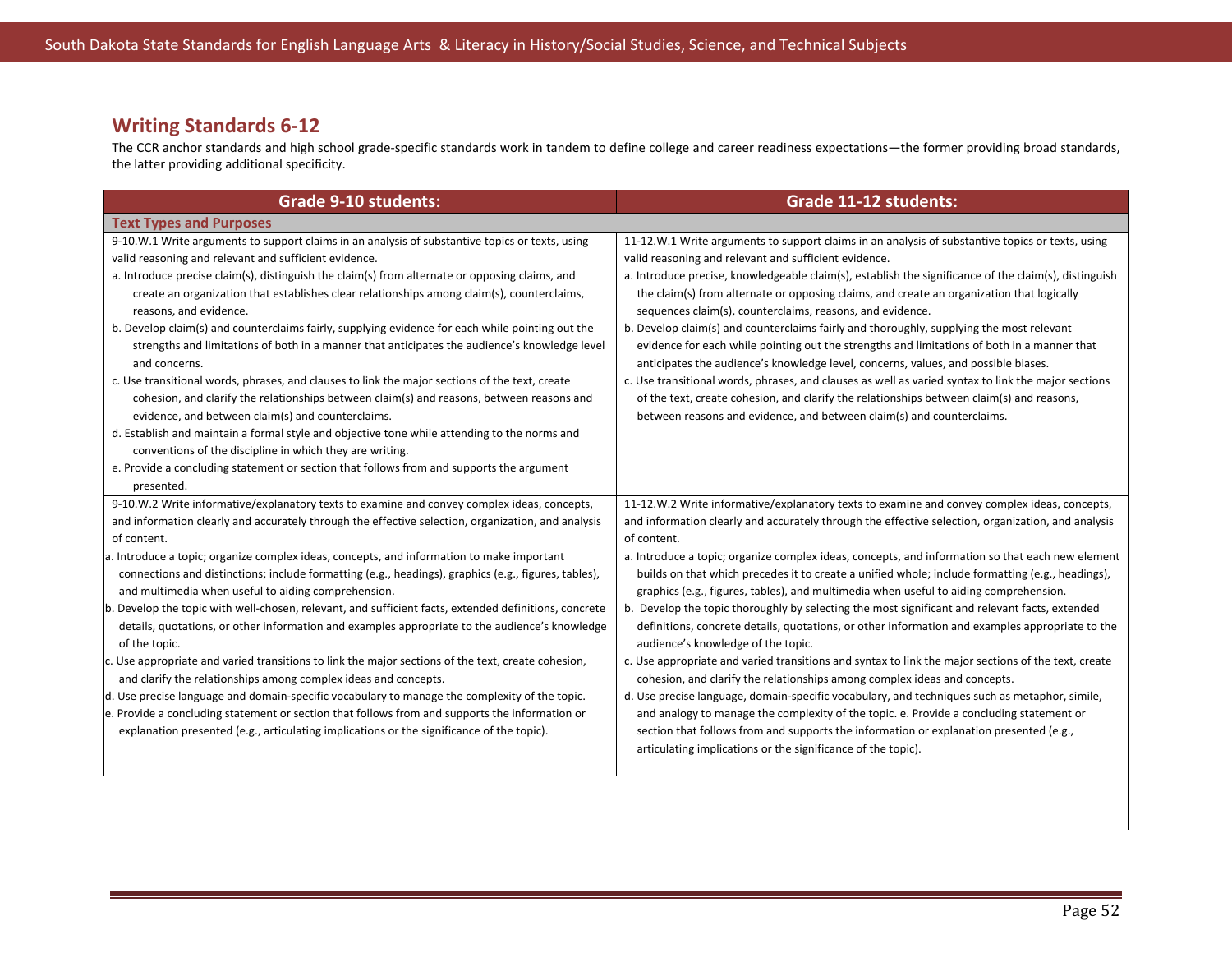## **Writing Standards 6-12**

The CCR anchor standards and high school grade-specific standards work in tandem to define college and career readiness expectations—the former providing broad standards, the latter providing additional specificity.

| <b>Grade 9-10 students:</b>                                                                                                                                                                                                                                                                                                                                                                                                                                                                                                                                                                                                                                                                                                                                                                                                                                                                                                                                                                                                                                                                                                                                                       | <b>Grade 11-12 students:</b>                                                                                                                                                                                                                                                                                                                                                                                                                                                                                                                                                                                                                                                                                                                                                                                                                                                                                                                                                                                                                                                                                                                                                                                                                                                                            |
|-----------------------------------------------------------------------------------------------------------------------------------------------------------------------------------------------------------------------------------------------------------------------------------------------------------------------------------------------------------------------------------------------------------------------------------------------------------------------------------------------------------------------------------------------------------------------------------------------------------------------------------------------------------------------------------------------------------------------------------------------------------------------------------------------------------------------------------------------------------------------------------------------------------------------------------------------------------------------------------------------------------------------------------------------------------------------------------------------------------------------------------------------------------------------------------|---------------------------------------------------------------------------------------------------------------------------------------------------------------------------------------------------------------------------------------------------------------------------------------------------------------------------------------------------------------------------------------------------------------------------------------------------------------------------------------------------------------------------------------------------------------------------------------------------------------------------------------------------------------------------------------------------------------------------------------------------------------------------------------------------------------------------------------------------------------------------------------------------------------------------------------------------------------------------------------------------------------------------------------------------------------------------------------------------------------------------------------------------------------------------------------------------------------------------------------------------------------------------------------------------------|
| <b>Text Types and Purposes</b>                                                                                                                                                                                                                                                                                                                                                                                                                                                                                                                                                                                                                                                                                                                                                                                                                                                                                                                                                                                                                                                                                                                                                    |                                                                                                                                                                                                                                                                                                                                                                                                                                                                                                                                                                                                                                                                                                                                                                                                                                                                                                                                                                                                                                                                                                                                                                                                                                                                                                         |
| 9-10.W.1 Write arguments to support claims in an analysis of substantive topics or texts, using<br>valid reasoning and relevant and sufficient evidence.<br>a. Introduce precise claim(s), distinguish the claim(s) from alternate or opposing claims, and<br>create an organization that establishes clear relationships among claim(s), counterclaims,<br>reasons, and evidence.<br>b. Develop claim(s) and counterclaims fairly, supplying evidence for each while pointing out the<br>strengths and limitations of both in a manner that anticipates the audience's knowledge level<br>and concerns.<br>c. Use transitional words, phrases, and clauses to link the major sections of the text, create<br>cohesion, and clarify the relationships between claim(s) and reasons, between reasons and<br>evidence, and between claim(s) and counterclaims.<br>d. Establish and maintain a formal style and objective tone while attending to the norms and<br>conventions of the discipline in which they are writing.<br>e. Provide a concluding statement or section that follows from and supports the argument<br>presented.                                                | 11-12.W.1 Write arguments to support claims in an analysis of substantive topics or texts, using<br>valid reasoning and relevant and sufficient evidence.<br>a. Introduce precise, knowledgeable claim(s), establish the significance of the claim(s), distinguish<br>the claim(s) from alternate or opposing claims, and create an organization that logically<br>sequences claim(s), counterclaims, reasons, and evidence.<br>b. Develop claim(s) and counterclaims fairly and thoroughly, supplying the most relevant<br>evidence for each while pointing out the strengths and limitations of both in a manner that<br>anticipates the audience's knowledge level, concerns, values, and possible biases.<br>c. Use transitional words, phrases, and clauses as well as varied syntax to link the major sections<br>of the text, create cohesion, and clarify the relationships between claim(s) and reasons,<br>between reasons and evidence, and between claim(s) and counterclaims.                                                                                                                                                                                                                                                                                                              |
| 9-10.W.2 Write informative/explanatory texts to examine and convey complex ideas, concepts,<br>and information clearly and accurately through the effective selection, organization, and analysis<br>of content.<br>a. Introduce a topic; organize complex ideas, concepts, and information to make important<br>connections and distinctions; include formatting (e.g., headings), graphics (e.g., figures, tables),<br>and multimedia when useful to aiding comprehension.<br>b. Develop the topic with well-chosen, relevant, and sufficient facts, extended definitions, concrete<br>details, quotations, or other information and examples appropriate to the audience's knowledge<br>of the topic.<br>c. Use appropriate and varied transitions to link the major sections of the text, create cohesion,<br>and clarify the relationships among complex ideas and concepts.<br>d. Use precise language and domain-specific vocabulary to manage the complexity of the topic.<br>e. Provide a concluding statement or section that follows from and supports the information or<br>explanation presented (e.g., articulating implications or the significance of the topic). | 11-12.W.2 Write informative/explanatory texts to examine and convey complex ideas, concepts,<br>and information clearly and accurately through the effective selection, organization, and analysis<br>of content.<br>a. Introduce a topic; organize complex ideas, concepts, and information so that each new element<br>builds on that which precedes it to create a unified whole; include formatting (e.g., headings),<br>graphics (e.g., figures, tables), and multimedia when useful to aiding comprehension.<br>b. Develop the topic thoroughly by selecting the most significant and relevant facts, extended<br>definitions, concrete details, quotations, or other information and examples appropriate to the<br>audience's knowledge of the topic.<br>c. Use appropriate and varied transitions and syntax to link the major sections of the text, create<br>cohesion, and clarify the relationships among complex ideas and concepts.<br>d. Use precise language, domain-specific vocabulary, and techniques such as metaphor, simile,<br>and analogy to manage the complexity of the topic. e. Provide a concluding statement or<br>section that follows from and supports the information or explanation presented (e.g.,<br>articulating implications or the significance of the topic). |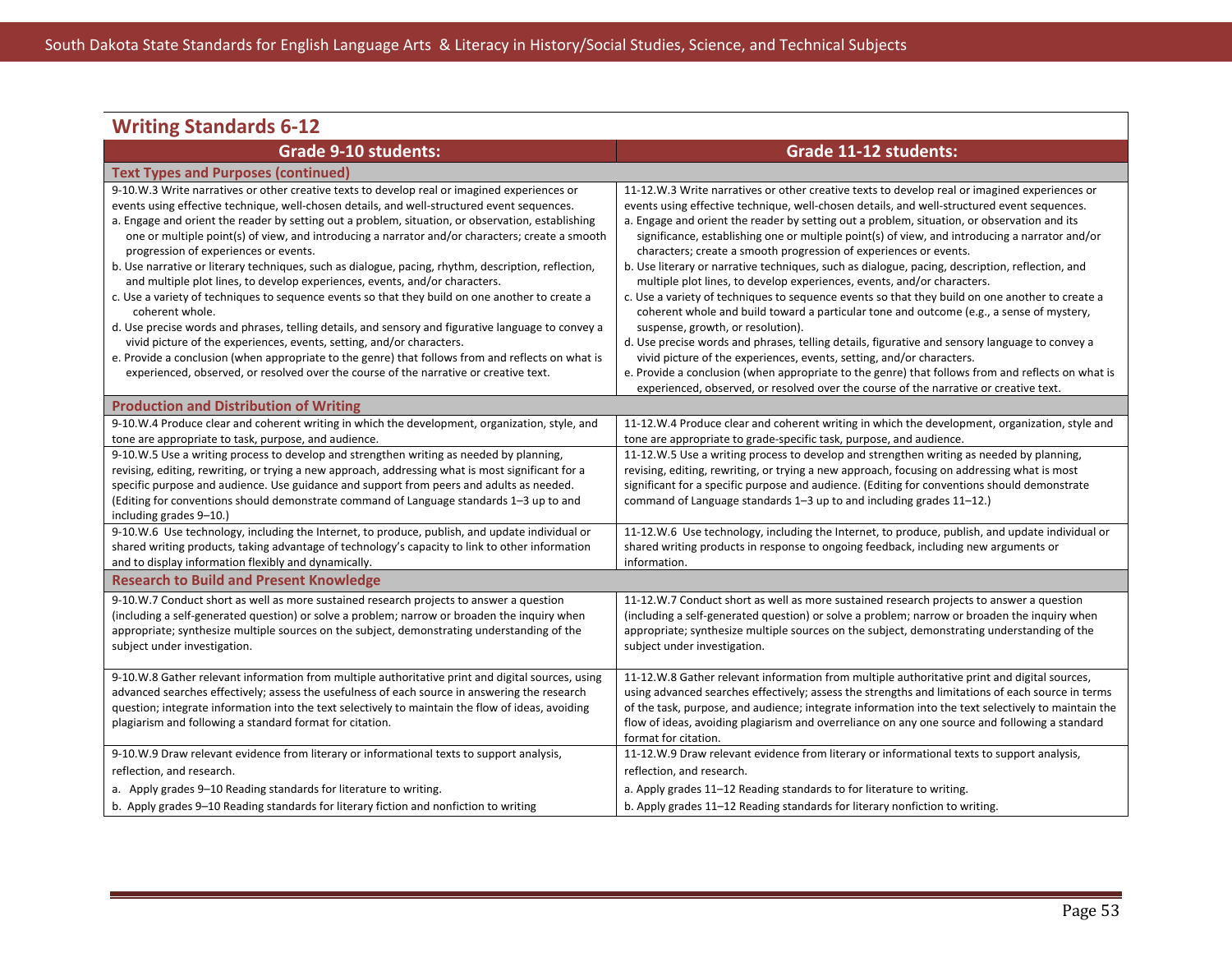| <b>Writing Standards 6-12</b>                                                                                                                                                                                                                                                                                                                                                                                                                                                                                                                                                                                                                                                                                                                                                                                                                                                                                                                                                                                                                |                                                                                                                                                                                                                                                                                                                                                                                                                                                                                                                                                                                                                                                                                                                                                                                                                                                                                                                                                                                                                                                                 |
|----------------------------------------------------------------------------------------------------------------------------------------------------------------------------------------------------------------------------------------------------------------------------------------------------------------------------------------------------------------------------------------------------------------------------------------------------------------------------------------------------------------------------------------------------------------------------------------------------------------------------------------------------------------------------------------------------------------------------------------------------------------------------------------------------------------------------------------------------------------------------------------------------------------------------------------------------------------------------------------------------------------------------------------------|-----------------------------------------------------------------------------------------------------------------------------------------------------------------------------------------------------------------------------------------------------------------------------------------------------------------------------------------------------------------------------------------------------------------------------------------------------------------------------------------------------------------------------------------------------------------------------------------------------------------------------------------------------------------------------------------------------------------------------------------------------------------------------------------------------------------------------------------------------------------------------------------------------------------------------------------------------------------------------------------------------------------------------------------------------------------|
| <b>Grade 9-10 students:</b>                                                                                                                                                                                                                                                                                                                                                                                                                                                                                                                                                                                                                                                                                                                                                                                                                                                                                                                                                                                                                  | <b>Grade 11-12 students:</b>                                                                                                                                                                                                                                                                                                                                                                                                                                                                                                                                                                                                                                                                                                                                                                                                                                                                                                                                                                                                                                    |
| <b>Text Types and Purposes (continued)</b>                                                                                                                                                                                                                                                                                                                                                                                                                                                                                                                                                                                                                                                                                                                                                                                                                                                                                                                                                                                                   |                                                                                                                                                                                                                                                                                                                                                                                                                                                                                                                                                                                                                                                                                                                                                                                                                                                                                                                                                                                                                                                                 |
| 9-10.W.3 Write narratives or other creative texts to develop real or imagined experiences or<br>events using effective technique, well-chosen details, and well-structured event sequences.<br>a. Engage and orient the reader by setting out a problem, situation, or observation, establishing<br>one or multiple point(s) of view, and introducing a narrator and/or characters; create a smooth<br>progression of experiences or events.<br>b. Use narrative or literary techniques, such as dialogue, pacing, rhythm, description, reflection,<br>and multiple plot lines, to develop experiences, events, and/or characters.<br>c. Use a variety of techniques to sequence events so that they build on one another to create a<br>coherent whole.<br>d. Use precise words and phrases, telling details, and sensory and figurative language to convey a<br>vivid picture of the experiences, events, setting, and/or characters.<br>e. Provide a conclusion (when appropriate to the genre) that follows from and reflects on what is | 11-12.W.3 Write narratives or other creative texts to develop real or imagined experiences or<br>events using effective technique, well-chosen details, and well-structured event sequences.<br>a. Engage and orient the reader by setting out a problem, situation, or observation and its<br>significance, establishing one or multiple point(s) of view, and introducing a narrator and/or<br>characters; create a smooth progression of experiences or events.<br>b. Use literary or narrative techniques, such as dialogue, pacing, description, reflection, and<br>multiple plot lines, to develop experiences, events, and/or characters.<br>c. Use a variety of techniques to sequence events so that they build on one another to create a<br>coherent whole and build toward a particular tone and outcome (e.g., a sense of mystery,<br>suspense, growth, or resolution).<br>d. Use precise words and phrases, telling details, figurative and sensory language to convey a<br>vivid picture of the experiences, events, setting, and/or characters. |
| experienced, observed, or resolved over the course of the narrative or creative text.                                                                                                                                                                                                                                                                                                                                                                                                                                                                                                                                                                                                                                                                                                                                                                                                                                                                                                                                                        | e. Provide a conclusion (when appropriate to the genre) that follows from and reflects on what is<br>experienced, observed, or resolved over the course of the narrative or creative text.                                                                                                                                                                                                                                                                                                                                                                                                                                                                                                                                                                                                                                                                                                                                                                                                                                                                      |
| <b>Production and Distribution of Writing</b>                                                                                                                                                                                                                                                                                                                                                                                                                                                                                                                                                                                                                                                                                                                                                                                                                                                                                                                                                                                                |                                                                                                                                                                                                                                                                                                                                                                                                                                                                                                                                                                                                                                                                                                                                                                                                                                                                                                                                                                                                                                                                 |
| 9-10.W.4 Produce clear and coherent writing in which the development, organization, style, and<br>tone are appropriate to task, purpose, and audience.                                                                                                                                                                                                                                                                                                                                                                                                                                                                                                                                                                                                                                                                                                                                                                                                                                                                                       | 11-12.W.4 Produce clear and coherent writing in which the development, organization, style and<br>tone are appropriate to grade-specific task, purpose, and audience.                                                                                                                                                                                                                                                                                                                                                                                                                                                                                                                                                                                                                                                                                                                                                                                                                                                                                           |
| 9-10.W.5 Use a writing process to develop and strengthen writing as needed by planning,<br>revising, editing, rewriting, or trying a new approach, addressing what is most significant for a<br>specific purpose and audience. Use guidance and support from peers and adults as needed.<br>(Editing for conventions should demonstrate command of Language standards 1-3 up to and<br>including grades 9-10.)                                                                                                                                                                                                                                                                                                                                                                                                                                                                                                                                                                                                                               | 11-12.W.5 Use a writing process to develop and strengthen writing as needed by planning,<br>revising, editing, rewriting, or trying a new approach, focusing on addressing what is most<br>significant for a specific purpose and audience. (Editing for conventions should demonstrate<br>command of Language standards 1–3 up to and including grades 11–12.)                                                                                                                                                                                                                                                                                                                                                                                                                                                                                                                                                                                                                                                                                                 |
| 9-10.W.6 Use technology, including the Internet, to produce, publish, and update individual or<br>shared writing products, taking advantage of technology's capacity to link to other information<br>and to display information flexibly and dynamically.                                                                                                                                                                                                                                                                                                                                                                                                                                                                                                                                                                                                                                                                                                                                                                                    | 11-12.W.6 Use technology, including the Internet, to produce, publish, and update individual or<br>shared writing products in response to ongoing feedback, including new arguments or<br>information.                                                                                                                                                                                                                                                                                                                                                                                                                                                                                                                                                                                                                                                                                                                                                                                                                                                          |
| <b>Research to Build and Present Knowledge</b>                                                                                                                                                                                                                                                                                                                                                                                                                                                                                                                                                                                                                                                                                                                                                                                                                                                                                                                                                                                               |                                                                                                                                                                                                                                                                                                                                                                                                                                                                                                                                                                                                                                                                                                                                                                                                                                                                                                                                                                                                                                                                 |
| 9-10.W.7 Conduct short as well as more sustained research projects to answer a question<br>(including a self-generated question) or solve a problem; narrow or broaden the inquiry when<br>appropriate; synthesize multiple sources on the subject, demonstrating understanding of the<br>subject under investigation.                                                                                                                                                                                                                                                                                                                                                                                                                                                                                                                                                                                                                                                                                                                       | 11-12.W.7 Conduct short as well as more sustained research projects to answer a question<br>(including a self-generated question) or solve a problem; narrow or broaden the inquiry when<br>appropriate; synthesize multiple sources on the subject, demonstrating understanding of the<br>subject under investigation.                                                                                                                                                                                                                                                                                                                                                                                                                                                                                                                                                                                                                                                                                                                                         |
| 9-10.W.8 Gather relevant information from multiple authoritative print and digital sources, using<br>advanced searches effectively; assess the usefulness of each source in answering the research<br>question; integrate information into the text selectively to maintain the flow of ideas, avoiding<br>plagiarism and following a standard format for citation.                                                                                                                                                                                                                                                                                                                                                                                                                                                                                                                                                                                                                                                                          | 11-12.W.8 Gather relevant information from multiple authoritative print and digital sources,<br>using advanced searches effectively; assess the strengths and limitations of each source in terms<br>of the task, purpose, and audience; integrate information into the text selectively to maintain the<br>flow of ideas, avoiding plagiarism and overreliance on any one source and following a standard<br>format for citation.                                                                                                                                                                                                                                                                                                                                                                                                                                                                                                                                                                                                                              |
| 9-10.W.9 Draw relevant evidence from literary or informational texts to support analysis,<br>reflection, and research.                                                                                                                                                                                                                                                                                                                                                                                                                                                                                                                                                                                                                                                                                                                                                                                                                                                                                                                       | 11-12.W.9 Draw relevant evidence from literary or informational texts to support analysis,<br>reflection, and research.                                                                                                                                                                                                                                                                                                                                                                                                                                                                                                                                                                                                                                                                                                                                                                                                                                                                                                                                         |
| a. Apply grades 9–10 Reading standards for literature to writing.<br>b. Apply grades 9–10 Reading standards for literary fiction and nonfiction to writing                                                                                                                                                                                                                                                                                                                                                                                                                                                                                                                                                                                                                                                                                                                                                                                                                                                                                   | a. Apply grades 11–12 Reading standards to for literature to writing.<br>b. Apply grades 11–12 Reading standards for literary nonfiction to writing.                                                                                                                                                                                                                                                                                                                                                                                                                                                                                                                                                                                                                                                                                                                                                                                                                                                                                                            |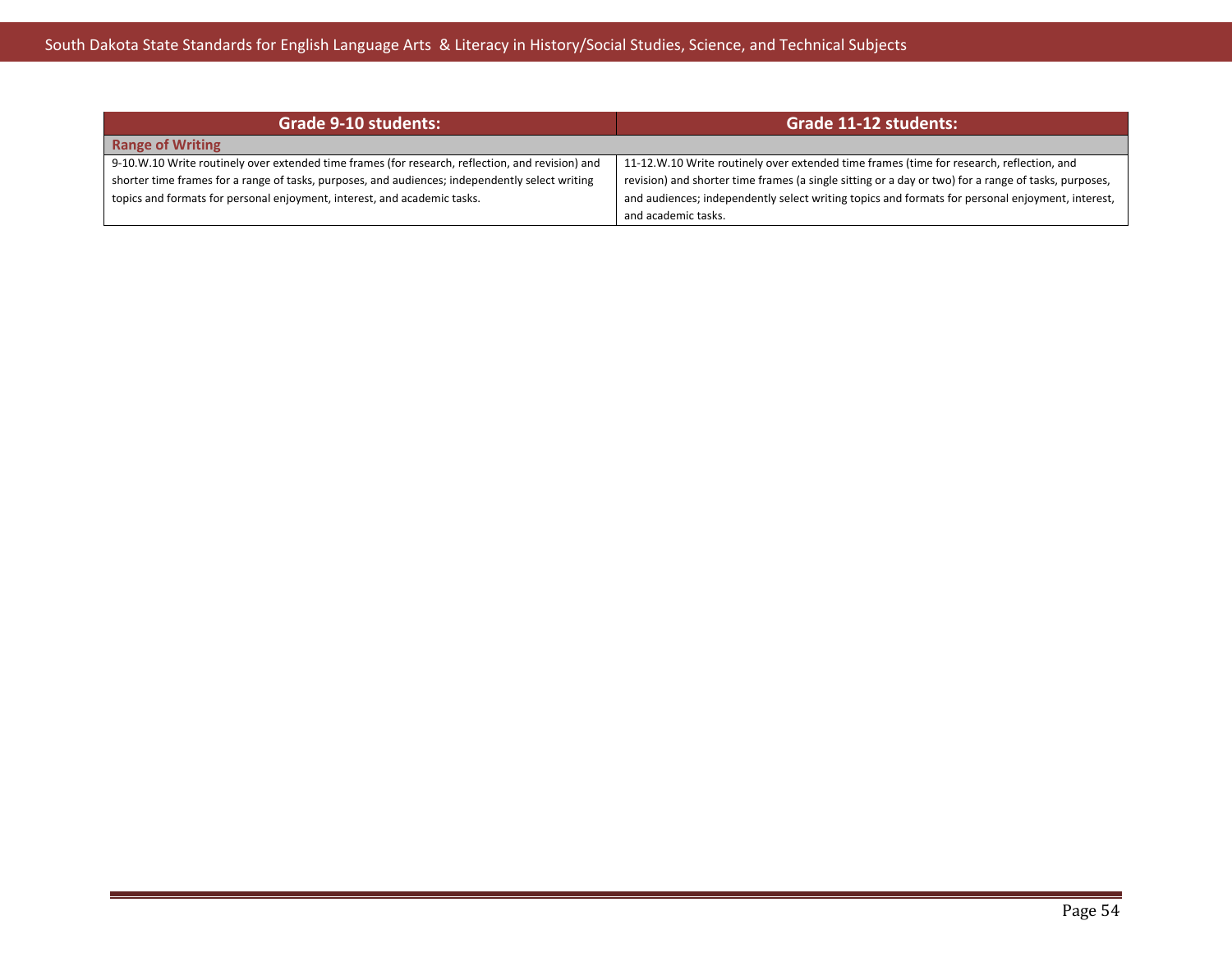| Grade 9-10 students:                                                                             | l Grade 11-12 students: 1                                                                            |
|--------------------------------------------------------------------------------------------------|------------------------------------------------------------------------------------------------------|
| <b>Range of Writing</b>                                                                          |                                                                                                      |
| 9-10.W.10 Write routinely over extended time frames (for research, reflection, and revision) and | 11-12.W.10 Write routinely over extended time frames (time for research, reflection, and             |
| shorter time frames for a range of tasks, purposes, and audiences; independently select writing  | revision) and shorter time frames (a single sitting or a day or two) for a range of tasks, purposes, |
| topics and formats for personal enjoyment, interest, and academic tasks.                         | and audiences; independently select writing topics and formats for personal enjoyment, interest,     |
|                                                                                                  | and academic tasks.                                                                                  |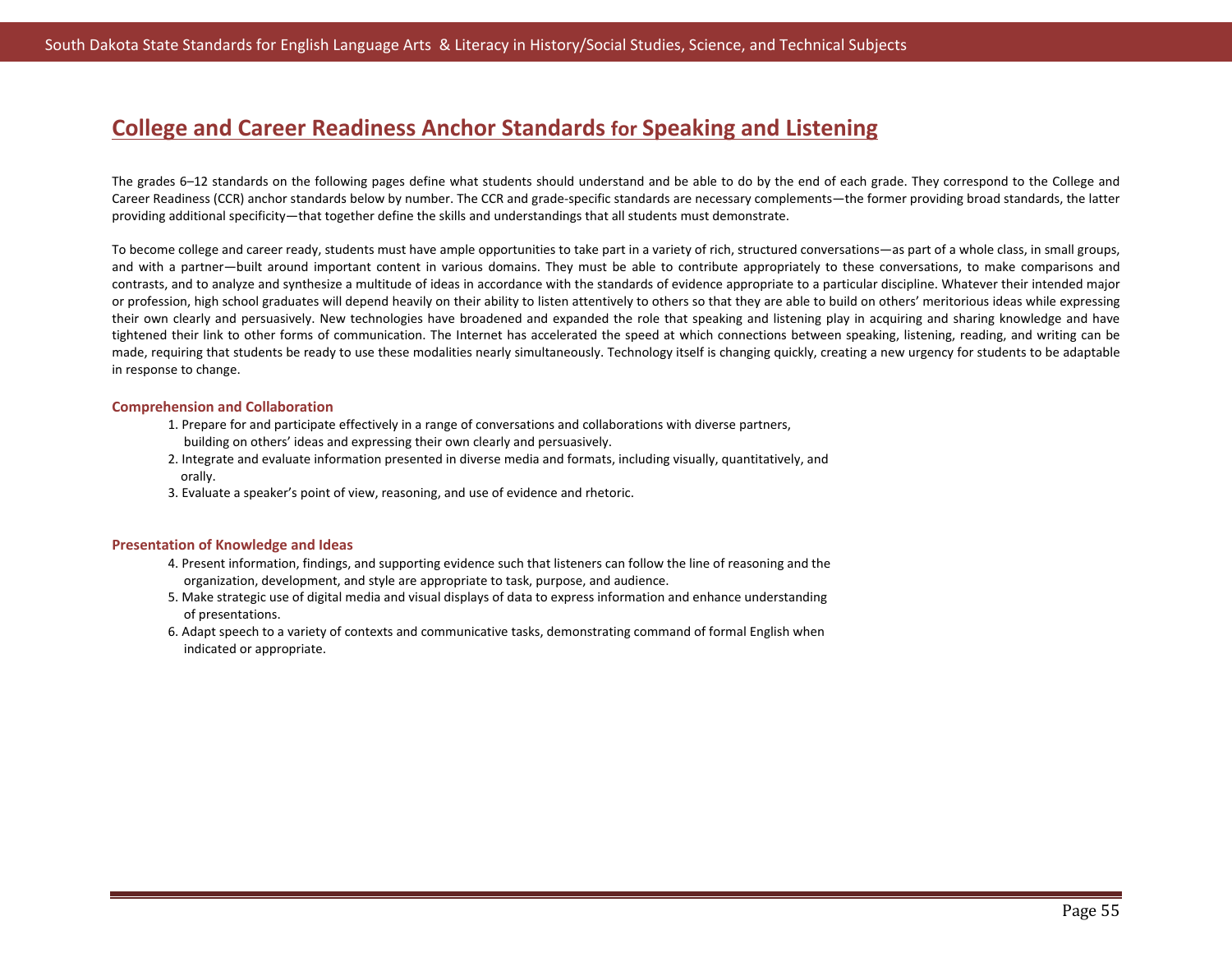## **College and Career Readiness Anchor Standards for Speaking and Listening**

The grades 6–12 standards on the following pages define what students should understand and be able to do by the end of each grade. They correspond to the College and Career Readiness (CCR) anchor standards below by number. The CCR and grade-specific standards are necessary complements—the former providing broad standards, the latter providing additional specificity—that together define the skills and understandings that all students must demonstrate.

To become college and career ready, students must have ample opportunities to take part in a variety of rich, structured conversations—as part of a whole class, in small groups, and with a partner—built around important content in various domains. They must be able to contribute appropriately to these conversations, to make comparisons and contrasts, and to analyze and synthesize a multitude of ideas in accordance with the standards of evidence appropriate to a particular discipline. Whatever their intended major or profession, high school graduates will depend heavily on their ability to listen attentively to others so that they are able to build on others' meritorious ideas while expressing their own clearly and persuasively. New technologies have broadened and expanded the role that speaking and listening play in acquiring and sharing knowledge and have tightened their link to other forms of communication. The Internet has accelerated the speed at which connections between speaking, listening, reading, and writing can be made, requiring that students be ready to use these modalities nearly simultaneously. Technology itself is changing quickly, creating a new urgency for students to be adaptable in response to change.

#### **Comprehension and Collaboration**

- 1. Prepare for and participate effectively in a range of conversations and collaborations with diverse partners, building on others' ideas and expressing their own clearly and persuasively.
- 2. Integrate and evaluate information presented in diverse media and formats, including visually, quantitatively, and orally.
- 3. Evaluate a speaker's point of view, reasoning, and use of evidence and rhetoric.

## **Presentation of Knowledge and Ideas**

- 4. Present information, findings, and supporting evidence such that listeners can follow the line of reasoning and the organization, development, and style are appropriate to task, purpose, and audience.
- 5. Make strategic use of digital media and visual displays of data to express information and enhance understanding of presentations.
- 6. Adapt speech to a variety of contexts and communicative tasks, demonstrating command of formal English when indicated or appropriate.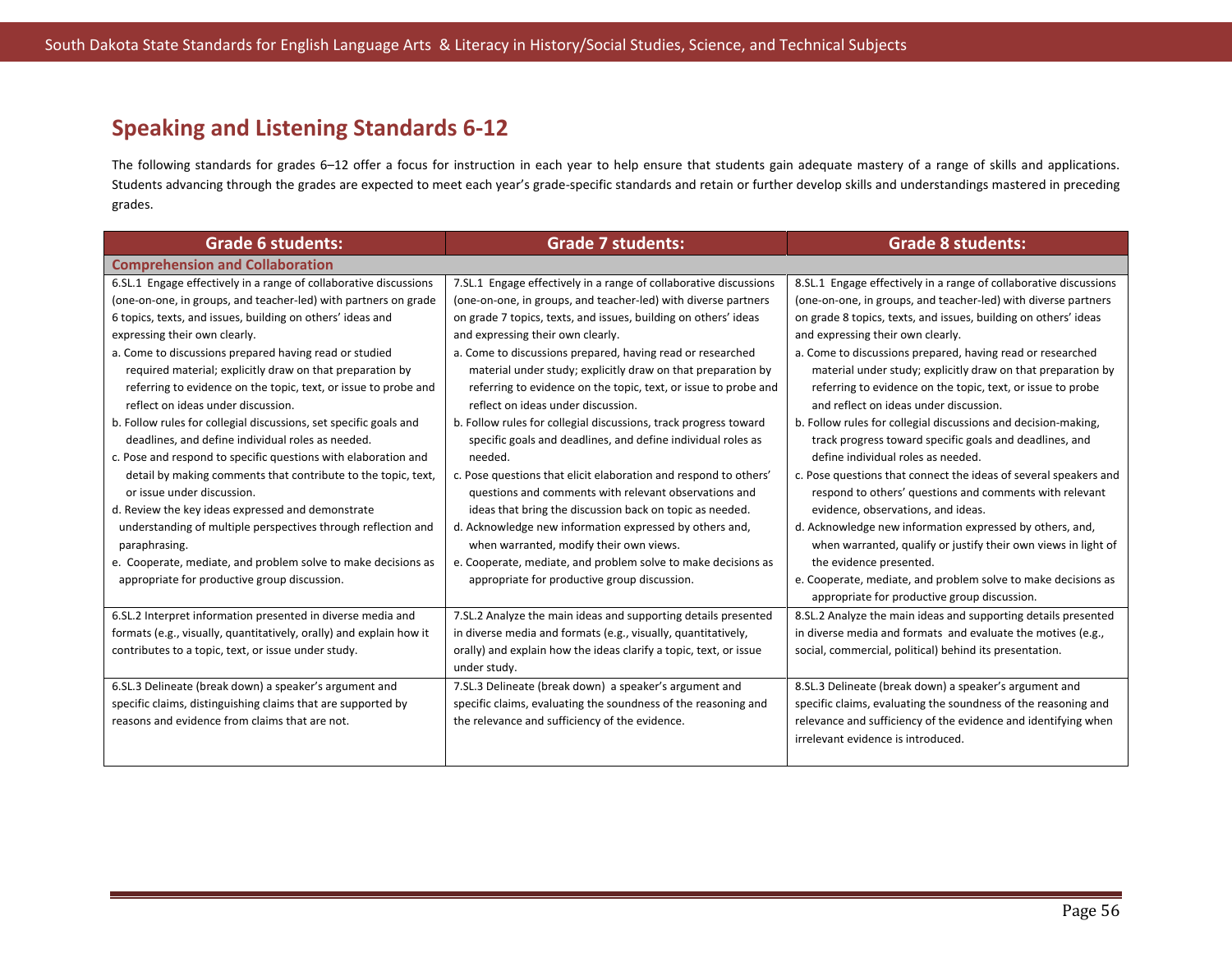# **Speaking and Listening Standards 6-12**

The following standards for grades 6–12 offer a focus for instruction in each year to help ensure that students gain adequate mastery of a range of skills and applications. Students advancing through the grades are expected to meet each year's grade-specific standards and retain or further develop skills and understandings mastered in preceding grades.

| <b>Grade 6 students:</b>                                            | <b>Grade 7 students:</b>                                            | <b>Grade 8 students:</b>                                            |
|---------------------------------------------------------------------|---------------------------------------------------------------------|---------------------------------------------------------------------|
| <b>Comprehension and Collaboration</b>                              |                                                                     |                                                                     |
| 6. SL. 1 Engage effectively in a range of collaborative discussions | 7. SL. 1 Engage effectively in a range of collaborative discussions | 8. SL. 1 Engage effectively in a range of collaborative discussions |
| (one-on-one, in groups, and teacher-led) with partners on grade     | (one-on-one, in groups, and teacher-led) with diverse partners      | (one-on-one, in groups, and teacher-led) with diverse partners      |
| 6 topics, texts, and issues, building on others' ideas and          | on grade 7 topics, texts, and issues, building on others' ideas     | on grade 8 topics, texts, and issues, building on others' ideas     |
| expressing their own clearly.                                       | and expressing their own clearly.                                   | and expressing their own clearly.                                   |
| a. Come to discussions prepared having read or studied              | a. Come to discussions prepared, having read or researched          | a. Come to discussions prepared, having read or researched          |
| required material; explicitly draw on that preparation by           | material under study; explicitly draw on that preparation by        | material under study; explicitly draw on that preparation by        |
| referring to evidence on the topic, text, or issue to probe and     | referring to evidence on the topic, text, or issue to probe and     | referring to evidence on the topic, text, or issue to probe         |
| reflect on ideas under discussion.                                  | reflect on ideas under discussion.                                  | and reflect on ideas under discussion.                              |
| b. Follow rules for collegial discussions, set specific goals and   | b. Follow rules for collegial discussions, track progress toward    | b. Follow rules for collegial discussions and decision-making,      |
| deadlines, and define individual roles as needed.                   | specific goals and deadlines, and define individual roles as        | track progress toward specific goals and deadlines, and             |
| c. Pose and respond to specific questions with elaboration and      | needed.                                                             | define individual roles as needed.                                  |
| detail by making comments that contribute to the topic, text,       | c. Pose questions that elicit elaboration and respond to others'    | c. Pose questions that connect the ideas of several speakers and    |
| or issue under discussion.                                          | questions and comments with relevant observations and               | respond to others' questions and comments with relevant             |
| d. Review the key ideas expressed and demonstrate                   | ideas that bring the discussion back on topic as needed.            | evidence, observations, and ideas.                                  |
| understanding of multiple perspectives through reflection and       | d. Acknowledge new information expressed by others and,             | d. Acknowledge new information expressed by others, and,            |
| paraphrasing.                                                       | when warranted, modify their own views.                             | when warranted, qualify or justify their own views in light of      |
| e. Cooperate, mediate, and problem solve to make decisions as       | e. Cooperate, mediate, and problem solve to make decisions as       | the evidence presented.                                             |
| appropriate for productive group discussion.                        | appropriate for productive group discussion.                        | e. Cooperate, mediate, and problem solve to make decisions as       |
|                                                                     |                                                                     | appropriate for productive group discussion.                        |
| 6.SL.2 Interpret information presented in diverse media and         | 7.SL.2 Analyze the main ideas and supporting details presented      | 8.SL.2 Analyze the main ideas and supporting details presented      |
| formats (e.g., visually, quantitatively, orally) and explain how it | in diverse media and formats (e.g., visually, quantitatively,       | in diverse media and formats and evaluate the motives (e.g.,        |
| contributes to a topic, text, or issue under study.                 | orally) and explain how the ideas clarify a topic, text, or issue   | social, commercial, political) behind its presentation.             |
|                                                                     | under study.                                                        |                                                                     |
| 6.SL.3 Delineate (break down) a speaker's argument and              | 7.SL.3 Delineate (break down) a speaker's argument and              | 8.SL.3 Delineate (break down) a speaker's argument and              |
| specific claims, distinguishing claims that are supported by        | specific claims, evaluating the soundness of the reasoning and      | specific claims, evaluating the soundness of the reasoning and      |
| reasons and evidence from claims that are not.                      | the relevance and sufficiency of the evidence.                      | relevance and sufficiency of the evidence and identifying when      |
|                                                                     |                                                                     | irrelevant evidence is introduced.                                  |
|                                                                     |                                                                     |                                                                     |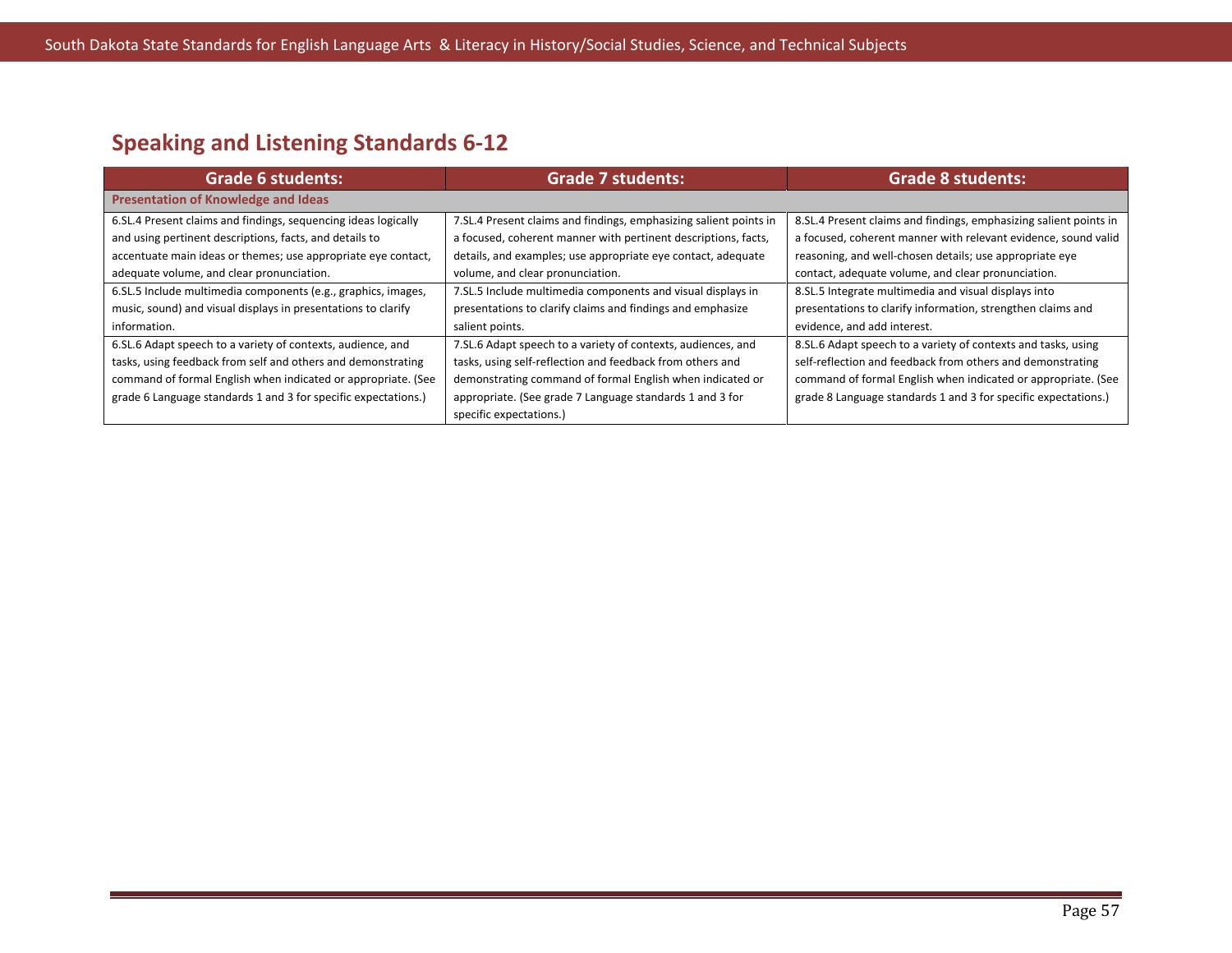# **Speaking and Listening Standards 6-12**

| Grade 6 students:                                              | <b>Grade 7 students:</b>                                          | <b>Grade 8 students:</b>                                          |
|----------------------------------------------------------------|-------------------------------------------------------------------|-------------------------------------------------------------------|
| <b>Presentation of Knowledge and Ideas</b>                     |                                                                   |                                                                   |
| 6.SL.4 Present claims and findings, sequencing ideas logically | 7.SL.4 Present claims and findings, emphasizing salient points in | 8.SL.4 Present claims and findings, emphasizing salient points in |
| and using pertinent descriptions, facts, and details to        | a focused, coherent manner with pertinent descriptions, facts,    | a focused, coherent manner with relevant evidence, sound valid    |
| accentuate main ideas or themes; use appropriate eye contact,  | details, and examples; use appropriate eye contact, adequate      | reasoning, and well-chosen details; use appropriate eye           |
| adequate volume, and clear pronunciation.                      | volume, and clear pronunciation.                                  | contact, adequate volume, and clear pronunciation.                |
| 6.SL.5 Include multimedia components (e.g., graphics, images,  | 7.SL.5 Include multimedia components and visual displays in       | 8.SL.5 Integrate multimedia and visual displays into              |
| music, sound) and visual displays in presentations to clarify  | presentations to clarify claims and findings and emphasize        | presentations to clarify information, strengthen claims and       |
| information.                                                   | salient points.                                                   | evidence, and add interest.                                       |
| 6. SL. 6 Adapt speech to a variety of contexts, audience, and  | 7. SL.6 Adapt speech to a variety of contexts, audiences, and     | 8.SL.6 Adapt speech to a variety of contexts and tasks, using     |
| tasks, using feedback from self and others and demonstrating   | tasks, using self-reflection and feedback from others and         | self-reflection and feedback from others and demonstrating        |
| command of formal English when indicated or appropriate. (See  | demonstrating command of formal English when indicated or         | command of formal English when indicated or appropriate. (See     |
| grade 6 Language standards 1 and 3 for specific expectations.) | appropriate. (See grade 7 Language standards 1 and 3 for          | grade 8 Language standards 1 and 3 for specific expectations.)    |
|                                                                | specific expectations.)                                           |                                                                   |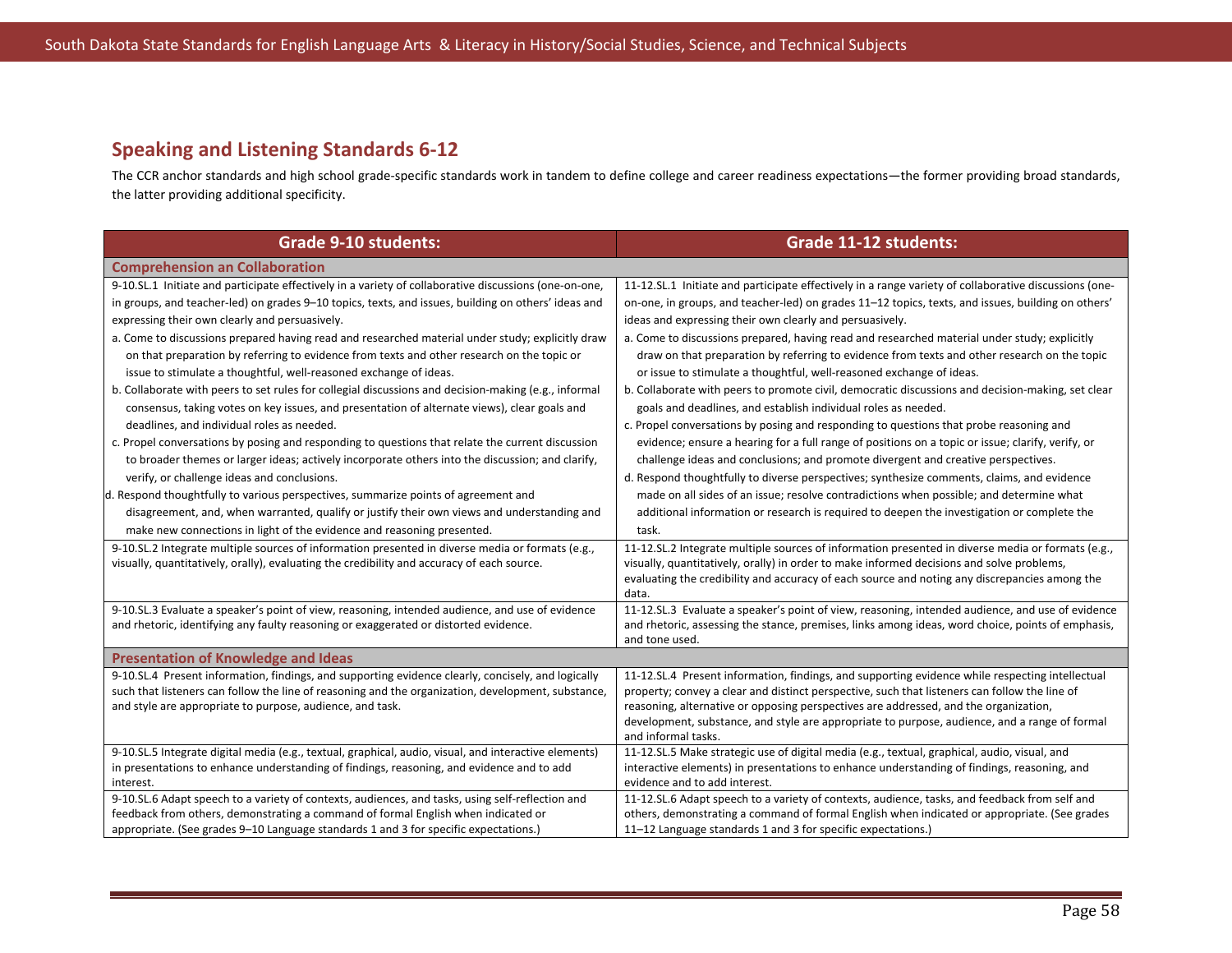## **Speaking and Listening Standards 6-12**

The CCR anchor standards and high school grade-specific standards work in tandem to define college and career readiness expectations—the former providing broad standards, the latter providing additional specificity.

| <b>Grade 9-10 students:</b>                                                                                                                                                                                                                                                                                                                                                                                                                                                                                                                                                                                                                                                                                                                                                                                                                                                                                                                                                                                                                        | <b>Grade 11-12 students:</b>                                                                                                                                                                                                                                                                                                                                                                                                                                                                                                                                                                                                                                                                                                                                                                                                                                                                                                                                                                                                                                                                             |
|----------------------------------------------------------------------------------------------------------------------------------------------------------------------------------------------------------------------------------------------------------------------------------------------------------------------------------------------------------------------------------------------------------------------------------------------------------------------------------------------------------------------------------------------------------------------------------------------------------------------------------------------------------------------------------------------------------------------------------------------------------------------------------------------------------------------------------------------------------------------------------------------------------------------------------------------------------------------------------------------------------------------------------------------------|----------------------------------------------------------------------------------------------------------------------------------------------------------------------------------------------------------------------------------------------------------------------------------------------------------------------------------------------------------------------------------------------------------------------------------------------------------------------------------------------------------------------------------------------------------------------------------------------------------------------------------------------------------------------------------------------------------------------------------------------------------------------------------------------------------------------------------------------------------------------------------------------------------------------------------------------------------------------------------------------------------------------------------------------------------------------------------------------------------|
| <b>Comprehension an Collaboration</b>                                                                                                                                                                                                                                                                                                                                                                                                                                                                                                                                                                                                                                                                                                                                                                                                                                                                                                                                                                                                              |                                                                                                                                                                                                                                                                                                                                                                                                                                                                                                                                                                                                                                                                                                                                                                                                                                                                                                                                                                                                                                                                                                          |
| 9-10.SL.1 Initiate and participate effectively in a variety of collaborative discussions (one-on-one,<br>in groups, and teacher-led) on grades 9-10 topics, texts, and issues, building on others' ideas and<br>expressing their own clearly and persuasively.<br>a. Come to discussions prepared having read and researched material under study; explicitly draw<br>on that preparation by referring to evidence from texts and other research on the topic or<br>issue to stimulate a thoughtful, well-reasoned exchange of ideas.<br>b. Collaborate with peers to set rules for collegial discussions and decision-making (e.g., informal<br>consensus, taking votes on key issues, and presentation of alternate views), clear goals and<br>deadlines, and individual roles as needed.<br>c. Propel conversations by posing and responding to questions that relate the current discussion<br>to broader themes or larger ideas; actively incorporate others into the discussion; and clarify,<br>verify, or challenge ideas and conclusions. | 11-12.SL.1 Initiate and participate effectively in a range variety of collaborative discussions (one-<br>on-one, in groups, and teacher-led) on grades 11-12 topics, texts, and issues, building on others'<br>ideas and expressing their own clearly and persuasively.<br>a. Come to discussions prepared, having read and researched material under study; explicitly<br>draw on that preparation by referring to evidence from texts and other research on the topic<br>or issue to stimulate a thoughtful, well-reasoned exchange of ideas.<br>b. Collaborate with peers to promote civil, democratic discussions and decision-making, set clear<br>goals and deadlines, and establish individual roles as needed.<br>c. Propel conversations by posing and responding to questions that probe reasoning and<br>evidence; ensure a hearing for a full range of positions on a topic or issue; clarify, verify, or<br>challenge ideas and conclusions; and promote divergent and creative perspectives.<br>d. Respond thoughtfully to diverse perspectives; synthesize comments, claims, and evidence |
| d. Respond thoughtfully to various perspectives, summarize points of agreement and<br>disagreement, and, when warranted, qualify or justify their own views and understanding and<br>make new connections in light of the evidence and reasoning presented.<br>9-10.SL.2 Integrate multiple sources of information presented in diverse media or formats (e.g.,<br>visually, quantitatively, orally), evaluating the credibility and accuracy of each source.                                                                                                                                                                                                                                                                                                                                                                                                                                                                                                                                                                                      | made on all sides of an issue; resolve contradictions when possible; and determine what<br>additional information or research is required to deepen the investigation or complete the<br>task.<br>11-12. SL. 2 Integrate multiple sources of information presented in diverse media or formats (e.g.,<br>visually, quantitatively, orally) in order to make informed decisions and solve problems,<br>evaluating the credibility and accuracy of each source and noting any discrepancies among the                                                                                                                                                                                                                                                                                                                                                                                                                                                                                                                                                                                                      |
| 9-10.SL.3 Evaluate a speaker's point of view, reasoning, intended audience, and use of evidence<br>and rhetoric, identifying any faulty reasoning or exaggerated or distorted evidence.                                                                                                                                                                                                                                                                                                                                                                                                                                                                                                                                                                                                                                                                                                                                                                                                                                                            | data.<br>11-12.SL.3 Evaluate a speaker's point of view, reasoning, intended audience, and use of evidence<br>and rhetoric, assessing the stance, premises, links among ideas, word choice, points of emphasis,<br>and tone used.                                                                                                                                                                                                                                                                                                                                                                                                                                                                                                                                                                                                                                                                                                                                                                                                                                                                         |
| <b>Presentation of Knowledge and Ideas</b>                                                                                                                                                                                                                                                                                                                                                                                                                                                                                                                                                                                                                                                                                                                                                                                                                                                                                                                                                                                                         |                                                                                                                                                                                                                                                                                                                                                                                                                                                                                                                                                                                                                                                                                                                                                                                                                                                                                                                                                                                                                                                                                                          |
| 9-10.SL.4 Present information, findings, and supporting evidence clearly, concisely, and logically<br>such that listeners can follow the line of reasoning and the organization, development, substance,<br>and style are appropriate to purpose, audience, and task.                                                                                                                                                                                                                                                                                                                                                                                                                                                                                                                                                                                                                                                                                                                                                                              | 11-12.SL.4 Present information, findings, and supporting evidence while respecting intellectual<br>property; convey a clear and distinct perspective, such that listeners can follow the line of<br>reasoning, alternative or opposing perspectives are addressed, and the organization,<br>development, substance, and style are appropriate to purpose, audience, and a range of formal<br>and informal tasks.                                                                                                                                                                                                                                                                                                                                                                                                                                                                                                                                                                                                                                                                                         |
| 9-10.SL.5 Integrate digital media (e.g., textual, graphical, audio, visual, and interactive elements)<br>in presentations to enhance understanding of findings, reasoning, and evidence and to add<br>interest.                                                                                                                                                                                                                                                                                                                                                                                                                                                                                                                                                                                                                                                                                                                                                                                                                                    | 11-12.SL.5 Make strategic use of digital media (e.g., textual, graphical, audio, visual, and<br>interactive elements) in presentations to enhance understanding of findings, reasoning, and<br>evidence and to add interest.                                                                                                                                                                                                                                                                                                                                                                                                                                                                                                                                                                                                                                                                                                                                                                                                                                                                             |
| 9-10.SL.6 Adapt speech to a variety of contexts, audiences, and tasks, using self-reflection and<br>feedback from others, demonstrating a command of formal English when indicated or<br>appropriate. (See grades 9–10 Language standards 1 and 3 for specific expectations.)                                                                                                                                                                                                                                                                                                                                                                                                                                                                                                                                                                                                                                                                                                                                                                      | 11-12.SL.6 Adapt speech to a variety of contexts, audience, tasks, and feedback from self and<br>others, demonstrating a command of formal English when indicated or appropriate. (See grades<br>11-12 Language standards 1 and 3 for specific expectations.)                                                                                                                                                                                                                                                                                                                                                                                                                                                                                                                                                                                                                                                                                                                                                                                                                                            |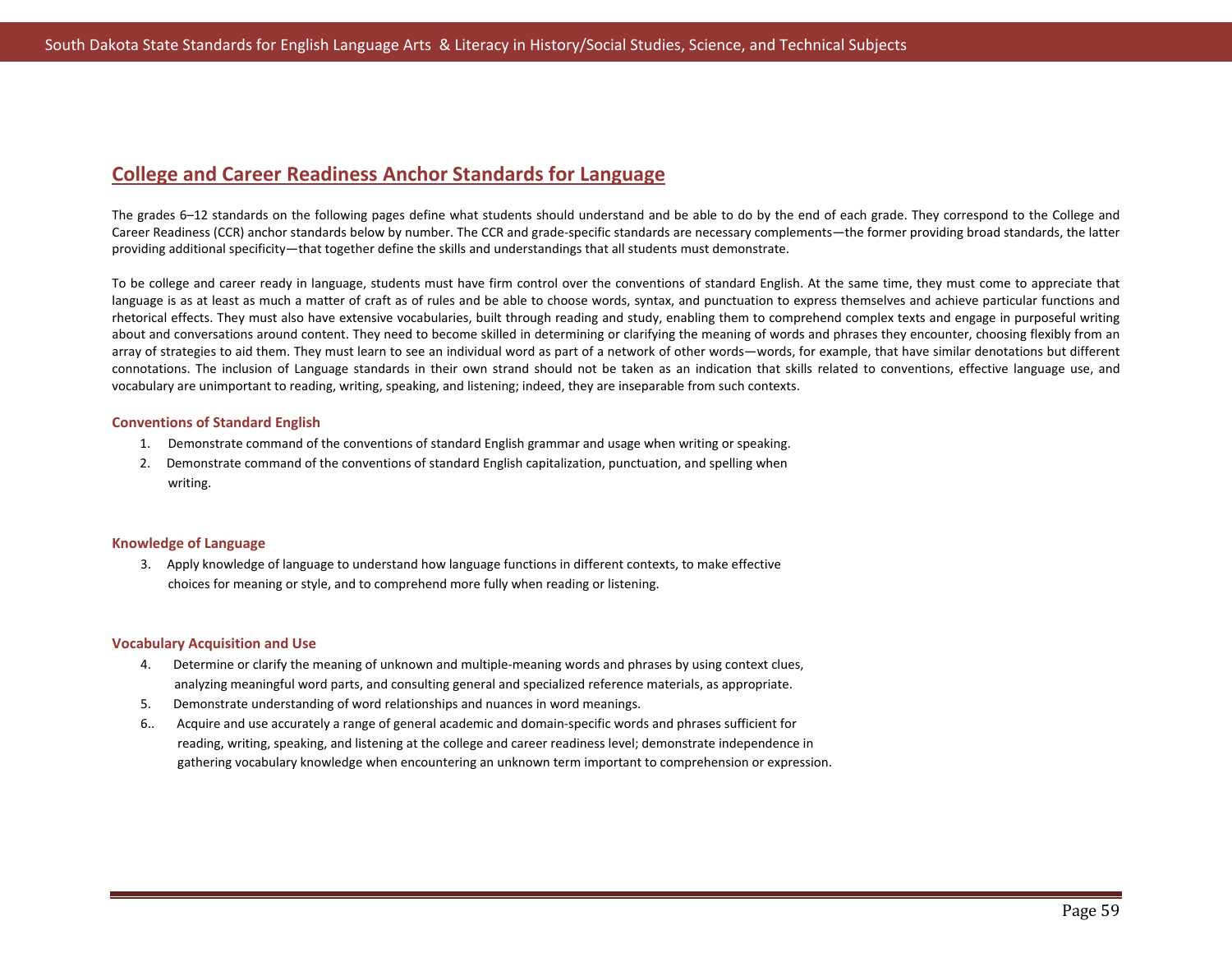## **College and Career Readiness Anchor Standards for Language**

The grades 6–12 standards on the following pages define what students should understand and be able to do by the end of each grade. They correspond to the College and Career Readiness (CCR) anchor standards below by number. The CCR and grade-specific standards are necessary complements—the former providing broad standards, the latter providing additional specificity—that together define the skills and understandings that all students must demonstrate.

To be college and career ready in language, students must have firm control over the conventions of standard English. At the same time, they must come to appreciate that language is as at least as much a matter of craft as of rules and be able to choose words, syntax, and punctuation to express themselves and achieve particular functions and rhetorical effects. They must also have extensive vocabularies, built through reading and study, enabling them to comprehend complex texts and engage in purposeful writing about and conversations around content. They need to become skilled in determining or clarifying the meaning of words and phrases they encounter, choosing flexibly from an array of strategies to aid them. They must learn to see an individual word as part of a network of other words—words, for example, that have similar denotations but different connotations. The inclusion of Language standards in their own strand should not be taken as an indication that skills related to conventions, effective language use, and vocabulary are unimportant to reading, writing, speaking, and listening; indeed, they are inseparable from such contexts.

#### **Conventions of Standard English**

- 1. Demonstrate command of the conventions of standard English grammar and usage when writing or speaking.
- 2. Demonstrate command of the conventions of standard English capitalization, punctuation, and spelling when writing.

## **Knowledge of Language**

 3. Apply knowledge of language to understand how language functions in different contexts, to make effective choices for meaning or style, and to comprehend more fully when reading or listening.

## **Vocabulary Acquisition and Use**

- 4. Determine or clarify the meaning of unknown and multiple-meaning words and phrases by using context clues, analyzing meaningful word parts, and consulting general and specialized reference materials, as appropriate.
- 5. Demonstrate understanding of word relationships and nuances in word meanings.
- 6.. Acquire and use accurately a range of general academic and domain-specific words and phrases sufficient for reading, writing, speaking, and listening at the college and career readiness level; demonstrate independence in gathering vocabulary knowledge when encountering an unknown term important to comprehension or expression.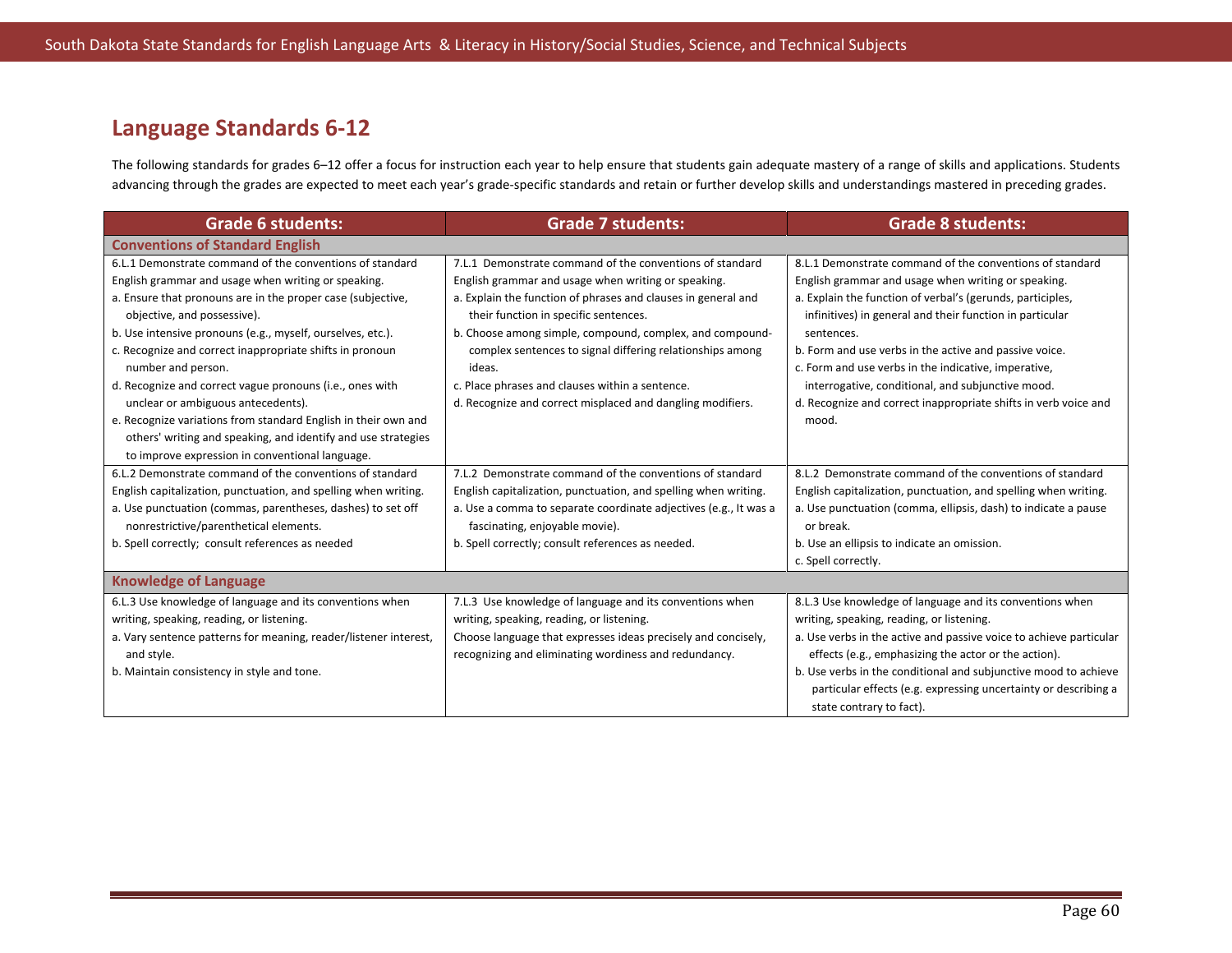# **Language Standards 6-12**

The following standards for grades 6–12 offer a focus for instruction each year to help ensure that students gain adequate mastery of a range of skills and applications. Students advancing through the grades are expected to meet each year's grade-specific standards and retain or further develop skills and understandings mastered in preceding grades.

| <b>Grade 6 students:</b>                                         | <b>Grade 7 students:</b>                                         | <b>Grade 8 students:</b>                                           |
|------------------------------------------------------------------|------------------------------------------------------------------|--------------------------------------------------------------------|
| <b>Conventions of Standard English</b>                           |                                                                  |                                                                    |
| 6.L.1 Demonstrate command of the conventions of standard         | 7.L.1 Demonstrate command of the conventions of standard         | 8.L.1 Demonstrate command of the conventions of standard           |
| English grammar and usage when writing or speaking.              | English grammar and usage when writing or speaking.              | English grammar and usage when writing or speaking.                |
| a. Ensure that pronouns are in the proper case (subjective,      | a. Explain the function of phrases and clauses in general and    | a. Explain the function of verbal's (gerunds, participles,         |
| objective, and possessive).                                      | their function in specific sentences.                            | infinitives) in general and their function in particular           |
| b. Use intensive pronouns (e.g., myself, ourselves, etc.).       | b. Choose among simple, compound, complex, and compound-         | sentences.                                                         |
| c. Recognize and correct inappropriate shifts in pronoun         | complex sentences to signal differing relationships among        | b. Form and use verbs in the active and passive voice.             |
| number and person.                                               | ideas.                                                           | c. Form and use verbs in the indicative, imperative,               |
| d. Recognize and correct vague pronouns (i.e., ones with         | c. Place phrases and clauses within a sentence.                  | interrogative, conditional, and subjunctive mood.                  |
| unclear or ambiguous antecedents).                               | d. Recognize and correct misplaced and dangling modifiers.       | d. Recognize and correct inappropriate shifts in verb voice and    |
| e. Recognize variations from standard English in their own and   |                                                                  | mood.                                                              |
| others' writing and speaking, and identify and use strategies    |                                                                  |                                                                    |
| to improve expression in conventional language.                  |                                                                  |                                                                    |
| 6.L.2 Demonstrate command of the conventions of standard         | 7.L.2 Demonstrate command of the conventions of standard         | 8.L.2 Demonstrate command of the conventions of standard           |
| English capitalization, punctuation, and spelling when writing.  | English capitalization, punctuation, and spelling when writing.  | English capitalization, punctuation, and spelling when writing.    |
| a. Use punctuation (commas, parentheses, dashes) to set off      | a. Use a comma to separate coordinate adjectives (e.g., It was a | a. Use punctuation (comma, ellipsis, dash) to indicate a pause     |
| nonrestrictive/parenthetical elements.                           | fascinating, enjoyable movie).                                   | or break.                                                          |
| b. Spell correctly; consult references as needed                 | b. Spell correctly; consult references as needed.                | b. Use an ellipsis to indicate an omission.                        |
|                                                                  |                                                                  | c. Spell correctly.                                                |
| <b>Knowledge of Language</b>                                     |                                                                  |                                                                    |
| 6.L.3 Use knowledge of language and its conventions when         | 7.L.3 Use knowledge of language and its conventions when         | 8.L.3 Use knowledge of language and its conventions when           |
| writing, speaking, reading, or listening.                        | writing, speaking, reading, or listening.                        | writing, speaking, reading, or listening.                          |
| a. Vary sentence patterns for meaning, reader/listener interest, | Choose language that expresses ideas precisely and concisely,    | a. Use verbs in the active and passive voice to achieve particular |
| and style.                                                       | recognizing and eliminating wordiness and redundancy.            | effects (e.g., emphasizing the actor or the action).               |
| b. Maintain consistency in style and tone.                       |                                                                  | b. Use verbs in the conditional and subjunctive mood to achieve    |
|                                                                  |                                                                  | particular effects (e.g. expressing uncertainty or describing a    |
|                                                                  |                                                                  | state contrary to fact).                                           |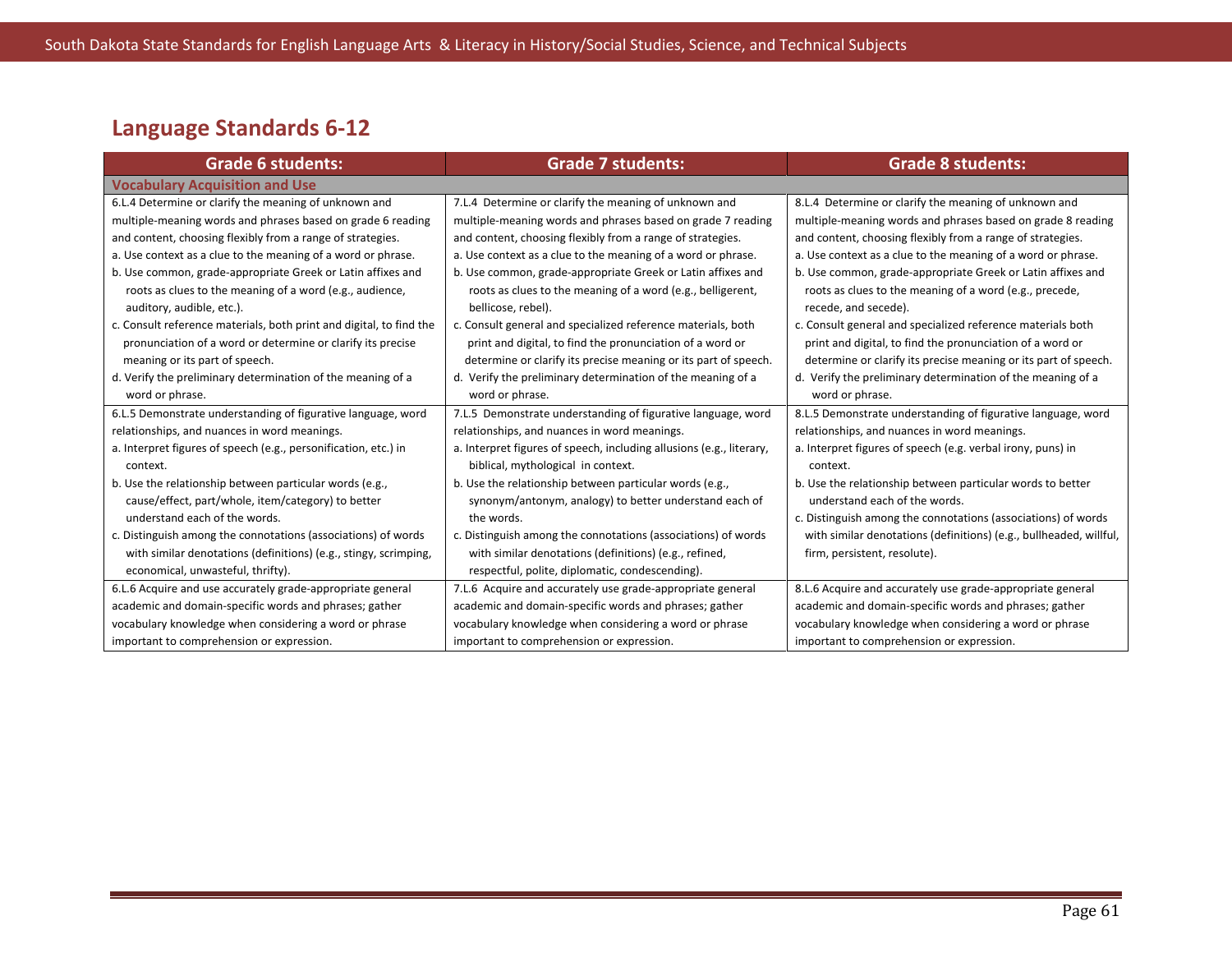# **Language Standards 6-12**

| <b>Grade 6 students:</b>                                            | <b>Grade 7 students:</b>                                             | <b>Grade 8 students:</b>                                           |
|---------------------------------------------------------------------|----------------------------------------------------------------------|--------------------------------------------------------------------|
| <b>Vocabulary Acquisition and Use</b>                               |                                                                      |                                                                    |
| 6.L.4 Determine or clarify the meaning of unknown and               | 7.L.4 Determine or clarify the meaning of unknown and                | 8.L.4 Determine or clarify the meaning of unknown and              |
| multiple-meaning words and phrases based on grade 6 reading         | multiple-meaning words and phrases based on grade 7 reading          | multiple-meaning words and phrases based on grade 8 reading        |
| and content, choosing flexibly from a range of strategies.          | and content, choosing flexibly from a range of strategies.           | and content, choosing flexibly from a range of strategies.         |
| a. Use context as a clue to the meaning of a word or phrase.        | a. Use context as a clue to the meaning of a word or phrase.         | a. Use context as a clue to the meaning of a word or phrase.       |
| b. Use common, grade-appropriate Greek or Latin affixes and         | b. Use common, grade-appropriate Greek or Latin affixes and          | b. Use common, grade-appropriate Greek or Latin affixes and        |
| roots as clues to the meaning of a word (e.g., audience,            | roots as clues to the meaning of a word (e.g., belligerent,          | roots as clues to the meaning of a word (e.g., precede,            |
| auditory, audible, etc.).                                           | bellicose, rebel).                                                   | recede, and secede).                                               |
| c. Consult reference materials, both print and digital, to find the | c. Consult general and specialized reference materials, both         | c. Consult general and specialized reference materials both        |
| pronunciation of a word or determine or clarify its precise         | print and digital, to find the pronunciation of a word or            | print and digital, to find the pronunciation of a word or          |
| meaning or its part of speech.                                      | determine or clarify its precise meaning or its part of speech.      | determine or clarify its precise meaning or its part of speech.    |
| d. Verify the preliminary determination of the meaning of a         | d. Verify the preliminary determination of the meaning of a          | d. Verify the preliminary determination of the meaning of a        |
| word or phrase.                                                     | word or phrase.                                                      | word or phrase.                                                    |
| 6.L.5 Demonstrate understanding of figurative language, word        | 7.L.5 Demonstrate understanding of figurative language, word         | 8.L.5 Demonstrate understanding of figurative language, word       |
| relationships, and nuances in word meanings.                        | relationships, and nuances in word meanings.                         | relationships, and nuances in word meanings.                       |
| a. Interpret figures of speech (e.g., personification, etc.) in     | a. Interpret figures of speech, including allusions (e.g., literary, | a. Interpret figures of speech (e.g. verbal irony, puns) in        |
| context.                                                            | biblical, mythological in context.                                   | context.                                                           |
| b. Use the relationship between particular words (e.g.,             | b. Use the relationship between particular words (e.g.,              | b. Use the relationship between particular words to better         |
| cause/effect, part/whole, item/category) to better                  | synonym/antonym, analogy) to better understand each of               | understand each of the words.                                      |
| understand each of the words.                                       | the words.                                                           | c. Distinguish among the connotations (associations) of words      |
| c. Distinguish among the connotations (associations) of words       | c. Distinguish among the connotations (associations) of words        | with similar denotations (definitions) (e.g., bullheaded, willful, |
| with similar denotations (definitions) (e.g., stingy, scrimping,    | with similar denotations (definitions) (e.g., refined,               | firm, persistent, resolute).                                       |
| economical, unwasteful, thrifty).                                   | respectful, polite, diplomatic, condescending).                      |                                                                    |
| 6.L.6 Acquire and use accurately grade-appropriate general          | 7.L.6 Acquire and accurately use grade-appropriate general           | 8.L.6 Acquire and accurately use grade-appropriate general         |
| academic and domain-specific words and phrases; gather              | academic and domain-specific words and phrases; gather               | academic and domain-specific words and phrases; gather             |
| vocabulary knowledge when considering a word or phrase              | vocabulary knowledge when considering a word or phrase               | vocabulary knowledge when considering a word or phrase             |
| important to comprehension or expression.                           | important to comprehension or expression.                            | important to comprehension or expression.                          |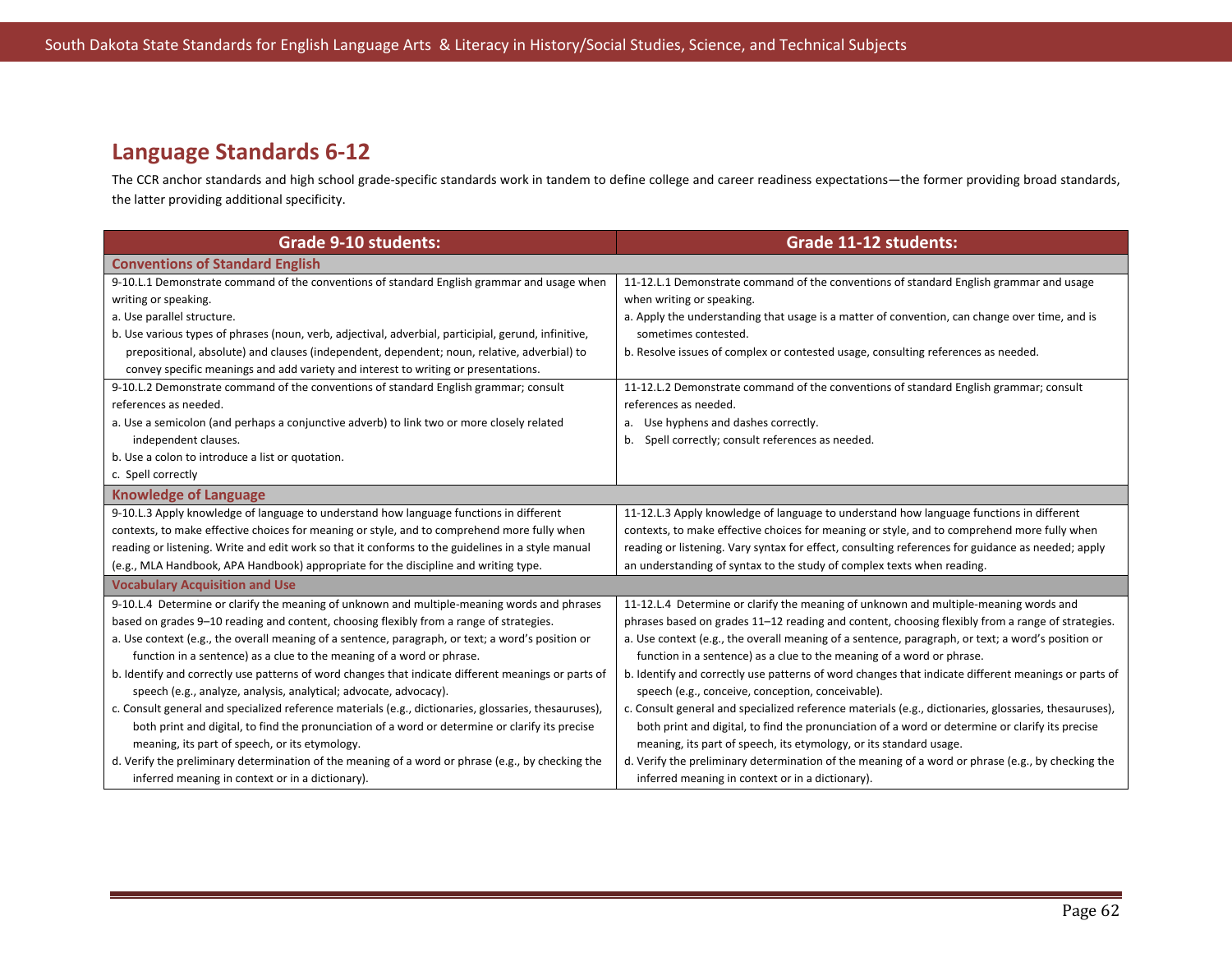# **Language Standards 6-12**

The CCR anchor standards and high school grade-specific standards work in tandem to define college and career readiness expectations—the former providing broad standards, the latter providing additional specificity.

| <b>Grade 9-10 students:</b>                                                                           | <b>Grade 11-12 students:</b>                                                                          |  |
|-------------------------------------------------------------------------------------------------------|-------------------------------------------------------------------------------------------------------|--|
| <b>Conventions of Standard English</b>                                                                |                                                                                                       |  |
| 9-10.L.1 Demonstrate command of the conventions of standard English grammar and usage when            | 11-12.L.1 Demonstrate command of the conventions of standard English grammar and usage                |  |
| writing or speaking.                                                                                  | when writing or speaking.                                                                             |  |
| a. Use parallel structure.                                                                            | a. Apply the understanding that usage is a matter of convention, can change over time, and is         |  |
| b. Use various types of phrases (noun, verb, adjectival, adverbial, participial, gerund, infinitive,  | sometimes contested.                                                                                  |  |
| prepositional, absolute) and clauses (independent, dependent; noun, relative, adverbial) to           | b. Resolve issues of complex or contested usage, consulting references as needed.                     |  |
| convey specific meanings and add variety and interest to writing or presentations.                    |                                                                                                       |  |
| 9-10.L.2 Demonstrate command of the conventions of standard English grammar; consult                  | 11-12.L.2 Demonstrate command of the conventions of standard English grammar; consult                 |  |
| references as needed.                                                                                 | references as needed.                                                                                 |  |
| a. Use a semicolon (and perhaps a conjunctive adverb) to link two or more closely related             | a. Use hyphens and dashes correctly.                                                                  |  |
| independent clauses.                                                                                  | b. Spell correctly; consult references as needed.                                                     |  |
| b. Use a colon to introduce a list or quotation.                                                      |                                                                                                       |  |
| c. Spell correctly                                                                                    |                                                                                                       |  |
| <b>Knowledge of Language</b>                                                                          |                                                                                                       |  |
| 9-10.L.3 Apply knowledge of language to understand how language functions in different                | 11-12.L.3 Apply knowledge of language to understand how language functions in different               |  |
| contexts, to make effective choices for meaning or style, and to comprehend more fully when           | contexts, to make effective choices for meaning or style, and to comprehend more fully when           |  |
| reading or listening. Write and edit work so that it conforms to the guidelines in a style manual     | reading or listening. Vary syntax for effect, consulting references for guidance as needed; apply     |  |
| (e.g., MLA Handbook, APA Handbook) appropriate for the discipline and writing type.                   | an understanding of syntax to the study of complex texts when reading.                                |  |
| <b>Vocabulary Acquisition and Use</b>                                                                 |                                                                                                       |  |
| 9-10.L.4 Determine or clarify the meaning of unknown and multiple-meaning words and phrases           | 11-12.L.4 Determine or clarify the meaning of unknown and multiple-meaning words and                  |  |
| based on grades 9–10 reading and content, choosing flexibly from a range of strategies.               | phrases based on grades 11-12 reading and content, choosing flexibly from a range of strategies.      |  |
| a. Use context (e.g., the overall meaning of a sentence, paragraph, or text; a word's position or     | a. Use context (e.g., the overall meaning of a sentence, paragraph, or text; a word's position or     |  |
| function in a sentence) as a clue to the meaning of a word or phrase.                                 | function in a sentence) as a clue to the meaning of a word or phrase.                                 |  |
| b. Identify and correctly use patterns of word changes that indicate different meanings or parts of   | b. Identify and correctly use patterns of word changes that indicate different meanings or parts of   |  |
| speech (e.g., analyze, analysis, analytical; advocate, advocacy).                                     | speech (e.g., conceive, conception, conceivable).                                                     |  |
| c. Consult general and specialized reference materials (e.g., dictionaries, glossaries, thesauruses), | c. Consult general and specialized reference materials (e.g., dictionaries, glossaries, thesauruses), |  |
| both print and digital, to find the pronunciation of a word or determine or clarify its precise       | both print and digital, to find the pronunciation of a word or determine or clarify its precise       |  |
| meaning, its part of speech, or its etymology.                                                        | meaning, its part of speech, its etymology, or its standard usage.                                    |  |
| d. Verify the preliminary determination of the meaning of a word or phrase (e.g., by checking the     | d. Verify the preliminary determination of the meaning of a word or phrase (e.g., by checking the     |  |
| inferred meaning in context or in a dictionary).                                                      | inferred meaning in context or in a dictionary).                                                      |  |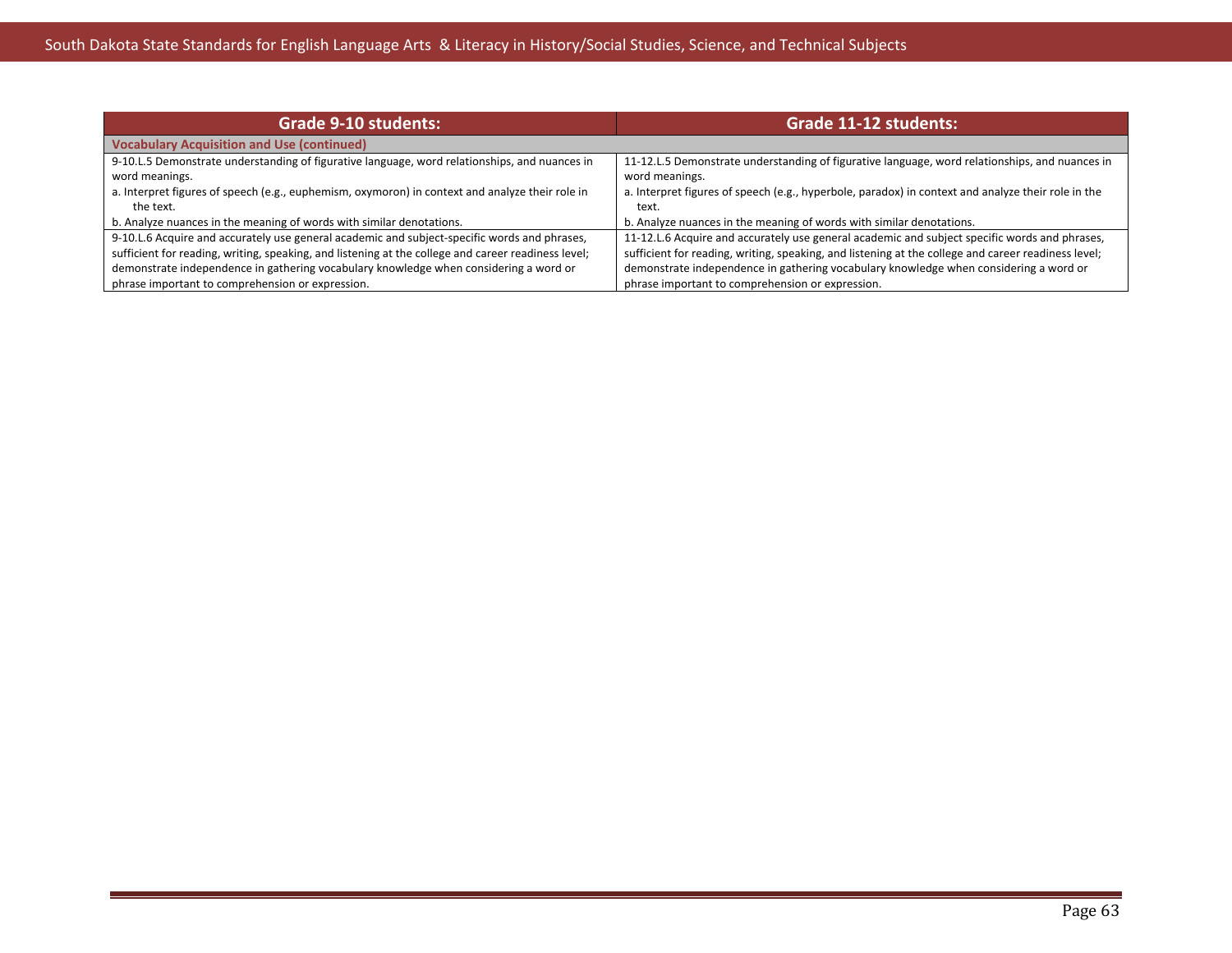| <b>Grade 9-10 students:</b>                                                                         | Grade 11-12 students:                                                                               |
|-----------------------------------------------------------------------------------------------------|-----------------------------------------------------------------------------------------------------|
| <b>Vocabulary Acquisition and Use (continued)</b>                                                   |                                                                                                     |
| 9-10.L.5 Demonstrate understanding of figurative language, word relationships, and nuances in       | 11-12.L.5 Demonstrate understanding of figurative language, word relationships, and nuances in      |
| word meanings.                                                                                      | word meanings.                                                                                      |
| a. Interpret figures of speech (e.g., euphemism, oxymoron) in context and analyze their role in     | a. Interpret figures of speech (e.g., hyperbole, paradox) in context and analyze their role in the  |
| the text.                                                                                           | text.                                                                                               |
| b. Analyze nuances in the meaning of words with similar denotations.                                | b. Analyze nuances in the meaning of words with similar denotations.                                |
| 9-10.L.6 Acquire and accurately use general academic and subject-specific words and phrases,        | 11-12.L.6 Acquire and accurately use general academic and subject specific words and phrases,       |
| sufficient for reading, writing, speaking, and listening at the college and career readiness level; | sufficient for reading, writing, speaking, and listening at the college and career readiness level; |
| demonstrate independence in gathering vocabulary knowledge when considering a word or               | demonstrate independence in gathering vocabulary knowledge when considering a word or               |
| phrase important to comprehension or expression.                                                    | phrase important to comprehension or expression.                                                    |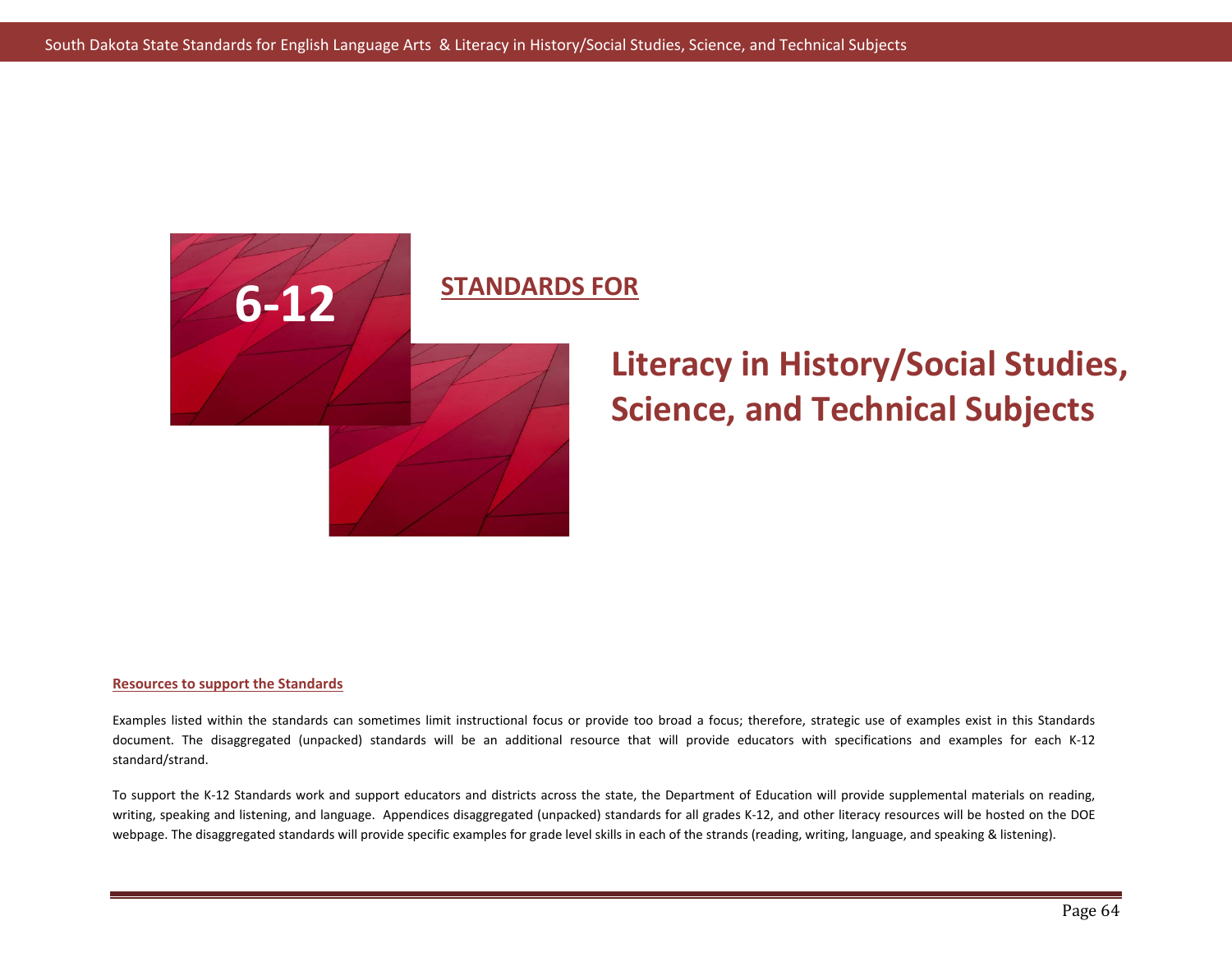# **6-12 STANDARDS FOR**

# **Literacy in History/Social Studies, Science, and Technical Subjects**

## **Resources to support the Standards**

Examples listed within the standards can sometimes limit instructional focus or provide too broad a focus; therefore, strategic use of examples exist in this Standards document. The disaggregated (unpacked) standards will be an additional resource that will provide educators with specifications and examples for each K-12 standard/strand.

To support the K-12 Standards work and support educators and districts across the state, the Department of Education will provide supplemental materials on reading, writing, speaking and listening, and language. Appendices disaggregated (unpacked) standards for all grades K-12, and other literacy resources will be hosted on the DOE webpage. The disaggregated standards will provide specific examples for grade level skills in each of the strands (reading, writing, language, and speaking & listening).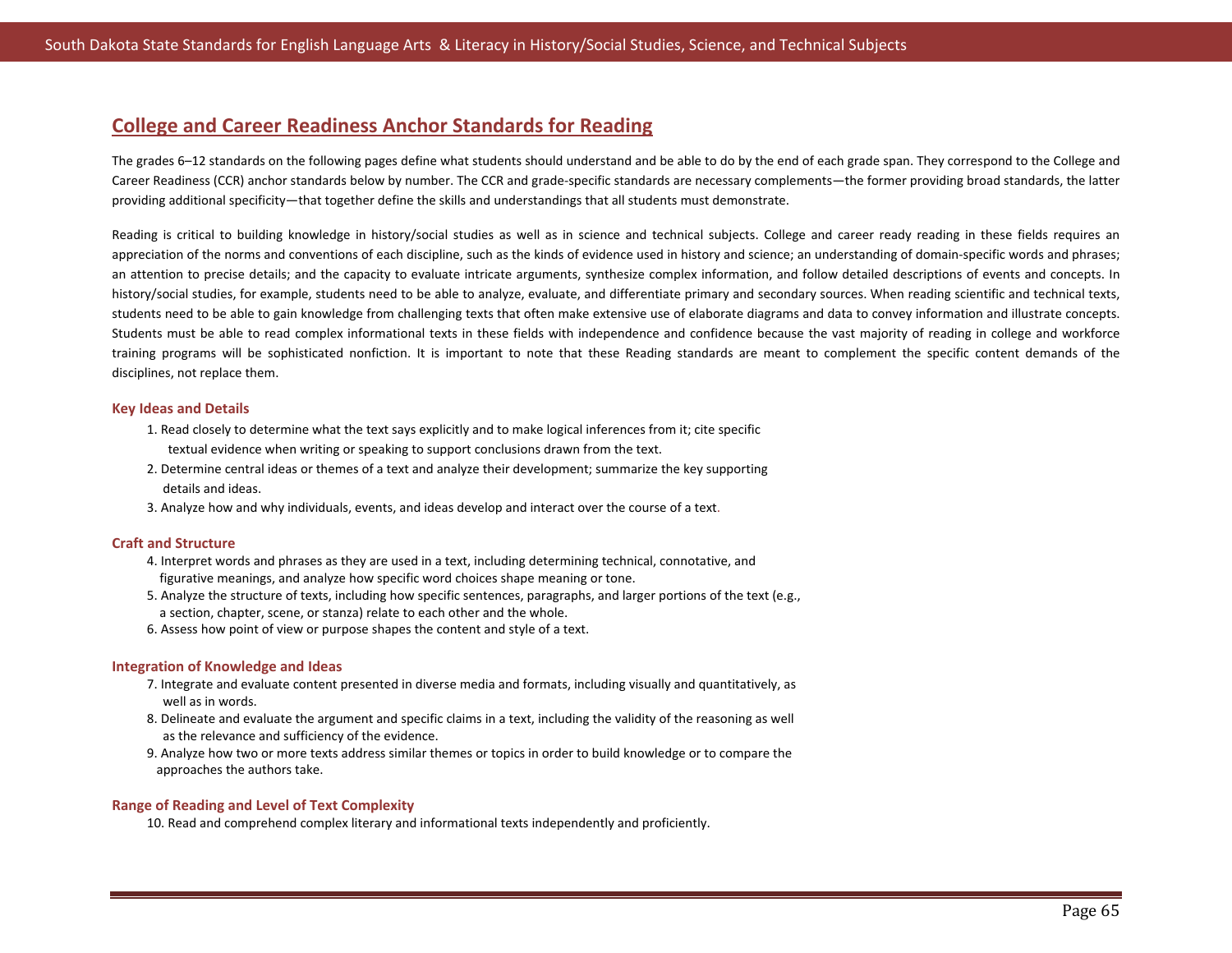## **College and Career Readiness Anchor Standards for Reading**

The grades 6–12 standards on the following pages define what students should understand and be able to do by the end of each grade span. They correspond to the College and Career Readiness (CCR) anchor standards below by number. The CCR and grade-specific standards are necessary complements—the former providing broad standards, the latter providing additional specificity—that together define the skills and understandings that all students must demonstrate.

Reading is critical to building knowledge in history/social studies as well as in science and technical subjects. College and career ready reading in these fields requires an appreciation of the norms and conventions of each discipline, such as the kinds of evidence used in history and science; an understanding of domain-specific words and phrases; an attention to precise details; and the capacity to evaluate intricate arguments, synthesize complex information, and follow detailed descriptions of events and concepts. In history/social studies, for example, students need to be able to analyze, evaluate, and differentiate primary and secondary sources. When reading scientific and technical texts. students need to be able to gain knowledge from challenging texts that often make extensive use of elaborate diagrams and data to convey information and illustrate concepts. Students must be able to read complex informational texts in these fields with independence and confidence because the vast majority of reading in college and workforce training programs will be sophisticated nonfiction. It is important to note that these Reading standards are meant to complement the specific content demands of the disciplines, not replace them.

#### **Key Ideas and Details**

- 1. Read closely to determine what the text says explicitly and to make logical inferences from it; cite specific textual evidence when writing or speaking to support conclusions drawn from the text.
- 2. Determine central ideas or themes of a text and analyze their development; summarize the key supporting details and ideas.
- 3. Analyze how and why individuals, events, and ideas develop and interact over the course of a text.

#### **Craft and Structure**

- 4. Interpret words and phrases as they are used in a text, including determining technical, connotative, and figurative meanings, and analyze how specific word choices shape meaning or tone.
- 5. Analyze the structure of texts, including how specific sentences, paragraphs, and larger portions of the text (e.g., a section, chapter, scene, or stanza) relate to each other and the whole.
- 6. Assess how point of view or purpose shapes the content and style of a text.

#### **Integration of Knowledge and Ideas**

- 7. Integrate and evaluate content presented in diverse media and formats, including visually and quantitatively, as well as in words.
- 8. Delineate and evaluate the argument and specific claims in a text, including the validity of the reasoning as well as the relevance and sufficiency of the evidence.
- 9. Analyze how two or more texts address similar themes or topics in order to build knowledge or to compare the approaches the authors take.

## **Range of Reading and Level of Text Complexity**

10. Read and comprehend complex literary and informational texts independently and proficiently.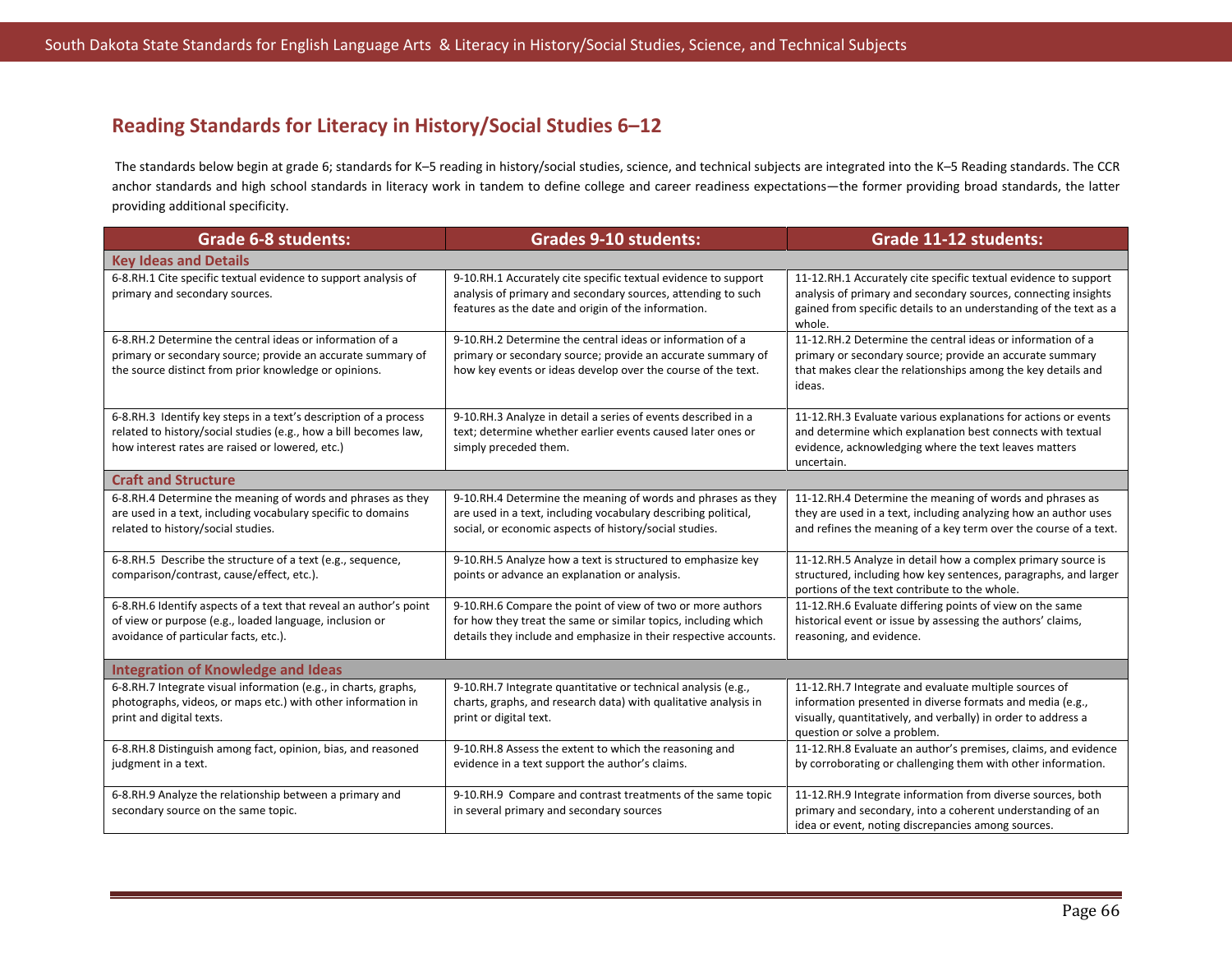## **Reading Standards for Literacy in History/Social Studies 6–12**

The standards below begin at grade 6; standards for K–5 reading in history/social studies, science, and technical subjects are integrated into the K–5 Reading standards. The CCR anchor standards and high school standards in literacy work in tandem to define college and career readiness expectations—the former providing broad standards, the latter providing additional specificity.

| <b>Grade 6-8 students:</b>                                                                                                                                                              | <b>Grades 9-10 students:</b>                                                                                                                                                                     | <b>Grade 11-12 students:</b>                                                                                                                                                                                        |  |  |
|-----------------------------------------------------------------------------------------------------------------------------------------------------------------------------------------|--------------------------------------------------------------------------------------------------------------------------------------------------------------------------------------------------|---------------------------------------------------------------------------------------------------------------------------------------------------------------------------------------------------------------------|--|--|
| <b>Key Ideas and Details</b>                                                                                                                                                            |                                                                                                                                                                                                  |                                                                                                                                                                                                                     |  |  |
| 6-8.RH.1 Cite specific textual evidence to support analysis of<br>primary and secondary sources.                                                                                        | 9-10.RH.1 Accurately cite specific textual evidence to support<br>analysis of primary and secondary sources, attending to such<br>features as the date and origin of the information.            | 11-12.RH.1 Accurately cite specific textual evidence to support<br>analysis of primary and secondary sources, connecting insights<br>gained from specific details to an understanding of the text as a<br>whole.    |  |  |
| 6-8.RH.2 Determine the central ideas or information of a<br>primary or secondary source; provide an accurate summary of<br>the source distinct from prior knowledge or opinions.        | 9-10.RH.2 Determine the central ideas or information of a<br>primary or secondary source; provide an accurate summary of<br>how key events or ideas develop over the course of the text.         | 11-12.RH.2 Determine the central ideas or information of a<br>primary or secondary source; provide an accurate summary<br>that makes clear the relationships among the key details and<br>ideas.                    |  |  |
| 6-8.RH.3 Identify key steps in a text's description of a process<br>related to history/social studies (e.g., how a bill becomes law,<br>how interest rates are raised or lowered, etc.) | 9-10.RH.3 Analyze in detail a series of events described in a<br>text; determine whether earlier events caused later ones or<br>simply preceded them.                                            | 11-12.RH.3 Evaluate various explanations for actions or events<br>and determine which explanation best connects with textual<br>evidence, acknowledging where the text leaves matters<br>uncertain.                 |  |  |
| <b>Craft and Structure</b>                                                                                                                                                              |                                                                                                                                                                                                  |                                                                                                                                                                                                                     |  |  |
| 6-8.RH.4 Determine the meaning of words and phrases as they<br>are used in a text, including vocabulary specific to domains<br>related to history/social studies.                       | 9-10.RH.4 Determine the meaning of words and phrases as they<br>are used in a text, including vocabulary describing political,<br>social, or economic aspects of history/social studies.         | 11-12.RH.4 Determine the meaning of words and phrases as<br>they are used in a text, including analyzing how an author uses<br>and refines the meaning of a key term over the course of a text.                     |  |  |
| 6-8.RH.5 Describe the structure of a text (e.g., sequence,<br>comparison/contrast, cause/effect, etc.).                                                                                 | 9-10.RH.5 Analyze how a text is structured to emphasize key<br>points or advance an explanation or analysis.                                                                                     | 11-12.RH.5 Analyze in detail how a complex primary source is<br>structured, including how key sentences, paragraphs, and larger<br>portions of the text contribute to the whole.                                    |  |  |
| 6-8.RH.6 Identify aspects of a text that reveal an author's point<br>of view or purpose (e.g., loaded language, inclusion or<br>avoidance of particular facts, etc.).                   | 9-10.RH.6 Compare the point of view of two or more authors<br>for how they treat the same or similar topics, including which<br>details they include and emphasize in their respective accounts. | 11-12.RH.6 Evaluate differing points of view on the same<br>historical event or issue by assessing the authors' claims,<br>reasoning, and evidence.                                                                 |  |  |
| <b>Integration of Knowledge and Ideas</b>                                                                                                                                               |                                                                                                                                                                                                  |                                                                                                                                                                                                                     |  |  |
| 6-8.RH.7 Integrate visual information (e.g., in charts, graphs,<br>photographs, videos, or maps etc.) with other information in<br>print and digital texts.                             | 9-10.RH.7 Integrate quantitative or technical analysis (e.g.,<br>charts, graphs, and research data) with qualitative analysis in<br>print or digital text.                                       | 11-12.RH.7 Integrate and evaluate multiple sources of<br>information presented in diverse formats and media (e.g.,<br>visually, quantitatively, and verbally) in order to address a<br>question or solve a problem. |  |  |
| 6-8.RH.8 Distinguish among fact, opinion, bias, and reasoned<br>judgment in a text.                                                                                                     | 9-10.RH.8 Assess the extent to which the reasoning and<br>evidence in a text support the author's claims.                                                                                        | 11-12.RH.8 Evaluate an author's premises, claims, and evidence<br>by corroborating or challenging them with other information.                                                                                      |  |  |
| 6-8.RH.9 Analyze the relationship between a primary and<br>secondary source on the same topic.                                                                                          | 9-10.RH.9 Compare and contrast treatments of the same topic<br>in several primary and secondary sources                                                                                          | 11-12.RH.9 Integrate information from diverse sources, both<br>primary and secondary, into a coherent understanding of an<br>idea or event, noting discrepancies among sources.                                     |  |  |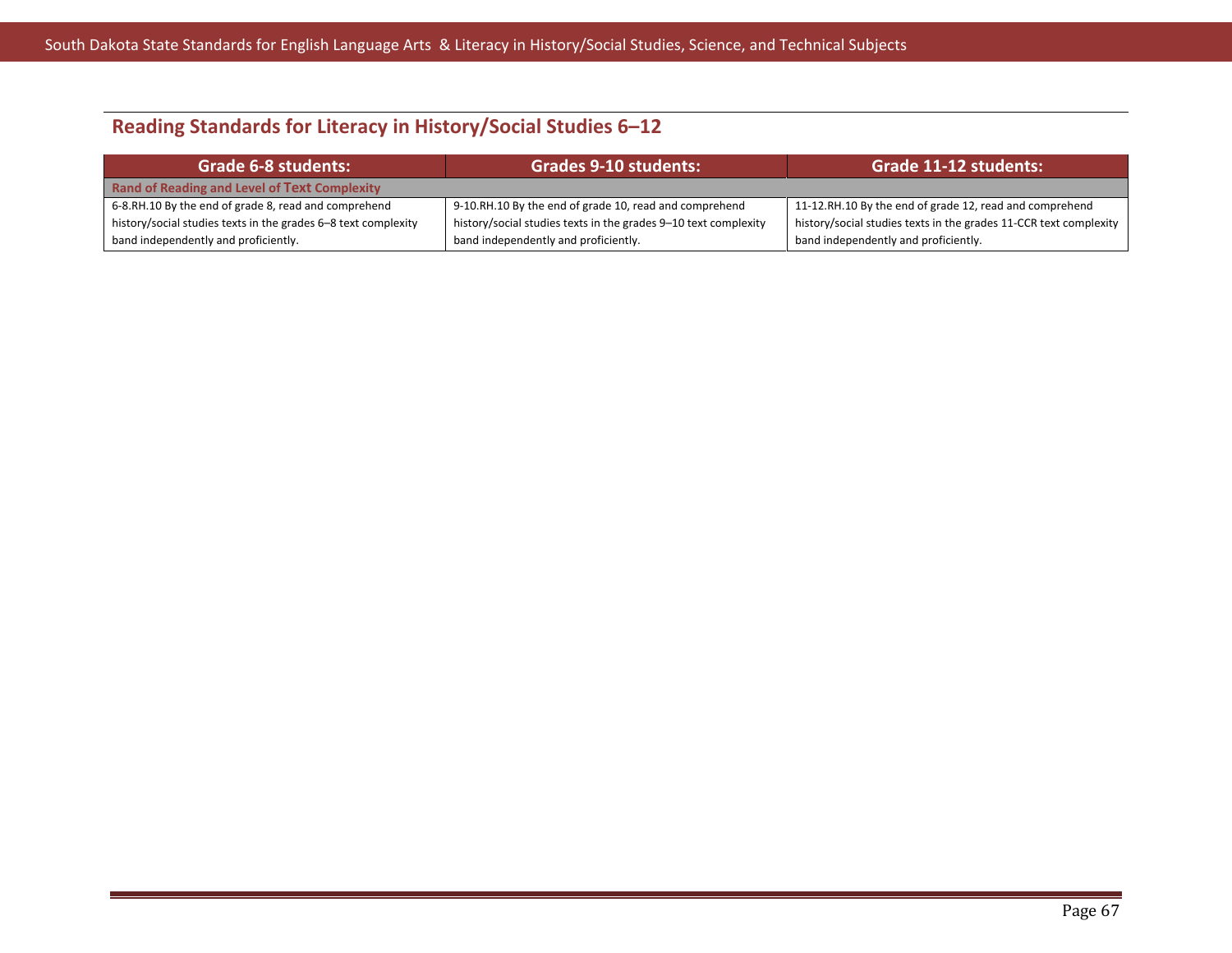# **Reading Standards for Literacy in History/Social Studies 6–12**

| Grade 6-8 students:                                            | Grades 9-10 students: 1                                         | Grade 11-12 students:                                             |
|----------------------------------------------------------------|-----------------------------------------------------------------|-------------------------------------------------------------------|
| <b>Rand of Reading and Level of Text Complexity</b>            |                                                                 |                                                                   |
| 6-8.RH.10 By the end of grade 8, read and comprehend           | 9-10.RH.10 By the end of grade 10, read and comprehend          | 11-12.RH.10 By the end of grade 12, read and comprehend           |
| history/social studies texts in the grades 6–8 text complexity | history/social studies texts in the grades 9-10 text complexity | history/social studies texts in the grades 11-CCR text complexity |
| band independently and proficiently.                           | band independently and proficiently.                            | band independently and proficiently.                              |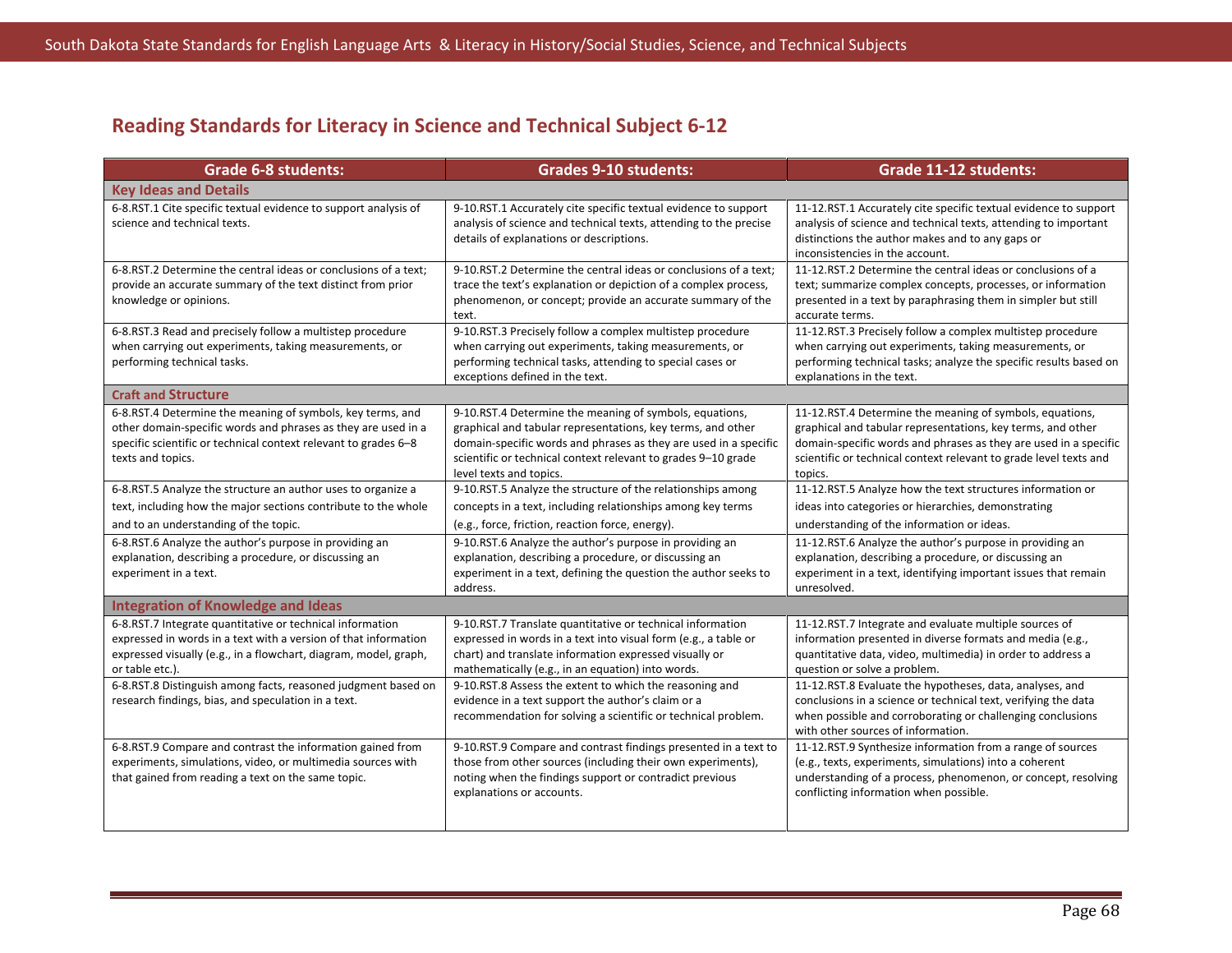# **Reading Standards for Literacy in Science and Technical Subject 6-12**

| <b>Grade 6-8 students:</b>                                                                                                                                                                                          | <b>Grades 9-10 students:</b>                                                                                                                                                                                                                                                           | <b>Grade 11-12 students:</b>                                                                                                                                                                                                                                                |  |  |
|---------------------------------------------------------------------------------------------------------------------------------------------------------------------------------------------------------------------|----------------------------------------------------------------------------------------------------------------------------------------------------------------------------------------------------------------------------------------------------------------------------------------|-----------------------------------------------------------------------------------------------------------------------------------------------------------------------------------------------------------------------------------------------------------------------------|--|--|
| <b>Key Ideas and Details</b>                                                                                                                                                                                        |                                                                                                                                                                                                                                                                                        |                                                                                                                                                                                                                                                                             |  |  |
| 6-8.RST.1 Cite specific textual evidence to support analysis of<br>science and technical texts.                                                                                                                     | 9-10.RST.1 Accurately cite specific textual evidence to support<br>analysis of science and technical texts, attending to the precise<br>details of explanations or descriptions.                                                                                                       | 11-12. RST. 1 Accurately cite specific textual evidence to support<br>analysis of science and technical texts, attending to important<br>distinctions the author makes and to any gaps or<br>inconsistencies in the account.                                                |  |  |
| 6-8.RST.2 Determine the central ideas or conclusions of a text;<br>provide an accurate summary of the text distinct from prior<br>knowledge or opinions.                                                            | 9-10.RST.2 Determine the central ideas or conclusions of a text:<br>trace the text's explanation or depiction of a complex process,<br>phenomenon, or concept; provide an accurate summary of the<br>text.                                                                             | 11-12.RST.2 Determine the central ideas or conclusions of a<br>text; summarize complex concepts, processes, or information<br>presented in a text by paraphrasing them in simpler but still<br>accurate terms.                                                              |  |  |
| 6-8.RST.3 Read and precisely follow a multistep procedure<br>when carrying out experiments, taking measurements, or<br>performing technical tasks.                                                                  | 9-10.RST.3 Precisely follow a complex multistep procedure<br>when carrying out experiments, taking measurements, or<br>performing technical tasks, attending to special cases or<br>exceptions defined in the text.                                                                    | 11-12.RST.3 Precisely follow a complex multistep procedure<br>when carrying out experiments, taking measurements, or<br>performing technical tasks; analyze the specific results based on<br>explanations in the text.                                                      |  |  |
| <b>Craft and Structure</b>                                                                                                                                                                                          |                                                                                                                                                                                                                                                                                        |                                                                                                                                                                                                                                                                             |  |  |
| 6-8.RST.4 Determine the meaning of symbols, key terms, and<br>other domain-specific words and phrases as they are used in a<br>specific scientific or technical context relevant to grades 6-8<br>texts and topics. | 9-10.RST.4 Determine the meaning of symbols, equations,<br>graphical and tabular representations, key terms, and other<br>domain-specific words and phrases as they are used in a specific<br>scientific or technical context relevant to grades 9-10 grade<br>level texts and topics. | 11-12.RST.4 Determine the meaning of symbols, equations,<br>graphical and tabular representations, key terms, and other<br>domain-specific words and phrases as they are used in a specific<br>scientific or technical context relevant to grade level texts and<br>topics. |  |  |
| 6-8.RST.5 Analyze the structure an author uses to organize a                                                                                                                                                        | 9-10.RST.5 Analyze the structure of the relationships among                                                                                                                                                                                                                            | 11-12.RST.5 Analyze how the text structures information or                                                                                                                                                                                                                  |  |  |
| text, including how the major sections contribute to the whole                                                                                                                                                      | concepts in a text, including relationships among key terms                                                                                                                                                                                                                            | ideas into categories or hierarchies, demonstrating                                                                                                                                                                                                                         |  |  |
| and to an understanding of the topic.                                                                                                                                                                               | (e.g., force, friction, reaction force, energy).                                                                                                                                                                                                                                       | understanding of the information or ideas.                                                                                                                                                                                                                                  |  |  |
| 6-8.RST.6 Analyze the author's purpose in providing an<br>explanation, describing a procedure, or discussing an<br>experiment in a text.                                                                            | 9-10.RST.6 Analyze the author's purpose in providing an<br>explanation, describing a procedure, or discussing an<br>experiment in a text, defining the question the author seeks to<br>address.                                                                                        | 11-12.RST.6 Analyze the author's purpose in providing an<br>explanation, describing a procedure, or discussing an<br>experiment in a text, identifying important issues that remain<br>unresolved.                                                                          |  |  |
| Integration of Knowledge and Ideas                                                                                                                                                                                  |                                                                                                                                                                                                                                                                                        |                                                                                                                                                                                                                                                                             |  |  |
| 6-8.RST.7 Integrate quantitative or technical information<br>expressed in words in a text with a version of that information<br>expressed visually (e.g., in a flowchart, diagram, model, graph,<br>or table etc.). | 9-10.RST.7 Translate quantitative or technical information<br>expressed in words in a text into visual form (e.g., a table or<br>chart) and translate information expressed visually or<br>mathematically (e.g., in an equation) into words.                                           | 11-12.RST.7 Integrate and evaluate multiple sources of<br>information presented in diverse formats and media (e.g.,<br>quantitative data, video, multimedia) in order to address a<br>question or solve a problem.                                                          |  |  |
| 6-8.RST.8 Distinguish among facts, reasoned judgment based on<br>research findings, bias, and speculation in a text.                                                                                                | 9-10.RST.8 Assess the extent to which the reasoning and<br>evidence in a text support the author's claim or a<br>recommendation for solving a scientific or technical problem.                                                                                                         | 11-12.RST.8 Evaluate the hypotheses, data, analyses, and<br>conclusions in a science or technical text, verifying the data<br>when possible and corroborating or challenging conclusions<br>with other sources of information.                                              |  |  |
| 6-8.RST.9 Compare and contrast the information gained from<br>experiments, simulations, video, or multimedia sources with<br>that gained from reading a text on the same topic.                                     | 9-10.RST.9 Compare and contrast findings presented in a text to<br>those from other sources (including their own experiments),<br>noting when the findings support or contradict previous<br>explanations or accounts.                                                                 | 11-12.RST.9 Synthesize information from a range of sources<br>(e.g., texts, experiments, simulations) into a coherent<br>understanding of a process, phenomenon, or concept, resolving<br>conflicting information when possible.                                            |  |  |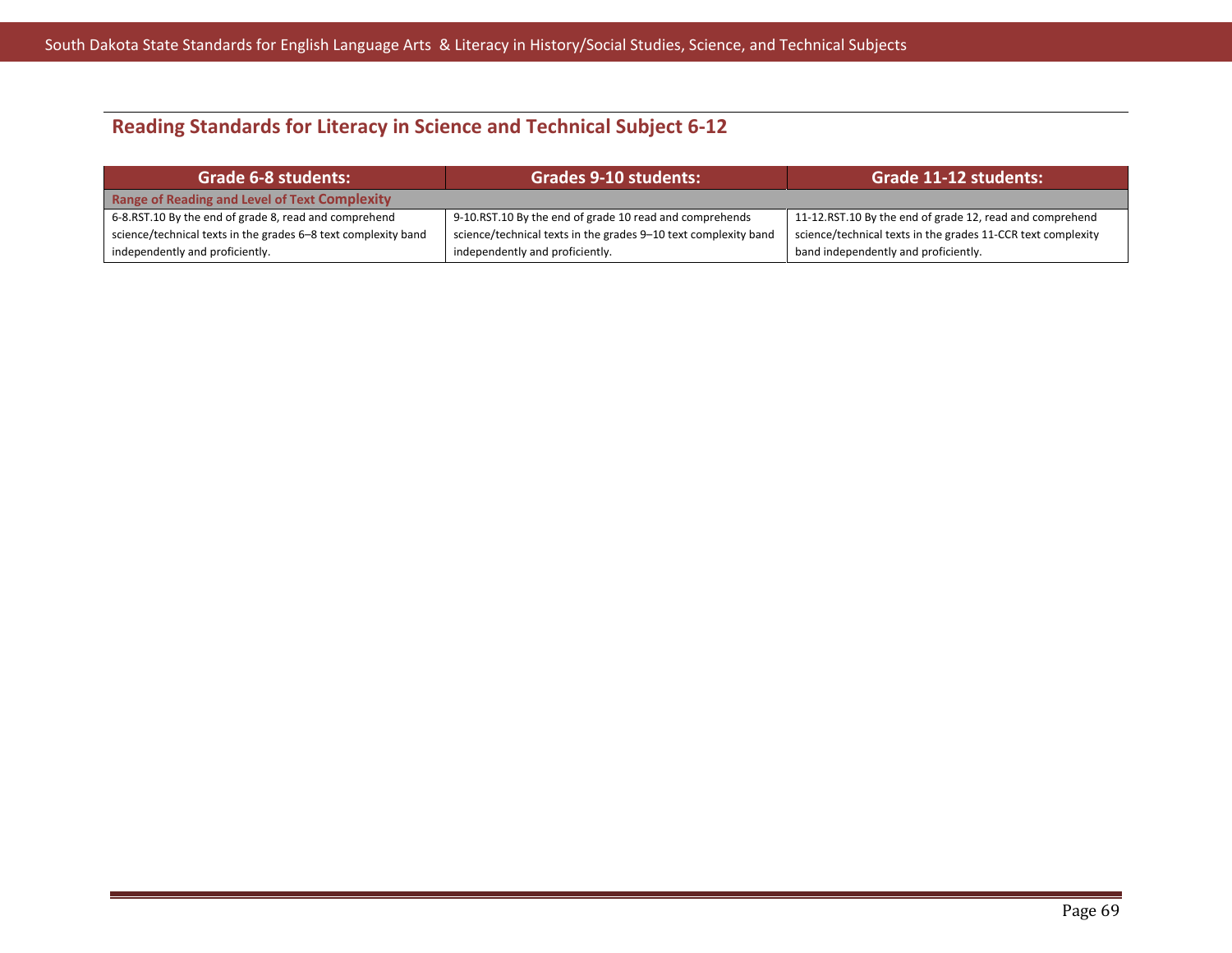# **Reading Standards for Literacy in Science and Technical Subject 6-12**

| Grade 6-8 students:                                            | <b>Grades 9-10 students:</b>                                    | Grade 11-12 students:                                        |
|----------------------------------------------------------------|-----------------------------------------------------------------|--------------------------------------------------------------|
| <b>Range of Reading and Level of Text Complexity</b>           |                                                                 |                                                              |
| 6-8.RST.10 By the end of grade 8, read and comprehend          | 9-10.RST.10 By the end of grade 10 read and comprehends         | 11-12.RST.10 By the end of grade 12, read and comprehend     |
| science/technical texts in the grades 6-8 text complexity band | science/technical texts in the grades 9-10 text complexity band | science/technical texts in the grades 11-CCR text complexity |
| independently and proficiently.                                | independently and proficiently.                                 | band independently and proficiently.                         |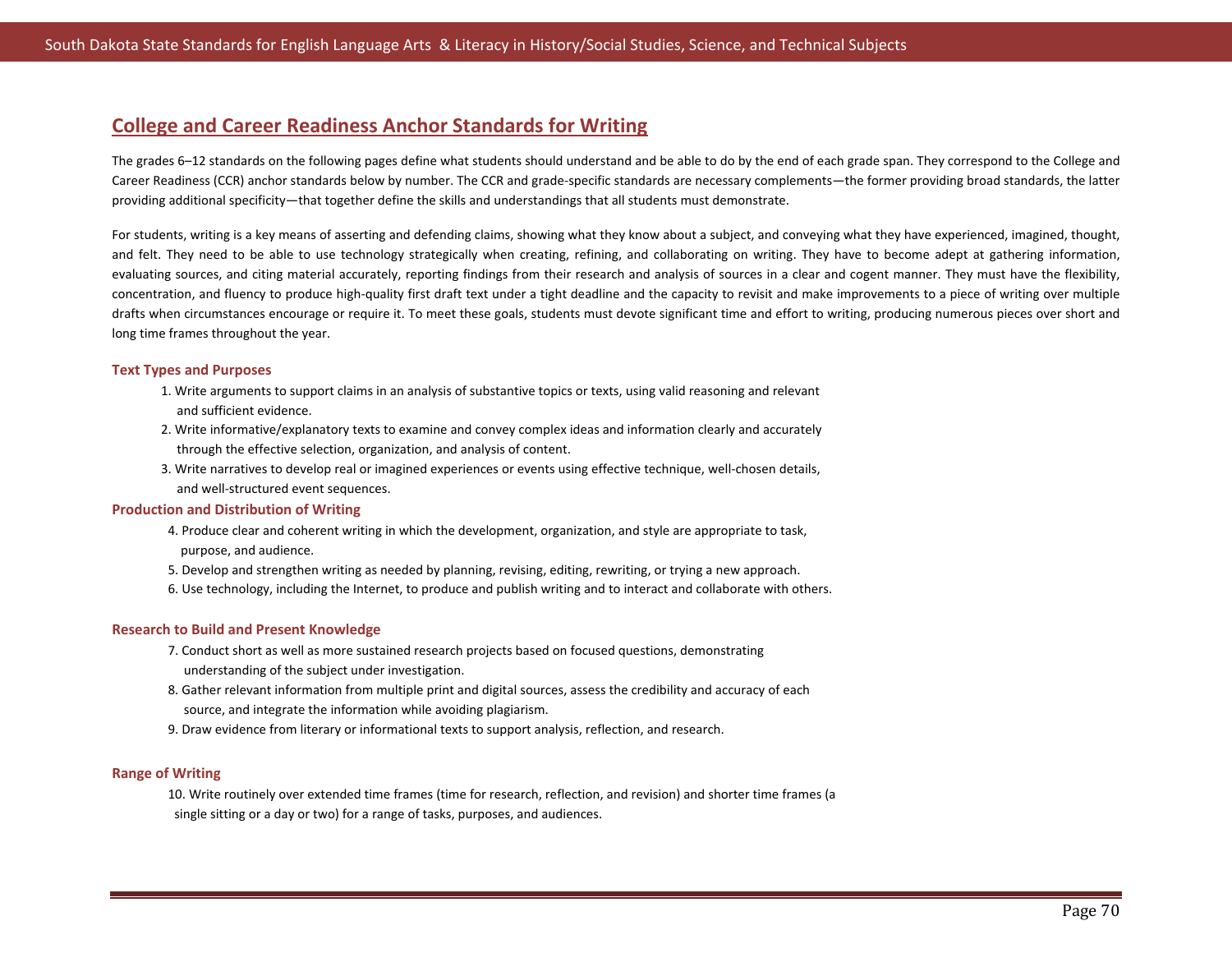## **College and Career Readiness Anchor Standards for Writing**

The grades 6–12 standards on the following pages define what students should understand and be able to do by the end of each grade span. They correspond to the College and Career Readiness (CCR) anchor standards below by number. The CCR and grade-specific standards are necessary complements—the former providing broad standards, the latter providing additional specificity—that together define the skills and understandings that all students must demonstrate.

For students, writing is a key means of asserting and defending claims, showing what they know about a subject, and conveying what they have experienced, imagined, thought, and felt. They need to be able to use technology strategically when creating, refining, and collaborating on writing. They have to become adept at gathering information, evaluating sources, and citing material accurately, reporting findings from their research and analysis of sources in a clear and cogent manner. They must have the flexibility, concentration, and fluency to produce high-quality first draft text under a tight deadline and the capacity to revisit and make improvements to a piece of writing over multiple drafts when circumstances encourage or require it. To meet these goals, students must devote significant time and effort to writing, producing numerous pieces over short and long time frames throughout the year.

## **Text Types and Purposes**

- 1. Write arguments to support claims in an analysis of substantive topics or texts, using valid reasoning and relevant and sufficient evidence.
- 2. Write informative/explanatory texts to examine and convey complex ideas and information clearly and accurately through the effective selection, organization, and analysis of content.
- 3. Write narratives to develop real or imagined experiences or events using effective technique, well-chosen details, and well-structured event sequences.

#### **Production and Distribution of Writing**

- 4. Produce clear and coherent writing in which the development, organization, and style are appropriate to task, purpose, and audience.
- 5. Develop and strengthen writing as needed by planning, revising, editing, rewriting, or trying a new approach.
- 6. Use technology, including the Internet, to produce and publish writing and to interact and collaborate with others.

## **Research to Build and Present Knowledge**

- 7. Conduct short as well as more sustained research projects based on focused questions, demonstrating understanding of the subject under investigation.
- 8. Gather relevant information from multiple print and digital sources, assess the credibility and accuracy of each source, and integrate the information while avoiding plagiarism.
- 9. Draw evidence from literary or informational texts to support analysis, reflection, and research.

## **Range of Writing**

10. Write routinely over extended time frames (time for research, reflection, and revision) and shorter time frames (a single sitting or a day or two) for a range of tasks, purposes, and audiences.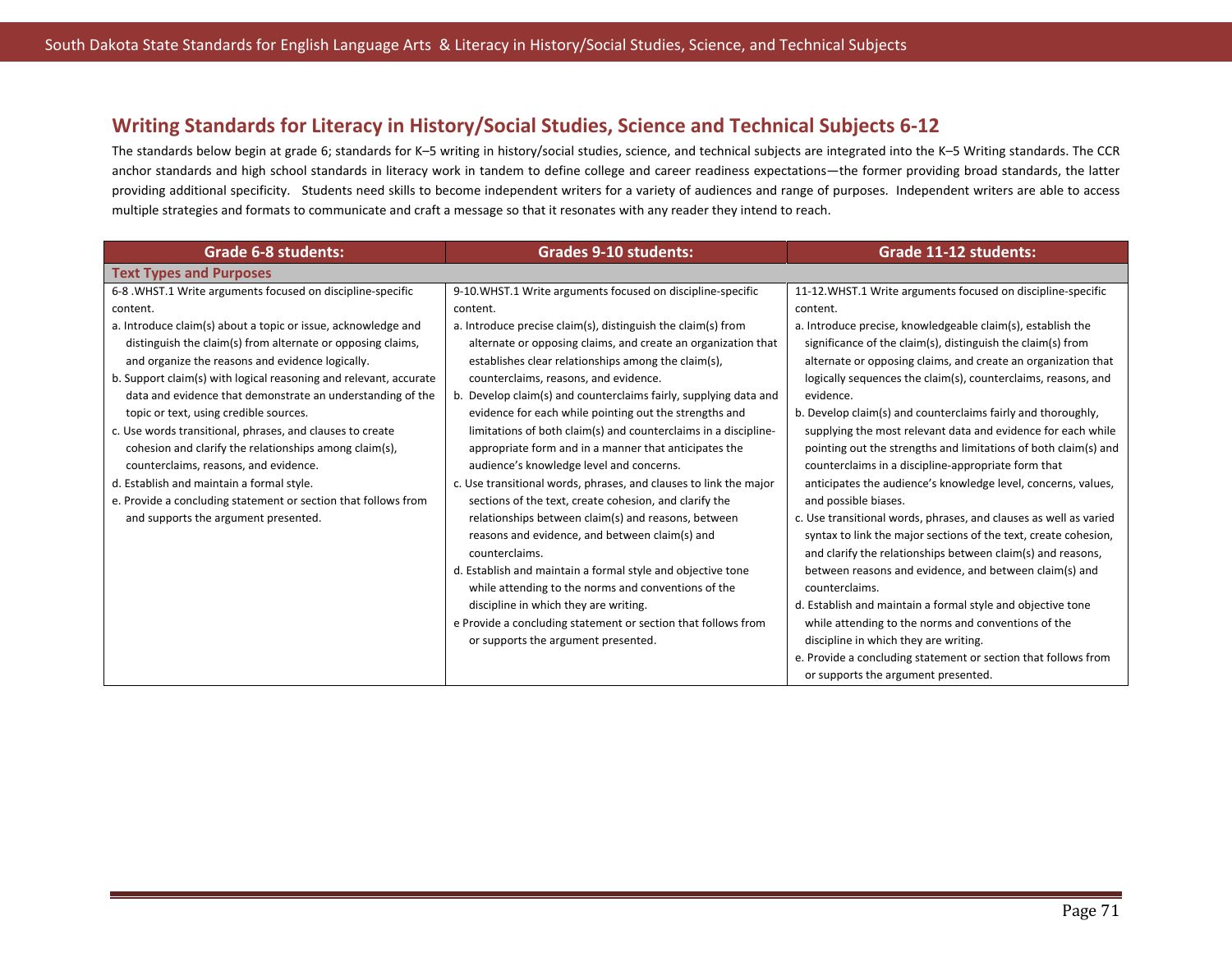## **Writing Standards for Literacy in History/Social Studies, Science and Technical Subjects 6-12**

The standards below begin at grade 6; standards for K–5 writing in history/social studies, science, and technical subjects are integrated into the K–5 Writing standards. The CCR anchor standards and high school standards in literacy work in tandem to define college and career readiness expectations—the former providing broad standards, the latter providing additional specificity. Students need skills to become independent writers for a variety of audiences and range of purposes. Independent writers are able to access multiple strategies and formats to communicate and craft a message so that it resonates with any reader they intend to reach.

| Grade 6-8 students:                                               | Grades 9-10 students:                                             | <b>Grade 11-12 students:</b>                                      |
|-------------------------------------------------------------------|-------------------------------------------------------------------|-------------------------------------------------------------------|
| <b>Text Types and Purposes</b>                                    |                                                                   |                                                                   |
| 6-8 .WHST.1 Write arguments focused on discipline-specific        | 9-10.WHST.1 Write arguments focused on discipline-specific        | 11-12. WHST.1 Write arguments focused on discipline-specific      |
| content.                                                          | content.                                                          | content.                                                          |
| a. Introduce claim(s) about a topic or issue, acknowledge and     | a. Introduce precise claim(s), distinguish the claim(s) from      | a. Introduce precise, knowledgeable claim(s), establish the       |
| distinguish the claim(s) from alternate or opposing claims,       | alternate or opposing claims, and create an organization that     | significance of the claim(s), distinguish the claim(s) from       |
| and organize the reasons and evidence logically.                  | establishes clear relationships among the claim(s),               | alternate or opposing claims, and create an organization that     |
| b. Support claim(s) with logical reasoning and relevant, accurate | counterclaims, reasons, and evidence.                             | logically sequences the claim(s), counterclaims, reasons, and     |
| data and evidence that demonstrate an understanding of the        | b. Develop claim(s) and counterclaims fairly, supplying data and  | evidence.                                                         |
| topic or text, using credible sources.                            | evidence for each while pointing out the strengths and            | b. Develop claim(s) and counterclaims fairly and thoroughly,      |
| c. Use words transitional, phrases, and clauses to create         | limitations of both claim(s) and counterclaims in a discipline-   | supplying the most relevant data and evidence for each while      |
| cohesion and clarify the relationships among claim(s),            | appropriate form and in a manner that anticipates the             | pointing out the strengths and limitations of both claim(s) and   |
| counterclaims, reasons, and evidence.                             | audience's knowledge level and concerns.                          | counterclaims in a discipline-appropriate form that               |
| d. Establish and maintain a formal style.                         | c. Use transitional words, phrases, and clauses to link the major | anticipates the audience's knowledge level, concerns, values,     |
| e. Provide a concluding statement or section that follows from    | sections of the text, create cohesion, and clarify the            | and possible biases.                                              |
| and supports the argument presented.                              | relationships between claim(s) and reasons, between               | c. Use transitional words, phrases, and clauses as well as varied |
|                                                                   | reasons and evidence, and between claim(s) and                    | syntax to link the major sections of the text, create cohesion,   |
|                                                                   | counterclaims.                                                    | and clarify the relationships between claim(s) and reasons,       |
|                                                                   | d. Establish and maintain a formal style and objective tone       | between reasons and evidence, and between claim(s) and            |
|                                                                   | while attending to the norms and conventions of the               | counterclaims.                                                    |
|                                                                   | discipline in which they are writing.                             | d. Establish and maintain a formal style and objective tone       |
|                                                                   | e Provide a concluding statement or section that follows from     | while attending to the norms and conventions of the               |
|                                                                   | or supports the argument presented.                               | discipline in which they are writing.                             |
|                                                                   |                                                                   | e. Provide a concluding statement or section that follows from    |
|                                                                   |                                                                   | or supports the argument presented.                               |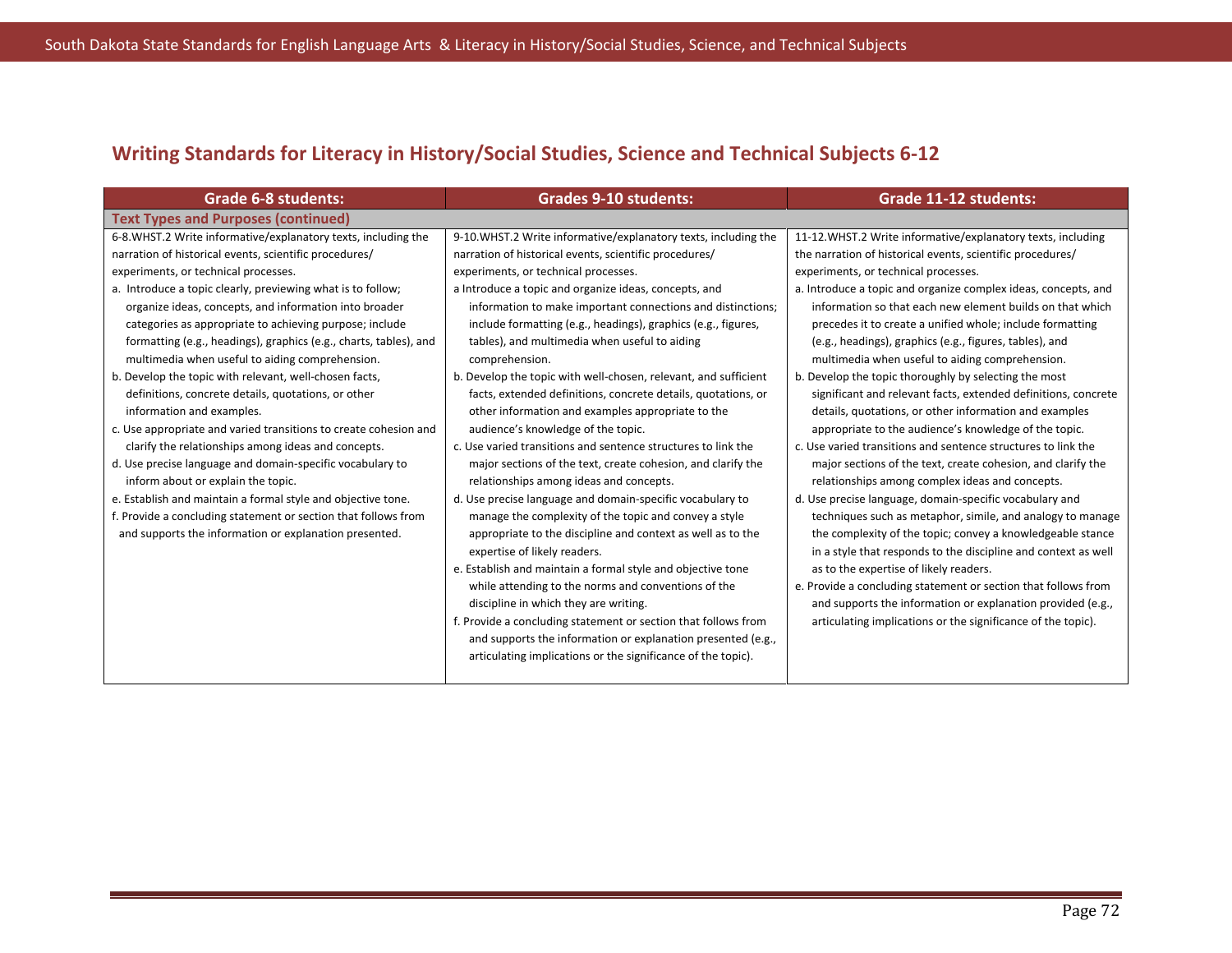## **Writing Standards for Literacy in History/Social Studies, Science and Technical Subjects 6-12**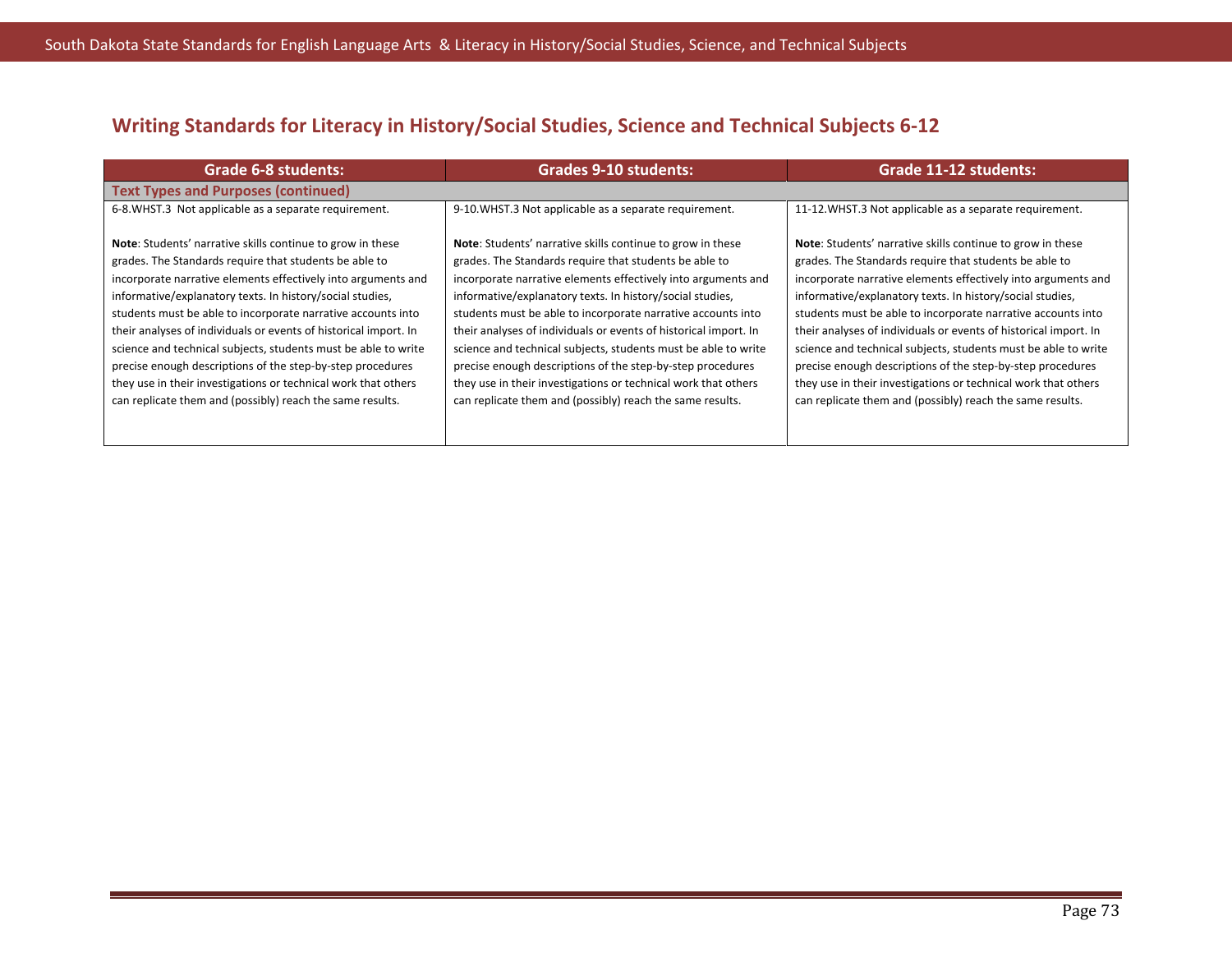## **Writing Standards for Literacy in History/Social Studies, Science and Technical Subjects 6-12**

| <b>Grade 6-8 students:</b>                                       | <b>Grades 9-10 students:</b>                                     | Grade 11-12 students:                                            |  |
|------------------------------------------------------------------|------------------------------------------------------------------|------------------------------------------------------------------|--|
| <b>Text Types and Purposes (continued)</b>                       |                                                                  |                                                                  |  |
| 6-8. WHST. 3 Not applicable as a separate requirement.           | 9-10. WHST. 3 Not applicable as a separate requirement.          | 11-12. WHST. 3 Not applicable as a separate requirement.         |  |
|                                                                  |                                                                  |                                                                  |  |
| Note: Students' narrative skills continue to grow in these       | Note: Students' narrative skills continue to grow in these       | Note: Students' narrative skills continue to grow in these       |  |
| grades. The Standards require that students be able to           | grades. The Standards require that students be able to           | grades. The Standards require that students be able to           |  |
| incorporate narrative elements effectively into arguments and    | incorporate narrative elements effectively into arguments and    | incorporate narrative elements effectively into arguments and    |  |
| informative/explanatory texts. In history/social studies,        | informative/explanatory texts. In history/social studies,        | informative/explanatory texts. In history/social studies,        |  |
| students must be able to incorporate narrative accounts into     | students must be able to incorporate narrative accounts into     | students must be able to incorporate narrative accounts into     |  |
| their analyses of individuals or events of historical import. In | their analyses of individuals or events of historical import. In | their analyses of individuals or events of historical import. In |  |
| science and technical subjects, students must be able to write   | science and technical subjects, students must be able to write   | science and technical subjects, students must be able to write   |  |
| precise enough descriptions of the step-by-step procedures       | precise enough descriptions of the step-by-step procedures       | precise enough descriptions of the step-by-step procedures       |  |
| they use in their investigations or technical work that others   | they use in their investigations or technical work that others   | they use in their investigations or technical work that others   |  |
| can replicate them and (possibly) reach the same results.        | can replicate them and (possibly) reach the same results.        | can replicate them and (possibly) reach the same results.        |  |
|                                                                  |                                                                  |                                                                  |  |
|                                                                  |                                                                  |                                                                  |  |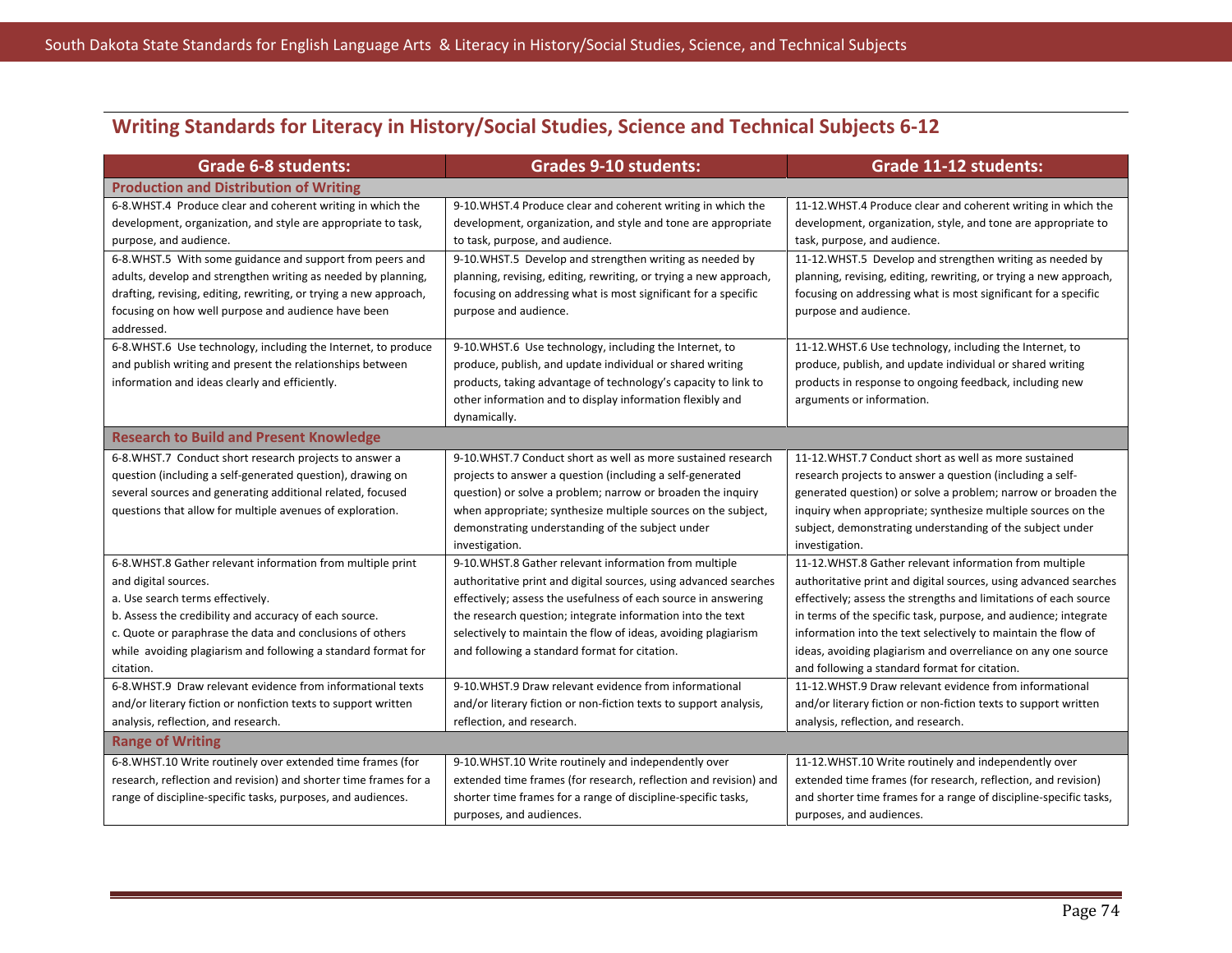## **Writing Standards for Literacy in History/Social Studies, Science and Technical Subjects 6-12**

| <b>Grade 6-8 students:</b>                                        | <b>Grades 9-10 students:</b>                                      | <b>Grade 11-12 students:</b>                                      |  |
|-------------------------------------------------------------------|-------------------------------------------------------------------|-------------------------------------------------------------------|--|
| <b>Production and Distribution of Writing</b>                     |                                                                   |                                                                   |  |
| 6-8. WHST. 4 Produce clear and coherent writing in which the      | 9-10. WHST. 4 Produce clear and coherent writing in which the     | 11-12. WHST.4 Produce clear and coherent writing in which the     |  |
| development, organization, and style are appropriate to task,     | development, organization, and style and tone are appropriate     | development, organization, style, and tone are appropriate to     |  |
| purpose, and audience.                                            | to task, purpose, and audience.                                   | task, purpose, and audience.                                      |  |
| 6-8. WHST.5 With some guidance and support from peers and         | 9-10. WHST.5 Develop and strengthen writing as needed by          | 11-12. WHST.5 Develop and strengthen writing as needed by         |  |
| adults, develop and strengthen writing as needed by planning,     | planning, revising, editing, rewriting, or trying a new approach, | planning, revising, editing, rewriting, or trying a new approach, |  |
| drafting, revising, editing, rewriting, or trying a new approach, | focusing on addressing what is most significant for a specific    | focusing on addressing what is most significant for a specific    |  |
| focusing on how well purpose and audience have been               | purpose and audience.                                             | purpose and audience.                                             |  |
| addressed.                                                        |                                                                   |                                                                   |  |
| 6-8. WHST.6 Use technology, including the Internet, to produce    | 9-10. WHST.6 Use technology, including the Internet, to           | 11-12. WHST.6 Use technology, including the Internet, to          |  |
| and publish writing and present the relationships between         | produce, publish, and update individual or shared writing         | produce, publish, and update individual or shared writing         |  |
| information and ideas clearly and efficiently.                    | products, taking advantage of technology's capacity to link to    | products in response to ongoing feedback, including new           |  |
|                                                                   | other information and to display information flexibly and         | arguments or information.                                         |  |
|                                                                   | dynamically.                                                      |                                                                   |  |
| <b>Research to Build and Present Knowledge</b>                    |                                                                   |                                                                   |  |
| 6-8. WHST. 7 Conduct short research projects to answer a          | 9-10. WHST. 7 Conduct short as well as more sustained research    | 11-12. WHST. 7 Conduct short as well as more sustained            |  |
| question (including a self-generated question), drawing on        | projects to answer a question (including a self-generated         | research projects to answer a question (including a self-         |  |
| several sources and generating additional related, focused        | question) or solve a problem; narrow or broaden the inquiry       | generated question) or solve a problem; narrow or broaden the     |  |
| questions that allow for multiple avenues of exploration.         | when appropriate; synthesize multiple sources on the subject,     | inquiry when appropriate; synthesize multiple sources on the      |  |
|                                                                   | demonstrating understanding of the subject under                  | subject, demonstrating understanding of the subject under         |  |
|                                                                   | investigation.                                                    | investigation.                                                    |  |
| 6-8. WHST.8 Gather relevant information from multiple print       | 9-10. WHST.8 Gather relevant information from multiple            | 11-12. WHST.8 Gather relevant information from multiple           |  |
| and digital sources.                                              | authoritative print and digital sources, using advanced searches  | authoritative print and digital sources, using advanced searches  |  |
| a. Use search terms effectively.                                  | effectively; assess the usefulness of each source in answering    | effectively; assess the strengths and limitations of each source  |  |
| b. Assess the credibility and accuracy of each source.            | the research question; integrate information into the text        | in terms of the specific task, purpose, and audience; integrate   |  |
| c. Quote or paraphrase the data and conclusions of others         | selectively to maintain the flow of ideas, avoiding plagiarism    | information into the text selectively to maintain the flow of     |  |
| while avoiding plagiarism and following a standard format for     | and following a standard format for citation.                     | ideas, avoiding plagiarism and overreliance on any one source     |  |
| citation.                                                         |                                                                   | and following a standard format for citation.                     |  |
| 6-8. WHST. 9 Draw relevant evidence from informational texts      | 9-10. WHST. 9 Draw relevant evidence from informational           | 11-12. WHST. 9 Draw relevant evidence from informational          |  |
| and/or literary fiction or nonfiction texts to support written    | and/or literary fiction or non-fiction texts to support analysis, | and/or literary fiction or non-fiction texts to support written   |  |
| analysis, reflection, and research.                               | reflection, and research.                                         | analysis, reflection, and research.                               |  |
| <b>Range of Writing</b>                                           |                                                                   |                                                                   |  |
| 6-8. WHST. 10 Write routinely over extended time frames (for      | 9-10. WHST. 10 Write routinely and independently over             | 11-12. WHST. 10 Write routinely and independently over            |  |
| research, reflection and revision) and shorter time frames for a  | extended time frames (for research, reflection and revision) and  | extended time frames (for research, reflection, and revision)     |  |
| range of discipline-specific tasks, purposes, and audiences.      | shorter time frames for a range of discipline-specific tasks,     | and shorter time frames for a range of discipline-specific tasks, |  |
|                                                                   | purposes, and audiences.                                          | purposes, and audiences.                                          |  |